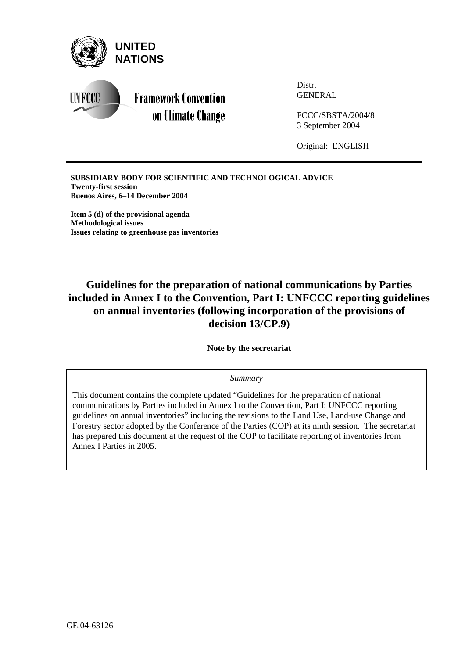

**SUBSIDIARY BODY FOR SCIENTIFIC AND TECHNOLOGICAL ADVICE Twenty-first session Buenos Aires, 6–14 December 2004** 

**Item 5 (d) of the provisional agenda Methodological issues Issues relating to greenhouse gas inventories** 

## **Guidelines for the preparation of national communications by Parties included in Annex I to the Convention, Part I: UNFCCC reporting guidelines on annual inventories (following incorporation of the provisions of decision 13/CP.9)**

**Note by the secretariat** 

*Summary*

This document contains the complete updated "Guidelines for the preparation of national communications by Parties included in Annex I to the Convention, Part I: UNFCCC reporting guidelines on annual inventories" including the revisions to the Land Use, Land-use Change and Forestry sector adopted by the Conference of the Parties (COP) at its ninth session. The secretariat has prepared this document at the request of the COP to facilitate reporting of inventories from Annex I Parties in 2005.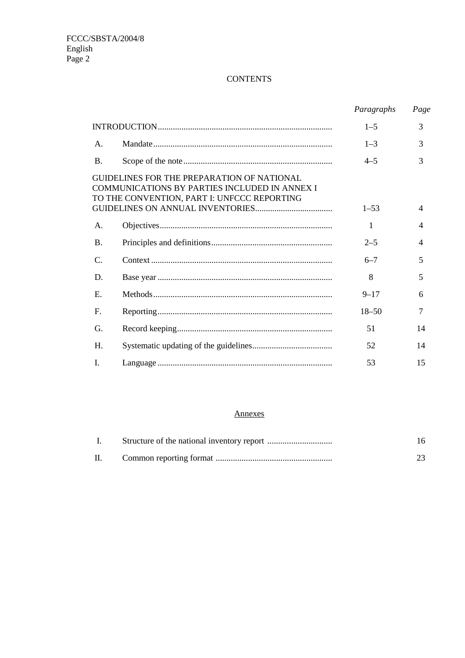#### **CONTENTS**

|                |                                                                                                                                                          | Paragraphs | Page           |
|----------------|----------------------------------------------------------------------------------------------------------------------------------------------------------|------------|----------------|
|                |                                                                                                                                                          | $1 - 5$    | 3              |
| A <sub>1</sub> |                                                                                                                                                          | $1 - 3$    | 3              |
| $\mathbf{B}$ . |                                                                                                                                                          | $4 - 5$    | 3              |
|                | <b>GUIDELINES FOR THE PREPARATION OF NATIONAL</b><br><b>COMMUNICATIONS BY PARTIES INCLUDED IN ANNEX I</b><br>TO THE CONVENTION, PART I: UNFCCC REPORTING | $1 - 53$   | 4              |
| A.             |                                                                                                                                                          | 1          | $\overline{4}$ |
| <b>B.</b>      |                                                                                                                                                          | $2 - 5$    | $\overline{4}$ |
| $\mathsf{C}$   |                                                                                                                                                          | $6 - 7$    | 5              |
| D.             |                                                                                                                                                          | 8          | 5              |
| $E_{\rm c}$    |                                                                                                                                                          | $9 - 17$   | 6              |
| F.             |                                                                                                                                                          | $18 - 50$  | 7              |
| G.             |                                                                                                                                                          | 51         | 14             |
| H.             |                                                                                                                                                          | 52         | 14             |
| I.             |                                                                                                                                                          | 53         | 15             |

#### Annexes

| II. |  |
|-----|--|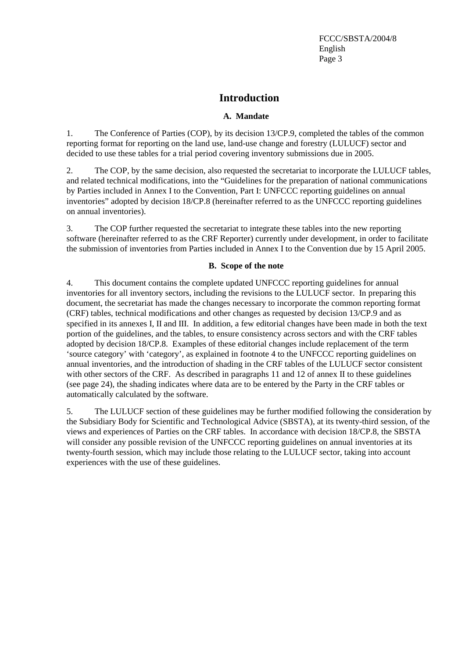## **Introduction**

#### **A. Mandate**

1. The Conference of Parties (COP), by its decision 13/CP.9, completed the tables of the common reporting format for reporting on the land use, land-use change and forestry (LULUCF) sector and decided to use these tables for a trial period covering inventory submissions due in 2005.

2. The COP, by the same decision, also requested the secretariat to incorporate the LULUCF tables, and related technical modifications, into the "Guidelines for the preparation of national communications by Parties included in Annex I to the Convention, Part I: UNFCCC reporting guidelines on annual inventories" adopted by decision 18/CP.8 (hereinafter referred to as the UNFCCC reporting guidelines on annual inventories).

3. The COP further requested the secretariat to integrate these tables into the new reporting software (hereinafter referred to as the CRF Reporter) currently under development, in order to facilitate the submission of inventories from Parties included in Annex I to the Convention due by 15 April 2005.

#### **B. Scope of the note**

4. This document contains the complete updated UNFCCC reporting guidelines for annual inventories for all inventory sectors, including the revisions to the LULUCF sector. In preparing this document, the secretariat has made the changes necessary to incorporate the common reporting format (CRF) tables, technical modifications and other changes as requested by decision 13/CP.9 and as specified in its annexes I, II and III. In addition, a few editorial changes have been made in both the text portion of the guidelines, and the tables, to ensure consistency across sectors and with the CRF tables adopted by decision 18/CP.8. Examples of these editorial changes include replacement of the term 'source category' with 'category', as explained in footnote 4 to the UNFCCC reporting guidelines on annual inventories, and the introduction of shading in the CRF tables of the LULUCF sector consistent with other sectors of the CRF. As described in paragraphs 11 and 12 of annex II to these guidelines (see page 24), the shading indicates where data are to be entered by the Party in the CRF tables or automatically calculated by the software.

5. The LULUCF section of these guidelines may be further modified following the consideration by the Subsidiary Body for Scientific and Technological Advice (SBSTA), at its twenty-third session, of the views and experiences of Parties on the CRF tables. In accordance with decision 18/CP.8, the SBSTA will consider any possible revision of the UNFCCC reporting guidelines on annual inventories at its twenty-fourth session, which may include those relating to the LULUCF sector, taking into account experiences with the use of these guidelines.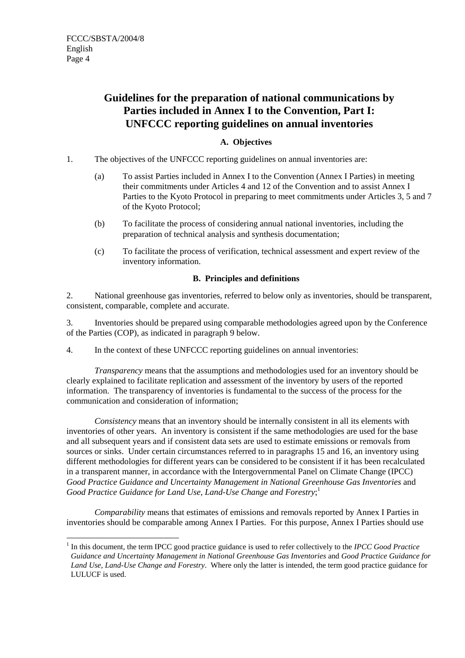$\overline{a}$ 

## **Guidelines for the preparation of national communications by Parties included in Annex I to the Convention, Part I: UNFCCC reporting guidelines on annual inventories**

## **A. Objectives**

- 1. The objectives of the UNFCCC reporting guidelines on annual inventories are:
	- (a) To assist Parties included in Annex I to the Convention (Annex I Parties) in meeting their commitments under Articles 4 and 12 of the Convention and to assist Annex I Parties to the Kyoto Protocol in preparing to meet commitments under Articles 3, 5 and 7 of the Kyoto Protocol;
	- (b) To facilitate the process of considering annual national inventories, including the preparation of technical analysis and synthesis documentation;
	- (c) To facilitate the process of verification, technical assessment and expert review of the inventory information.

#### **B. Principles and definitions**

2. National greenhouse gas inventories, referred to below only as inventories, should be transparent, consistent, comparable, complete and accurate.

3. Inventories should be prepared using comparable methodologies agreed upon by the Conference of the Parties (COP), as indicated in paragraph 9 below.

4. In the context of these UNFCCC reporting guidelines on annual inventories:

*Transparency* means that the assumptions and methodologies used for an inventory should be clearly explained to facilitate replication and assessment of the inventory by users of the reported information. The transparency of inventories is fundamental to the success of the process for the communication and consideration of information;

*Consistency* means that an inventory should be internally consistent in all its elements with inventories of other years. An inventory is consistent if the same methodologies are used for the base and all subsequent years and if consistent data sets are used to estimate emissions or removals from sources or sinks. Under certain circumstances referred to in paragraphs 15 and 16, an inventory using different methodologies for different years can be considered to be consistent if it has been recalculated in a transparent manner, in accordance with the Intergovernmental Panel on Climate Change (IPCC) Good Practice Guidance and Uncertainty Management in National Greenhouse Gas Inventories and *Good Practice Guidance for Land Use, Land-Use Change and Forestry*; 1

*Comparability* means that estimates of emissions and removals reported by Annex I Parties in inventories should be comparable among Annex I Parties. For this purpose, Annex I Parties should use

<sup>1</sup> In this document, the term IPCC good practice guidance is used to refer collectively to the *IPCC Good Practice Guidance and Uncertainty Management in National Greenhouse Gas Inventories* and *Good Practice Guidance for Land Use, Land-Use Change and Forestry*. Where only the latter is intended, the term good practice guidance for LULUCF is used.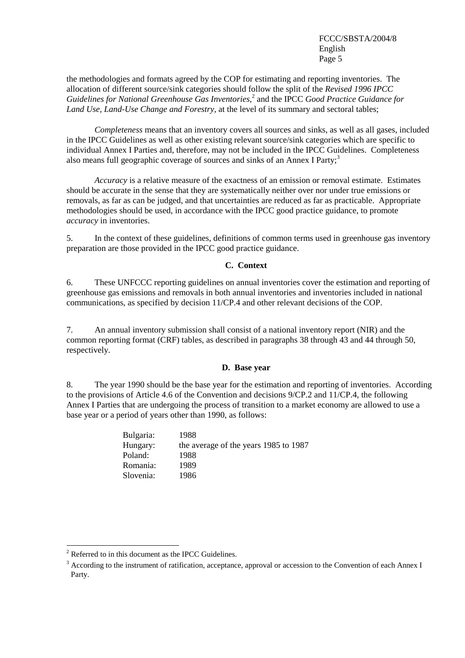the methodologies and formats agreed by the COP for estimating and reporting inventories. The allocation of different source/sink categories should follow the split of the *Revised 1996 IPCC*  Guidelines for National Greenhouse Gas Inventories,<sup>2</sup> and the IPCC Good Practice Guidance for *Land Use, Land-Use Change and Forestry,* at the level of its summary and sectoral tables;

*Completeness* means that an inventory covers all sources and sinks, as well as all gases, included in the IPCC Guidelines as well as other existing relevant source/sink categories which are specific to individual Annex I Parties and, therefore, may not be included in the IPCC Guidelines. Completeness also means full geographic coverage of sources and sinks of an Annex I Party;<sup>3</sup>

*Accuracy* is a relative measure of the exactness of an emission or removal estimate. Estimates should be accurate in the sense that they are systematically neither over nor under true emissions or removals, as far as can be judged, and that uncertainties are reduced as far as practicable. Appropriate methodologies should be used, in accordance with the IPCC good practice guidance, to promote *accuracy* in inventories.

5. In the context of these guidelines, definitions of common terms used in greenhouse gas inventory preparation are those provided in the IPCC good practice guidance.

#### **C. Context**

6. These UNFCCC reporting guidelines on annual inventories cover the estimation and reporting of greenhouse gas emissions and removals in both annual inventories and inventories included in national communications, as specified by decision 11/CP.4 and other relevant decisions of the COP.

7. An annual inventory submission shall consist of a national inventory report (NIR) and the common reporting format (CRF) tables, as described in paragraphs 38 through 43 and 44 through 50, respectively.

#### **D. Base year**

8. The year 1990 should be the base year for the estimation and reporting of inventories. According to the provisions of Article 4.6 of the Convention and decisions 9/CP.2 and 11/CP.4, the following Annex I Parties that are undergoing the process of transition to a market economy are allowed to use a base year or a period of years other than 1990, as follows:

| 1988                                  |
|---------------------------------------|
| the average of the years 1985 to 1987 |
| 1988                                  |
| 1989                                  |
| 1986                                  |
|                                       |

 $2^2$  Referred to in this document as the IPCC Guidelines.

<sup>&</sup>lt;sup>3</sup> According to the instrument of ratification, acceptance, approval or accession to the Convention of each Annex I Party.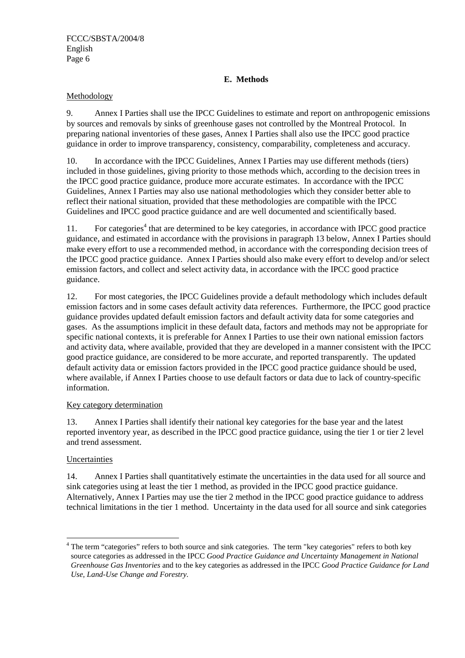#### **E. Methods**

#### Methodology

9. Annex I Parties shall use the IPCC Guidelines to estimate and report on anthropogenic emissions by sources and removals by sinks of greenhouse gases not controlled by the Montreal Protocol. In preparing national inventories of these gases, Annex I Parties shall also use the IPCC good practice guidance in order to improve transparency, consistency, comparability, completeness and accuracy.

10. In accordance with the IPCC Guidelines, Annex I Parties may use different methods (tiers) included in those guidelines, giving priority to those methods which, according to the decision trees in the IPCC good practice guidance, produce more accurate estimates. In accordance with the IPCC Guidelines, Annex I Parties may also use national methodologies which they consider better able to reflect their national situation, provided that these methodologies are compatible with the IPCC Guidelines and IPCC good practice guidance and are well documented and scientifically based.

11. For categories<sup>4</sup> that are determined to be key categories, in accordance with IPCC good practice guidance, and estimated in accordance with the provisions in paragraph 13 below, Annex I Parties should make every effort to use a recommended method, in accordance with the corresponding decision trees of the IPCC good practice guidance. Annex I Parties should also make every effort to develop and/or select emission factors, and collect and select activity data, in accordance with the IPCC good practice guidance.

12. For most categories, the IPCC Guidelines provide a default methodology which includes default emission factors and in some cases default activity data references. Furthermore, the IPCC good practice guidance provides updated default emission factors and default activity data for some categories and gases. As the assumptions implicit in these default data, factors and methods may not be appropriate for specific national contexts, it is preferable for Annex I Parties to use their own national emission factors and activity data, where available, provided that they are developed in a manner consistent with the IPCC good practice guidance, are considered to be more accurate, and reported transparently. The updated default activity data or emission factors provided in the IPCC good practice guidance should be used, where available, if Annex I Parties choose to use default factors or data due to lack of country-specific information.

#### Key category determination

13. Annex I Parties shall identify their national key categories for the base year and the latest reported inventory year, as described in the IPCC good practice guidance, using the tier 1 or tier 2 level and trend assessment.

#### Uncertainties

 $\overline{a}$ 

14. Annex I Parties shall quantitatively estimate the uncertainties in the data used for all source and sink categories using at least the tier 1 method, as provided in the IPCC good practice guidance. Alternatively, Annex I Parties may use the tier 2 method in the IPCC good practice guidance to address technical limitations in the tier 1 method. Uncertainty in the data used for all source and sink categories

<sup>&</sup>lt;sup>4</sup> The term "categories" refers to both source and sink categories. The term "key categories" refers to both key source categories as addressed in the IPCC *Good Practice Guidance and Uncertainty Management in National Greenhouse Gas Inventories* and to the key categories as addressed in the IPCC *Good Practice Guidance for Land Use, Land-Use Change and Forestry.*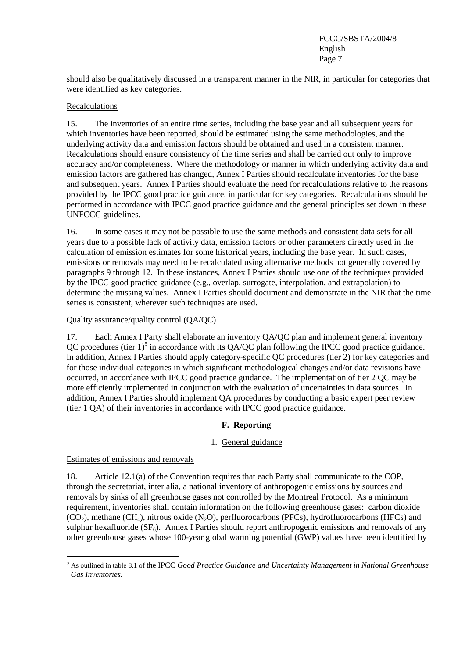should also be qualitatively discussed in a transparent manner in the NIR, in particular for categories that were identified as key categories.

#### Recalculations

15. The inventories of an entire time series, including the base year and all subsequent years for which inventories have been reported, should be estimated using the same methodologies, and the underlying activity data and emission factors should be obtained and used in a consistent manner. Recalculations should ensure consistency of the time series and shall be carried out only to improve accuracy and/or completeness. Where the methodology or manner in which underlying activity data and emission factors are gathered has changed, Annex I Parties should recalculate inventories for the base and subsequent years. Annex I Parties should evaluate the need for recalculations relative to the reasons provided by the IPCC good practice guidance, in particular for key categories. Recalculations should be performed in accordance with IPCC good practice guidance and the general principles set down in these UNFCCC guidelines.

16. In some cases it may not be possible to use the same methods and consistent data sets for all years due to a possible lack of activity data, emission factors or other parameters directly used in the calculation of emission estimates for some historical years, including the base year. In such cases, emissions or removals may need to be recalculated using alternative methods not generally covered by paragraphs 9 through 12. In these instances, Annex I Parties should use one of the techniques provided by the IPCC good practice guidance (e.g., overlap, surrogate, interpolation, and extrapolation) to determine the missing values. Annex I Parties should document and demonstrate in the NIR that the time series is consistent, wherever such techniques are used.

#### Quality assurance/quality control (QA/QC)

17. Each Annex I Party shall elaborate an inventory QA/QC plan and implement general inventory QC procedures (tier  $1$ )<sup>5</sup> in accordance with its QA/QC plan following the IPCC good practice guidance. In addition, Annex I Parties should apply category-specific QC procedures (tier 2) for key categories and for those individual categories in which significant methodological changes and/or data revisions have occurred, in accordance with IPCC good practice guidance. The implementation of tier 2 QC may be more efficiently implemented in conjunction with the evaluation of uncertainties in data sources. In addition, Annex I Parties should implement QA procedures by conducting a basic expert peer review (tier 1 QA) of their inventories in accordance with IPCC good practice guidance.

#### **F. Reporting**

#### 1. General guidance

#### Estimates of emissions and removals

 $\overline{a}$ 

18. Article 12.1(a) of the Convention requires that each Party shall communicate to the COP, through the secretariat, inter alia, a national inventory of anthropogenic emissions by sources and removals by sinks of all greenhouse gases not controlled by the Montreal Protocol. As a minimum requirement, inventories shall contain information on the following greenhouse gases: carbon dioxide  $(CO<sub>2</sub>)$ , methane  $(CH<sub>4</sub>)$ , nitrous oxide  $(N<sub>2</sub>O)$ , perfluorocarbons (PFCs), hydrofluorocarbons (HFCs) and sulphur hexafluoride  $(SF_6)$ . Annex I Parties should report anthropogenic emissions and removals of any other greenhouse gases whose 100-year global warming potential (GWP) values have been identified by

<sup>5</sup> As outlined in table 8.1 of the IPCC *Good Practice Guidance and Uncertainty Management in National Greenhouse Gas Inventories*.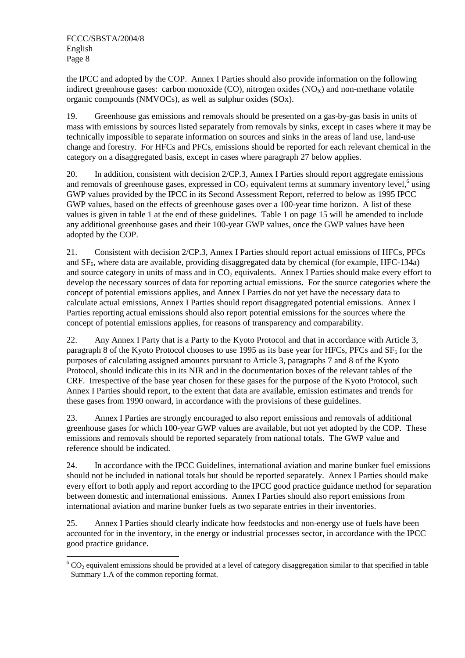the IPCC and adopted by the COP. Annex I Parties should also provide information on the following indirect greenhouse gases: carbon monoxide (CO), nitrogen oxides  $(NO<sub>X</sub>)$  and non-methane volatile organic compounds (NMVOCs), as well as sulphur oxides (SOx).

19. Greenhouse gas emissions and removals should be presented on a gas-by-gas basis in units of mass with emissions by sources listed separately from removals by sinks, except in cases where it may be technically impossible to separate information on sources and sinks in the areas of land use, land-use change and forestry. For HFCs and PFCs, emissions should be reported for each relevant chemical in the category on a disaggregated basis, except in cases where paragraph 27 below applies.

20. In addition, consistent with decision 2/CP.3, Annex I Parties should report aggregate emissions and removals of greenhouse gases, expressed in  $CO<sub>2</sub>$  equivalent terms at summary inventory level,<sup>6</sup> using GWP values provided by the IPCC in its Second Assessment Report, referred to below as 1995 IPCC GWP values, based on the effects of greenhouse gases over a 100-year time horizon. A list of these values is given in table 1 at the end of these guidelines. Table 1 on page 15 will be amended to include any additional greenhouse gases and their 100-year GWP values, once the GWP values have been adopted by the COP.

21. Consistent with decision 2/CP.3, Annex I Parties should report actual emissions of HFCs, PFCs and  $SF<sub>6</sub>$ , where data are available, providing disaggregated data by chemical (for example, HFC-134a) and source category in units of mass and in  $CO<sub>2</sub>$  equivalents. Annex I Parties should make every effort to develop the necessary sources of data for reporting actual emissions. For the source categories where the concept of potential emissions applies, and Annex I Parties do not yet have the necessary data to calculate actual emissions, Annex I Parties should report disaggregated potential emissions. Annex I Parties reporting actual emissions should also report potential emissions for the sources where the concept of potential emissions applies, for reasons of transparency and comparability.

22. Any Annex I Party that is a Party to the Kyoto Protocol and that in accordance with Article 3, paragraph 8 of the Kyoto Protocol chooses to use 1995 as its base year for HFCs, PFCs and  $SF<sub>6</sub>$  for the purposes of calculating assigned amounts pursuant to Article 3, paragraphs 7 and 8 of the Kyoto Protocol, should indicate this in its NIR and in the documentation boxes of the relevant tables of the CRF. Irrespective of the base year chosen for these gases for the purpose of the Kyoto Protocol, such Annex I Parties should report, to the extent that data are available, emission estimates and trends for these gases from 1990 onward, in accordance with the provisions of these guidelines.

23. Annex I Parties are strongly encouraged to also report emissions and removals of additional greenhouse gases for which 100-year GWP values are available, but not yet adopted by the COP. These emissions and removals should be reported separately from national totals. The GWP value and reference should be indicated.

24. In accordance with the IPCC Guidelines, international aviation and marine bunker fuel emissions should not be included in national totals but should be reported separately. Annex I Parties should make every effort to both apply and report according to the IPCC good practice guidance method for separation between domestic and international emissions. Annex I Parties should also report emissions from international aviation and marine bunker fuels as two separate entries in their inventories.

25. Annex I Parties should clearly indicate how feedstocks and non-energy use of fuels have been accounted for in the inventory, in the energy or industrial processes sector, in accordance with the IPCC good practice guidance.

 $\overline{a}$  $6$  CO<sub>2</sub> equivalent emissions should be provided at a level of category disaggregation similar to that specified in table Summary 1.A of the common reporting format.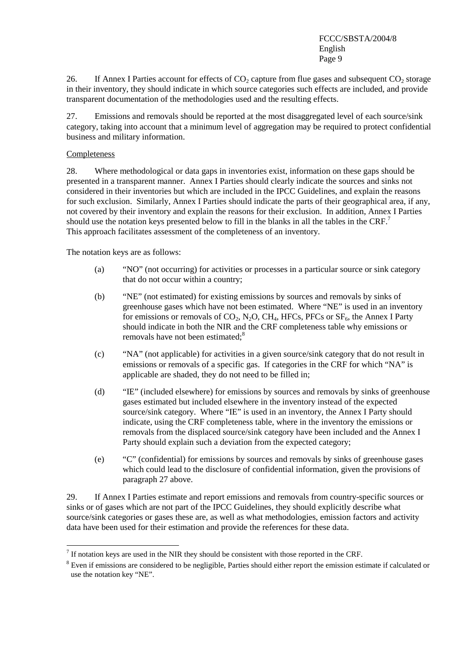26. If Annex I Parties account for effects of  $CO_2$  capture from flue gases and subsequent  $CO_2$  storage in their inventory, they should indicate in which source categories such effects are included, and provide transparent documentation of the methodologies used and the resulting effects.

27. Emissions and removals should be reported at the most disaggregated level of each source/sink category, taking into account that a minimum level of aggregation may be required to protect confidential business and military information.

#### Completeness

28. Where methodological or data gaps in inventories exist, information on these gaps should be presented in a transparent manner. Annex I Parties should clearly indicate the sources and sinks not considered in their inventories but which are included in the IPCC Guidelines, and explain the reasons for such exclusion. Similarly, Annex I Parties should indicate the parts of their geographical area, if any, not covered by their inventory and explain the reasons for their exclusion. In addition, Annex I Parties should use the notation keys presented below to fill in the blanks in all the tables in the  $CRF<sup>7</sup>$ This approach facilitates assessment of the completeness of an inventory.

The notation keys are as follows:

- (a) "NO" (not occurring) for activities or processes in a particular source or sink category that do not occur within a country;
- (b) "NE" (not estimated) for existing emissions by sources and removals by sinks of greenhouse gases which have not been estimated. Where "NE" is used in an inventory for emissions or removals of  $CO_2$ , N<sub>2</sub>O, CH<sub>4</sub>, HFCs, PFCs or  $SF_6$ , the Annex I Party should indicate in both the NIR and the CRF completeness table why emissions or removals have not been estimated;<sup>8</sup>
- (c) "NA" (not applicable) for activities in a given source/sink category that do not result in emissions or removals of a specific gas. If categories in the CRF for which "NA" is applicable are shaded, they do not need to be filled in;
- (d) "IE" (included elsewhere) for emissions by sources and removals by sinks of greenhouse gases estimated but included elsewhere in the inventory instead of the expected source/sink category. Where "IE" is used in an inventory, the Annex I Party should indicate, using the CRF completeness table, where in the inventory the emissions or removals from the displaced source/sink category have been included and the Annex I Party should explain such a deviation from the expected category;
- (e) "C" (confidential) for emissions by sources and removals by sinks of greenhouse gases which could lead to the disclosure of confidential information, given the provisions of paragraph 27 above.

29. If Annex I Parties estimate and report emissions and removals from country-specific sources or sinks or of gases which are not part of the IPCC Guidelines, they should explicitly describe what source/sink categories or gases these are, as well as what methodologies, emission factors and activity data have been used for their estimation and provide the references for these data.

 $<sup>7</sup>$  If notation keys are used in the NIR they should be consistent with those reported in the CRF.</sup>

<sup>&</sup>lt;sup>8</sup> Even if emissions are considered to be negligible, Parties should either report the emission estimate if calculated or use the notation key "NE".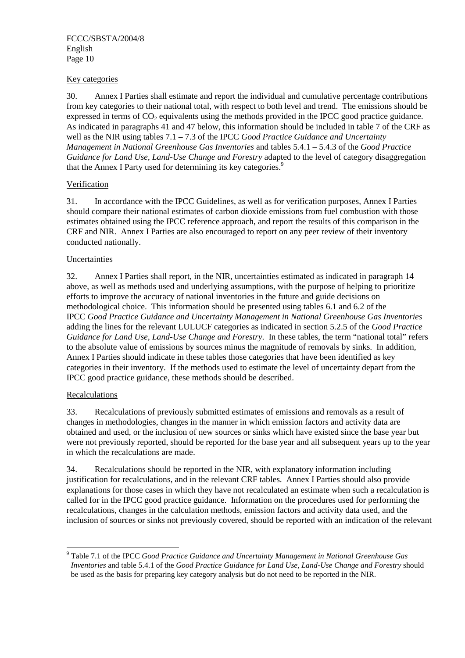#### Key categories

30. Annex I Parties shall estimate and report the individual and cumulative percentage contributions from key categories to their national total, with respect to both level and trend. The emissions should be expressed in terms of  $CO<sub>2</sub>$  equivalents using the methods provided in the IPCC good practice guidance. As indicated in paragraphs 41 and 47 below, this information should be included in table 7 of the CRF as well as the NIR using tables 7.1 – 7.3 of the IPCC *Good Practice Guidance and Uncertainty Management in National Greenhouse Gas Inventories* and tables 5.4.1 – 5.4.3 of the *Good Practice Guidance for Land Use, Land-Use Change and Forestry* adapted to the level of category disaggregation that the Annex I Party used for determining its key categories.<sup>9</sup>

#### Verification

31. In accordance with the IPCC Guidelines, as well as for verification purposes, Annex I Parties should compare their national estimates of carbon dioxide emissions from fuel combustion with those estimates obtained using the IPCC reference approach, and report the results of this comparison in the CRF and NIR. Annex I Parties are also encouraged to report on any peer review of their inventory conducted nationally.

#### Uncertainties

32. Annex I Parties shall report, in the NIR, uncertainties estimated as indicated in paragraph 14 above, as well as methods used and underlying assumptions, with the purpose of helping to prioritize efforts to improve the accuracy of national inventories in the future and guide decisions on methodological choice. This information should be presented using tables 6.1 and 6.2 of the IPCC *Good Practice Guidance and Uncertainty Management in National Greenhouse Gas Inventories*  adding the lines for the relevant LULUCF categories as indicated in section 5.2.5 of the *Good Practice Guidance for Land Use, Land-Use Change and Forestry*. In these tables, the term "national total" refers to the absolute value of emissions by sources minus the magnitude of removals by sinks. In addition, Annex I Parties should indicate in these tables those categories that have been identified as key categories in their inventory. If the methods used to estimate the level of uncertainty depart from the IPCC good practice guidance, these methods should be described.

#### Recalculations

33. Recalculations of previously submitted estimates of emissions and removals as a result of changes in methodologies, changes in the manner in which emission factors and activity data are obtained and used, or the inclusion of new sources or sinks which have existed since the base year but were not previously reported, should be reported for the base year and all subsequent years up to the year in which the recalculations are made.

34. Recalculations should be reported in the NIR, with explanatory information including justification for recalculations, and in the relevant CRF tables. Annex I Parties should also provide explanations for those cases in which they have not recalculated an estimate when such a recalculation is called for in the IPCC good practice guidance. Information on the procedures used for performing the recalculations, changes in the calculation methods, emission factors and activity data used, and the inclusion of sources or sinks not previously covered, should be reported with an indication of the relevant

 9 Table 7.1 of the IPCC *Good Practice Guidance and Uncertainty Management in National Greenhouse Gas Inventories* and table 5.4.1 of the *Good Practice Guidance for Land Use, Land-Use Change and Forestry* should be used as the basis for preparing key category analysis but do not need to be reported in the NIR.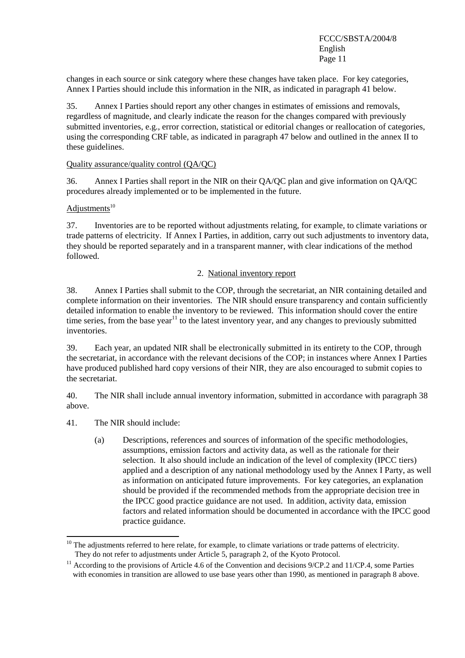changes in each source or sink category where these changes have taken place. For key categories, Annex I Parties should include this information in the NIR, as indicated in paragraph 41 below.

35. Annex I Parties should report any other changes in estimates of emissions and removals, regardless of magnitude, and clearly indicate the reason for the changes compared with previously submitted inventories, e.g., error correction, statistical or editorial changes or reallocation of categories, using the corresponding CRF table, as indicated in paragraph 47 below and outlined in the annex II to these guidelines.

#### Quality assurance/quality control (QA/QC)

36. Annex I Parties shall report in the NIR on their QA/QC plan and give information on QA/QC procedures already implemented or to be implemented in the future.

### $Adjus$ tments<sup>10</sup>

37. Inventories are to be reported without adjustments relating, for example, to climate variations or trade patterns of electricity. If Annex I Parties, in addition, carry out such adjustments to inventory data, they should be reported separately and in a transparent manner, with clear indications of the method followed.

#### 2. National inventory report

38. Annex I Parties shall submit to the COP, through the secretariat, an NIR containing detailed and complete information on their inventories. The NIR should ensure transparency and contain sufficiently detailed information to enable the inventory to be reviewed. This information should cover the entire time series, from the base year<sup>11</sup> to the latest inventory year, and any changes to previously submitted inventories.

39. Each year, an updated NIR shall be electronically submitted in its entirety to the COP, through the secretariat, in accordance with the relevant decisions of the COP; in instances where Annex I Parties have produced published hard copy versions of their NIR, they are also encouraged to submit copies to the secretariat.

40. The NIR shall include annual inventory information, submitted in accordance with paragraph 38 above.

41. The NIR should include:

 $\overline{a}$ 

(a) Descriptions, references and sources of information of the specific methodologies, assumptions, emission factors and activity data, as well as the rationale for their selection. It also should include an indication of the level of complexity (IPCC tiers) applied and a description of any national methodology used by the Annex I Party, as well as information on anticipated future improvements. For key categories, an explanation should be provided if the recommended methods from the appropriate decision tree in the IPCC good practice guidance are not used. In addition, activity data, emission factors and related information should be documented in accordance with the IPCC good practice guidance.

 $10$  The adjustments referred to here relate, for example, to climate variations or trade patterns of electricity. They do not refer to adjustments under Article 5, paragraph 2, of the Kyoto Protocol.

<sup>&</sup>lt;sup>11</sup> According to the provisions of Article 4.6 of the Convention and decisions 9/CP.2 and 11/CP.4, some Parties with economies in transition are allowed to use base years other than 1990, as mentioned in paragraph 8 above.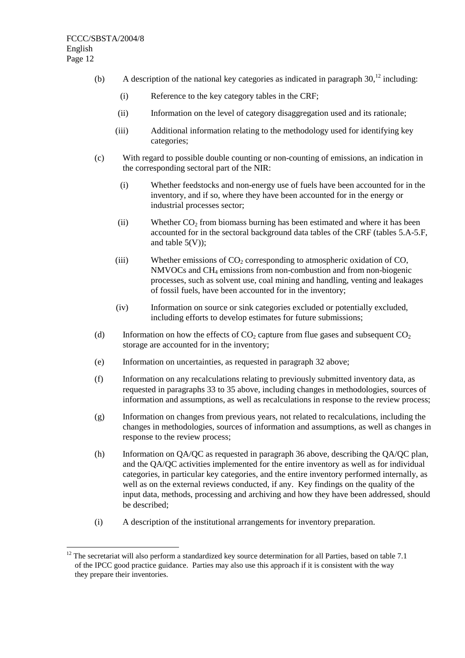$\overline{a}$ 

- (b) A description of the national key categories as indicated in paragraph  $30<sup>12</sup>$  including:
	- (i) Reference to the key category tables in the CRF;
	- (ii) Information on the level of category disaggregation used and its rationale;
	- (iii) Additional information relating to the methodology used for identifying key categories;
- (c) With regard to possible double counting or non-counting of emissions, an indication in the corresponding sectoral part of the NIR:
	- (i) Whether feedstocks and non-energy use of fuels have been accounted for in the inventory, and if so, where they have been accounted for in the energy or industrial processes sector;
	- (ii) Whether  $CO<sub>2</sub>$  from biomass burning has been estimated and where it has been accounted for in the sectoral background data tables of the CRF (tables 5.A-5.F, and table  $5(V)$ ;
	- (iii) Whether emissions of  $CO<sub>2</sub>$  corresponding to atmospheric oxidation of  $CO<sub>2</sub>$ ,  $NMVOCs$  and  $CH<sub>4</sub>$  emissions from non-combustion and from non-biogenic processes, such as solvent use, coal mining and handling, venting and leakages of fossil fuels, have been accounted for in the inventory;
	- (iv) Information on source or sink categories excluded or potentially excluded, including efforts to develop estimates for future submissions;
- (d) Information on how the effects of  $CO_2$  capture from flue gases and subsequent  $CO_2$ storage are accounted for in the inventory;
- (e) Information on uncertainties, as requested in paragraph 32 above;
- (f) Information on any recalculations relating to previously submitted inventory data, as requested in paragraphs 33 to 35 above, including changes in methodologies, sources of information and assumptions, as well as recalculations in response to the review process;
- (g) Information on changes from previous years, not related to recalculations, including the changes in methodologies, sources of information and assumptions, as well as changes in response to the review process;
- (h) Information on QA/QC as requested in paragraph 36 above, describing the QA/QC plan, and the QA/QC activities implemented for the entire inventory as well as for individual categories, in particular key categories, and the entire inventory performed internally, as well as on the external reviews conducted, if any. Key findings on the quality of the input data, methods, processing and archiving and how they have been addressed, should be described;
- (i) A description of the institutional arrangements for inventory preparation.

 $12$  The secretariat will also perform a standardized key source determination for all Parties, based on table 7.1 of the IPCC good practice guidance. Parties may also use this approach if it is consistent with the way they prepare their inventories.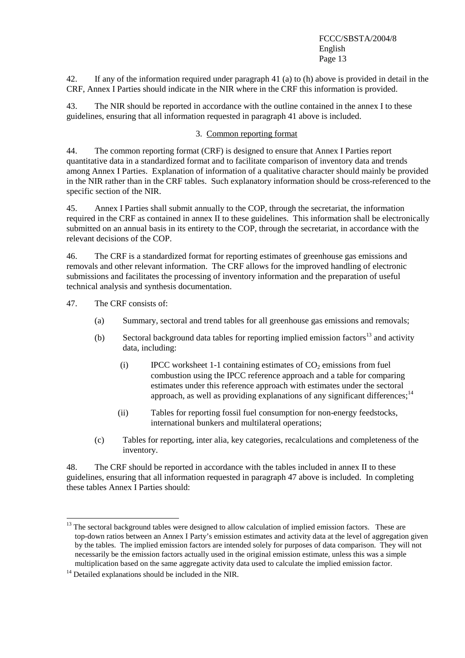42. If any of the information required under paragraph 41 (a) to (h) above is provided in detail in the CRF, Annex I Parties should indicate in the NIR where in the CRF this information is provided.

43. The NIR should be reported in accordance with the outline contained in the annex I to these guidelines, ensuring that all information requested in paragraph 41 above is included.

#### 3. Common reporting format

44. The common reporting format (CRF) is designed to ensure that Annex I Parties report quantitative data in a standardized format and to facilitate comparison of inventory data and trends among Annex I Parties. Explanation of information of a qualitative character should mainly be provided in the NIR rather than in the CRF tables. Such explanatory information should be cross-referenced to the specific section of the NIR.

45. Annex I Parties shall submit annually to the COP, through the secretariat, the information required in the CRF as contained in annex II to these guidelines. This information shall be electronically submitted on an annual basis in its entirety to the COP, through the secretariat, in accordance with the relevant decisions of the COP.

46. The CRF is a standardized format for reporting estimates of greenhouse gas emissions and removals and other relevant information. The CRF allows for the improved handling of electronic submissions and facilitates the processing of inventory information and the preparation of useful technical analysis and synthesis documentation.

47. The CRF consists of:

 $\overline{a}$ 

- (a) Summary, sectoral and trend tables for all greenhouse gas emissions and removals;
- (b) Sectoral background data tables for reporting implied emission factors<sup>13</sup> and activity data, including:
	- (i) IPCC worksheet 1-1 containing estimates of  $CO<sub>2</sub>$  emissions from fuel combustion using the IPCC reference approach and a table for comparing estimates under this reference approach with estimates under the sectoral approach, as well as providing explanations of any significant differences;<sup>14</sup>
	- (ii) Tables for reporting fossil fuel consumption for non-energy feedstocks, international bunkers and multilateral operations;
- (c) Tables for reporting, inter alia, key categories, recalculations and completeness of the inventory.

48. The CRF should be reported in accordance with the tables included in annex II to these guidelines, ensuring that all information requested in paragraph 47 above is included. In completing these tables Annex I Parties should:

<sup>&</sup>lt;sup>13</sup> The sectoral background tables were designed to allow calculation of implied emission factors. These are top-down ratios between an Annex I Party's emission estimates and activity data at the level of aggregation given by the tables. The implied emission factors are intended solely for purposes of data comparison. They will not necessarily be the emission factors actually used in the original emission estimate, unless this was a simple multiplication based on the same aggregate activity data used to calculate the implied emission factor.

 $14$  Detailed explanations should be included in the NIR.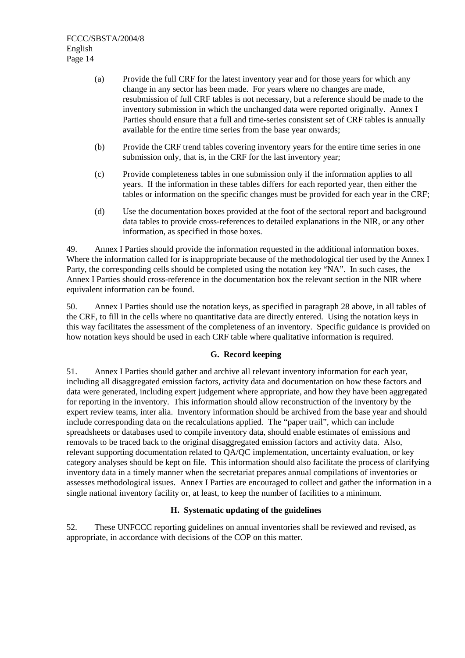- (a) Provide the full CRF for the latest inventory year and for those years for which any change in any sector has been made. For years where no changes are made, resubmission of full CRF tables is not necessary, but a reference should be made to the inventory submission in which the unchanged data were reported originally. Annex I Parties should ensure that a full and time-series consistent set of CRF tables is annually available for the entire time series from the base year onwards;
- (b) Provide the CRF trend tables covering inventory years for the entire time series in one submission only, that is, in the CRF for the last inventory year;
- (c) Provide completeness tables in one submission only if the information applies to all years. If the information in these tables differs for each reported year, then either the tables or information on the specific changes must be provided for each year in the CRF;
- (d) Use the documentation boxes provided at the foot of the sectoral report and background data tables to provide cross-references to detailed explanations in the NIR, or any other information, as specified in those boxes.

49. Annex I Parties should provide the information requested in the additional information boxes. Where the information called for is inappropriate because of the methodological tier used by the Annex I Party, the corresponding cells should be completed using the notation key "NA". In such cases, the Annex I Parties should cross-reference in the documentation box the relevant section in the NIR where equivalent information can be found.

50. Annex I Parties should use the notation keys, as specified in paragraph 28 above, in all tables of the CRF, to fill in the cells where no quantitative data are directly entered. Using the notation keys in this way facilitates the assessment of the completeness of an inventory. Specific guidance is provided on how notation keys should be used in each CRF table where qualitative information is required.

#### **G. Record keeping**

51. Annex I Parties should gather and archive all relevant inventory information for each year, including all disaggregated emission factors, activity data and documentation on how these factors and data were generated, including expert judgement where appropriate, and how they have been aggregated for reporting in the inventory. This information should allow reconstruction of the inventory by the expert review teams, inter alia. Inventory information should be archived from the base year and should include corresponding data on the recalculations applied. The "paper trail", which can include spreadsheets or databases used to compile inventory data, should enable estimates of emissions and removals to be traced back to the original disaggregated emission factors and activity data. Also, relevant supporting documentation related to QA/QC implementation, uncertainty evaluation, or key category analyses should be kept on file. This information should also facilitate the process of clarifying inventory data in a timely manner when the secretariat prepares annual compilations of inventories or assesses methodological issues. Annex I Parties are encouraged to collect and gather the information in a single national inventory facility or, at least, to keep the number of facilities to a minimum.

#### **H. Systematic updating of the guidelines**

52. These UNFCCC reporting guidelines on annual inventories shall be reviewed and revised, as appropriate, in accordance with decisions of the COP on this matter.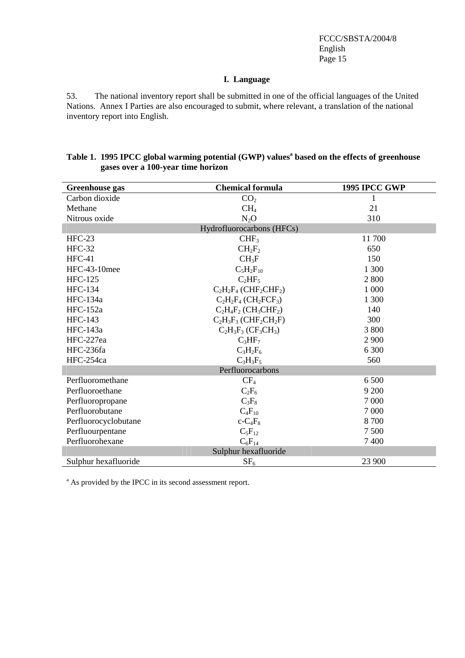#### **I. Language**

53. The national inventory report shall be submitted in one of the official languages of the United Nations. Annex I Parties are also encouraged to submit, where relevant, a translation of the national inventory report into English.

| <b>Greenhouse</b> gas     | <b>1995 IPCC GWP</b>                             |         |  |  |  |  |  |  |
|---------------------------|--------------------------------------------------|---------|--|--|--|--|--|--|
| Carbon dioxide            | CO <sub>2</sub>                                  | 1       |  |  |  |  |  |  |
| Methane                   | CH <sub>4</sub>                                  | 21      |  |  |  |  |  |  |
| Nitrous oxide             | $N_2O$                                           | 310     |  |  |  |  |  |  |
| Hydrofluorocarbons (HFCs) |                                                  |         |  |  |  |  |  |  |
| $HFC-23$                  | CHF <sub>3</sub>                                 | 11700   |  |  |  |  |  |  |
| $HFC-32$                  | $CH_2F_2$                                        | 650     |  |  |  |  |  |  |
| $HFC-41$                  | $CH_3F$                                          | 150     |  |  |  |  |  |  |
| HFC-43-10mee              | $C_5H_2F_{10}$                                   | 1 300   |  |  |  |  |  |  |
| <b>HFC-125</b>            | $C_2HF_5$                                        | 2 800   |  |  |  |  |  |  |
| <b>HFC-134</b>            | $C_2H_2F_4$ (CHF <sub>2</sub> CHF <sub>2</sub> ) | 1 000   |  |  |  |  |  |  |
| HFC-134a                  | $C_2H_2F_4$ (CH <sub>2</sub> FCF <sub>3</sub> )  | 1 300   |  |  |  |  |  |  |
| $HFC-152a$                | $C_2H_4F_2$ (CH <sub>3</sub> CHF <sub>2</sub> )  | 140     |  |  |  |  |  |  |
| <b>HFC-143</b>            | $C_2H_3F_3$ (CHF <sub>2</sub> CH <sub>2</sub> F) | 300     |  |  |  |  |  |  |
| HFC-143a                  | $C_2H_3F_3(CF_3CH_3)$                            | 3800    |  |  |  |  |  |  |
| HFC-227ea                 | $C_3HF_7$                                        | 2 9 0 0 |  |  |  |  |  |  |
| HFC-236fa                 | $C_3H_2F_6$                                      | 6 300   |  |  |  |  |  |  |
| HFC-254ca                 | $C_3H_3F_5$                                      | 560     |  |  |  |  |  |  |
|                           | Perfluorocarbons                                 |         |  |  |  |  |  |  |
| Perfluoromethane          | $CF_4$                                           | 6 500   |  |  |  |  |  |  |
| Perfluoroethane           | $C_2F_6$                                         | 9 200   |  |  |  |  |  |  |
| Perfluoropropane          | $C_3F_8$                                         | 7 0 0 0 |  |  |  |  |  |  |
| Perfluorobutane           | $C_4F_{10}$                                      | 7 0 0 0 |  |  |  |  |  |  |
| Perfluorocyclobutane      | $c$ - $C_4F_8$                                   | 8700    |  |  |  |  |  |  |
| Perfluourpentane          | $C_5F_{12}$                                      | 7500    |  |  |  |  |  |  |
| Perfluorohexane           | $C_6F_{14}$                                      | 7400    |  |  |  |  |  |  |
|                           | Sulphur hexafluoride                             |         |  |  |  |  |  |  |
| Sulphur hexafluoride      | SF <sub>6</sub>                                  | 23 900  |  |  |  |  |  |  |

#### **Table 1. 1995 IPCC global warming potential (GWP) values<sup>a</sup> based on the effects of greenhouse gases over a 100-year time horizon**

<sup>a</sup> As provided by the IPCC in its second assessment report.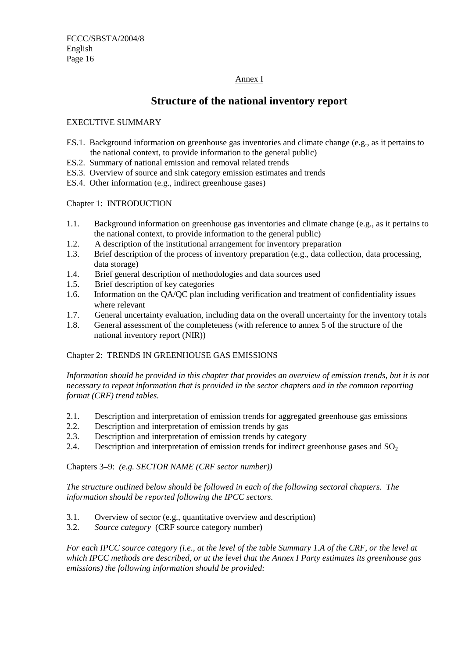#### Annex I

## **Structure of the national inventory report**

#### EXECUTIVE SUMMARY

- ES.1. Background information on greenhouse gas inventories and climate change (e.g., as it pertains to the national context, to provide information to the general public)
- ES.2. Summary of national emission and removal related trends
- ES.3. Overview of source and sink category emission estimates and trends
- ES.4. Other information (e.g., indirect greenhouse gases)

#### Chapter 1: INTRODUCTION

- 1.1. Background information on greenhouse gas inventories and climate change (e.g., as it pertains to the national context, to provide information to the general public)
- 1.2. A description of the institutional arrangement for inventory preparation
- 1.3. Brief description of the process of inventory preparation (e.g., data collection, data processing, data storage)
- 1.4. Brief general description of methodologies and data sources used
- 1.5. Brief description of key categories
- 1.6. Information on the QA/QC plan including verification and treatment of confidentiality issues where relevant
- 1.7. General uncertainty evaluation, including data on the overall uncertainty for the inventory totals
- 1.8. General assessment of the completeness (with reference to annex 5 of the structure of the national inventory report (NIR))

#### Chapter 2: TRENDS IN GREENHOUSE GAS EMISSIONS

*Information should be provided in this chapter that provides an overview of emission trends, but it is not necessary to repeat information that is provided in the sector chapters and in the common reporting format (CRF) trend tables.* 

- 2.1. Description and interpretation of emission trends for aggregated greenhouse gas emissions
- 2.2. Description and interpretation of emission trends by gas
- 2.3. Description and interpretation of emission trends by category
- 2.4. Description and interpretation of emission trends for indirect greenhouse gases and  $SO<sub>2</sub>$

Chapters 3–9: *(e.g. SECTOR NAME (CRF sector number))*

*The structure outlined below should be followed in each of the following sectoral chapters. The information should be reported following the IPCC sectors.* 

- 3.1. Overview of sector (e.g., quantitative overview and description)
- 3.2. *Source category* (CRF source category number)

*For each IPCC source category (i.e., at the level of the table Summary 1.A of the CRF, or the level at which IPCC methods are described, or at the level that the Annex I Party estimates its greenhouse gas emissions) the following information should be provided:*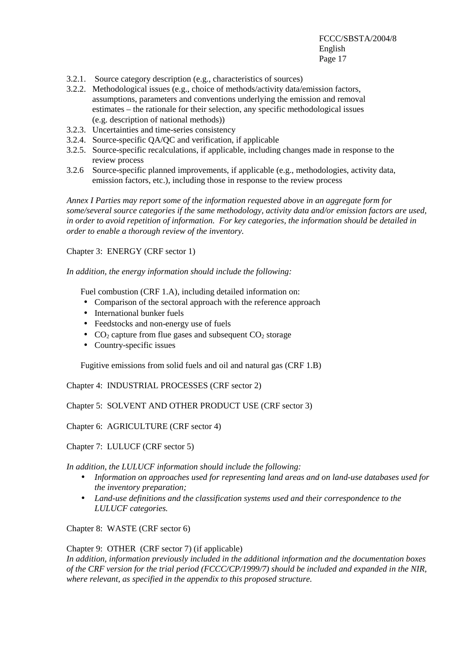- 3.2.1. Source category description (e.g., characteristics of sources)
- 3.2.2. Methodological issues (e.g., choice of methods/activity data/emission factors, assumptions, parameters and conventions underlying the emission and removal estimates – the rationale for their selection, any specific methodological issues (e.g. description of national methods))
- 3.2.3. Uncertainties and time-series consistency
- 3.2.4. Source-specific QA/QC and verification, if applicable
- 3.2.5. Source-specific recalculations, if applicable, including changes made in response to the review process
- 3.2.6 Source-specific planned improvements, if applicable (e.g., methodologies, activity data, emission factors, etc.), including those in response to the review process

*Annex I Parties may report some of the information requested above in an aggregate form for some/several source categories if the same methodology, activity data and/or emission factors are used, in order to avoid repetition of information. For key categories, the information should be detailed in order to enable a thorough review of the inventory.* 

Chapter 3: ENERGY (CRF sector 1)

*In addition, the energy information should include the following:* 

Fuel combustion (CRF 1.A), including detailed information on:

- Comparison of the sectoral approach with the reference approach
- International bunker fuels
- Feedstocks and non-energy use of fuels
- $CO<sub>2</sub>$  capture from flue gases and subsequent  $CO<sub>2</sub>$  storage
- Country-specific issues

Fugitive emissions from solid fuels and oil and natural gas (CRF 1.B)

Chapter 4: INDUSTRIAL PROCESSES (CRF sector 2)

Chapter 5: SOLVENT AND OTHER PRODUCT USE (CRF sector 3)

Chapter 6: AGRICULTURE (CRF sector 4)

Chapter 7: LULUCF (CRF sector 5)

*In addition, the LULUCF information should include the following:* 

- *Information on approaches used for representing land areas and on land-use databases used for the inventory preparation;*
- *Land-use definitions and the classification systems used and their correspondence to the LULUCF categories.*

Chapter 8: WASTE (CRF sector 6)

Chapter 9: OTHER (CRF sector 7) (if applicable)

*In addition, information previously included in the additional information and the documentation boxes of the CRF version for the trial period (FCCC/CP/1999/7) should be included and expanded in the NIR, where relevant, as specified in the appendix to this proposed structure.*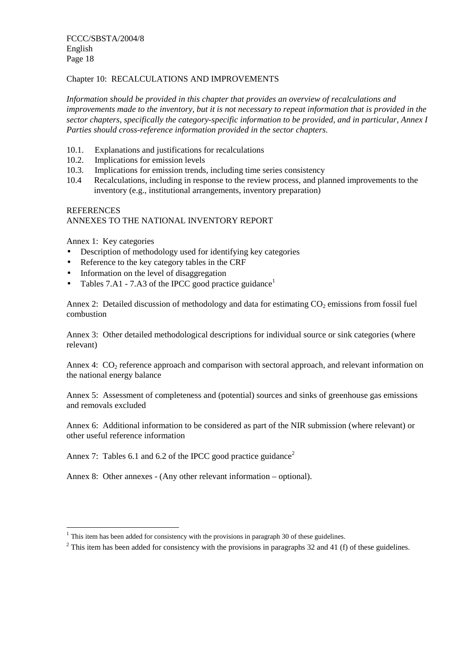#### Chapter 10: RECALCULATIONS AND IMPROVEMENTS

*Information should be provided in this chapter that provides an overview of recalculations and improvements made to the inventory, but it is not necessary to repeat information that is provided in the sector chapters, specifically the category-specific information to be provided, and in particular, Annex I Parties should cross-reference information provided in the sector chapters.* 

- 10.1. Explanations and justifications for recalculations
- 10.2. Implications for emission levels
- 10.3. Implications for emission trends, including time series consistency
- 10.4 Recalculations, including in response to the review process, and planned improvements to the inventory (e.g., institutional arrangements, inventory preparation)

#### **REFERENCES** ANNEXES TO THE NATIONAL INVENTORY REPORT

Annex 1: Key categories

 $\overline{a}$ 

- Description of methodology used for identifying key categories
- Reference to the key category tables in the CRF
- Information on the level of disaggregation
- Tables 7.A1 7.A3 of the IPCC good practice guidance<sup>1</sup>

Annex 2: Detailed discussion of methodology and data for estimating  $CO<sub>2</sub>$  emissions from fossil fuel combustion

Annex 3: Other detailed methodological descriptions for individual source or sink categories (where relevant)

Annex 4:  $CO<sub>2</sub>$  reference approach and comparison with sectoral approach, and relevant information on the national energy balance

Annex 5: Assessment of completeness and (potential) sources and sinks of greenhouse gas emissions and removals excluded

Annex 6: Additional information to be considered as part of the NIR submission (where relevant) or other useful reference information

Annex 7: Tables 6.1 and 6.2 of the IPCC good practice guidance<sup>2</sup>

Annex 8: Other annexes - (Any other relevant information – optional).

 $1$  This item has been added for consistency with the provisions in paragraph 30 of these guidelines.

 $2$  This item has been added for consistency with the provisions in paragraphs 32 and 41 (f) of these guidelines.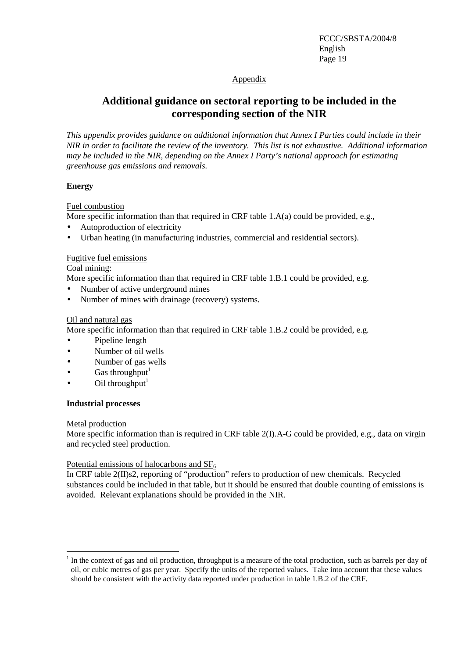#### Appendix

## **Additional guidance on sectoral reporting to be included in the corresponding section of the NIR**

*This appendix provides guidance on additional information that Annex I Parties could include in their NIR in order to facilitate the review of the inventory. This list is not exhaustive. Additional information may be included in the NIR, depending on the Annex I Party's national approach for estimating greenhouse gas emissions and removals.* 

#### **Energy**

Fuel combustion

- More specific information than that required in CRF table 1.A(a) could be provided, e.g.,
- Autoproduction of electricity
- Urban heating (in manufacturing industries, commercial and residential sectors).

#### Fugitive fuel emissions

Coal mining:

More specific information than that required in CRF table 1.B.1 could be provided, e.g.

- Number of active underground mines
- Number of mines with drainage (recovery) systems.

#### Oil and natural gas

More specific information than that required in CRF table 1.B.2 could be provided, e.g.

- Pipeline length
- Number of oil wells
- Number of gas wells
- Gas throughput $1$
- Oil throughput $<sup>1</sup>$ </sup>

#### **Industrial processes**

#### Metal production

More specific information than is required in CRF table 2(I).A-G could be provided, e.g., data on virgin and recycled steel production.

#### Potential emissions of halocarbons and  $SF<sub>6</sub>$

In CRF table 2(II)s2, reporting of "production" refers to production of new chemicals. Recycled substances could be included in that table, but it should be ensured that double counting of emissions is avoided. Relevant explanations should be provided in the NIR.

 $\overline{a}$  $<sup>1</sup>$  In the context of gas and oil production, throughput is a measure of the total production, such as barrels per day of</sup> oil, or cubic metres of gas per year. Specify the units of the reported values. Take into account that these values should be consistent with the activity data reported under production in table 1.B.2 of the CRF.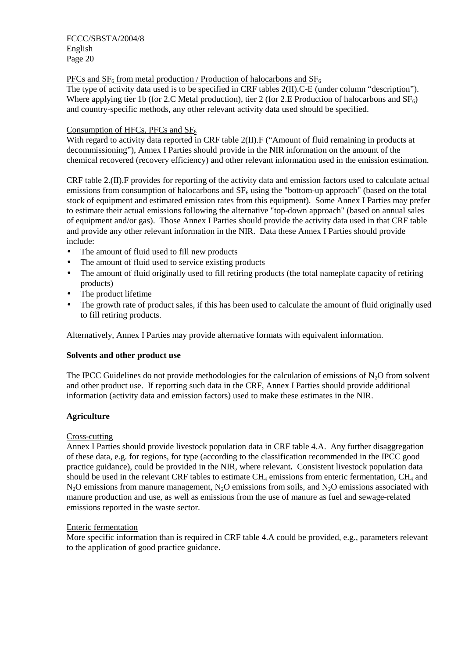PFCs and  $SF<sub>6</sub>$  from metal production / Production of halocarbons and  $SF<sub>6</sub>$ 

The type of activity data used is to be specified in CRF tables 2(II).C-E (under column "description"). Where applying tier 1b (for 2.C Metal production), tier 2 (for 2.E Production of halocarbons and  $SF<sub>6</sub>$ ) and country-specific methods, any other relevant activity data used should be specified.

#### Consumption of HFCs, PFCs and  $SF<sub>6</sub>$

With regard to activity data reported in CRF table 2(II). F ("Amount of fluid remaining in products at decommissioning"), Annex I Parties should provide in the NIR information on the amount of the chemical recovered (recovery efficiency) and other relevant information used in the emission estimation.

CRF table 2.(II).F provides for reporting of the activity data and emission factors used to calculate actual emissions from consumption of halocarbons and  $SF<sub>6</sub>$  using the "bottom-up approach" (based on the total stock of equipment and estimated emission rates from this equipment). Some Annex I Parties may prefer to estimate their actual emissions following the alternative "top-down approach" (based on annual sales of equipment and/or gas). Those Annex I Parties should provide the activity data used in that CRF table and provide any other relevant information in the NIR. Data these Annex I Parties should provide include:

- The amount of fluid used to fill new products
- The amount of fluid used to service existing products
- The amount of fluid originally used to fill retiring products (the total nameplate capacity of retiring products)
- The product lifetime
- The growth rate of product sales, if this has been used to calculate the amount of fluid originally used to fill retiring products.

Alternatively, Annex I Parties may provide alternative formats with equivalent information.

#### **Solvents and other product use**

The IPCC Guidelines do not provide methodologies for the calculation of emissions of  $N_2O$  from solvent and other product use. If reporting such data in the CRF, Annex I Parties should provide additional information (activity data and emission factors) used to make these estimates in the NIR.

#### **Agriculture**

#### Cross-cutting

Annex I Parties should provide livestock population data in CRF table 4.A. Any further disaggregation of these data, e.g. for regions, for type (according to the classification recommended in the IPCC good practice guidance), could be provided in the NIR, where relevant*.* Consistent livestock population data should be used in the relevant CRF tables to estimate  $CH_4$  emissions from enteric fermentation,  $CH_4$  and  $N_2$ O emissions from manure management,  $N_2$ O emissions from soils, and  $N_2$ O emissions associated with manure production and use, as well as emissions from the use of manure as fuel and sewage-related emissions reported in the waste sector.

#### Enteric fermentation

More specific information than is required in CRF table 4.A could be provided, e.g., parameters relevant to the application of good practice guidance.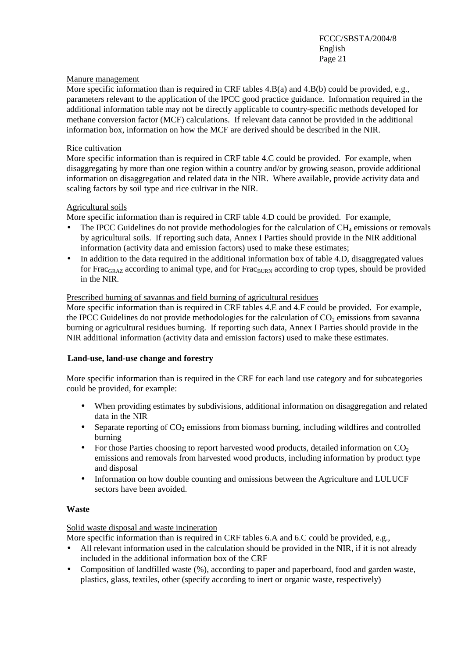#### Manure management

More specific information than is required in CRF tables 4.B(a) and 4.B(b) could be provided, e.g., parameters relevant to the application of the IPCC good practice guidance. Information required in the additional information table may not be directly applicable to country-specific methods developed for methane conversion factor (MCF) calculations. If relevant data cannot be provided in the additional information box, information on how the MCF are derived should be described in the NIR.

#### Rice cultivation

More specific information than is required in CRF table 4.C could be provided. For example, when disaggregating by more than one region within a country and/or by growing season, provide additional information on disaggregation and related data in the NIR. Where available, provide activity data and scaling factors by soil type and rice cultivar in the NIR.

#### Agricultural soils

More specific information than is required in CRF table 4.D could be provided. For example,

- The IPCC Guidelines do not provide methodologies for the calculation of  $CH_4$  emissions or removals by agricultural soils. If reporting such data, Annex I Parties should provide in the NIR additional information (activity data and emission factors) used to make these estimates;
- In addition to the data required in the additional information box of table 4.D, disaggregated values for Frac<sub>GRAZ</sub> according to animal type, and for Frac<sub>BURN</sub> according to crop types, should be provided in the NIR.

#### Prescribed burning of savannas and field burning of agricultural residues

More specific information than is required in CRF tables 4.E and 4.F could be provided. For example, the IPCC Guidelines do not provide methodologies for the calculation of  $CO<sub>2</sub>$  emissions from savanna burning or agricultural residues burning. If reporting such data, Annex I Parties should provide in the NIR additional information (activity data and emission factors) used to make these estimates.

#### **Land-use, land-use change and forestry**

More specific information than is required in the CRF for each land use category and for subcategories could be provided, for example:

- When providing estimates by subdivisions, additional information on disaggregation and related data in the NIR
- Separate reporting of  $CO<sub>2</sub>$  emissions from biomass burning, including wildfires and controlled burning
- For those Parties choosing to report harvested wood products, detailed information on  $CO<sub>2</sub>$ emissions and removals from harvested wood products, including information by product type and disposal
- Information on how double counting and omissions between the Agriculture and LULUCF sectors have been avoided.

#### **Waste**

#### Solid waste disposal and waste incineration

More specific information than is required in CRF tables 6.A and 6.C could be provided, e.g.,

- All relevant information used in the calculation should be provided in the NIR, if it is not already included in the additional information box of the CRF
- Composition of landfilled waste (%), according to paper and paperboard, food and garden waste, plastics, glass, textiles, other (specify according to inert or organic waste, respectively)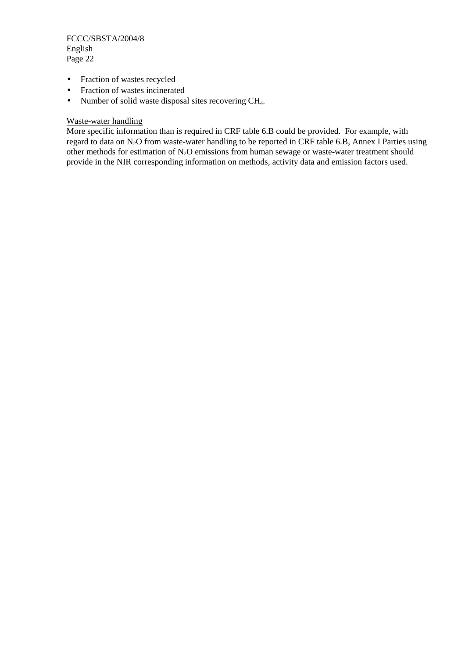- Fraction of wastes recycled
- Fraction of wastes incinerated
- Number of solid waste disposal sites recovering CH<sub>4</sub>.

#### Waste-water handling

More specific information than is required in CRF table 6.B could be provided. For example, with regard to data on N<sub>2</sub>O from waste-water handling to be reported in CRF table 6.B, Annex I Parties using other methods for estimation of N2O emissions from human sewage or waste-water treatment should provide in the NIR corresponding information on methods, activity data and emission factors used.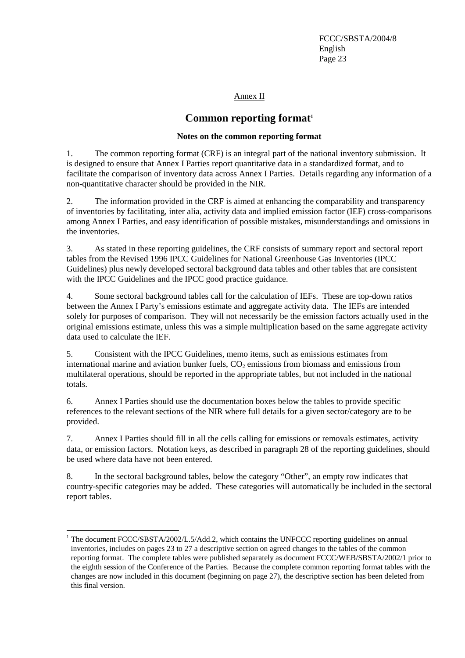Annex II

## **Common reporting format**<sup>1</sup>

#### **Notes on the common reporting format**

1. The common reporting format (CRF) is an integral part of the national inventory submission. It is designed to ensure that Annex I Parties report quantitative data in a standardized format, and to facilitate the comparison of inventory data across Annex I Parties. Details regarding any information of a non-quantitative character should be provided in the NIR.

2. The information provided in the CRF is aimed at enhancing the comparability and transparency of inventories by facilitating, inter alia, activity data and implied emission factor (IEF) cross-comparisons among Annex I Parties, and easy identification of possible mistakes, misunderstandings and omissions in the inventories.

3. As stated in these reporting guidelines, the CRF consists of summary report and sectoral report tables from the Revised 1996 IPCC Guidelines for National Greenhouse Gas Inventories (IPCC Guidelines) plus newly developed sectoral background data tables and other tables that are consistent with the IPCC Guidelines and the IPCC good practice guidance.

4. Some sectoral background tables call for the calculation of IEFs. These are top-down ratios between the Annex I Party's emissions estimate and aggregate activity data. The IEFs are intended solely for purposes of comparison. They will not necessarily be the emission factors actually used in the original emissions estimate, unless this was a simple multiplication based on the same aggregate activity data used to calculate the IEF.

5. Consistent with the IPCC Guidelines, memo items, such as emissions estimates from international marine and aviation bunker fuels,  $CO<sub>2</sub>$  emissions from biomass and emissions from multilateral operations, should be reported in the appropriate tables, but not included in the national totals.

6. Annex I Parties should use the documentation boxes below the tables to provide specific references to the relevant sections of the NIR where full details for a given sector/category are to be provided.

7. Annex I Parties should fill in all the cells calling for emissions or removals estimates, activity data, or emission factors. Notation keys, as described in paragraph 28 of the reporting guidelines, should be used where data have not been entered.

8. In the sectoral background tables, below the category "Other", an empty row indicates that country-specific categories may be added. These categories will automatically be included in the sectoral report tables.

<sup>&</sup>lt;sup>1</sup> The document FCCC/SBSTA/2002/L.5/Add.2, which contains the UNFCCC reporting guidelines on annual inventories, includes on pages 23 to 27 a descriptive section on agreed changes to the tables of the common reporting format. The complete tables were published separately as document FCCC/WEB/SBSTA/2002/1 prior to the eighth session of the Conference of the Parties. Because the complete common reporting format tables with the changes are now included in this document (beginning on page 27), the descriptive section has been deleted from this final version.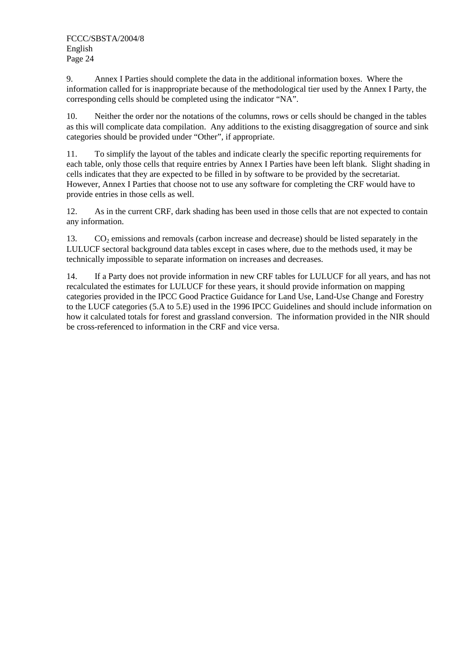9. Annex I Parties should complete the data in the additional information boxes. Where the information called for is inappropriate because of the methodological tier used by the Annex I Party, the corresponding cells should be completed using the indicator "NA".

10. Neither the order nor the notations of the columns, rows or cells should be changed in the tables as this will complicate data compilation. Any additions to the existing disaggregation of source and sink categories should be provided under "Other", if appropriate.

11. To simplify the layout of the tables and indicate clearly the specific reporting requirements for each table, only those cells that require entries by Annex I Parties have been left blank. Slight shading in cells indicates that they are expected to be filled in by software to be provided by the secretariat. However, Annex I Parties that choose not to use any software for completing the CRF would have to provide entries in those cells as well.

12. As in the current CRF, dark shading has been used in those cells that are not expected to contain any information.

13.  $CO<sub>2</sub>$  emissions and removals (carbon increase and decrease) should be listed separately in the LULUCF sectoral background data tables except in cases where, due to the methods used, it may be technically impossible to separate information on increases and decreases.

14. If a Party does not provide information in new CRF tables for LULUCF for all years, and has not recalculated the estimates for LULUCF for these years, it should provide information on mapping categories provided in the IPCC Good Practice Guidance for Land Use, Land-Use Change and Forestry to the LUCF categories (5.A to 5.E) used in the 1996 IPCC Guidelines and should include information on how it calculated totals for forest and grassland conversion. The information provided in the NIR should be cross-referenced to information in the CRF and vice versa.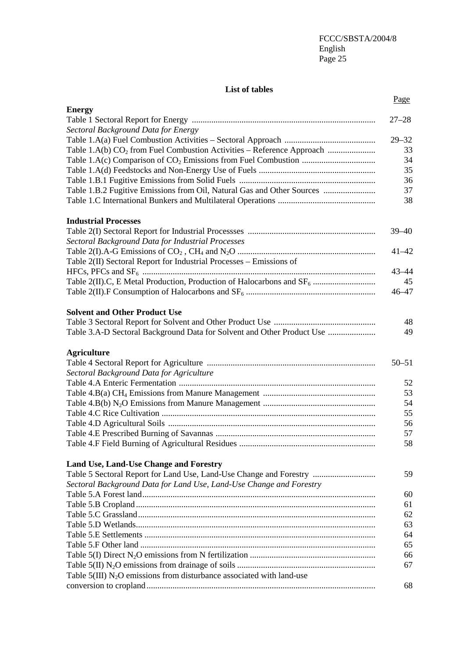#### **List of tables**

|                                                                                     | Page      |
|-------------------------------------------------------------------------------------|-----------|
| <b>Energy</b>                                                                       |           |
|                                                                                     | $27 - 28$ |
| Sectoral Background Data for Energy                                                 |           |
|                                                                                     | $29 - 32$ |
| Table 1.A(b) CO <sub>2</sub> from Fuel Combustion Activities - Reference Approach   | 33        |
|                                                                                     | 34        |
|                                                                                     | 35        |
|                                                                                     | 36        |
| Table 1.B.2 Fugitive Emissions from Oil, Natural Gas and Other Sources              | 37        |
|                                                                                     | 38        |
| <b>Industrial Processes</b>                                                         |           |
|                                                                                     | $39 - 40$ |
| Sectoral Background Data for Industrial Processes                                   |           |
|                                                                                     | $41 - 42$ |
| Table 2(II) Sectoral Report for Industrial Processes - Emissions of                 |           |
|                                                                                     | $43 - 44$ |
|                                                                                     | 45        |
|                                                                                     | $46 - 47$ |
| <b>Solvent and Other Product Use</b>                                                |           |
|                                                                                     | 48        |
| Table 3.A-D Sectoral Background Data for Solvent and Other Product Use              | 49        |
| <b>Agriculture</b>                                                                  |           |
|                                                                                     | $50 - 51$ |
| Sectoral Background Data for Agriculture                                            |           |
|                                                                                     | 52        |
|                                                                                     | 53        |
|                                                                                     | 54        |
|                                                                                     | 55        |
|                                                                                     | 56        |
|                                                                                     | 57        |
|                                                                                     | 58        |
| <b>Land Use, Land-Use Change and Forestry</b>                                       |           |
| Table 5 Sectoral Report for Land Use, Land-Use Change and Forestry                  | 59        |
| Sectoral Background Data for Land Use, Land-Use Change and Forestry                 |           |
|                                                                                     | 60        |
|                                                                                     | 61        |
|                                                                                     | 62        |
|                                                                                     | 63        |
|                                                                                     | 64        |
|                                                                                     | 65        |
|                                                                                     | 66        |
|                                                                                     | 67        |
| Table $5(III)$ N <sub>2</sub> O emissions from disturbance associated with land-use |           |
|                                                                                     | 68        |
|                                                                                     |           |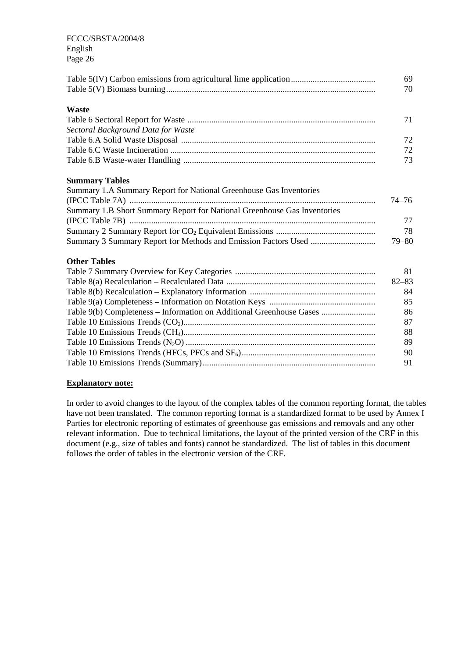|                                                                          | 69<br>70  |
|--------------------------------------------------------------------------|-----------|
| <b>Waste</b>                                                             |           |
|                                                                          | 71        |
| Sectoral Background Data for Waste                                       |           |
|                                                                          | 72        |
|                                                                          | 72        |
|                                                                          | 73        |
| <b>Summary Tables</b>                                                    |           |
| Summary 1.A Summary Report for National Greenhouse Gas Inventories       |           |
|                                                                          | $74 - 76$ |
| Summary 1.B Short Summary Report for National Greenhouse Gas Inventories |           |
|                                                                          | 77        |
|                                                                          | 78        |
|                                                                          | $79 - 80$ |
| <b>Other Tables</b>                                                      |           |
|                                                                          | 81        |
|                                                                          | $82 - 83$ |
|                                                                          | 84        |
|                                                                          | 85        |
| Table 9(b) Completeness - Information on Additional Greenhouse Gases     | 86        |
|                                                                          | 87        |
|                                                                          | 88        |
|                                                                          | 89        |
|                                                                          | 90        |
|                                                                          | 91        |
|                                                                          |           |

#### **Explanatory note:**

In order to avoid changes to the layout of the complex tables of the common reporting format, the tables have not been translated. The common reporting format is a standardized format to be used by Annex I Parties for electronic reporting of estimates of greenhouse gas emissions and removals and any other relevant information. Due to technical limitations, the layout of the printed version of the CRF in this document (e.g., size of tables and fonts) cannot be standardized. The list of tables in this document follows the order of tables in the electronic version of the CRF.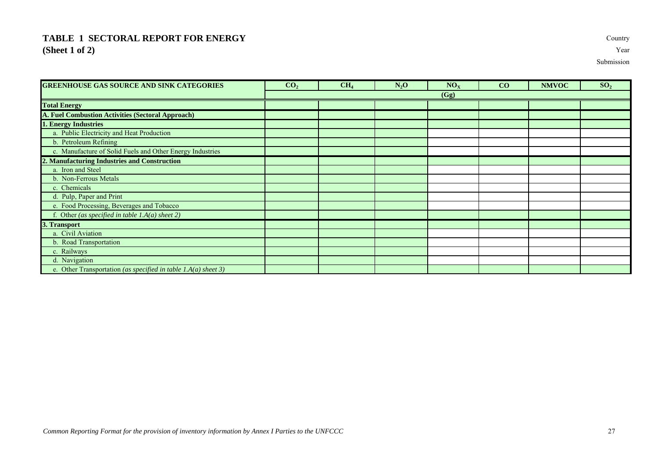## **TABLE 1 SECTORAL REPORT FOR ENERGY** Country **(Sheet 1 of 2)** Year

| <b>GREENHOUSE GAS SOURCE AND SINK CATEGORIES</b>                 | CO <sub>2</sub> | CH <sub>4</sub> | $N_2O$ | NO <sub>X</sub> | CO | <b>NMVOC</b> | SO <sub>2</sub> |
|------------------------------------------------------------------|-----------------|-----------------|--------|-----------------|----|--------------|-----------------|
|                                                                  |                 |                 |        | (Gg)            |    |              |                 |
| <b>Total Energy</b>                                              |                 |                 |        |                 |    |              |                 |
| A. Fuel Combustion Activities (Sectoral Approach)                |                 |                 |        |                 |    |              |                 |
| . Energy Industries                                              |                 |                 |        |                 |    |              |                 |
| a. Public Electricity and Heat Production                        |                 |                 |        |                 |    |              |                 |
| b. Petroleum Refining                                            |                 |                 |        |                 |    |              |                 |
| c. Manufacture of Solid Fuels and Other Energy Industries        |                 |                 |        |                 |    |              |                 |
| 2. Manufacturing Industries and Construction                     |                 |                 |        |                 |    |              |                 |
| a. Iron and Steel                                                |                 |                 |        |                 |    |              |                 |
| b. Non-Ferrous Metals                                            |                 |                 |        |                 |    |              |                 |
| c. Chemicals                                                     |                 |                 |        |                 |    |              |                 |
| d. Pulp, Paper and Print                                         |                 |                 |        |                 |    |              |                 |
| e. Food Processing, Beverages and Tobacco                        |                 |                 |        |                 |    |              |                 |
| f. Other (as specified in table 1.A(a) sheet 2)                  |                 |                 |        |                 |    |              |                 |
| 3. Transport                                                     |                 |                 |        |                 |    |              |                 |
| a. Civil Aviation                                                |                 |                 |        |                 |    |              |                 |
| b. Road Transportation                                           |                 |                 |        |                 |    |              |                 |
| c. Railways                                                      |                 |                 |        |                 |    |              |                 |
| d. Navigation                                                    |                 |                 |        |                 |    |              |                 |
| e. Other Transportation (as specified in table $I.A(a)$ sheet 3) |                 |                 |        |                 |    |              |                 |

Submission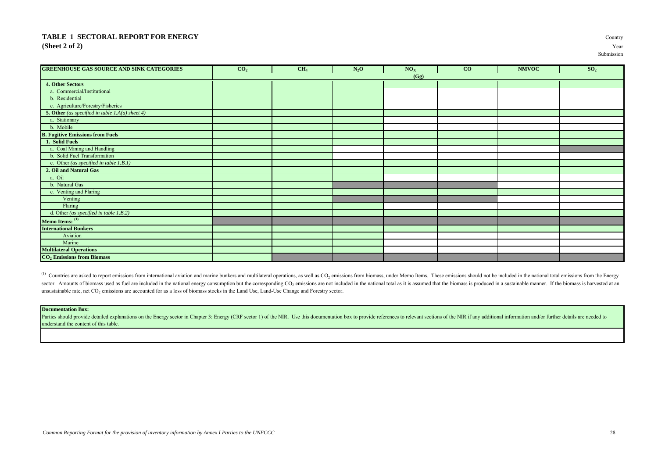#### **TABLE 1 SECTORAL REPORT FOR ENERGY** Country **(Sheet 2 of 2)** Year

| <b>GREENHOUSE GAS SOURCE AND SINK CATEGORIES</b>       | CO <sub>2</sub> | CH <sub>4</sub> | $N_2O$ | $\rm \textbf{NO}_X$ | CO | <b>NMVOC</b> | SO <sub>2</sub> |
|--------------------------------------------------------|-----------------|-----------------|--------|---------------------|----|--------------|-----------------|
|                                                        |                 |                 |        | (Gg)                |    |              |                 |
| 4. Other Sectors                                       |                 |                 |        |                     |    |              |                 |
| a. Commercial/Institutional                            |                 |                 |        |                     |    |              |                 |
| b. Residential                                         |                 |                 |        |                     |    |              |                 |
| c. Agriculture/Forestry/Fisheries                      |                 |                 |        |                     |    |              |                 |
| <b>5. Other</b> (as specified in table 1.A(a) sheet 4) |                 |                 |        |                     |    |              |                 |
| a. Stationary                                          |                 |                 |        |                     |    |              |                 |
| b. Mobile                                              |                 |                 |        |                     |    |              |                 |
| <b>B. Fugitive Emissions from Fuels</b>                |                 |                 |        |                     |    |              |                 |
| 1. Solid Fuels                                         |                 |                 |        |                     |    |              |                 |
| a. Coal Mining and Handling                            |                 |                 |        |                     |    |              |                 |
| b. Solid Fuel Transformation                           |                 |                 |        |                     |    |              |                 |
| c. Other (as specified in table $1.B.1)$               |                 |                 |        |                     |    |              |                 |
| 2. Oil and Natural Gas                                 |                 |                 |        |                     |    |              |                 |
| a. Oil                                                 |                 |                 |        |                     |    |              |                 |
| b. Natural Gas                                         |                 |                 |        |                     |    |              |                 |
| c. Venting and Flaring                                 |                 |                 |        |                     |    |              |                 |
| Venting                                                |                 |                 |        |                     |    |              |                 |
| Flaring                                                |                 |                 |        |                     |    |              |                 |
| d. Other (as specified in table $1.B.2)$               |                 |                 |        |                     |    |              |                 |
| Memo Items: <sup>(1)</sup>                             |                 |                 |        |                     |    |              |                 |
| <b>International Bunkers</b>                           |                 |                 |        |                     |    |              |                 |
| Aviation                                               |                 |                 |        |                     |    |              |                 |
| Marine                                                 |                 |                 |        |                     |    |              |                 |
| <b>Multilateral Operations</b>                         |                 |                 |        |                     |    |              |                 |
| CO <sub>2</sub> Emissions from Biomass                 |                 |                 |        |                     |    |              |                 |

<sup>(1)</sup> Countries are asked to report emissions from international aviation and marine bunkers and multilateral operations, as well as CO<sub>2</sub> emissions from biomass, under Memo Items. These emissions should not be included in sector. Amounts of biomass used as fuel are included in the national energy consumption but the corresponding CO<sub>2</sub> emissions are not included in the national total as it is assumed that the biomass is produced in a sustai unsustainable rate, net CO<sub>2</sub> emissions are accounted for as a loss of biomass stocks in the Land Use, Land-Use Change and Forestry sector.

#### **Documentation Box:**

Parties should provide detailed explanations on the Energy sector in Chapter 3: Energy (CRF sector 1) of the NIR. Use this documentation box to provide references to relevant sections of the NIR if any additional informati understand the content of this table.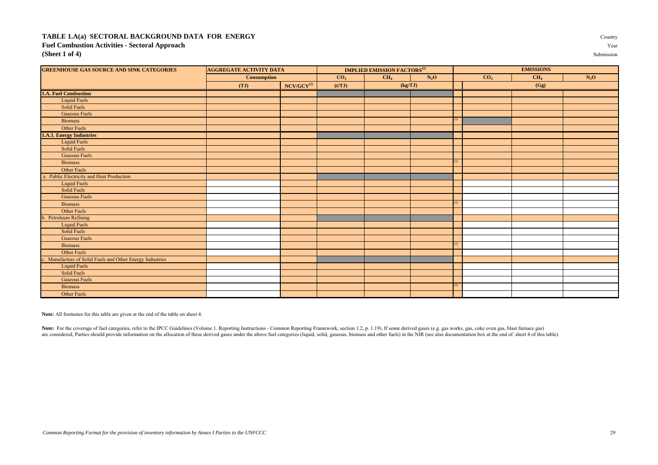#### **TABLE 1.A(a) SECTORAL BACKGROUND DATA FOR ENERGY** Country **Fuel Combustion Activities - Sectoral Approach** Year **(Sheet 1 of 4)** Submission

| <b>GREENHOUSE GAS SOURCE AND SINK CATEGORIES</b>          | <b>AGGREGATE ACTIVITY DATA</b> |                 | <b>IMPLIED EMISSION FACTORS<sup>(2)</sup></b> |                           |  |                 | <b>EMISSIONS</b> |                 |        |  |
|-----------------------------------------------------------|--------------------------------|-----------------|-----------------------------------------------|---------------------------|--|-----------------|------------------|-----------------|--------|--|
|                                                           | <b>Consumption</b>             |                 | CO <sub>2</sub>                               | $N_2O$<br>CH <sub>4</sub> |  | CO <sub>2</sub> |                  | CH <sub>4</sub> | $N_2O$ |  |
|                                                           | (TJ)                           | $NCV/GCV^{(1)}$ | (t/TJ)                                        | (kg/TJ)                   |  |                 |                  | (Gg)            |        |  |
| 1.A. Fuel Combustion                                      |                                |                 |                                               |                           |  |                 |                  |                 |        |  |
| <b>Liquid Fuels</b>                                       |                                |                 |                                               |                           |  |                 |                  |                 |        |  |
| Solid Fuels                                               |                                |                 |                                               |                           |  |                 |                  |                 |        |  |
| <b>Gaseous Fuels</b>                                      |                                |                 |                                               |                           |  |                 |                  |                 |        |  |
| <b>Biomass</b>                                            |                                |                 |                                               |                           |  | (3)             |                  |                 |        |  |
| Other Fuels                                               |                                |                 |                                               |                           |  |                 |                  |                 |        |  |
| <b>1.A.1. Energy Industries</b>                           |                                |                 |                                               |                           |  |                 |                  |                 |        |  |
| <b>Liquid Fuels</b>                                       |                                |                 |                                               |                           |  |                 |                  |                 |        |  |
| Solid Fuels                                               |                                |                 |                                               |                           |  |                 |                  |                 |        |  |
| <b>Gaseous Fuels</b>                                      |                                |                 |                                               |                           |  |                 |                  |                 |        |  |
| <b>Biomass</b>                                            |                                |                 |                                               |                           |  | (3)             |                  |                 |        |  |
| Other Fuels                                               |                                |                 |                                               |                           |  |                 |                  |                 |        |  |
| a. Public Electricity and Heat Production                 |                                |                 |                                               |                           |  |                 |                  |                 |        |  |
| <b>Liquid Fuels</b>                                       |                                |                 |                                               |                           |  |                 |                  |                 |        |  |
| Solid Fuels                                               |                                |                 |                                               |                           |  |                 |                  |                 |        |  |
| <b>Gaseous Fuels</b>                                      |                                |                 |                                               |                           |  |                 |                  |                 |        |  |
| <b>Biomass</b>                                            |                                |                 |                                               |                           |  | (3)             |                  |                 |        |  |
| Other Fuels                                               |                                |                 |                                               |                           |  |                 |                  |                 |        |  |
| b. Petroleum Refining                                     |                                |                 |                                               |                           |  |                 |                  |                 |        |  |
| <b>Liquid Fuels</b>                                       |                                |                 |                                               |                           |  |                 |                  |                 |        |  |
| Solid Fuels                                               |                                |                 |                                               |                           |  |                 |                  |                 |        |  |
| <b>Gaseous Fuels</b>                                      |                                |                 |                                               |                           |  |                 |                  |                 |        |  |
| <b>Biomass</b>                                            |                                |                 |                                               |                           |  | (3)             |                  |                 |        |  |
| Other Fuels                                               |                                |                 |                                               |                           |  |                 |                  |                 |        |  |
| c. Manufacture of Solid Fuels and Other Energy Industries |                                |                 |                                               |                           |  |                 |                  |                 |        |  |
| <b>Liquid Fuels</b>                                       |                                |                 |                                               |                           |  |                 |                  |                 |        |  |
| Solid Fuels                                               |                                |                 |                                               |                           |  |                 |                  |                 |        |  |
| <b>Gaseous Fuels</b>                                      |                                |                 |                                               |                           |  |                 |                  |                 |        |  |
| <b>Biomass</b>                                            |                                |                 |                                               |                           |  | (3)             |                  |                 |        |  |
| Other Fuels                                               |                                |                 |                                               |                           |  |                 |                  |                 |        |  |

**Note:** All footnotes for this table are given at the end of the table on sheet 4.

Note: For the coverage of fuel categories, refer to the IPCC Guidelines (Volume 1. Reporting Instructions - Common Reporting Framework, section 1.2, p. 1.19). If some derived gases (e.g. gas works, gas, coke oven gas, blas are considered, Parties should provide information on the allocation of these derived gases under the above fuel categories (liquid, solid, gaseous, biomass and other fuels) in the NIR (see also documentation box at the en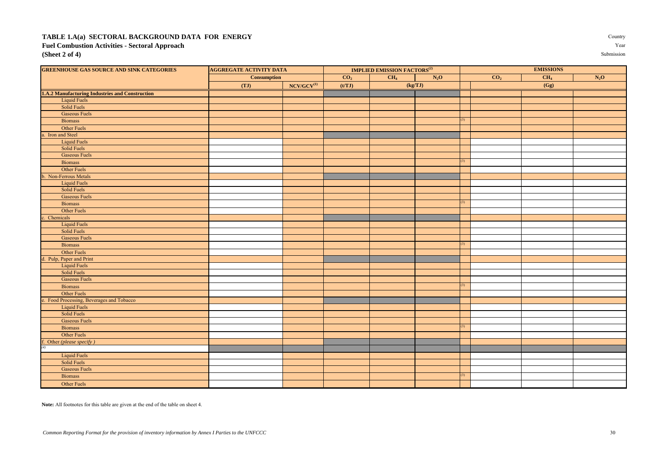#### **TABLE 1.A(a) SECTORAL BACKGROUND DATA FOR ENERGY** Country **Fuel Combustion Activities - Sectoral Approach** Year **(Sheet 2 of 4)** Submission

| <b>GREENHOUSE GAS SOURCE AND SINK CATEGORIES</b><br><b>AGGREGATE ACTIVITY DATA</b> |                    | <b>IMPLIED EMISSION FACTORS<sup>(2)</sup></b> |                 |                 |        | <b>EMISSIONS</b> |                 |                 |        |  |
|------------------------------------------------------------------------------------|--------------------|-----------------------------------------------|-----------------|-----------------|--------|------------------|-----------------|-----------------|--------|--|
|                                                                                    | <b>Consumption</b> |                                               | CO <sub>2</sub> | CH <sub>4</sub> | $N_2O$ |                  | CO <sub>2</sub> | CH <sub>4</sub> | $N_2O$ |  |
|                                                                                    | (TJ)               | $NCV/GCV^{(1)}$                               | (t/TJ)          | (kg/TJ)         |        |                  |                 | (Gg)            |        |  |
| 1.A.2 Manufacturing Industries and Construction                                    |                    |                                               |                 |                 |        |                  |                 |                 |        |  |
| <b>Liquid Fuels</b>                                                                |                    |                                               |                 |                 |        |                  |                 |                 |        |  |
| Solid Fuels                                                                        |                    |                                               |                 |                 |        |                  |                 |                 |        |  |
| <b>Gaseous Fuels</b>                                                               |                    |                                               |                 |                 |        |                  |                 |                 |        |  |
| <b>Biomass</b>                                                                     |                    |                                               |                 |                 |        | 3)               |                 |                 |        |  |
| Other Fuels                                                                        |                    |                                               |                 |                 |        |                  |                 |                 |        |  |
| a. Iron and Steel                                                                  |                    |                                               |                 |                 |        |                  |                 |                 |        |  |
| <b>Liquid Fuels</b>                                                                |                    |                                               |                 |                 |        |                  |                 |                 |        |  |
| <b>Solid Fuels</b>                                                                 |                    |                                               |                 |                 |        |                  |                 |                 |        |  |
| <b>Gaseous Fuels</b>                                                               |                    |                                               |                 |                 |        |                  |                 |                 |        |  |
| <b>Biomass</b>                                                                     |                    |                                               |                 |                 |        | (3)              |                 |                 |        |  |
| Other Fuels                                                                        |                    |                                               |                 |                 |        |                  |                 |                 |        |  |
| b. Non-Ferrous Metals                                                              |                    |                                               |                 |                 |        |                  |                 |                 |        |  |
| <b>Liquid Fuels</b>                                                                |                    |                                               |                 |                 |        |                  |                 |                 |        |  |
| Solid Fuels                                                                        |                    |                                               |                 |                 |        |                  |                 |                 |        |  |
| <b>Gaseous Fuels</b>                                                               |                    |                                               |                 |                 |        |                  |                 |                 |        |  |
| <b>Biomass</b>                                                                     |                    |                                               |                 |                 |        | 3)               |                 |                 |        |  |
| Other Fuels                                                                        |                    |                                               |                 |                 |        |                  |                 |                 |        |  |
| c. Chemicals                                                                       |                    |                                               |                 |                 |        |                  |                 |                 |        |  |
| <b>Liquid Fuels</b>                                                                |                    |                                               |                 |                 |        |                  |                 |                 |        |  |
| Solid Fuels                                                                        |                    |                                               |                 |                 |        |                  |                 |                 |        |  |
| <b>Gaseous Fuels</b>                                                               |                    |                                               |                 |                 |        |                  |                 |                 |        |  |
| <b>Biomass</b>                                                                     |                    |                                               |                 |                 |        | 3)               |                 |                 |        |  |
| Other Fuels                                                                        |                    |                                               |                 |                 |        |                  |                 |                 |        |  |
| d. Pulp, Paper and Print                                                           |                    |                                               |                 |                 |        |                  |                 |                 |        |  |
| <b>Liquid Fuels</b>                                                                |                    |                                               |                 |                 |        |                  |                 |                 |        |  |
| Solid Fuels                                                                        |                    |                                               |                 |                 |        |                  |                 |                 |        |  |
| <b>Gaseous Fuels</b>                                                               |                    |                                               |                 |                 |        |                  |                 |                 |        |  |
| <b>Biomass</b>                                                                     |                    |                                               |                 |                 |        | 3)               |                 |                 |        |  |
| Other Fuels                                                                        |                    |                                               |                 |                 |        |                  |                 |                 |        |  |
| e. Food Processing, Beverages and Tobacco                                          |                    |                                               |                 |                 |        |                  |                 |                 |        |  |
| <b>Liquid Fuels</b>                                                                |                    |                                               |                 |                 |        |                  |                 |                 |        |  |
| Solid Fuels                                                                        |                    |                                               |                 |                 |        |                  |                 |                 |        |  |
| <b>Gaseous Fuels</b>                                                               |                    |                                               |                 |                 |        |                  |                 |                 |        |  |
| <b>Biomass</b>                                                                     |                    |                                               |                 |                 |        | 3)               |                 |                 |        |  |
| Other Fuels                                                                        |                    |                                               |                 |                 |        |                  |                 |                 |        |  |
| Other (please specify)                                                             |                    |                                               |                 |                 |        |                  |                 |                 |        |  |
| $^{(4)}$                                                                           |                    |                                               |                 |                 |        |                  |                 |                 |        |  |
| <b>Liquid Fuels</b>                                                                |                    |                                               |                 |                 |        |                  |                 |                 |        |  |

**Note:** All footnotes for this table are given at the end of the table on sheet 4.

Solid Fuels Gaseous Fuels

Other Fuels

Biomass (3) and the contract of the contract of the contract of the contract of the contract of the contract of the contract of the contract of the contract of the contract of the contract of the contract of the contract o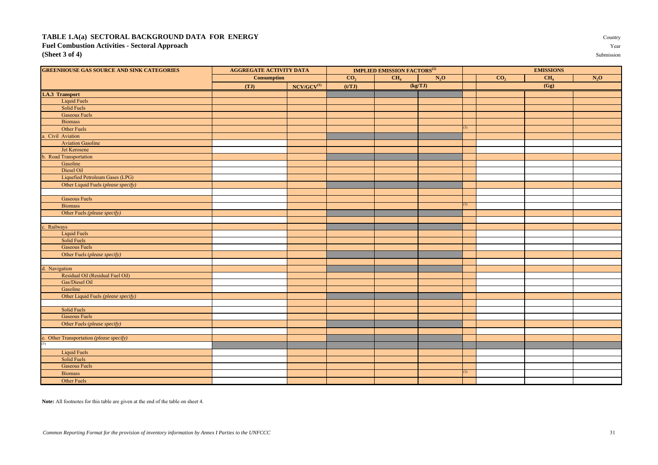#### TABLE 1.A(a) SECTORAL BACKGROUND DATA FOR ENERGY **Fuel Combustion Activities - Sectoral Approach (Sheet 3 of 4)** Submission

| Country             |
|---------------------|
| Year                |
| $0.1.01$ and $0.01$ |

| <b>GREENHOUSE GAS SOURCE AND SINK CATEGORIES</b>        | <b>AGGREGATE ACTIVITY DATA</b> |                 | <b>IMPLIED EMISSION FACTORS<sup>(2)</sup></b> |                 |         |  | <b>EMISSIONS</b> |                 |         |  |
|---------------------------------------------------------|--------------------------------|-----------------|-----------------------------------------------|-----------------|---------|--|------------------|-----------------|---------|--|
|                                                         | <b>Consumption</b>             |                 | CO <sub>2</sub>                               | CH <sub>4</sub> | $N_2O$  |  | CO <sub>2</sub>  | CH <sub>4</sub> | $N_2$ O |  |
|                                                         | (TJ)                           | $NCV/GCV^{(1)}$ | (t/TJ)                                        |                 | (kg/TJ) |  |                  | (Gg)            |         |  |
| 1.A.3 Transport                                         |                                |                 |                                               |                 |         |  |                  |                 |         |  |
| <b>Liquid Fuels</b>                                     |                                |                 |                                               |                 |         |  |                  |                 |         |  |
| Solid Fuels                                             |                                |                 |                                               |                 |         |  |                  |                 |         |  |
| <b>Gaseous Fuels</b>                                    |                                |                 |                                               |                 |         |  |                  |                 |         |  |
| <b>Biomass</b>                                          |                                |                 |                                               |                 |         |  |                  |                 |         |  |
| Other Fuels                                             |                                |                 |                                               |                 |         |  |                  |                 |         |  |
| a. Civil Aviation                                       |                                |                 |                                               |                 |         |  |                  |                 |         |  |
| <b>Aviation Gasoline</b>                                |                                |                 |                                               |                 |         |  |                  |                 |         |  |
| Jet Kerosene                                            |                                |                 |                                               |                 |         |  |                  |                 |         |  |
| b. Road Transportation                                  |                                |                 |                                               |                 |         |  |                  |                 |         |  |
| Gasoline                                                |                                |                 |                                               |                 |         |  |                  |                 |         |  |
| Diesel Oil                                              |                                |                 |                                               |                 |         |  |                  |                 |         |  |
| Liquefied Petroleum Gases (LPG)                         |                                |                 |                                               |                 |         |  |                  |                 |         |  |
| Other Liquid Fuels (please specify)                     |                                |                 |                                               |                 |         |  |                  |                 |         |  |
|                                                         |                                |                 |                                               |                 |         |  |                  |                 |         |  |
| <b>Gaseous Fuels</b>                                    |                                |                 |                                               |                 |         |  |                  |                 |         |  |
| <b>Biomass</b>                                          |                                |                 |                                               |                 |         |  |                  |                 |         |  |
| Other Fuels (please specify)                            |                                |                 |                                               |                 |         |  |                  |                 |         |  |
|                                                         |                                |                 |                                               |                 |         |  |                  |                 |         |  |
| c. Railways                                             |                                |                 |                                               |                 |         |  |                  |                 |         |  |
| <b>Liquid Fuels</b>                                     |                                |                 |                                               |                 |         |  |                  |                 |         |  |
| Solid Fuels                                             |                                |                 |                                               |                 |         |  |                  |                 |         |  |
| <b>Gaseous Fuels</b>                                    |                                |                 |                                               |                 |         |  |                  |                 |         |  |
| Other Fuels (please specify)                            |                                |                 |                                               |                 |         |  |                  |                 |         |  |
|                                                         |                                |                 |                                               |                 |         |  |                  |                 |         |  |
| d. Navigation                                           |                                |                 |                                               |                 |         |  |                  |                 |         |  |
| Residual Oil (Residual Fuel Oil)                        |                                |                 |                                               |                 |         |  |                  |                 |         |  |
| Gas/Diesel Oil                                          |                                |                 |                                               |                 |         |  |                  |                 |         |  |
| Gasoline                                                |                                |                 |                                               |                 |         |  |                  |                 |         |  |
| Other Liquid Fuels (please specify)                     |                                |                 |                                               |                 |         |  |                  |                 |         |  |
|                                                         |                                |                 |                                               |                 |         |  |                  |                 |         |  |
| Solid Fuels                                             |                                |                 |                                               |                 |         |  |                  |                 |         |  |
| <b>Gaseous Fuels</b>                                    |                                |                 |                                               |                 |         |  |                  |                 |         |  |
| Other Fuels (please specify)                            |                                |                 |                                               |                 |         |  |                  |                 |         |  |
|                                                         |                                |                 |                                               |                 |         |  |                  |                 |         |  |
| e. Other Transportation ( <i>please specify</i> ) $(5)$ |                                |                 |                                               |                 |         |  |                  |                 |         |  |
|                                                         |                                |                 |                                               |                 |         |  |                  |                 |         |  |
| <b>Liquid Fuels</b>                                     |                                |                 |                                               |                 |         |  |                  |                 |         |  |
| Solid Fuels                                             |                                |                 |                                               |                 |         |  |                  |                 |         |  |
| <b>Gaseous Fuels</b>                                    |                                |                 |                                               |                 |         |  |                  |                 |         |  |
| <b>Biomass</b>                                          |                                |                 |                                               |                 |         |  |                  |                 |         |  |
| Other Fuels                                             |                                |                 |                                               |                 |         |  |                  |                 |         |  |

**Note:** All footnotes for this table are given at the end of the table on sheet 4.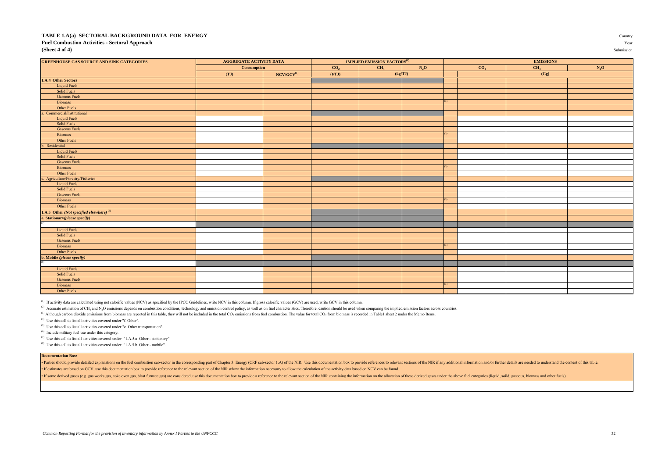#### **TABLE 1.A(a) SECTORAL BACKGROUND DATA FOR ENERGY** Country **Fuel Combustion Activities - Sectoral Approach** Year **(Sheet 4 of 4)** Submission

| <b>GREENHOUSE GAS SOURCE AND SINK CATEGORIES</b>                                                               | <b>AGGREGATE ACTIVITY DATA</b> |                 | <b>IMPLIED EMISSION FACTORS</b> <sup>(2)</sup> |                                      |  | <b>EMISSIONS</b>                   |  |        |  |
|----------------------------------------------------------------------------------------------------------------|--------------------------------|-----------------|------------------------------------------------|--------------------------------------|--|------------------------------------|--|--------|--|
|                                                                                                                | <b>Consumption</b>             |                 | CO <sub>2</sub>                                | CH <sub>4</sub><br>$N_2O$<br>(kg/TJ) |  | CH <sub>4</sub><br>CO <sub>2</sub> |  | $N_2O$ |  |
|                                                                                                                | (TJ)                           | $NCV/GCV^{(1)}$ | (t/TJ)                                         |                                      |  |                                    |  | (Gg)   |  |
| 1.A.4 Other Sectors                                                                                            |                                |                 |                                                |                                      |  |                                    |  |        |  |
| Liquid Fuels                                                                                                   |                                |                 |                                                |                                      |  |                                    |  |        |  |
| Solid Fuels                                                                                                    |                                |                 |                                                |                                      |  |                                    |  |        |  |
| <b>Gaseous Fuels</b>                                                                                           |                                |                 |                                                |                                      |  |                                    |  |        |  |
| Biomass                                                                                                        |                                |                 |                                                |                                      |  |                                    |  |        |  |
| Other Fuels                                                                                                    |                                |                 |                                                |                                      |  |                                    |  |        |  |
| a. Commercial/Institutional                                                                                    |                                |                 |                                                |                                      |  |                                    |  |        |  |
| Liquid Fuels                                                                                                   |                                |                 |                                                |                                      |  |                                    |  |        |  |
| Solid Fuels                                                                                                    |                                |                 |                                                |                                      |  |                                    |  |        |  |
| <b>Gaseous Fuels</b>                                                                                           |                                |                 |                                                |                                      |  |                                    |  |        |  |
| Biomass                                                                                                        |                                |                 |                                                |                                      |  |                                    |  |        |  |
| Other Fuels                                                                                                    |                                |                 |                                                |                                      |  |                                    |  |        |  |
| b. Residential                                                                                                 |                                |                 |                                                |                                      |  |                                    |  |        |  |
| <b>Liquid Fuels</b>                                                                                            |                                |                 |                                                |                                      |  |                                    |  |        |  |
| Solid Fuels                                                                                                    |                                |                 |                                                |                                      |  |                                    |  |        |  |
| <b>Gaseous Fuels</b>                                                                                           |                                |                 |                                                |                                      |  |                                    |  |        |  |
| Biomass                                                                                                        |                                |                 |                                                |                                      |  |                                    |  |        |  |
| Other Fuels                                                                                                    |                                |                 |                                                |                                      |  |                                    |  |        |  |
| c. Agriculture/Forestry/Fisheries                                                                              |                                |                 |                                                |                                      |  |                                    |  |        |  |
| <b>Liquid Fuels</b>                                                                                            |                                |                 |                                                |                                      |  |                                    |  |        |  |
| Solid Fuels                                                                                                    |                                |                 |                                                |                                      |  |                                    |  |        |  |
| <b>Gaseous Fuels</b>                                                                                           |                                |                 |                                                |                                      |  |                                    |  |        |  |
| Biomass                                                                                                        |                                |                 |                                                |                                      |  |                                    |  |        |  |
| Other Fuels                                                                                                    |                                |                 |                                                |                                      |  |                                    |  |        |  |
| <b>1.A.5</b> Other ( <i>Not specified elsewhere</i> ) <sup>(6)</sup><br>a. Stationary( <i>please specify</i> ) |                                |                 |                                                |                                      |  |                                    |  |        |  |
|                                                                                                                |                                |                 |                                                |                                      |  |                                    |  |        |  |
|                                                                                                                |                                |                 |                                                |                                      |  |                                    |  |        |  |
| <b>Liquid Fuels</b>                                                                                            |                                |                 |                                                |                                      |  |                                    |  |        |  |
| Solid Fuels                                                                                                    |                                |                 |                                                |                                      |  |                                    |  |        |  |
| <b>Gaseous Fuels</b>                                                                                           |                                |                 |                                                |                                      |  |                                    |  |        |  |
| Biomass                                                                                                        |                                |                 |                                                |                                      |  |                                    |  |        |  |
| Other Fuels                                                                                                    |                                |                 |                                                |                                      |  |                                    |  |        |  |
| <b>b.</b> Mobile (please specify)                                                                              |                                |                 |                                                |                                      |  |                                    |  |        |  |
| $\sqrt{8}$                                                                                                     |                                |                 |                                                |                                      |  |                                    |  |        |  |
| <b>Liquid Fuels</b>                                                                                            |                                |                 |                                                |                                      |  |                                    |  |        |  |
| Solid Fuels                                                                                                    |                                |                 |                                                |                                      |  |                                    |  |        |  |
| <b>Gaseous Fuels</b>                                                                                           |                                |                 |                                                |                                      |  |                                    |  |        |  |
| <b>Biomass</b>                                                                                                 |                                |                 |                                                |                                      |  |                                    |  |        |  |
| Other Fuels                                                                                                    |                                |                 |                                                |                                      |  |                                    |  |        |  |
|                                                                                                                |                                |                 |                                                |                                      |  |                                    |  |        |  |

<sup>(1)</sup> If activity data are calculated using net calorific values (NCV) as specified by the IPCC Guidelines, write NCV in this column. If gross calorific values (GCV) are used, write GCV in this column.

<sup>(2)</sup> Accurate estimation of CH<sub>4</sub> and N<sub>2</sub>O emissions depends on combustion conditions, technology and emission control policy, as well as on fuel characteristics. Therefore, caution should be used when comparing the impl

<sup>(3)</sup> Although carbon dioxide emissions from biomass are reported in this table, they will not be included in the total CO<sub>2</sub> emissions from fuel combustion. The value for total CO<sub>2</sub> from biomass is recorded in Table1 she

(4) Use this cell to list all activities covered under "f. Other".

(5) Use this cell to list all activities covered under "e. Other transportation".

(6) Include military fuel use under this category.

(7) Use this cell to list all activities covered under "1.A.5.a Other - stationary".

<sup>(8)</sup> Use this cell to list all activities covered under "1.A.5.b Other - mobile"

#### **Documentation Box:**

Parties should provide detailed explanations on the fuel combustion sub-sector in the corresponding part of Chapter 3: Energy (CRF sub-sector 1.A) of the NIR. Use this documentation box to provide references to relevant se • If estimates are based on GCV, use this documentation box to provide reference to the relevant section of the NIR where the information necessary to allow the calculation of the activity data based on NCV can be found.

If some derived gases (e.g. gas works gas, coke oven gas, blast furnace gas) are considered, use this documentation box to provide a reference to the relevant section of the NIR containing the information on the allocation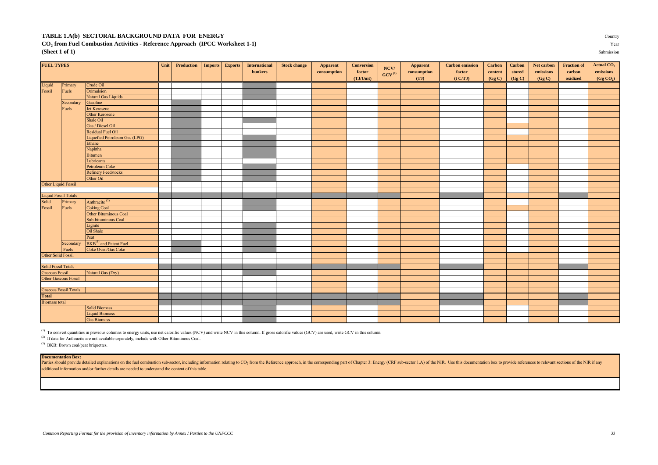#### **TABLE 1.A(b) SECTORAL BACKGROUND DATA FOR ENERGY** Country

#### **CO<sup>2</sup> from Fuel Combustion Activities - Reference Approach (IPCC Worksheet 1-1)** Year **(Sheet 1 of 1)** Submission

FUEL TYPES CONFIDENT Carbon Net carbon Net carbon Net carbon Net carbon Net carbon Net carbon Net carbon Net carbon Net carbon Net carbon Net carbon Net carbon Net carbon Net carbon Net carbon Net carbon Net carbon Net car **bunkers consumption factor consumption factor content stored emissions carbon emissions (TJ/Unit) (TJ) (TJ) (CgC) (GgC) (GgC) (GgC) oxidized (Gg CO**<sub>2</sub>  $(Gg CO<sub>2</sub>)$ Liquid Primary Crude Oil Fossil Fuels Orimulsion Natural Gas Liquids Secondary Gasoline Fuels Jet Kerosen **Other Kerosen** Shale Oil Gas / Diesel Oil Residual Fuel Oil Liquefied Petroleum Gas (LPG) Ethane Naphtha Bitumen Lubricants Petroleum Coke Refinery Feedstocks Other Oil Other Liquid Fossil Liquid Fossil Totals Solid Primary Anthracite<sup>(2)</sup><br>Fossil Fuels Coking Coal **Coking Coal** Other Bituminous Coal Sub-bituminous Coal ionite Oil Shale Peat Secondary BKB<sup>(3)</sup> and Patent Fuel Fuels Coke Oven/Gas Coke Other Solid Fossil olid Fossil Totals<br>Gaseous Fossil Natural Gas (Dry) Other Gaseous Fossil Gaseous Fossil Totals **Total** iomass total Solid Biomass Liquid Biomass Gas Biomass **NCV/ GCV (1)**

<sup>(1)</sup> To convert quantities in previous columns to energy units, use net calorific values (NCV) and write NCV in this column. If gross calorific values (GCV) are used, write GCV in this column.

(2) If data for Anthracite are not available separately, include with Other Bituminous Coal.

<sup>(3)</sup> BKB: Brown coal/peat briquettes.

#### **Documentation Box:**

Parties should provide detailed explanations on the fuel combustion sub-sector, including information relating to CO<sub>2</sub> from the Reference approach, in the corresponding part of Chapter 3: Energy (CRF sub-sector 1.A) of th additional information and/or further details are needed to understand the content of this table.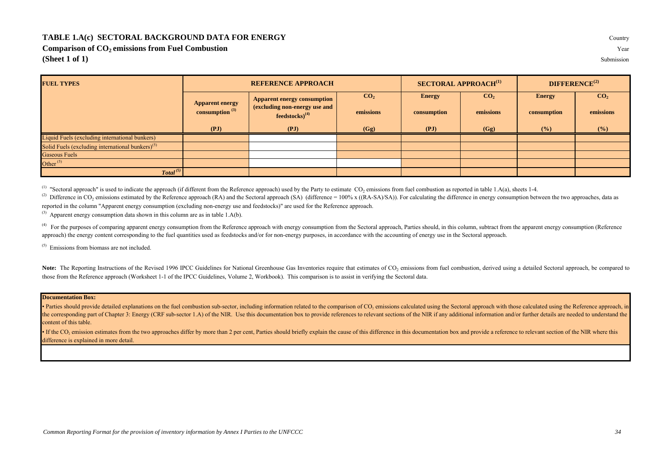#### **TABLE 1.A(c) SECTORAL BACKGROUND DATA FOR ENERGY** Country

**Comparison of CO<sub>2</sub> emissions from Fuel Combustion** 

**(Sheet 1 of 1)** Submission

**FUEL TYPES**  $\overline{\text{CO}_2}$  **Energy**  $\overline{\text{CO}_2}$  **Energy**  $\overline{\text{CO}_2}$ **emissions consumption emissions consumption emissions (PJ) (PJ) (Gg) (PJ) (Gg) (%) (%)** Liquid Fuels (excluding international bunkers) Solid Fuels (excluding international bunkers) $<sup>(5)</sup>$ </sup> Gaseous Fuels Other  $(5)$ *Total (5)* **REFERENCE APPROACH SECTORAL APPROACH(1) DIFFERENCE(2) Apparent energy consumption (3) Apparent energy consumption (excluding non-energy use and feedstocks)(4)**

<sup>(1)</sup> "Sectoral approach" is used to indicate the approach (if different from the Reference approach) used by the Party to estimate  $CO_2$  emissions from fuel combustion as reported in table 1.A(a), sheets 1-4.

<sup>(2)</sup> Difference in CO<sub>2</sub> emissions estimated by the Reference approach (RA) and the Sectoral approach (SA) (difference = 100% x ((RA-SA)/SA)). For calculating the difference in energy consumption between the two approache reported in the column "Apparent energy consumption (excluding non-energy use and feedstocks)" are used for the Reference approach.

(3) Apparent energy consumption data shown in this column are as in table 1.A(b).

<sup>(4)</sup> For the purposes of comparing apparent energy consumption from the Reference approach with energy consumption from the Sectoral approach, Parties should, in this column, subtract from the apparent energy consumption approach) the energy content corresponding to the fuel quantities used as feedstocks and/or for non-energy purposes, in accordance with the accounting of energy use in the Sectoral approach.

 $(5)$  Emissions from biomass are not included.

Note: The Reporting Instructions of the Revised 1996 IPCC Guidelines for National Greenhouse Gas Inventories require that estimates of CO<sub>2</sub> emissions from fuel combustion, derived using a detailed Sectoral approach, be co those from the Reference approach (Worksheet 1-1 of the IPCC Guidelines, Volume 2, Workbook). This comparison is to assist in verifying the Sectoral data.

#### **Documentation Box:**

• Parties should provide detailed explanations on the fuel combustion sub-sector, including information related to the comparison of CO<sub>2</sub> emissions calculated using the Sectoral approach with those calculated using the Re the corresponding part of Chapter 3: Energy (CRF sub-sector 1.A) of the NIR. Use this documentation box to provide references to relevant sections of the NIR if any additional information and/or further details are needed content of this table.

• If the CO<sub>2</sub> emission estimates from the two approaches differ by more than 2 per cent, Parties should briefly explain the cause of this difference in this documentation box and provide a reference to relevant section of difference is explained in more detail.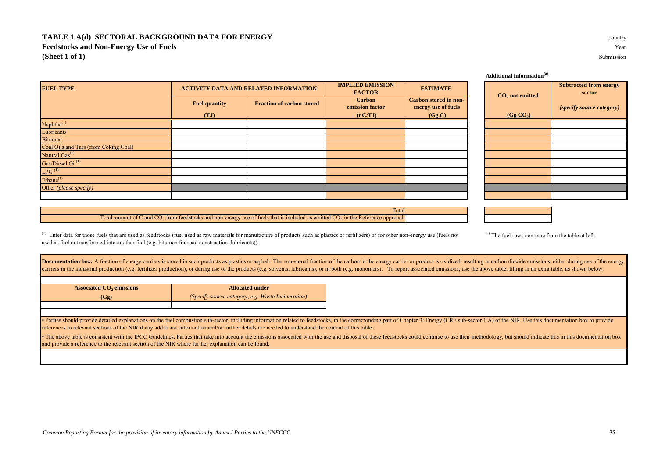#### **TABLE 1.A(d) SECTORAL BACKGROUND DATA FOR ENERGY** Country **Feedstocks and Non-Energy Use of Fuels** Year **(Sheet 1 of 1)** Submission

<sup>(1)</sup> Enter data for those fuels that are used as feedstocks (fuel used as raw materials for manufacture of products such as plastics or fertilizers) or for other non-energy use (fuels not used as fuel or transformed into another fuel (e.g. bitumen for road construction, lubricants)).

Total amount of C and  $CO_2$  from feedstocks and non-energy use of fuels that is included as emitted  $CO_2$  in the Reference approach

Documentation box: A fraction of energy carriers is stored in such products as plastics or asphalt. The non-stored fraction of the carbon in the energy carrier or product is oxidized, resulting in carbon dioxide emissions, carriers in the industrial production (e.g. fertilizer production), or during use of the products (e.g. solvents, lubricants), or in both (e.g. monomers). To report associated emissions, use the above table, filling in an

| <b>Associated CO<sub>2</sub></b> emissions | <b>Allocated under</b>                             |
|--------------------------------------------|----------------------------------------------------|
| (Gg)                                       | (Specify source category, e.g. Waste Incineration) |
|                                            |                                                    |

• Parties should provide detailed explanations on the fuel combustion sub-sector, including information related to feedstocks, in the corresponding part of Chapter 3: Energy (CRF sub-sector 1.A) of the NIR. Use this docume references to relevant sections of the NIR if any additional information and/or further details are needed to understand the content of this table.

• The above table is consistent with the IPCC Guidelines. Parties that take into account the emissions associated with the use and disposal of these feedstocks could continue to use their methodology, but should indicate t and provide a reference to the relevant section of the NIR where further explanation can be found.

|                      |                                  | <b>IMPLIED EMISSION</b><br><b>FACTOR</b>     | <b>ESTIMATE</b>       |                     | $CO2$ not emi         |
|----------------------|----------------------------------|----------------------------------------------|-----------------------|---------------------|-----------------------|
| <b>Fuel quantity</b> | <b>Fraction of carbon stored</b> | <b>Carbon</b><br>emission factor             | Carbon stored in non- |                     |                       |
| (TJ)                 |                                  | (t C/TJ)                                     | (Gg C)                |                     | (Gg CO <sub>2</sub> ) |
|                      |                                  |                                              |                       |                     |                       |
|                      |                                  |                                              |                       |                     |                       |
|                      |                                  |                                              |                       |                     |                       |
|                      |                                  |                                              |                       |                     |                       |
|                      |                                  |                                              |                       |                     |                       |
|                      |                                  |                                              |                       |                     |                       |
|                      |                                  |                                              |                       |                     |                       |
|                      |                                  |                                              |                       |                     |                       |
|                      |                                  |                                              |                       |                     |                       |
|                      |                                  | <b>ACTIVITY DATA AND RELATED INFORMATION</b> |                       | energy use of fuels |                       |

# **FACTOR ESTIMATE ESTIMATE EXECUTER EXECUTER EXECUTER EXECUTER SECUTE EXECUTER SECUTE EXECUTE EXECUTE EXECUTE EXECUTE EXECUTE EXECUTE EXECUTE EXECUTE EXECUTE EXECUTE EXECUTE EXECUTE sector ) CO<sup>2</sup> not emitted**  *(specify source category)*

Total

#### **Additional information(a)**

|  |  |  |  |  |  |  | <sup>(a)</sup> The fuel rows continue from the table at left. |
|--|--|--|--|--|--|--|---------------------------------------------------------------|
|--|--|--|--|--|--|--|---------------------------------------------------------------|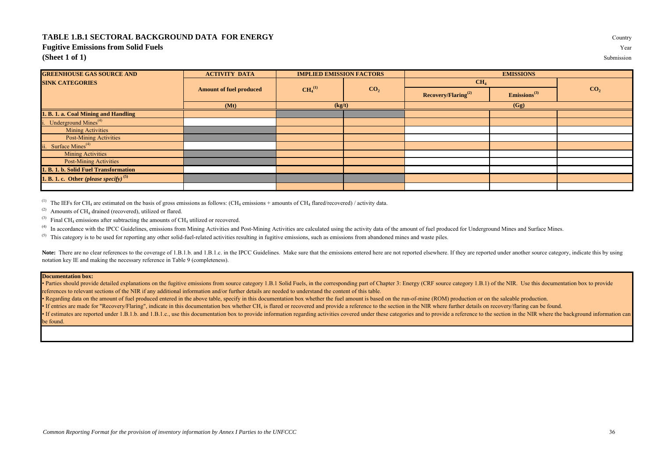#### **TABLE 1.B.1 SECTORAL BACKGROUND DATA FOR ENERGY** Country

#### **Fugitive Emissions from Solid Fuels** Year

**(Sheet 1 of 1)** Submission

| <b>GREENHOUSE GAS SOURCE AND</b>         | <b>ACTIVITY DATA</b>           | <b>IMPLIED EMISSION FACTORS</b> |                 | <b>EMISSIONS</b>                |                          |                 |  |
|------------------------------------------|--------------------------------|---------------------------------|-----------------|---------------------------------|--------------------------|-----------------|--|
| <b>SINK CATEGORIES</b>                   |                                | CH <sub>4</sub> <sup>(1)</sup>  | CO <sub>2</sub> | CH <sub>4</sub>                 |                          |                 |  |
|                                          | <b>Amount of fuel produced</b> |                                 |                 | Recovery/Flaring <sup>(2)</sup> | Emissions <sup>(3)</sup> | CO <sub>2</sub> |  |
|                                          | (Mt)                           | (kg/t)                          |                 | (Gg)                            |                          |                 |  |
| 1. B. 1. a. Coal Mining and Handling     |                                |                                 |                 |                                 |                          |                 |  |
| i. Underground Mines <sup>(4)</sup>      |                                |                                 |                 |                                 |                          |                 |  |
| <b>Mining Activities</b>                 |                                |                                 |                 |                                 |                          |                 |  |
| <b>Post-Mining Activities</b>            |                                |                                 |                 |                                 |                          |                 |  |
| ii. Surface Mines <sup>(4)</sup>         |                                |                                 |                 |                                 |                          |                 |  |
| <b>Mining Activities</b>                 |                                |                                 |                 |                                 |                          |                 |  |
| <b>Post-Mining Activities</b>            |                                |                                 |                 |                                 |                          |                 |  |
| 1. B. 1. b. Solid Fuel Transformation    |                                |                                 |                 |                                 |                          |                 |  |
| 1. B. 1. c. Other (please specify) $(5)$ |                                |                                 |                 |                                 |                          |                 |  |
|                                          |                                |                                 |                 |                                 |                          |                 |  |

<sup>(1)</sup> The IEFs for CH<sub>4</sub> are estimated on the basis of gross emissions as follows: (CH<sub>4</sub> emissions + amounts of CH<sub>4</sub> flared/recovered) / activity data.

 $^{(2)}$  Amounts of CH<sub>4</sub> drained (recovered), utilized or flared.

<sup>(3)</sup> Final CH<sub>4</sub> emissions after subtracting the amounts of CH<sub>4</sub> utilized or recovered.

<sup>(4)</sup> In accordance with the IPCC Guidelines, emissions from Mining Activities and Post-Mining Activities are calculated using the activity data of the amount of fuel produced for Underground Mines and Surface Mines.

 $<sup>(5)</sup>$  This category is to be used for reporting any other solid-fuel-related activities resulting in fugitive emissions, such as emissions from abandoned mines and waste piles.</sup>

Note: There are no clear references to the coverage of 1.B.1.b. and 1.B.1.c. in the IPCC Guidelines. Make sure that the emissions entered here are not reported elsewhere. If they are reported under another source category, notation key IE and making the necessary reference in Table 9 (completeness).

#### **Documentation box:**

Parties should provide detailed explanations on the fugitive emissions from source category 1.B.1 Solid Fuels, in the corresponding part of Chapter 3: Energy (CRF source category 1.B.1) of the NIR. Use this documentation b references to relevant sections of the NIR if any additional information and/or further details are needed to understand the content of this table.

• Regarding data on the amount of fuel produced entered in the above table, specify in this documentation box whether the fuel amount is based on the run-of-mine (ROM) production or on the saleable production.

• If entries are made for "Recovery/Flaring", indicate in this documentation box whether CH<sub>4</sub> is flared or recovered and provide a reference to the section in the NIR where further details on recovery/flaring can be found

• If estimates are reported under 1.B.1.b. and 1.B.1.c., use this documentation box to provide information regarding activities covered under these categories and to provide a reference to the section in the NIR where the be found.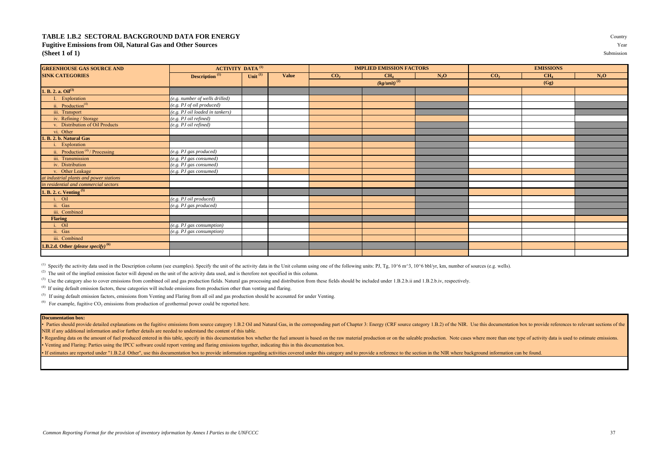## **TABLE 1.B.2 SECTORAL BACKGROUND DATA FOR ENERGY** Country **Fugitive Emissions from Oil, Natural Gas and Other Sources** Year **(Sheet 1 of 1)** Submission

| <b>GREENHOUSE GAS SOURCE AND</b>                | <b>ACTIVITY DATA<sup>(1)</sup></b> |            |       |                 | <b>IMPLIED EMISSION FACTORS</b> |        |                 | <b>EMISSIONS</b> |        |
|-------------------------------------------------|------------------------------------|------------|-------|-----------------|---------------------------------|--------|-----------------|------------------|--------|
| <b>SINK CATEGORIES</b>                          | <b>Description</b> <sup>(1)</sup>  | Unit $(1)$ | Value | CO <sub>2</sub> | CH <sub>4</sub>                 | $N_2O$ | CO <sub>2</sub> | CH <sub>4</sub>  | $N_2O$ |
|                                                 |                                    |            |       |                 | $\sqrt{\frac{kg}{unit}}$ (2)    |        |                 | (Gg)             |        |
| 1. B. 2. a. $\text{Oil}^{(3)}$                  |                                    |            |       |                 |                                 |        |                 |                  |        |
| Exploration                                     | (e.g. number of wells drilled)     |            |       |                 |                                 |        |                 |                  |        |
| ii. Production <sup>(4)</sup>                   | (e.g. PJ of oil produced)          |            |       |                 |                                 |        |                 |                  |        |
| iii. Transport                                  | (e.g. PJ oil loaded in tankers)    |            |       |                 |                                 |        |                 |                  |        |
| iv. Refining / Storage                          | (e.g. PJ oil refined)              |            |       |                 |                                 |        |                 |                  |        |
| v. Distribution of Oil Products                 | (e.g. PJ oil refined)              |            |       |                 |                                 |        |                 |                  |        |
| vi. Other                                       |                                    |            |       |                 |                                 |        |                 |                  |        |
| B. 2. b. Natural Gas                            |                                    |            |       |                 |                                 |        |                 |                  |        |
| Exploration                                     |                                    |            |       |                 |                                 |        |                 |                  |        |
| ii. Production <sup>(4)</sup> /Processing       | (e.g. PJ gas produced)             |            |       |                 |                                 |        |                 |                  |        |
| iii. Transmission                               | (e.g. PJ gas consumed)             |            |       |                 |                                 |        |                 |                  |        |
| iv. Distribution                                | (e.g. PJ gas consumed)             |            |       |                 |                                 |        |                 |                  |        |
| v. Other Leakage                                | (e.g. PJ gas consumed)             |            |       |                 |                                 |        |                 |                  |        |
| at industrial plants and power stations         |                                    |            |       |                 |                                 |        |                 |                  |        |
| in residential and commercial sectors           |                                    |            |       |                 |                                 |        |                 |                  |        |
| <b>B. 2. c. Venting</b> <sup>(5)</sup>          |                                    |            |       |                 |                                 |        |                 |                  |        |
| i. Oil                                          | (e.g. PJ oil produced)             |            |       |                 |                                 |        |                 |                  |        |
| ii. Gas                                         | (e.g. PJ gas produced)             |            |       |                 |                                 |        |                 |                  |        |
| iii. Combined                                   |                                    |            |       |                 |                                 |        |                 |                  |        |
| <b>Flaring</b>                                  |                                    |            |       |                 |                                 |        |                 |                  |        |
| i. Oil                                          | (e.g. PJ gas consumption)          |            |       |                 |                                 |        |                 |                  |        |
| ii. Gas                                         | (e.g. PJ gas consumption)          |            |       |                 |                                 |        |                 |                  |        |
| iii. Combined                                   |                                    |            |       |                 |                                 |        |                 |                  |        |
| <b>1.B.2.d.</b> Other (please specify) $^{(6)}$ |                                    |            |       |                 |                                 |        |                 |                  |        |
|                                                 |                                    |            |       |                 |                                 |        |                 |                  |        |

(1) Specify the activity data used in the Description column (see examples). Specify the unit of the activity data in the Unit column using one of the following units: PJ, Tg, 10 $^{\circ}$ 6 m<sup>2</sup>3, 10 $^{\circ}$ 6 bbl/yr, km, number

<sup>(2)</sup> The unit of the implied emission factor will depend on the unit of the activity data used, and is therefore not specified in this column.

<sup>(3)</sup> Use the category also to cover emissions from combined oil and gas production fields. Natural gas processing and distribution from these fields should be included under 1.B.2.b.ii and 1.B.2.b.iv, respectively.

 $<sup>(4)</sup>$  If using default emission factors, these categories will include emissions from production other than venting and flaring.</sup>

 $<sup>(5)</sup>$  If using default emission factors, emissions from Venting and Flaring from all oil and gas production should be accounted for under Venting.</sup>

<sup>(6)</sup> For example, fugitive  $CO_2$  emissions from production of geothermal power could be reported here.

#### **Documentation box:**

· Parties should provide detailed explanations on the fugitive emissions from source category 1.B.2 Oil and Natural Gas, in the corresponding part of Chapter 3: Energy (CRF source category 1.B.2) of the NIR. Use this docum NIR if any additional information and/or further details are needed to understand the content of this table.

• Regarding data on the amount of fuel produced entered in this table, specify in this documentation box whether the fuel amount is based on the raw material production or on the saleable production. Note cases where more • Venting and Flaring: Parties using the IPCC software could report venting and flaring emissions together, indicating this in this documentation box.

• If estimates are reported under "1.B.2.d Other", use this documentation box to provide information regarding activities covered under this category and to provide a reference to the section in the NIR where background in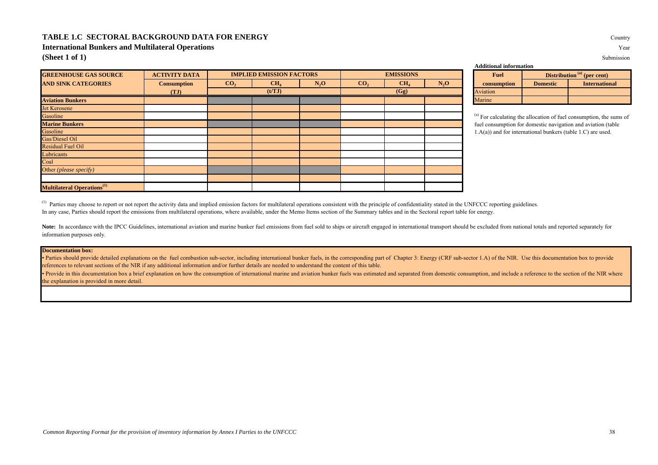## **TABLE 1.C SECTORAL BACKGROUND DATA FOR ENERGY** Country

**International Bunkers and Multilateral Operations** Year

**(Sheet 1 of 1)** Submission

| <b>GREENHOUSE GAS SOURCE</b>                  | <b>ACTIVITY DATA</b> |                 | <b>IMPLIED EMISSION FACTORS</b> |        |                 | <b>EMISSIONS</b> |        | <b>Fuel</b>                                                                |                 | Distribution <sup>(a)</sup> (per cent) |
|-----------------------------------------------|----------------------|-----------------|---------------------------------|--------|-----------------|------------------|--------|----------------------------------------------------------------------------|-----------------|----------------------------------------|
| <b>AND SINK CATEGORIES</b>                    | <b>Consumption</b>   | CO <sub>2</sub> | CH <sub>4</sub>                 | $N_2O$ | CO <sub>2</sub> | CH <sub>4</sub>  | $N_2O$ | consumption                                                                | <b>Domestic</b> | <b>International</b>                   |
|                                               | (TJ)                 |                 | (t/TJ)                          |        |                 | (Gg)             |        | Aviation                                                                   |                 |                                        |
| <b>Aviation Bunkers</b>                       |                      |                 |                                 |        |                 |                  |        | Marine                                                                     |                 |                                        |
| Jet Kerosene                                  |                      |                 |                                 |        |                 |                  |        |                                                                            |                 |                                        |
| Gasoline                                      |                      |                 |                                 |        |                 |                  |        | <sup>(a)</sup> For calculating the allocation of fuel consumption, the sur |                 |                                        |
| <b>Marine Bunkers</b>                         |                      |                 |                                 |        |                 |                  |        | fuel consumption for domestic navigation and aviation (tabl                |                 |                                        |
| Gasoline                                      |                      |                 |                                 |        |                 |                  |        | $1.A(a)$ ) and for international bunkers (table 1.C) are used.             |                 |                                        |
| Gas/Diesel Oil                                |                      |                 |                                 |        |                 |                  |        |                                                                            |                 |                                        |
| <b>Residual Fuel Oil</b>                      |                      |                 |                                 |        |                 |                  |        |                                                                            |                 |                                        |
| Lubricants                                    |                      |                 |                                 |        |                 |                  |        |                                                                            |                 |                                        |
| Coal                                          |                      |                 |                                 |        |                 |                  |        |                                                                            |                 |                                        |
| Other ( <i>please specify</i> )               |                      |                 |                                 |        |                 |                  |        |                                                                            |                 |                                        |
|                                               |                      |                 |                                 |        |                 |                  |        |                                                                            |                 |                                        |
| <b>Multilateral Operations</b> <sup>(1)</sup> |                      |                 |                                 |        |                 |                  |        |                                                                            |                 |                                        |

**Additional information**

| Fuel        |                 | Distribution <sup>(a)</sup> (per cent) |
|-------------|-----------------|----------------------------------------|
| consumption | <b>Domestic</b> | <b>International</b>                   |
| Aviation    |                 |                                        |
| Marine      |                 |                                        |

(a) For calculating the allocation of fuel consumption, the sums of fuel consumption for domestic navigation and aviation (table 1.A(a)) and for international bunkers (table 1.C) are used.

<sup>(1)</sup> Parties may choose to report or not report the activity data and implied emission factors for multilateral operations consistent with the principle of confidentiality stated in the UNFCCC reporting guidelines. In any case, Parties should report the emissions from multilateral operations, where available, under the Memo Items section of the Summary tables and in the Sectoral report table for energy.

Note: In accordance with the IPCC Guidelines, international aviation and marine bunker fuel emissions from fuel sold to ships or aircraft engaged in international transport should be excluded from national totals and repor information purposes only.

## **Documentation box:**

Parties should provide detailed explanations on the fuel combustion sub-sector, including international bunker fuels, in the corresponding part of Chapter 3: Energy (CRF sub-sector 1.A) of the NIR. Use this documentation b references to relevant sections of the NIR if any additional information and/or further details are needed to understand the content of this table.

• Provide in this documentation box a brief explanation on how the consumption of international marine and aviation bunker fuels was estimated and separated from domestic consumption, and include a reference to the section the explanation is provided in more detail.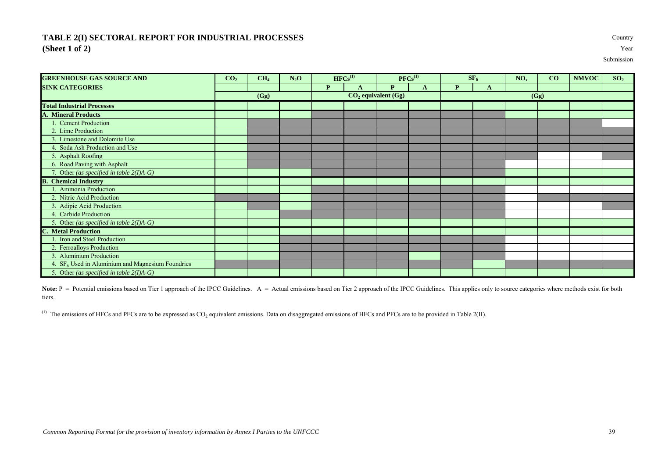## **TABLE 2(I) SECTORAL REPORT FOR INDUSTRIAL PROCESSES** Country **(Sheet 1 of 2)** Year

Submission

| <b>GREENHOUSE GAS SOURCE AND</b>                   | CO <sub>2</sub> | CH <sub>4</sub> | $N_2O$ |   | $HFCs^{(1)}$ |                         | $PFCs^{(1)}$ |   | SF <sub>6</sub> | NO <sub>x</sub> | CO   | <b>NMVOC</b> | SO <sub>2</sub> |
|----------------------------------------------------|-----------------|-----------------|--------|---|--------------|-------------------------|--------------|---|-----------------|-----------------|------|--------------|-----------------|
| <b>SINK CATEGORIES</b>                             |                 |                 |        | P | $\mathbf{A}$ | P                       | A            | P | A               |                 |      |              |                 |
|                                                    |                 | (Gg)            |        |   |              | $CO2$ equivalent $(Gg)$ |              |   |                 |                 | (Gg) |              |                 |
| <b>Total Industrial Processes</b>                  |                 |                 |        |   |              |                         |              |   |                 |                 |      |              |                 |
| <b>A. Mineral Products</b>                         |                 |                 |        |   |              |                         |              |   |                 |                 |      |              |                 |
| . Cement Production                                |                 |                 |        |   |              |                         |              |   |                 |                 |      |              |                 |
| 2. Lime Production                                 |                 |                 |        |   |              |                         |              |   |                 |                 |      |              |                 |
| 3. Limestone and Dolomite Use                      |                 |                 |        |   |              |                         |              |   |                 |                 |      |              |                 |
| 4. Soda Ash Production and Use                     |                 |                 |        |   |              |                         |              |   |                 |                 |      |              |                 |
| 5. Asphalt Roofing                                 |                 |                 |        |   |              |                         |              |   |                 |                 |      |              |                 |
| 6. Road Paving with Asphalt                        |                 |                 |        |   |              |                         |              |   |                 |                 |      |              |                 |
| 7. Other (as specified in table $2(I)A-G$ )        |                 |                 |        |   |              |                         |              |   |                 |                 |      |              |                 |
| B.<br><b>Chemical Industry</b>                     |                 |                 |        |   |              |                         |              |   |                 |                 |      |              |                 |
| . Ammonia Production                               |                 |                 |        |   |              |                         |              |   |                 |                 |      |              |                 |
| 2. Nitric Acid Production                          |                 |                 |        |   |              |                         |              |   |                 |                 |      |              |                 |
| 3. Adipic Acid Production                          |                 |                 |        |   |              |                         |              |   |                 |                 |      |              |                 |
| 4. Carbide Production                              |                 |                 |        |   |              |                         |              |   |                 |                 |      |              |                 |
| 5. Other (as specified in table $2(I)A-G$ )        |                 |                 |        |   |              |                         |              |   |                 |                 |      |              |                 |
| <b>C.</b> Metal Production                         |                 |                 |        |   |              |                         |              |   |                 |                 |      |              |                 |
| . Iron and Steel Production                        |                 |                 |        |   |              |                         |              |   |                 |                 |      |              |                 |
| 2. Ferroalloys Production                          |                 |                 |        |   |              |                         |              |   |                 |                 |      |              |                 |
| 3. Aluminium Production                            |                 |                 |        |   |              |                         |              |   |                 |                 |      |              |                 |
| 4. $SF6$ Used in Aluminium and Magnesium Foundries |                 |                 |        |   |              |                         |              |   |                 |                 |      |              |                 |
| 5. Other (as specified in table $2(I)A-G$ )        |                 |                 |        |   |              |                         |              |   |                 |                 |      |              |                 |

Note: P = Potential emissions based on Tier 1 approach of the IPCC Guidelines. A = Actual emissions based on Tier 2 approach of the IPCC Guidelines. This applies only to source categories where methods exist for both tiers.

 $^{(1)}$  The emissions of HFCs and PFCs are to be expressed as CO<sub>2</sub> equivalent emissions. Data on disaggregated emissions of HFCs and PFCs are to be provided in Table 2(II).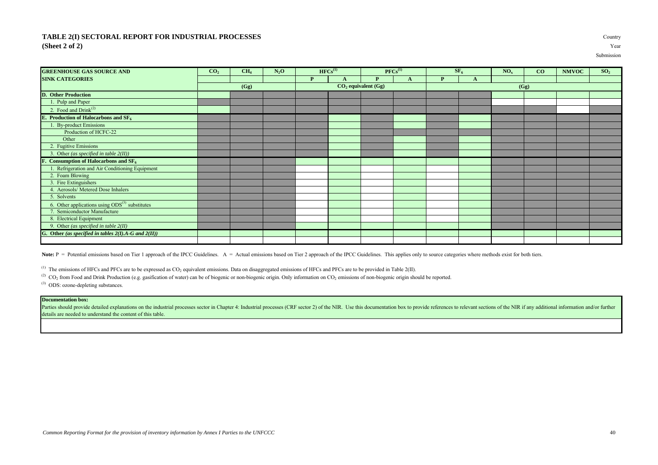## **TABLE 2(I) SECTORAL REPORT FOR INDUSTRIAL PROCESSES (Sheet 2 of 2)** Year

| Countr |     |
|--------|-----|
|        | Yea |

Submission

| <b>GREENHOUSE GAS SOURCE AND</b>                           | CO <sub>2</sub> | CH <sub>4</sub> | $N_2O$ |   | $HFCs^{(1)}$ |                         | $PFCs^{(1)}$ |              | $SE_6$ | NO <sub>x</sub> | CO   | <b>NMVOC</b> | SO <sub>2</sub> |
|------------------------------------------------------------|-----------------|-----------------|--------|---|--------------|-------------------------|--------------|--------------|--------|-----------------|------|--------------|-----------------|
| <b>SINK CATEGORIES</b>                                     |                 |                 |        | P |              | $\mathbf{p}$            | A            | $\mathbf{p}$ | A      |                 |      |              |                 |
|                                                            |                 | (Gg)            |        |   |              | $CO2$ equivalent $(Gg)$ |              |              |        |                 | (Gg) |              |                 |
| <b>D.</b> Other Production                                 |                 |                 |        |   |              |                         |              |              |        |                 |      |              |                 |
| 1. Pulp and Paper                                          |                 |                 |        |   |              |                         |              |              |        |                 |      |              |                 |
| 2. Food and Drink <sup>(2)</sup>                           |                 |                 |        |   |              |                         |              |              |        |                 |      |              |                 |
| <b>E.</b> Production of Halocarbons and $SF6$              |                 |                 |        |   |              |                         |              |              |        |                 |      |              |                 |
| <b>By-product Emissions</b>                                |                 |                 |        |   |              |                         |              |              |        |                 |      |              |                 |
| Production of HCFC-22                                      |                 |                 |        |   |              |                         |              |              |        |                 |      |              |                 |
| Other                                                      |                 |                 |        |   |              |                         |              |              |        |                 |      |              |                 |
| 2. Fugitive Emissions                                      |                 |                 |        |   |              |                         |              |              |        |                 |      |              |                 |
| 3. Other (as specified in table $2(II)$ )                  |                 |                 |        |   |              |                         |              |              |        |                 |      |              |                 |
| F. Consumption of Halocarbons and SF <sub>6</sub>          |                 |                 |        |   |              |                         |              |              |        |                 |      |              |                 |
| Refrigeration and Air Conditioning Equipment               |                 |                 |        |   |              |                         |              |              |        |                 |      |              |                 |
| 2. Foam Blowing                                            |                 |                 |        |   |              |                         |              |              |        |                 |      |              |                 |
| 3. Fire Extinguishers                                      |                 |                 |        |   |              |                         |              |              |        |                 |      |              |                 |
| 4. Aerosols/ Metered Dose Inhalers                         |                 |                 |        |   |              |                         |              |              |        |                 |      |              |                 |
| 5. Solvents                                                |                 |                 |        |   |              |                         |              |              |        |                 |      |              |                 |
| 6. Other applications using $ODS^{(3)}$ substitutes        |                 |                 |        |   |              |                         |              |              |        |                 |      |              |                 |
| Semiconductor Manufacture                                  |                 |                 |        |   |              |                         |              |              |        |                 |      |              |                 |
| 8. Electrical Equipment                                    |                 |                 |        |   |              |                         |              |              |        |                 |      |              |                 |
| 9. Other (as specified in table $2(II)$                    |                 |                 |        |   |              |                         |              |              |        |                 |      |              |                 |
| G. Other (as specified in tables $2(I)$ .A-G and $2(II)$ ) |                 |                 |        |   |              |                         |              |              |        |                 |      |              |                 |
|                                                            |                 |                 |        |   |              |                         |              |              |        |                 |      |              |                 |

Note:  $P =$  Potential emissions based on Tier 1 approach of the IPCC Guidelines.  $A =$  Actual emissions based on Tier 2 approach of the IPCC Guidelines. This applies only to source categories where methods exist for both ti

 $^{(1)}$  The emissions of HFCs and PFCs are to be expressed as CO<sub>2</sub> equivalent emissions. Data on disaggregated emissions of HFCs and PFCs are to be provided in Table 2(II).

(2) CO<sub>2</sub> from Food and Drink Production (e.g. gasification of water) can be of biogenic or non-biogenic origin. Only information on CO<sub>2</sub> emissions of non-biogenic origin should be reported.

(3) ODS: ozone-depleting substances.

## **Documentation box:**

Parties should provide detailed explanations on the industrial processes sector in Chapter 4: Industrial processes (CRF sector 2) of the NIR. Use this documentation box to provide references to relevant sections of the NIR details are needed to understand the content of this table.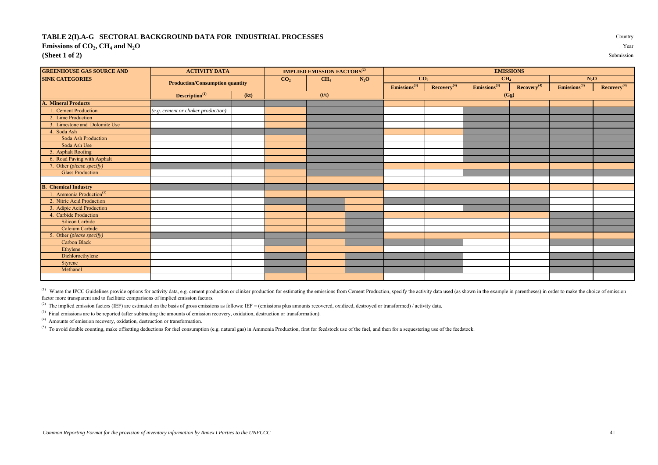#### **TABLE 2(I).A-G SECTORAL BACKGROUND DATA FOR INDUSTRIAL PROCESSES** Country **Emissions of CO<sup>2</sup> , CH<sup>4</sup> and N2O** Year **(Sheet 1 of 2)** Submission

| <b>GREENHOUSE GAS SOURCE AND</b>     | <b>ACTIVITY DATA</b>                   |      |                 | <b>IMPLIED EMISSION FACTORS<sup>(2)</sup></b> |        |                             |                         | <b>EMISSIONS</b>         |                         |                          |                         |
|--------------------------------------|----------------------------------------|------|-----------------|-----------------------------------------------|--------|-----------------------------|-------------------------|--------------------------|-------------------------|--------------------------|-------------------------|
| <b>SINK CATEGORIES</b>               |                                        |      | CO <sub>2</sub> | CH <sub>4</sub>                               | $N_2O$ | CO <sub>2</sub>             |                         | CH <sub>4</sub>          |                         | $N_2O$                   |                         |
|                                      | <b>Production/Consumption quantity</b> |      |                 |                                               |        | $E$ missions <sup>(3)</sup> | Recovery <sup>(4)</sup> | Emissions <sup>(3)</sup> | Recovery <sup>(4)</sup> | Emissions <sup>(3)</sup> | Recovery <sup>(4)</sup> |
|                                      | Description <sup>(1)</sup>             | (kt) |                 | (t/t)                                         |        |                             |                         | (Gg)                     |                         |                          |                         |
| <b>A. Mineral Products</b>           |                                        |      |                 |                                               |        |                             |                         |                          |                         |                          |                         |
| 1. Cement Production                 | (e.g. cement or clinker production)    |      |                 |                                               |        |                             |                         |                          |                         |                          |                         |
| 2. Lime Production                   |                                        |      |                 |                                               |        |                             |                         |                          |                         |                          |                         |
| 3. Limestone and Dolomite Use        |                                        |      |                 |                                               |        |                             |                         |                          |                         |                          |                         |
| 4. Soda Ash                          |                                        |      |                 |                                               |        |                             |                         |                          |                         |                          |                         |
| Soda Ash Production                  |                                        |      |                 |                                               |        |                             |                         |                          |                         |                          |                         |
| Soda Ash Use                         |                                        |      |                 |                                               |        |                             |                         |                          |                         |                          |                         |
| 5. Asphalt Roofing                   |                                        |      |                 |                                               |        |                             |                         |                          |                         |                          |                         |
| 6. Road Paving with Asphalt          |                                        |      |                 |                                               |        |                             |                         |                          |                         |                          |                         |
| 7. Other (please specify)            |                                        |      |                 |                                               |        |                             |                         |                          |                         |                          |                         |
| <b>Glass Production</b>              |                                        |      |                 |                                               |        |                             |                         |                          |                         |                          |                         |
|                                      |                                        |      |                 |                                               |        |                             |                         |                          |                         |                          |                         |
| <b>B.</b> Chemical Industry          |                                        |      |                 |                                               |        |                             |                         |                          |                         |                          |                         |
| 1. Ammonia Production <sup>(5)</sup> |                                        |      |                 |                                               |        |                             |                         |                          |                         |                          |                         |
| 2. Nitric Acid Production            |                                        |      |                 |                                               |        |                             |                         |                          |                         |                          |                         |
| 3. Adipic Acid Production            |                                        |      |                 |                                               |        |                             |                         |                          |                         |                          |                         |
| 4. Carbide Production                |                                        |      |                 |                                               |        |                             |                         |                          |                         |                          |                         |
| Silicon Carbide                      |                                        |      |                 |                                               |        |                             |                         |                          |                         |                          |                         |
| Calcium Carbide                      |                                        |      |                 |                                               |        |                             |                         |                          |                         |                          |                         |
| 5. Other (please specify)            |                                        |      |                 |                                               |        |                             |                         |                          |                         |                          |                         |
| <b>Carbon Black</b>                  |                                        |      |                 |                                               |        |                             |                         |                          |                         |                          |                         |
| Ethylene                             |                                        |      |                 |                                               |        |                             |                         |                          |                         |                          |                         |
| Dichloroethylene                     |                                        |      |                 |                                               |        |                             |                         |                          |                         |                          |                         |
| Styrene                              |                                        |      |                 |                                               |        |                             |                         |                          |                         |                          |                         |
| Methanol                             |                                        |      |                 |                                               |        |                             |                         |                          |                         |                          |                         |

<sup>(1)</sup> Where the IPCC Guidelines provide options for activity data, e.g. cement production or clinker production for estimating the emissions from Cement Production, specify the activity data used (as shown in the example i factor more transparent and to facilitate comparisons of implied emission factors.

<sup>(2)</sup> The implied emission factors (IEF) are estimated on the basis of gross emissions as follows: IEF = (emissions plus amounts recovered, oxidized, destroyed or transformed) / activity data.

<sup>(3)</sup> Final emissions are to be reported (after subtracting the amounts of emission recovery, oxidation, destruction or transformation).

(4) Amounts of emission recovery, oxidation, destruction or transformation.

 $(5)$  To avoid double counting, make offsetting deductions for fuel consumption (e.g. natural gas) in Ammonia Production, first for feedstock use of the fuel, and then for a sequestering use of the feedstock.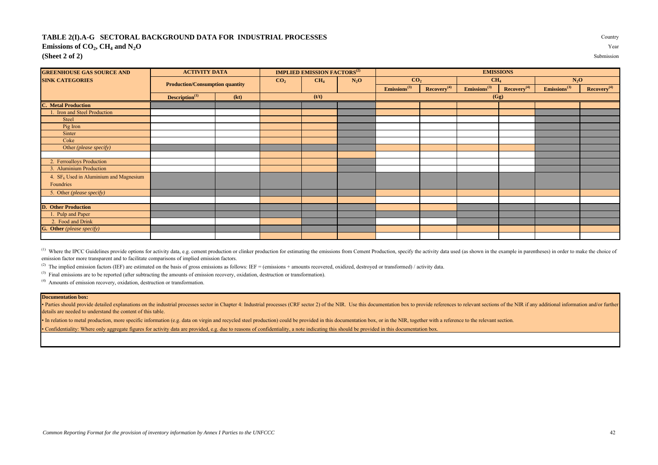#### **TABLE 2(I).A-G SECTORAL BACKGROUND DATA FOR INDUSTRIAL PROCESSES** Country **Emissions of CO<sup>2</sup> , CH<sup>4</sup> and N2O** Year **(Sheet 2 of 2)** Submission

| <b>GREENHOUSE GAS SOURCE AND</b> | <b>ACTIVITY DATA</b>                   |      |                 | <b>IMPLIED EMISSION FACTORS<sup>(2)</sup></b> |        |                             |                         | <b>EMISSIONS</b>         |                         |                          |                         |
|----------------------------------|----------------------------------------|------|-----------------|-----------------------------------------------|--------|-----------------------------|-------------------------|--------------------------|-------------------------|--------------------------|-------------------------|
| <b>SINK CATEGORIES</b>           |                                        |      | CO <sub>2</sub> | CH <sub>4</sub>                               | $N_2O$ | CO <sub>2</sub>             |                         | CH <sub>4</sub>          |                         | $N_2$ O                  |                         |
|                                  | <b>Production/Consumption quantity</b> |      |                 |                                               |        | $E$ missions <sup>(3)</sup> | Recovery <sup>(4)</sup> | Emissions <sup>(3)</sup> | Recovery <sup>(4)</sup> | Emissions <sup>(3)</sup> | Recovery <sup>(4)</sup> |
|                                  | Description <sup>(1)</sup>             | (kt) |                 | (t/t)                                         |        |                             |                         | (Gg)                     |                         |                          |                         |
| <b>C. Metal Production</b>       |                                        |      |                 |                                               |        |                             |                         |                          |                         |                          |                         |
| Iron and Steel Production        |                                        |      |                 |                                               |        |                             |                         |                          |                         |                          |                         |
| <b>Steel</b>                     |                                        |      |                 |                                               |        |                             |                         |                          |                         |                          |                         |
| Pig Iron                         |                                        |      |                 |                                               |        |                             |                         |                          |                         |                          |                         |
| Sinter                           |                                        |      |                 |                                               |        |                             |                         |                          |                         |                          |                         |
| Coke                             |                                        |      |                 |                                               |        |                             |                         |                          |                         |                          |                         |
| Other (please specify)           |                                        |      |                 |                                               |        |                             |                         |                          |                         |                          |                         |
|                                  |                                        |      |                 |                                               |        |                             |                         |                          |                         |                          |                         |
| 2. Ferroalloys Production        |                                        |      |                 |                                               |        |                             |                         |                          |                         |                          |                         |
| 3. Aluminium Production          |                                        |      |                 |                                               |        |                             |                         |                          |                         |                          |                         |

<sup>(1)</sup> Where the IPCC Guidelines provide options for activity data, e.g. cement production or clinker production for estimating the emissions from Cement Production, specify the activity data used (as shown in the example i emission factor more transparent and to facilitate comparisons of implied emission factors.

<sup>(2)</sup> The implied emission factors (IEF) are estimated on the basis of gross emissions as follows: IEF = (emissions + amounts recovered, oxidized, destroyed or transformed) / activity data.

<sup>(3)</sup> Final emissions are to be reported (after subtracting the amounts of emission recovery, oxidation, destruction or transformation).

(4) Amounts of emission recovery, oxidation, destruction or transformation.

4.  $SF<sub>6</sub>$  Used in Aluminium and Magnesium

## **Documentation box:**

Foundries

**D. Other Production** 1. Pulp and Paper 2. Food and Drink **G. Other** *(please specify)*

5. Other *(please specify)*

• Parties should provide detailed explanations on the industrial processes sector in Chapter 4: Industrial processes (CRF sector) 2) of the NIR. Use this documentation box to provide references to relevant sections of the details are needed to understand the content of this table.

• In relation to metal production, more specific information (e.g. data on virgin and recycled steel production) could be provided in this documentation box, or in the NIR, together with a reference to the relevant section

• Confidentiality: Where only aggregate figures for activity data are provided, e.g. due to reasons of confidentiality, a note indicating this should be provided in this documentation box.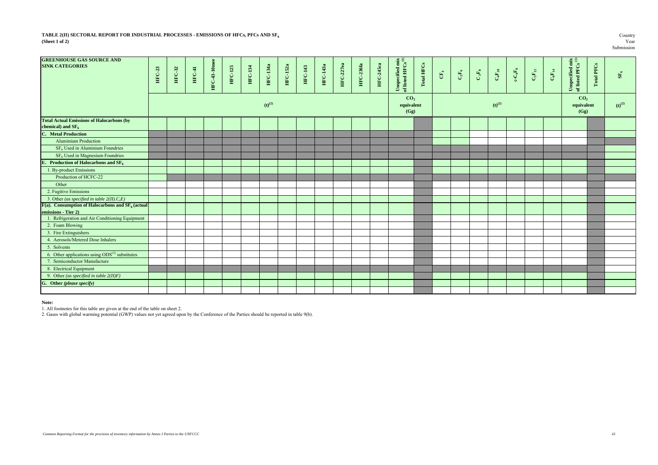### **TABLE 2(II) SECTORAL REPORT FOR INDUSTRIAL PROCESSES - EMISSIONS OF HFCs, PFCs AND SF<sub>6</sub> Country Country Country Country Country Country Country Country Country Country Country Country Country Country Country Country Coun (Sheet 1 of 2)** Year

| <b>GREENHOUSE GAS SOURCE AND</b><br><b>SINK CATEGORIES</b>              | HFC-23 | HFC-32 | HFC-41 | <b>HFC-43-10me</b> | <b>HFC-125</b> | <b>HFC-134</b> | <b>HFC-134a</b> | <b>HFC-152a</b> | HFC-143 | <b>HFC-143a</b> | <b>HFC-227ea</b> | <b>HFC-236fa</b> | <b>HFC-245ca</b> | Unspecified mix of listed HFCs $^{(1)}$ | Total HFCs | $\mathbb{E}_4$ | $\mathbf{C}_2\mathbf{F}_6$ | $\mathbf{C}$ $_3\mathbf{F_8}$ | $\mathbf{C_4F_{10}}$ | $\mathbf{c}\text{-}\mathbf{C}_4\mathbf{F}_8$ | $\mathbf{C_5F_{12}}$ | $\mathbf{C}_6\mathbf{F}_{14}$ | Unspecified mix<br>of listed PFCs $\ensuremath{^{(1)}}$ | <b>Total PFCs</b> | $\rm SF_6$           |
|-------------------------------------------------------------------------|--------|--------|--------|--------------------|----------------|----------------|-----------------|-----------------|---------|-----------------|------------------|------------------|------------------|-----------------------------------------|------------|----------------|----------------------------|-------------------------------|----------------------|----------------------------------------------|----------------------|-------------------------------|---------------------------------------------------------|-------------------|----------------------|
|                                                                         |        |        |        |                    |                |                | $(t)^{(2)}$     |                 |         |                 |                  |                  |                  | CO <sub>2</sub><br>equivalent<br>(Gg)   |            |                |                            |                               | $(t)$ <sup>(2)</sup> |                                              |                      |                               | CO <sub>2</sub><br>equivalent<br>(Gg)                   |                   | $(b)$ <sup>(2)</sup> |
| <b>Total Actual Emissions of Halocarbons (by</b><br>chemical) and $SF6$ |        |        |        |                    |                |                |                 |                 |         |                 |                  |                  |                  |                                         |            |                |                            |                               |                      |                                              |                      |                               |                                                         |                   |                      |
| <b>C.</b> Metal Production                                              |        |        |        |                    |                |                |                 |                 |         |                 |                  |                  |                  |                                         |            |                |                            |                               |                      |                                              |                      |                               |                                                         |                   |                      |
| <b>Aluminium Production</b>                                             |        |        |        |                    |                |                |                 |                 |         |                 |                  |                  |                  |                                         |            |                |                            |                               |                      |                                              |                      |                               |                                                         |                   |                      |
| $SF6$ Used in Aluminium Foundries                                       |        |        |        |                    |                |                |                 |                 |         |                 |                  |                  |                  |                                         |            |                |                            |                               |                      |                                              |                      |                               |                                                         |                   |                      |
| SF <sub>6</sub> Used in Magnesium Foundries                             |        |        |        |                    |                |                |                 |                 |         |                 |                  |                  |                  |                                         |            |                |                            |                               |                      |                                              |                      |                               |                                                         |                   |                      |
| E. Production of Halocarbons and $SF6$                                  |        |        |        |                    |                |                |                 |                 |         |                 |                  |                  |                  |                                         |            |                |                            |                               |                      |                                              |                      |                               |                                                         |                   |                      |
| 1. By-product Emissions                                                 |        |        |        |                    |                |                |                 |                 |         |                 |                  |                  |                  |                                         |            |                |                            |                               |                      |                                              |                      |                               |                                                         |                   |                      |
| Production of HCFC-22                                                   |        |        |        |                    |                |                |                 |                 |         |                 |                  |                  |                  |                                         |            |                |                            |                               |                      |                                              |                      |                               |                                                         |                   |                      |
| Other                                                                   |        |        |        |                    |                |                |                 |                 |         |                 |                  |                  |                  |                                         |            |                |                            |                               |                      |                                              |                      |                               |                                                         |                   |                      |
| 2. Fugitive Emissions                                                   |        |        |        |                    |                |                |                 |                 |         |                 |                  |                  |                  |                                         |            |                |                            |                               |                      |                                              |                      |                               |                                                         |                   |                      |
| 3. Other (as specified in table $2(II)$ .C,E)                           |        |        |        |                    |                |                |                 |                 |         |                 |                  |                  |                  |                                         |            |                |                            |                               |                      |                                              |                      |                               |                                                         |                   |                      |
| $F(a)$ . Consumption of Halocarbons and $SF6$ (actual)                  |        |        |        |                    |                |                |                 |                 |         |                 |                  |                  |                  |                                         |            |                |                            |                               |                      |                                              |                      |                               |                                                         |                   |                      |
| emissions - Tier 2)                                                     |        |        |        |                    |                |                |                 |                 |         |                 |                  |                  |                  |                                         |            |                |                            |                               |                      |                                              |                      |                               |                                                         |                   |                      |
| 1. Refrigeration and Air Conditioning Equipment                         |        |        |        |                    |                |                |                 |                 |         |                 |                  |                  |                  |                                         |            |                |                            |                               |                      |                                              |                      |                               |                                                         |                   |                      |
| 2. Foam Blowing                                                         |        |        |        |                    |                |                |                 |                 |         |                 |                  |                  |                  |                                         |            |                |                            |                               |                      |                                              |                      |                               |                                                         |                   |                      |
| 3. Fire Extinguishers                                                   |        |        |        |                    |                |                |                 |                 |         |                 |                  |                  |                  |                                         |            |                |                            |                               |                      |                                              |                      |                               |                                                         |                   |                      |
| 4. Aerosols/Metered Dose Inhalers                                       |        |        |        |                    |                |                |                 |                 |         |                 |                  |                  |                  |                                         |            |                |                            |                               |                      |                                              |                      |                               |                                                         |                   |                      |
| 5. Solvents                                                             |        |        |        |                    |                |                |                 |                 |         |                 |                  |                  |                  |                                         |            |                |                            |                               |                      |                                              |                      |                               |                                                         |                   |                      |
| 6. Other applications using $ODS^{(3)}$ substitutes                     |        |        |        |                    |                |                |                 |                 |         |                 |                  |                  |                  |                                         |            |                |                            |                               |                      |                                              |                      |                               |                                                         |                   |                      |
| 7. Semiconductor Manufacture                                            |        |        |        |                    |                |                |                 |                 |         |                 |                  |                  |                  |                                         |            |                |                            |                               |                      |                                              |                      |                               |                                                         |                   |                      |
| 8. Electrical Equipment                                                 |        |        |        |                    |                |                |                 |                 |         |                 |                  |                  |                  |                                         |            |                |                            |                               |                      |                                              |                      |                               |                                                         |                   |                      |
| 9. Other (as specified in table $2(II)F$ )                              |        |        |        |                    |                |                |                 |                 |         |                 |                  |                  |                  |                                         |            |                |                            |                               |                      |                                              |                      |                               |                                                         |                   |                      |
| G. Other (please specify)                                               |        |        |        |                    |                |                |                 |                 |         |                 |                  |                  |                  |                                         |            |                |                            |                               |                      |                                              |                      |                               |                                                         |                   |                      |
|                                                                         |        |        |        |                    |                |                |                 |                 |         |                 |                  |                  |                  |                                         |            |                |                            |                               |                      |                                              |                      |                               |                                                         |                   |                      |

**Note:**

1. All footnotes for this table are given at the end of the table on sheet 2.

2. Gases with global warming potential (GWP) values not yet agreed upon by the Conference of the Parties should be reported in table 9(b).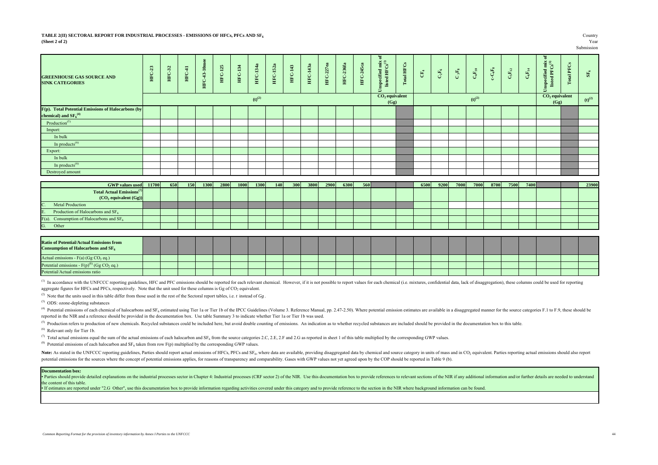#### **TABLE 2(II) SECTORAL REPORT FOR INDUSTRIAL PROCESSES - EMISSIONS OF HFCs, PFCs AND SF<sup>6</sup>** Country **(Sheet 2 of 2)** Year

# Submission

| <b>GREENHOUSE GAS SOURCE AND</b><br><b>SINK CATEGORIES</b> | 畠 | 32<br>EEC | 量<br>HEC | 흨<br>₽<br>HFC. | $\mathbb{S}$<br>≕<br>- 11<br>FC. | $\frac{34}{2}$<br>- 1<br>EC | 34a<br>÷<br>HFC.     | <b>HFC-152a</b> | 143<br>- 1<br>EC. | 43a<br>$\rightarrow$<br>H <sub>E</sub> C | HFC-227ea | 236fa<br>E | 245ca<br><b>D<br/>田</b> | 5                        | ඊ<br>齨<br>$\Xi$ | $C_{4}$ | $\mathbf{C}_2\mathbf{F}_6$ | $\mathbf{C}\,{}_{3}\mathbf{F}_{8}$ | $\mathbf{C_4F_{10}}$ | $C_4F_8$ | $\mathbf{C}_5\mathbf{F}_{12}$ | $\mathbf{C_6F_{14}}$ | ۵<br>ispecified mix of listed $\mathrm{PFCs}^{(1)}$<br><b>R</b><br>Б | PFCs<br>$\overline{\mathbf{a}}$<br>$\mathbf{r}$ | $\mathbf{SE}_6$ |
|------------------------------------------------------------|---|-----------|----------|----------------|----------------------------------|-----------------------------|----------------------|-----------------|-------------------|------------------------------------------|-----------|------------|-------------------------|--------------------------|-----------------|---------|----------------------------|------------------------------------|----------------------|----------|-------------------------------|----------------------|----------------------------------------------------------------------|-------------------------------------------------|-----------------|
|                                                            |   |           |          |                |                                  |                             | $(b)$ <sup>(2)</sup> |                 |                   |                                          |           |            |                         | $CO2$ equivalent<br>(Gg) |                 |         |                            |                                    | $(t)^{(2)}$          |          |                               |                      | $CO2$ equivalent<br>(Gg)                                             |                                                 | $(t)^{(2)}$     |
| F(p). Total Potential Emissions of Halocarbons (by         |   |           |          |                |                                  |                             |                      |                 |                   |                                          |           |            |                         |                          |                 |         |                            |                                    |                      |          |                               |                      |                                                                      |                                                 |                 |
| chemical) and $\text{SF}_6^{(4)}$                          |   |           |          |                |                                  |                             |                      |                 |                   |                                          |           |            |                         |                          |                 |         |                            |                                    |                      |          |                               |                      |                                                                      |                                                 |                 |
| Production <sup>(5)</sup>                                  |   |           |          |                |                                  |                             |                      |                 |                   |                                          |           |            |                         |                          |                 |         |                            |                                    |                      |          |                               |                      |                                                                      |                                                 |                 |
| Import:                                                    |   |           |          |                |                                  |                             |                      |                 |                   |                                          |           |            |                         |                          |                 |         |                            |                                    |                      |          |                               |                      |                                                                      |                                                 |                 |
| In bulk                                                    |   |           |          |                |                                  |                             |                      |                 |                   |                                          |           |            |                         |                          |                 |         |                            |                                    |                      |          |                               |                      |                                                                      |                                                 |                 |
| In products <sup><math>(6)</math></sup>                    |   |           |          |                |                                  |                             |                      |                 |                   |                                          |           |            |                         |                          |                 |         |                            |                                    |                      |          |                               |                      |                                                                      |                                                 |                 |
| Export:                                                    |   |           |          |                |                                  |                             |                      |                 |                   |                                          |           |            |                         |                          |                 |         |                            |                                    |                      |          |                               |                      |                                                                      |                                                 |                 |
| In bulk                                                    |   |           |          |                |                                  |                             |                      |                 |                   |                                          |           |            |                         |                          |                 |         |                            |                                    |                      |          |                               |                      |                                                                      |                                                 |                 |
| In products <sup><math>(6)</math></sup>                    |   |           |          |                |                                  |                             |                      |                 |                   |                                          |           |            |                         |                          |                 |         |                            |                                    |                      |          |                               |                      |                                                                      |                                                 |                 |
| Destroyed amount                                           |   |           |          |                |                                  |                             |                      |                 |                   |                                          |           |            |                         |                          |                 |         |                            |                                    |                      |          |                               |                      |                                                                      |                                                 |                 |

| GWP values used 11700                                                    | 650 | <b>150</b> | 1300 | 2800 | 1000 | 1300 | <b>140</b> | 300 | 3800 | 2900 | 6300 | 560 |  | 6500 | 9200 | 7000 | 7000 | 8700 | 7500 | 7400 |  | 23900 |
|--------------------------------------------------------------------------|-----|------------|------|------|------|------|------------|-----|------|------|------|-----|--|------|------|------|------|------|------|------|--|-------|
| <b>Total Actual Emissions</b> <sup>(7)</sup><br>$(CO2$ equivalent $(Gg)$ |     |            |      |      |      |      |            |     |      |      |      |     |  |      |      |      |      |      |      |      |  |       |
| Metal Production                                                         |     |            |      |      |      |      |            |     |      |      |      |     |  |      |      |      |      |      |      |      |  |       |
| Production of Halocarbons and $SF6$                                      |     |            |      |      |      |      |            |     |      |      |      |     |  |      |      |      |      |      |      |      |  |       |
| F(a). Consumption of Halocarbons and $SF6$                               |     |            |      |      |      |      |            |     |      |      |      |     |  |      |      |      |      |      |      |      |  |       |
| Other                                                                    |     |            |      |      |      |      |            |     |      |      |      |     |  |      |      |      |      |      |      |      |  |       |

| <b>Ratio of Potential/Actual Emissions from</b><br>Consumption of Halocarbons and $SF6$ |  |  |  |  |  |  |  |  |  |  |  |  |  |
|-----------------------------------------------------------------------------------------|--|--|--|--|--|--|--|--|--|--|--|--|--|
| Actual emissions - $F(a)$ (Gg CO <sub>2</sub> eq.)                                      |  |  |  |  |  |  |  |  |  |  |  |  |  |
| Potential emissions - $F(p)^{(8)}$ (Gg CO <sub>2</sub> eq.)                             |  |  |  |  |  |  |  |  |  |  |  |  |  |
| Potential/Actual emissions ratio                                                        |  |  |  |  |  |  |  |  |  |  |  |  |  |

<sup>(1)</sup> In accordance with the UNFCCC reporting guidelines, HFC and PFC emissions should be reported for each relevant chemical. However, if it is not possible to report values for each chemical (i.e. mixtures, confidential aggregate figures for HFCs and PFCs, respectively. Note that the unit used for these columns is  $Gg$  of  $CO<sub>2</sub>$  equivalent.

(2) Note that the units used in this table differ from those used in the rest of the Sectoral report tables, i.e. *t* instead of *Gg* .

(3) ODS: ozone-depleting substances

(4) Potential emissions of each chemical of halocarbons and SF<sub>6</sub> estimated using Tier 1a or Tier 1b of the IPCC Guidelines (Volume 3. Reference Manual, pp. 2.47-2.50). Where potential emission estimates are available in a reported in the NIR and a reference should be provided in the documentation box. Use table Summary 3 to indicate whether Tier 1a or Tier 1b was used.

<sup>(5)</sup> Production refers to production of new chemicals. Recycled substances could be included here, but avoid double counting of emissions. An indication as to whether recycled substances are included should be provided in

(6) Relevant only for Tier 1b.

( $^{7}$ ) Total actual emissions equal the sum of the actual emissions of each halocarbon and SF<sub>6</sub> from the source categories 2.C, 2.E, 2.F and 2.G as reported in sheet 1 of this table multiplied by the corresponding GWP v

<sup>(8)</sup> Potential emissions of each halocarbon and  $SF_6$  taken from row  $F(p)$  multiplied by the corresponding GWP values.

Note: As stated in the UNFCCC reporting guidelines, Parties should report actual emissions of HFCs, PFCs and SF<sub>6</sub>, where data are available, providing disaggregated data by chemical and source category in units of mass an potential emissions for the sources where the concept of potential emissions applies, for reasons of transparency and comparability. Gases with GWP values not yet agreed upon by the COP should be reported in Table 9 (b).

#### **Documentation box:**

• Parties should provide detailed explanations on the industrial processes sector in Chapter 4: Industrial processes (CRF sector 2) of the NIR. Use this documentation box to provide references to relevant sections of the N the content of this table.

If estimates are reported under "2.G Other", use this documentation box to provide information regarding activities covered under this category and to provide reference to the section in the NIR where background informatio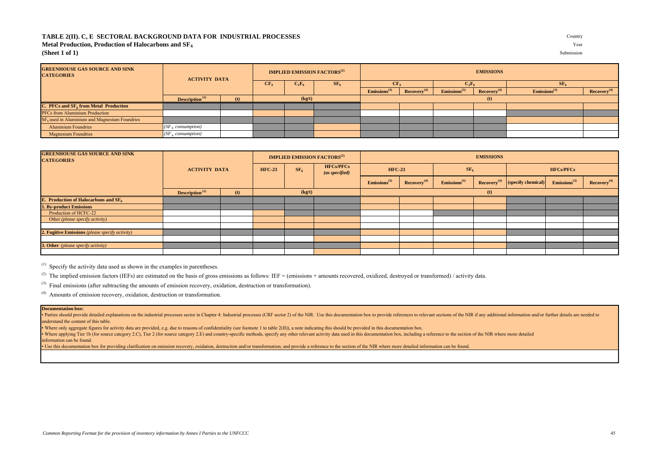## TABLE 2(II). C, E SECTORAL BACKGROUND DATA FOR INDUSTRIAL PROCESSES **Metal Production, Production of Halocarbons and SF<sub>6</sub>**

**(Sheet 1 of 1)** Submission

| Countr     |  |
|------------|--|
| Yea        |  |
| Submission |  |

| <b>GREENHOUSE GAS SOURCE AND SINK</b><br><b>CATEGORIES</b> |                                   | <b>ACTIVITY DATA</b> |                 | <b>IMPLIED EMISSION FACTORS</b> <sup>(2)</sup> |        |                          | <b>EMISSIONS</b>       |                          |                         |                          |                         |  |  |
|------------------------------------------------------------|-----------------------------------|----------------------|-----------------|------------------------------------------------|--------|--------------------------|------------------------|--------------------------|-------------------------|--------------------------|-------------------------|--|--|
|                                                            |                                   |                      | CF <sub>4</sub> | $C_2F_6$                                       | $SE_6$ | CF <sub>4</sub>          |                        | $C_2F_6$                 |                         | SF <sub>6</sub>          |                         |  |  |
|                                                            |                                   |                      |                 |                                                |        | Emissions <sup>(3)</sup> | (4)<br><b>Recovery</b> | Emissions <sup>(3)</sup> | Recovery <sup>(4)</sup> | Emissions <sup>(3)</sup> | Recovery <sup>(4)</sup> |  |  |
|                                                            | <b>Description</b> <sup>(1)</sup> | (kg/t)               |                 |                                                |        |                          |                        | (t)                      |                         |                          |                         |  |  |
| C. PFCs and $SF6$ from Metal Production                    |                                   |                      |                 |                                                |        |                          |                        |                          |                         |                          |                         |  |  |
| PFCs from Aluminium Production                             |                                   |                      |                 |                                                |        |                          |                        |                          |                         |                          |                         |  |  |
| SF <sub>6</sub> used in Aluminium and Magnesium Foundries  |                                   |                      |                 |                                                |        |                          |                        |                          |                         |                          |                         |  |  |
| <b>Aluminium Foundries</b>                                 | (SF <sub>6</sub> consumption)     |                      |                 |                                                |        |                          |                        |                          |                         |                          |                         |  |  |
| <b>Magnesium Foundries</b>                                 | $(SF_6$ consumption)              |                      |                 |                                                |        |                          |                        |                          |                         |                          |                         |  |  |

| <b>GREENHOUSE GAS SOURCE AND SINK</b><br><b>CATEGORIES</b> |                            |        |                                                    | <b>IMPLIED EMISSION FACTORS</b> <sup>(2)</sup> |                             |                         | <b>EMISSIONS</b>            |                         |                    |                          |                         |  |  |
|------------------------------------------------------------|----------------------------|--------|----------------------------------------------------|------------------------------------------------|-----------------------------|-------------------------|-----------------------------|-------------------------|--------------------|--------------------------|-------------------------|--|--|
|                                                            | <b>ACTIVITY DATA</b>       |        | SF <sub>6</sub><br><b>HFC-23</b><br>(as specified) |                                                | <b>HFCs/PFCs</b>            | <b>HFC-23</b>           |                             | SF <sub>6</sub>         |                    | <b>HFCs/PFCs</b>         |                         |  |  |
|                                                            |                            |        |                                                    |                                                | $E$ missions <sup>(3)</sup> | Recovery <sup>(4)</sup> | $E$ missions <sup>(3)</sup> | Recovery <sup>(4)</sup> | (specify chemical) | Emissions <sup>(3)</sup> | Recovery <sup>(4)</sup> |  |  |
|                                                            | Description <sup>(1)</sup> | (kg/t) |                                                    |                                                | (t)                         |                         |                             |                         |                    |                          |                         |  |  |
| <b>E.</b> Production of Halocarbons and $SF6$              |                            |        |                                                    |                                                |                             |                         |                             |                         |                    |                          |                         |  |  |
| <b>1. By-product Emissions</b>                             |                            |        |                                                    |                                                |                             |                         |                             |                         |                    |                          |                         |  |  |
| Production of HCFC-22                                      |                            |        |                                                    |                                                |                             |                         |                             |                         |                    |                          |                         |  |  |
| Other (please specify activity)                            |                            |        |                                                    |                                                |                             |                         |                             |                         |                    |                          |                         |  |  |
|                                                            |                            |        |                                                    |                                                |                             |                         |                             |                         |                    |                          |                         |  |  |
| 2. Fugitive Emissions (please specify activity)            |                            |        |                                                    |                                                |                             |                         |                             |                         |                    |                          |                         |  |  |
|                                                            |                            |        |                                                    |                                                |                             |                         |                             |                         |                    |                          |                         |  |  |
| 3. Other (please specify activity)                         |                            |        |                                                    |                                                |                             |                         |                             |                         |                    |                          |                         |  |  |
|                                                            |                            |        |                                                    |                                                |                             |                         |                             |                         |                    |                          |                         |  |  |

 $(1)$  Specify the activity data used as shown in the examples in parentheses.

<sup>(2)</sup> The implied emission factors (IEFs) are estimated on the basis of gross emissions as follows: IEF = (emissions + amounts recovered, oxidized, destroyed or transformed) / activity data.

(3) Final emissions (after subtracting the amounts of emission recovery, oxidation, destruction or transformation).

(4) Amounts of emission recovery, oxidation, destruction or transformation.

#### **Documentation box:**

• Parties should provide detailed explanations on the industrial processes sector in Chapter 4: Industrial processes (CRF sector 2) of the NIR. Use this documentation box to provide references to relevant sections of the N understand the content of this table.

• Where only aggregate figures for activity data are provided, e.g. due to reasons of confidentiality (see footnote 1 to table 2(II)), a note indicating this should be provided in this documentation box. Where applying Tier 1b (for source category 2.C). Tier 2 (for source category 2.E) and country-specific methods, specify any other relevant activity data used in this documentation box, including a reference to the section

information can be found.

Use this documentation box for providing clarification on emission recovery, oxidation, destruction and/or transformation, and provide a reference to the section of the NIR where more detailed information can be found.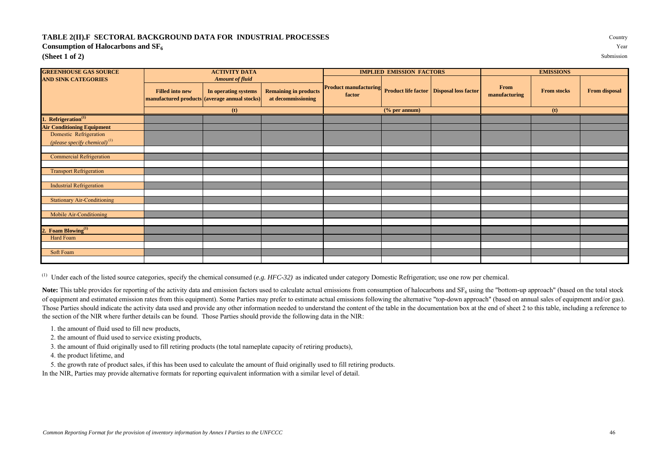## **TABLE 2(II).F SECTORAL BACKGROUND DATA FOR INDUSTRIAL PROCESSES** Country **Consumption of Halocarbons and**  $SF$ **(Sheet 1 of 2)** Submission

| <b>GREENHOUSE GAS SOURCE</b>             | <b>ACTIVITY DATA</b>                          |                                                |                              |                                        | <b>IMPLIED EMISSION FACTORS</b> |                                                   | <b>EMISSIONS</b>      |                    |                      |  |  |
|------------------------------------------|-----------------------------------------------|------------------------------------------------|------------------------------|----------------------------------------|---------------------------------|---------------------------------------------------|-----------------------|--------------------|----------------------|--|--|
| <b>AND SINK CATEGORIES</b>               | <b>Filled into new</b>                        | <b>Amount of fluid</b><br>In operating systems | <b>Remaining in products</b> | <b>Product manufacturing</b><br>factor |                                 | <b>Product life factor   Disposal loss factor</b> | From<br>manufacturing | <b>From stocks</b> | <b>From disposal</b> |  |  |
|                                          | manufactured products (average annual stocks) |                                                | at decommissioning           |                                        |                                 |                                                   |                       |                    |                      |  |  |
|                                          |                                               | (t)                                            |                              |                                        | $%$ per annum $)$               |                                                   |                       | (t)                |                      |  |  |
| $\cdot$ Refrigeration <sup>(1)</sup>     |                                               |                                                |                              |                                        |                                 |                                                   |                       |                    |                      |  |  |
| <b>Air Conditioning Equipment</b>        |                                               |                                                |                              |                                        |                                 |                                                   |                       |                    |                      |  |  |
| Domestic Refrigeration                   |                                               |                                                |                              |                                        |                                 |                                                   |                       |                    |                      |  |  |
| (please specify chemical) <sup>(1)</sup> |                                               |                                                |                              |                                        |                                 |                                                   |                       |                    |                      |  |  |
|                                          |                                               |                                                |                              |                                        |                                 |                                                   |                       |                    |                      |  |  |
| <b>Commercial Refrigeration</b>          |                                               |                                                |                              |                                        |                                 |                                                   |                       |                    |                      |  |  |
| <b>Transport Refrigeration</b>           |                                               |                                                |                              |                                        |                                 |                                                   |                       |                    |                      |  |  |
|                                          |                                               |                                                |                              |                                        |                                 |                                                   |                       |                    |                      |  |  |
| <b>Industrial Refrigeration</b>          |                                               |                                                |                              |                                        |                                 |                                                   |                       |                    |                      |  |  |
|                                          |                                               |                                                |                              |                                        |                                 |                                                   |                       |                    |                      |  |  |
| <b>Stationary Air-Conditioning</b>       |                                               |                                                |                              |                                        |                                 |                                                   |                       |                    |                      |  |  |
|                                          |                                               |                                                |                              |                                        |                                 |                                                   |                       |                    |                      |  |  |
| Mobile Air-Conditioning                  |                                               |                                                |                              |                                        |                                 |                                                   |                       |                    |                      |  |  |
|                                          |                                               |                                                |                              |                                        |                                 |                                                   |                       |                    |                      |  |  |
| 2. Foam Blowing <sup>(1)</sup>           |                                               |                                                |                              |                                        |                                 |                                                   |                       |                    |                      |  |  |
| Hard Foam                                |                                               |                                                |                              |                                        |                                 |                                                   |                       |                    |                      |  |  |
|                                          |                                               |                                                |                              |                                        |                                 |                                                   |                       |                    |                      |  |  |
| Soft Foam                                |                                               |                                                |                              |                                        |                                 |                                                   |                       |                    |                      |  |  |
|                                          |                                               |                                                |                              |                                        |                                 |                                                   |                       |                    |                      |  |  |

(1) Under each of the listed source categories, specify the chemical consumed (*e.g. HFC-32)* as indicated under category Domestic Refrigeration; use one row per chemical.

Note: This table provides for reporting of the activity data and emission factors used to calculate actual emissions from consumption of halocarbons and SF<sub>6</sub> using the "bottom-up approach" (based on the total stock of equipment and estimated emission rates from this equipment). Some Parties may prefer to estimate actual emissions following the alternative "top-down approach" (based on annual sales of equipment and/or gas). Those Parties should indicate the activity data used and provide any other information needed to understand the content of the table in the documentation box at the end of sheet 2 to this table, including a reference to the section of the NIR where further details can be found. Those Parties should provide the following data in the NIR:

- 1. the amount of fluid used to fill new products,
- 2. the amount of fluid used to service existing products,
- 3. the amount of fluid originally used to fill retiring products (the total nameplate capacity of retiring products),
- 4. the product lifetime, and
- 5. the growth rate of product sales, if this has been used to calculate the amount of fluid originally used to fill retiring products.

In the NIR, Parties may provide alternative formats for reporting equivalent information with a similar level of detail.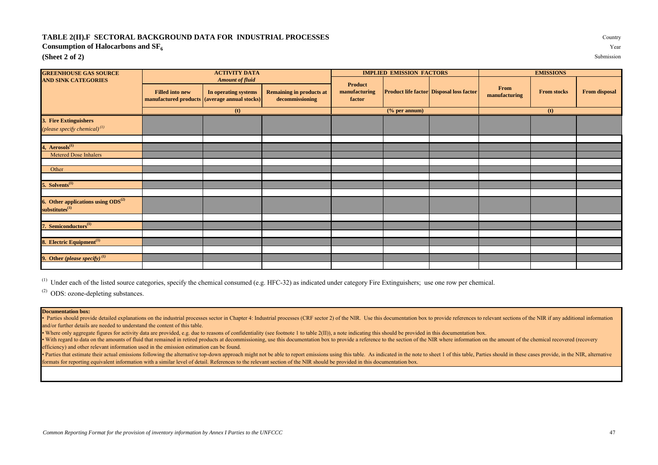## **TABLE 2(II).F SECTORAL BACKGROUND DATA FOR INDUSTRIAL PROCESSES** Country

## **Consumption of Halocarbons and SF<sup>6</sup>** Year

## **(Sheet 2 of 2)** Submission

| <b>GREENHOUSE GAS SOURCE</b>                                            |                                                                         | <b>ACTIVITY DATA</b>   |                                                    |                         | <b>IMPLIED EMISSION FACTORS</b>  |                                                 | <b>EMISSIONS</b>      |                    |                      |  |
|-------------------------------------------------------------------------|-------------------------------------------------------------------------|------------------------|----------------------------------------------------|-------------------------|----------------------------------|-------------------------------------------------|-----------------------|--------------------|----------------------|--|
| <b>AND SINK CATEGORIES</b>                                              |                                                                         | <b>Amount of fluid</b> |                                                    | Product                 |                                  |                                                 |                       |                    |                      |  |
|                                                                         | <b>Filled into new</b><br>manufactured products (average annual stocks) | In operating systems   | <b>Remaining in products at</b><br>decommissioning | manufacturing<br>factor |                                  | <b>Product life factor Disposal loss factor</b> | From<br>manufacturing | <b>From stocks</b> | <b>From disposal</b> |  |
|                                                                         |                                                                         | (t)                    |                                                    |                         | $(% \mathbf{r}(0)$ (% per annum) |                                                 | (t)                   |                    |                      |  |
| 3. Fire Extinguishers<br>(please specify chemical) $^{(1)}$             |                                                                         |                        |                                                    |                         |                                  |                                                 |                       |                    |                      |  |
|                                                                         |                                                                         |                        |                                                    |                         |                                  |                                                 |                       |                    |                      |  |
| 4, Aerosols <sup>(1)</sup><br>Metered Dose Inhalers                     |                                                                         |                        |                                                    |                         |                                  |                                                 |                       |                    |                      |  |
|                                                                         |                                                                         |                        |                                                    |                         |                                  |                                                 |                       |                    |                      |  |
| Other                                                                   |                                                                         |                        |                                                    |                         |                                  |                                                 |                       |                    |                      |  |
|                                                                         |                                                                         |                        |                                                    |                         |                                  |                                                 |                       |                    |                      |  |
| 5. Solvents <sup>(1)</sup>                                              |                                                                         |                        |                                                    |                         |                                  |                                                 |                       |                    |                      |  |
| 6. Other applications using $ODS^{(2)}$<br>$substitutes$ <sup>(1)</sup> |                                                                         |                        |                                                    |                         |                                  |                                                 |                       |                    |                      |  |
| 7. Semiconductors <sup>(1)</sup>                                        |                                                                         |                        |                                                    |                         |                                  |                                                 |                       |                    |                      |  |
|                                                                         |                                                                         |                        |                                                    |                         |                                  |                                                 |                       |                    |                      |  |
| 8. Electric Equipment <sup>(1)</sup>                                    |                                                                         |                        |                                                    |                         |                                  |                                                 |                       |                    |                      |  |
|                                                                         |                                                                         |                        |                                                    |                         |                                  |                                                 |                       |                    |                      |  |
| 9. Other (please specify) $^{(1)}$                                      |                                                                         |                        |                                                    |                         |                                  |                                                 |                       |                    |                      |  |

<sup>(1)</sup> Under each of the listed source categories, specify the chemical consumed (e.g. HFC-32) as indicated under category Fire Extinguishers; use one row per chemical.

(2) ODS: ozone-depleting substances.

## **Documentation box:**

• Parties should provide detailed explanations on the industrial processes sector in Chapter 4: Industrial processes (CRF sector 2) of the NIR. Use this documentation box to provide references to relevant sections of the N and/or further details are needed to understand the content of this table.

• Where only aggregate figures for activity data are provided, e.g. due to reasons of confidentiality (see footnote 1 to table 2(II)), a note indicating this should be provided in this documentation box.

• With regard to data on the amounts of fluid that remained in retired products at decommissioning, use this documentation box to provide a reference to the section of the NIR where information on the amount of the chemica efficiency) and other relevant information used in the emission estimation can be found.

• Parties that estimate their actual emissions following the alternative top-down approach might not be able to report emissions using this table. As indicated in the note to sheet 1 of this table, Parties should in these formats for reporting equivalent information with a similar level of detail. References to the relevant section of the NIR should be provided in this documentation box.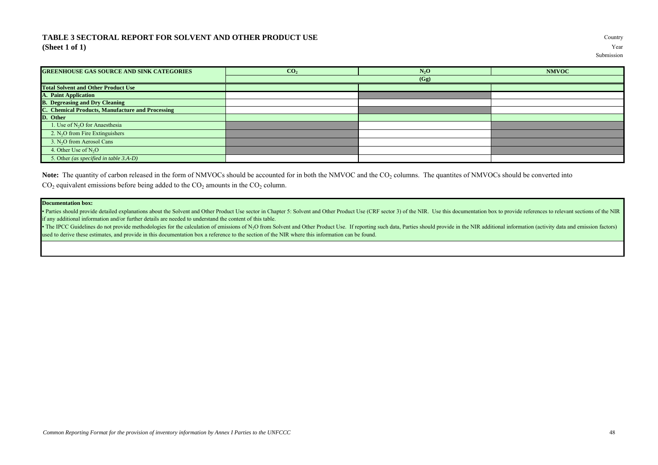## **TABLE 3 SECTORAL REPORT FOR SOLVENT AND OTHER PRODUCT USE** Country **(Sheet 1 of 1)** Year

| <b>GREENHOUSE GAS SOURCE AND SINK CATEGORIES</b> | CO <sub>2</sub> | $N_2O$ | <b>NMVOC</b> |
|--------------------------------------------------|-----------------|--------|--------------|
|                                                  |                 | (Gg)   |              |
| <b>Total Solvent and Other Product Use</b>       |                 |        |              |
| <b>A. Paint Application</b>                      |                 |        |              |
| <b>B.</b> Degreasing and Dry Cleaning            |                 |        |              |
| C. Chemical Products, Manufacture and Processing |                 |        |              |
| D. Other                                         |                 |        |              |
| 1. Use of N <sub>2</sub> O for Anaesthesia       |                 |        |              |
| 2. N <sub>2</sub> O from Fire Extinguishers      |                 |        |              |
| 3. N <sub>2</sub> O from Aerosol Cans            |                 |        |              |
| 4. Other Use of N <sub>2</sub> O                 |                 |        |              |
| 5. Other (as specified in table 3.A-D)           |                 |        |              |

Note: The quantity of carbon released in the form of NMVOCs should be accounted for in both the NMVOC and the CO<sub>2</sub> columns. The quantites of NMVOCs should be converted into  $CO<sub>2</sub>$  equivalent emissions before being added to the  $CO<sub>2</sub>$  amounts in the  $CO<sub>2</sub>$  column.

## **Documentation box:**

• Parties should provide detailed explanations about the Solvent and Other Product Use sector in Chapter 5: Solvent and Other Product Use (CRF sector 3) of the NIR. Use this documentation box to provide references to relev if any additional information and/or further details are needed to understand the content of this table.

• The IPCC Guidelines do not provide methodologies for the calculation of emissions of N<sub>2</sub>O from Solvent and Other Product Use. If reporting such data, Parties should provide in the NIR additional information (activity da used to derive these estimates, and provide in this documentation box a reference to the section of the NIR where this information can be found.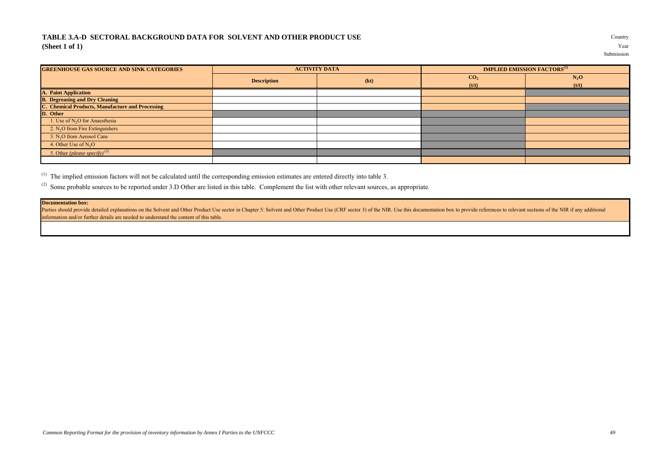## **TABLE 3.A-D SECTORAL BACKGROUND DATA FOR SOLVENT AND OTHER PRODUCT USE** Country **(Sheet 1 of 1)** Year

| <b>GREENHOUSE GAS SOURCE AND SINK CATEGORIES</b> | <b>ACTIVITY DATA</b> |      |                 | <b>IMPLIED EMISSION FACTORS</b> <sup>(1)</sup> |
|--------------------------------------------------|----------------------|------|-----------------|------------------------------------------------|
|                                                  | <b>Description</b>   | (kt) | CO <sub>2</sub> | $N_2O$                                         |
|                                                  |                      |      | (t/t)           | (t/t)                                          |
| <b>A. Paint Application</b>                      |                      |      |                 |                                                |
| <b>B.</b> Degreasing and Dry Cleaning            |                      |      |                 |                                                |
| C. Chemical Products, Manufacture and Processing |                      |      |                 |                                                |
| D. Other                                         |                      |      |                 |                                                |
| 1. Use of $N2O$ for Anaesthesia                  |                      |      |                 |                                                |
| 2. $N_2O$ from Fire Extinguishers                |                      |      |                 |                                                |
| 3. $N2O$ from Aerosol Cans                       |                      |      |                 |                                                |
| 4. Other Use of $N_2O$                           |                      |      |                 |                                                |
| 5. Other (please specify) <sup>(2)</sup>         |                      |      |                 |                                                |
|                                                  |                      |      |                 |                                                |

(1) The implied emission factors will not be calculated until the corresponding emission estimates are entered directly into table 3.

<sup>(2)</sup> Some probable sources to be reported under 3.D Other are listed in this table. Complement the list with other relevant sources, as appropriate.

## **Documentation box:**

Parties should provide detailed explanations on the Solvent and Other Product Use sector in Chapter 5: Solvent and Other Product Use (CRF sector 3) of the NIR. Use this documentation box to provide references to relevant s information and/or further details are needed to understand the content of this table.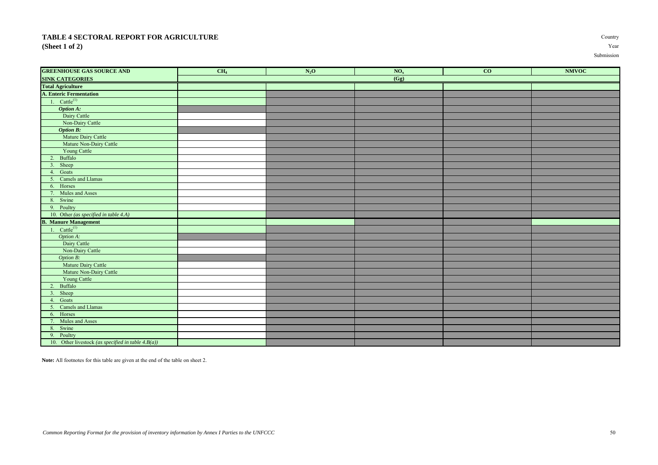## **TABLE 4 SECTORAL REPORT FOR AGRICULTURE** Country **(Sheet 1 of 2)** Year

| <b>GREENHOUSE GAS SOURCE AND</b>                      | CH <sub>4</sub> | $N_2$ O | NO <sub>x</sub>   | CO | <b>NMVOC</b> |
|-------------------------------------------------------|-----------------|---------|-------------------|----|--------------|
| <b>SINK CATEGORIES</b>                                |                 |         | $\overline{(Gg)}$ |    |              |
| <b>Total Agriculture</b>                              |                 |         |                   |    |              |
| A. Enteric Fermentation                               |                 |         |                   |    |              |
| 1. $Cattle^{(1)}$                                     |                 |         |                   |    |              |
| <b>Option A:</b>                                      |                 |         |                   |    |              |
| Dairy Cattle                                          |                 |         |                   |    |              |
| Non-Dairy Cattle                                      |                 |         |                   |    |              |
| <b>Option B:</b>                                      |                 |         |                   |    |              |
| Mature Dairy Cattle                                   |                 |         |                   |    |              |
| Mature Non-Dairy Cattle                               |                 |         |                   |    |              |
| <b>Young Cattle</b>                                   |                 |         |                   |    |              |
| 2. Buffalo                                            |                 |         |                   |    |              |
| 3. Sheep                                              |                 |         |                   |    |              |
| 4. Goats                                              |                 |         |                   |    |              |
| 5. Camels and Llamas                                  |                 |         |                   |    |              |
| 6. Horses                                             |                 |         |                   |    |              |
| 7. Mules and Asses                                    |                 |         |                   |    |              |
| 8. Swine                                              |                 |         |                   |    |              |
| 9. Poultry                                            |                 |         |                   |    |              |
| 10. Other (as specified in table 4.A)                 |                 |         |                   |    |              |
| <b>B. Manure Management</b>                           |                 |         |                   |    |              |
| 1. $Cattle^{(1)}$                                     |                 |         |                   |    |              |
| Option A:                                             |                 |         |                   |    |              |
| Dairy Cattle                                          |                 |         |                   |    |              |
| Non-Dairy Cattle                                      |                 |         |                   |    |              |
| Option B:                                             |                 |         |                   |    |              |
| Mature Dairy Cattle                                   |                 |         |                   |    |              |
| Mature Non-Dairy Cattle                               |                 |         |                   |    |              |
| Young Cattle                                          |                 |         |                   |    |              |
| 2. Buffalo                                            |                 |         |                   |    |              |
| 3. Sheep                                              |                 |         |                   |    |              |
| 4. Goats                                              |                 |         |                   |    |              |
| 5. Camels and Llamas                                  |                 |         |                   |    |              |
| 6. Horses                                             |                 |         |                   |    |              |
| 7. Mules and Asses                                    |                 |         |                   |    |              |
| 8. Swine                                              |                 |         |                   |    |              |
| 9. Poultry                                            |                 |         |                   |    |              |
| 10. Other livestock (as specified in table $4.B(a)$ ) |                 |         |                   |    |              |

**Note:** All footnotes for this table are given at the end of the table on sheet 2.

*Common Reporting Format for the provision of inventory information by Annex I Parties to the UNFCCC* 50

Submission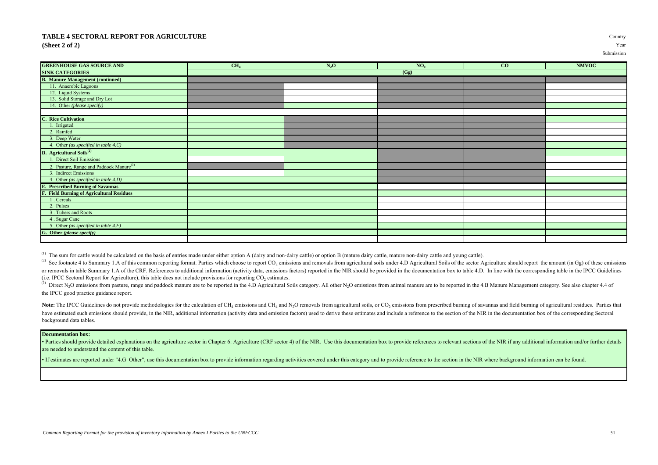## **TABLE 4 SECTORAL REPORT FOR AGRICULTURE** Country **(Sheet 2 of 2)** Year

| <b>GREENHOUSE GAS SOURCE AND</b>                    | CH <sub>4</sub> | $N_2O$ | NO <sub>x</sub> | CO | <b>NMVOC</b> |
|-----------------------------------------------------|-----------------|--------|-----------------|----|--------------|
| <b>SINK CATEGORIES</b>                              |                 |        | (Gg)            |    |              |
| <b>B. Manure Management (continued)</b>             |                 |        |                 |    |              |
| 11. Anaerobic Lagoons                               |                 |        |                 |    |              |
| 12. Liquid Systems                                  |                 |        |                 |    |              |
| 13. Solid Storage and Dry Lot                       |                 |        |                 |    |              |
| 14. Other (please specify)                          |                 |        |                 |    |              |
|                                                     |                 |        |                 |    |              |
| <b>C. Rice Cultivation</b>                          |                 |        |                 |    |              |
| 1. Irrigated                                        |                 |        |                 |    |              |
| 2. Rainfed                                          |                 |        |                 |    |              |
| 3. Deep Water                                       |                 |        |                 |    |              |
| 4. Other (as specified in table 4.C)                |                 |        |                 |    |              |
| D. Agricultural Soils <sup>(2)</sup>                |                 |        |                 |    |              |
| 1. Direct Soil Emissions                            |                 |        |                 |    |              |
| 2. Pasture, Range and Paddock Manure <sup>(3)</sup> |                 |        |                 |    |              |
| 3. Indirect Emissions                               |                 |        |                 |    |              |
| 4. Other (as specified in table 4.D)                |                 |        |                 |    |              |
| <b>E.</b> Prescribed Burning of Savannas            |                 |        |                 |    |              |
| <b>F. Field Burning of Agricultural Residues</b>    |                 |        |                 |    |              |
| 1. Cereals                                          |                 |        |                 |    |              |
| 2. Pulses                                           |                 |        |                 |    |              |
| 3. Tubers and Roots                                 |                 |        |                 |    |              |
| 4. Sugar Cane                                       |                 |        |                 |    |              |
| 5. Other (as specified in table 4.F)                |                 |        |                 |    |              |
| G. Other (please specify)                           |                 |        |                 |    |              |
|                                                     |                 |        |                 |    |              |

<sup>(1)</sup> The sum for cattle would be calculated on the basis of entries made under either option A (dairy and non-dairy cattle) or option B (mature dairy cattle, mature non-dairy cattle and young cattle).

(2) See footnote 4 to Summary 1.A of this common reporting format. Parties which choose to report CO<sub>2</sub> emissions and removals from agricultural soils under 4.D Agricultural Soils of the sector Agriculture should report t or removals in table Summary 1.A of the CRF. References to additional information (activity data, emissions factors) reported in the NIR should be provided in the documentation box to table 4.D. In line with the correspond (i.e. IPCC Sectoral Report for Agriculture), this table does not include provisions for reporting  $CO_2$  estimates.

<sup>(3)</sup> Direct N<sub>2</sub>O emissions from pasture, range and paddock manure are to be reported in the 4.D Agricultural Soils category. All other N<sub>2</sub>O emissions from animal manure are to be reported in the 4.B Manure Management ca the IPCC good practice guidance report.

Note: The IPCC Guidelines do not provide methodologies for the calculation of CH<sub>4</sub> emissions and CH<sub>4</sub> and N<sub>2</sub>O removals from agricultural soils, or CO<sub>2</sub> emissions from prescribed burning of savannas and field burning have estimated such emissions should provide, in the NIR, additional information (activity data and emission factors) used to derive these estimates and include a reference to the section of the NIR in the documentation bo background data tables.

## **Documentation box:**

• Parties should provide detailed explanations on the agriculture sector in Chapter 6: Agriculture (CRF sector 4) of the NIR. Use this documentation box to provide references to relevant sections of the NIR if any addition are needed to understand the content of this table.

• If estimates are reported under "4.G Other", use this documentation box to provide information regarding activities covered under this category and to provide reference to the section in the NIR where background informat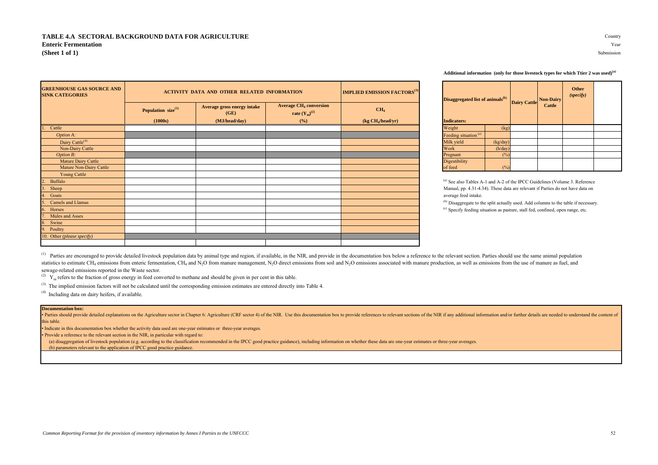| <b>GREENHOUSE GAS SOURCE AND</b><br><b>SINK CATEGORIES</b> |                                | <b>ACTIVITY DATA AND OTHER RELATED INFORMATION</b> |                                                                | <b>IMPLIED EMISSION FACTORS</b> <sup>(3)</sup>                     |                                                                                           | Disaggregated list of animals <sup>(b)</sup><br><b>Dairy Cattle</b> |  | <b>Non-Dairy</b> | Other<br>(specify) |
|------------------------------------------------------------|--------------------------------|----------------------------------------------------|----------------------------------------------------------------|--------------------------------------------------------------------|-------------------------------------------------------------------------------------------|---------------------------------------------------------------------|--|------------------|--------------------|
|                                                            | Population size <sup>(1)</sup> | Average gross energy intake<br>(GE)                | <b>Average CH<sub>4</sub> conversion</b><br>rate $(Y_m)^{(2)}$ | CH <sub>4</sub>                                                    |                                                                                           |                                                                     |  | <b>Cattle</b>    |                    |
|                                                            | (1000s)                        | (MJ/head/day)                                      | (%)                                                            | $\left(\frac{\text{kg CH}_{4}\text{/head/yr}}{\text{cm}^2}\right)$ | <b>Indicators:</b>                                                                        |                                                                     |  |                  |                    |
| Cattle                                                     |                                |                                                    |                                                                |                                                                    | Weight                                                                                    | (kg)                                                                |  |                  |                    |
| Option A:                                                  |                                |                                                    |                                                                |                                                                    | Feeding situation <sup>(c)</sup>                                                          |                                                                     |  |                  |                    |
| Dairy Cattle <sup>(4)</sup>                                |                                |                                                    |                                                                |                                                                    | Milk yield                                                                                | (kg/day)                                                            |  |                  |                    |
| Non-Dairy Cattle                                           |                                |                                                    |                                                                |                                                                    | Work                                                                                      | (h/day)                                                             |  |                  |                    |
| Option B:                                                  |                                |                                                    |                                                                |                                                                    | Pregnant                                                                                  | (%)                                                                 |  |                  |                    |
| Mature Dairy Cattle                                        |                                |                                                    |                                                                |                                                                    | <b>Digestibility</b>                                                                      |                                                                     |  |                  |                    |
| Mature Non-Dairy Cattle                                    |                                |                                                    |                                                                |                                                                    | of feed                                                                                   | (%)                                                                 |  |                  |                    |
| <b>Young Cattle</b>                                        |                                |                                                    |                                                                |                                                                    |                                                                                           |                                                                     |  |                  |                    |
| Buffalo                                                    |                                |                                                    |                                                                |                                                                    | <sup>(a)</sup> See also Tables A-1 and A-2 of the IPCC Guidelines (Volume 3. Refe         |                                                                     |  |                  |                    |
| Sheep                                                      |                                |                                                    |                                                                |                                                                    | Manual, pp. 4.31-4.34). These data are relevant if Parties do not have dat                |                                                                     |  |                  |                    |
| . Goats                                                    |                                |                                                    |                                                                |                                                                    | average feed intake.                                                                      |                                                                     |  |                  |                    |
| Camels and Llamas                                          |                                |                                                    |                                                                |                                                                    | <sup>(b)</sup> Disaggregate to the split actually used. Add columns to the table if nec   |                                                                     |  |                  |                    |
| Horses                                                     |                                |                                                    |                                                                |                                                                    | <sup>(c)</sup> Specify feeding situation as pasture, stall fed, confined, open range, etc |                                                                     |  |                  |                    |
| Mules and Asses                                            |                                |                                                    |                                                                |                                                                    |                                                                                           |                                                                     |  |                  |                    |
| Swine                                                      |                                |                                                    |                                                                |                                                                    |                                                                                           |                                                                     |  |                  |                    |
| . Poultry                                                  |                                |                                                    |                                                                |                                                                    |                                                                                           |                                                                     |  |                  |                    |
| 10. Other (please specify)                                 |                                |                                                    |                                                                |                                                                    |                                                                                           |                                                                     |  |                  |                    |
|                                                            |                                |                                                    |                                                                |                                                                    |                                                                                           |                                                                     |  |                  |                    |

#### **Additional information (only for those livestock types for which Ttier 2 was used)(a)**

| Disaggregated list of animals <sup>(b)</sup><br><b>Indicators:</b> |               | <b>Dairy Cattle</b> | <b>Non-Dairy</b><br><b>Cattle</b> | <b>Other</b><br>(specify) |  |
|--------------------------------------------------------------------|---------------|---------------------|-----------------------------------|---------------------------|--|
| Weight                                                             | (kg)          |                     |                                   |                           |  |
| Feeding situation <sup>(c)</sup>                                   |               |                     |                                   |                           |  |
| Milk yield                                                         | (kg/day)      |                     |                                   |                           |  |
| Work                                                               | (h/day)       |                     |                                   |                           |  |
| Pregnant                                                           | $\frac{1}{2}$ |                     |                                   |                           |  |
| Digestibility                                                      |               |                     |                                   |                           |  |
| of feed                                                            | $\frac{6}{2}$ |                     |                                   |                           |  |

 $^{(a)}$  See also Tables A-1 and A-2 of the IPCC Guidelines (Volume 3. Reference Manual, pp. 4.31-4.34). These data are relevant if Parties do not have data on

<sup>(b)</sup> Disaggregate to the split actually used. Add columns to the table if necessary.  $<sup>(c)</sup>$  Specify feeding situation as pasture, stall fed, confined, open range, etc.</sup>

<sup>(1)</sup> Parties are encouraged to provide detailed livestock population data by animal type and region, if available, in the NIR, and provide in the documentation box below a reference to the relevant section. Parties should statistics to estimate CH<sub>4</sub> emissions from enteric fermentation, CH<sub>4</sub> and N<sub>2</sub>O from manure management, N<sub>2</sub>O direct emissions from soil and N<sub>2</sub>O emissions associated with manure production, as well as emissions from t sewage-related emissions reported in the Waste sector.

 $\gamma$ <sup>(2)</sup>  $Y_m$  refers to the fraction of gross energy in feed converted to methane and should be given in per cent in this table.

<sup>(3)</sup> The implied emission factors will not be calculated until the corresponding emission estimates are entered directly into Table 4.

(4) Including data on dairy heifers, if available.

#### **Documentation box:**

· Parties should provide detailed explanations on the Agriculture sector in Chapter 6: Agriculture (CRF sector 4) of the NIR. Use this documentation box to provide references to relevant sections of the NIR if any addition this table.

• Indicate in this documentation box whether the activity data used are one-year estimates or three-year averages.

• Provide a reference to the relevant section in the NIR, in particular with regard to:

(a) disaggregation of livestock population (e.g. according to the classification recommended in the IPCC good practice guidance), including information on whether these data are one-year estimates or three-year averages.

(b) parameters relevant to the application of IPCC good practice guidance.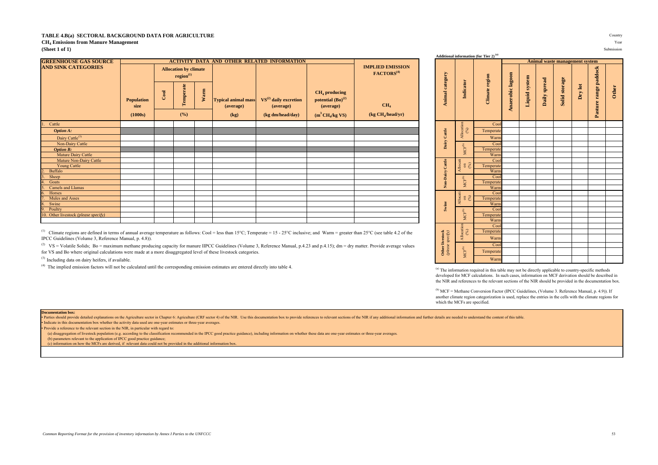#### **TABLE 4.B(a) SECTORAL BACKGROUND DATA FOR AGRICULTURE** Country

**CH<sup>4</sup> Emissions from Manure Management** Year

**(Sheet 1 of 1)** Submission

| <b>GREENHOUSE GAS SOURCE</b>         |                                      |      |                                                       |      |                                                 | <b>ACTIVITY DATA AND OTHER RELATED INFORMATION</b>       |                                                                              |                                                   |                 |                                                                      |           |
|--------------------------------------|--------------------------------------|------|-------------------------------------------------------|------|-------------------------------------------------|----------------------------------------------------------|------------------------------------------------------------------------------|---------------------------------------------------|-----------------|----------------------------------------------------------------------|-----------|
| <b>AND SINK CATEGORIES</b>           |                                      |      | <b>Allocation by climate</b><br>region <sup>(1)</sup> |      |                                                 |                                                          |                                                                              | <b>IMPLIED EMISSION</b><br>FACTORS <sup>(4)</sup> |                 |                                                                      | region    |
|                                      | <b>Population</b><br>size<br>(1000s) | Cool | Temperate<br>(%)                                      | Warm | <b>Typical animal mass</b><br>(average)<br>(kg) | $VS(2)$ daily excretion<br>(average)<br>(kg dm/head/day) | $CH4$ producing<br>potential $(Bo)^{(2)}$<br>(average)<br>$(m^3 CH_4/kg$ VS) | CH <sub>4</sub><br>(kg CH <sub>4</sub> /head/yr)  | Animal category | ē                                                                    | Climate   |
| Cattle                               |                                      |      |                                                       |      |                                                 |                                                          |                                                                              |                                                   |                 |                                                                      | Cool      |
| <b>Option A:</b>                     |                                      |      |                                                       |      |                                                 |                                                          |                                                                              |                                                   | Cattle          | Allocation<br>$\binom{96}{9}$                                        | Temperate |
| Dairy Cattle <sup>(3)</sup>          |                                      |      |                                                       |      |                                                 |                                                          |                                                                              |                                                   |                 |                                                                      | Warm      |
| Non-Dairy Cattle                     |                                      |      |                                                       |      |                                                 |                                                          |                                                                              |                                                   | $_{\rm Dary}$   |                                                                      | Cool      |
| <b>Option B:</b>                     |                                      |      |                                                       |      |                                                 |                                                          |                                                                              |                                                   |                 | $\mathbf{MCF}^{(b)}$                                                 | Temperate |
| Mature Dairy Cattle                  |                                      |      |                                                       |      |                                                 |                                                          |                                                                              |                                                   |                 |                                                                      | Warm      |
| Mature Non-Dairy Cattle              |                                      |      |                                                       |      |                                                 |                                                          |                                                                              |                                                   |                 | $\begin{array}{c} \text{Alocati} \\ \text{on} \\ ( \% ) \end{array}$ | Cool      |
| Young Cattle                         |                                      |      |                                                       |      |                                                 |                                                          |                                                                              |                                                   | Cartte          |                                                                      | Temperate |
| <b>Buffalo</b>                       |                                      |      |                                                       |      |                                                 |                                                          |                                                                              |                                                   |                 |                                                                      | Warm      |
| Sheep                                |                                      |      |                                                       |      |                                                 |                                                          |                                                                              |                                                   | Non-Dairy       |                                                                      | Cool      |
| Goats                                |                                      |      |                                                       |      |                                                 |                                                          |                                                                              |                                                   |                 | $\ensuremath{\mathsf{MCF}}\xspace^\mathrm{(b)}$                      | Temperate |
| Camels and Llamas                    |                                      |      |                                                       |      |                                                 |                                                          |                                                                              |                                                   |                 |                                                                      | Warm      |
| 6.<br>Horses                         |                                      |      |                                                       |      |                                                 |                                                          |                                                                              |                                                   |                 | Allocati<br>$\begin{pmatrix} 0 \\ 0 \\ 0 \end{pmatrix}$              | Cool      |
| Mules and Asses                      |                                      |      |                                                       |      |                                                 |                                                          |                                                                              |                                                   |                 |                                                                      | Temperate |
| Swine<br>8.                          |                                      |      |                                                       |      |                                                 |                                                          |                                                                              |                                                   | Swine           |                                                                      | Warm      |
| 9<br>Poultry                         |                                      |      |                                                       |      |                                                 |                                                          |                                                                              |                                                   |                 |                                                                      | Cool      |
| 10. Other livestock (please specify) |                                      |      |                                                       |      |                                                 |                                                          |                                                                              |                                                   |                 | $\mathbf{MCF}^{(0)}$                                                 | Temperate |
|                                      |                                      |      |                                                       |      |                                                 |                                                          |                                                                              |                                                   |                 |                                                                      | Warm      |

<sup>(1)</sup> Climate regions are defined in terms of annual average temperature as follows: Cool = less than 15°C; Temperate = 15 - 25°C inclusive; and Warm = greater than 25°C (see table 4.2 of the IPCC Guidelines (Volume 3, Reference Manual, p. 4.8)).

<sup>(2)</sup> VS = Volatile Solids; Bo = maximum methane producing capacity for manure IIPCC Guidelines (Volume 3, Reference Manual, p.4.23 and p.4.15); dm = dry matter. Provide average values for VS and Bo where original calculations were made at a more disaggregated level of these livestock categories.

(3) Including data on dairy heifers, if available. Warm

(4) The implied emission factors will not be calculated until the corresponding emission estimates are entered directly into table 4.

**Animal waste management system** Pasture range paddock **Pasture range paddock Anaerobic lagoon**  Animal category **Animal category Anaerobic lagoon Climate** region **Climate region Liquid system Daily spread Solid storage Indicator Dry lot Other** Allocation (%) **Dairy Cattle**  $\overline{\mathbb{Q}}$ **Non-Dairy Cattle** Allocati ಕ  $\mathcal{\widehat{\mathfrak{S}}}$ MCF(b) **Example 28 are specified.** Swinglestock **CEP of CEP and CEP are specified.** Allocation of MCF calculation (%) MCF = Methane Conversion (%) MCF = Methane Conversion (%) MCF = Methane Cep are specified. Warm  $\Gamma$ Temperate Warr  $C_0$ Temperate

<sup>(a)</sup> The information required in this table may not be directly applicable to country-specific methods developed for MCF calculations. In such cases, information on MCF derivation should be described in the NIR and references to the relevant sections of the NIR should be provided in the documentation box.

(b) MCF = Methane Conversion Factor (IPCC Guidelines, (Volume 3. Reference Manual, p. 4.9)). If another climate region categorization is used, replace the entries in the cells with the climate regions for

#### **Documentation box:**

Parties should provide detailed explanations on the Agriculture sector in Chapter 6: Agriculture (CRF sector if Orgive (CRF sector 4) of the NIR. Use this documentation box to provide references to relevant sections of the • Indicate in this documentation box whether the activity data used are one-year estimates or three-year averages.

• Provide a reference to the relevant section in the NIR, in particular with regard to:

(a) disaggregation of livestock population (e.g. according to the classification recommended in the IPCC good practice guidance), including information on whether these data are one-year estimates or three-year averages.

(b) parameters relevant to the application of IPCC good practice guidance;

(c) information on how the MCFs are derived, if relevant data could not be provided in the additional information box.

**Additional information (for Tier 2) (a)**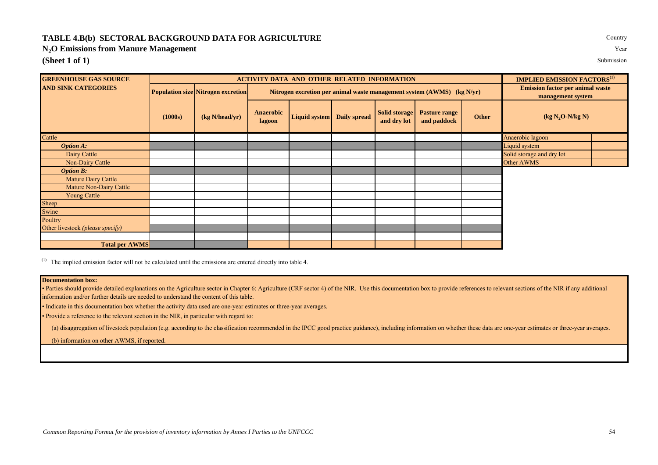## **TABLE 4.B(b) SECTORAL BACKGROUND DATA FOR AGRICULTURE** COUNTY

**N2O Emissions from Manure Management** Year

**(Sheet 1 of 1)** Submission

| <b>GREENHOUSE GAS SOURCE</b>              |         |                                           |                            | <b>ACTIVITY DATA AND OTHER RELATED INFORMATION</b>                     |              |                                     |                                                              |       | <b>IMPLIED EMISSION FACTORS</b> <sup>(1)</sup> |  |  |
|-------------------------------------------|---------|-------------------------------------------|----------------------------|------------------------------------------------------------------------|--------------|-------------------------------------|--------------------------------------------------------------|-------|------------------------------------------------|--|--|
| <b>AND SINK CATEGORIES</b>                |         | <b>Population size Nitrogen excretion</b> |                            | Nitrogen excretion per animal waste management system (AWMS) (kg N/yr) |              |                                     | <b>Emission factor per animal waste</b><br>management system |       |                                                |  |  |
|                                           | (1000s) | (kg N/head/yr)                            | <b>Anaerobic</b><br>lagoon | Liquid system                                                          | Daily spread | <b>Solid storage</b><br>and dry lot | <b>Pasture range</b><br>and paddock                          | Other | $(kg N2O-N/kg N)$                              |  |  |
| Cattle                                    |         |                                           |                            |                                                                        |              |                                     |                                                              |       | Anaerobic lagoon                               |  |  |
| <b>Option A:</b>                          |         |                                           |                            |                                                                        |              |                                     |                                                              |       | Liquid system                                  |  |  |
| Dairy Cattle                              |         |                                           |                            |                                                                        |              |                                     |                                                              |       | Solid storage and dry lot                      |  |  |
| Non-Dairy Cattle                          |         |                                           |                            |                                                                        |              |                                     |                                                              |       | Other AWMS                                     |  |  |
| <b>Option B:</b>                          |         |                                           |                            |                                                                        |              |                                     |                                                              |       |                                                |  |  |
| Mature Dairy Cattle                       |         |                                           |                            |                                                                        |              |                                     |                                                              |       |                                                |  |  |
| Mature Non-Dairy Cattle                   |         |                                           |                            |                                                                        |              |                                     |                                                              |       |                                                |  |  |
| <b>Young Cattle</b>                       |         |                                           |                            |                                                                        |              |                                     |                                                              |       |                                                |  |  |
| Sheep                                     |         |                                           |                            |                                                                        |              |                                     |                                                              |       |                                                |  |  |
| Swine                                     |         |                                           |                            |                                                                        |              |                                     |                                                              |       |                                                |  |  |
| Poultry                                   |         |                                           |                            |                                                                        |              |                                     |                                                              |       |                                                |  |  |
| Other livestock ( <i>please specify</i> ) |         |                                           |                            |                                                                        |              |                                     |                                                              |       |                                                |  |  |
|                                           |         |                                           |                            |                                                                        |              |                                     |                                                              |       |                                                |  |  |
| <b>Total per AWMS</b>                     |         |                                           |                            |                                                                        |              |                                     |                                                              |       |                                                |  |  |

(1) The implied emission factor will not be calculated until the emissions are entered directly into table 4.

## **Documentation box:**

• Parties should provide detailed explanations on the Agriculture sector in Chapter 6: Agriculture (CRF sector 4) of the NIR. Use this documentation box to provide references to relevant sections of the NIR if any addition information and/or further details are needed to understand the content of this table.

• Indicate in this documentation box whether the activity data used are one-year estimates or three-year averages.

• Provide a reference to the relevant section in the NIR, in particular with regard to:

(a) disaggregation of livestock population (e.g. according to the classification recommended in the IPCC good practice guidance), including information on whether these data are one-year estimates or three-year averages.

(b) information on other AWMS, if reported.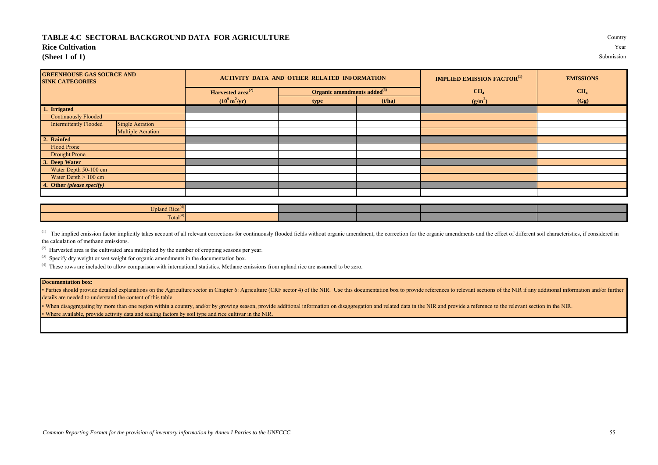## **TABLE 4.C SECTORAL BACKGROUND DATA FOR AGRICULTURE** Country

## **Rice Cultivation** Year

**(Sheet 1 of 1)** Submission

| <b>GREENHOUSE GAS SOURCE AND</b><br><b>SINK CATEGORIES</b> |                          |                                | <b>ACTIVITY DATA AND OTHER RELATED INFORMATION</b> |        | <b>IMPLIED EMISSION FACTOR</b> <sup>(1)</sup> | <b>EMISSIONS</b> |
|------------------------------------------------------------|--------------------------|--------------------------------|----------------------------------------------------|--------|-----------------------------------------------|------------------|
|                                                            |                          | Harvested area <sup>(2)</sup>  | Organic amendments added <sup>(3)</sup>            |        | CH <sub>4</sub>                               | CH <sub>4</sub>  |
|                                                            |                          | $(10^9 \text{ m}^2/\text{yr})$ | type                                               | (t/ha) | $(g/m^2)$                                     | (Gg)             |
| 1. Irrigated                                               |                          |                                |                                                    |        |                                               |                  |
| <b>Continuously Flooded</b>                                |                          |                                |                                                    |        |                                               |                  |
| <b>Intermittently Flooded</b>                              | <b>Single Aeration</b>   |                                |                                                    |        |                                               |                  |
|                                                            | <b>Multiple Aeration</b> |                                |                                                    |        |                                               |                  |
| 2. Rainfed                                                 |                          |                                |                                                    |        |                                               |                  |
| Flood Prone                                                |                          |                                |                                                    |        |                                               |                  |
| Drought Prone                                              |                          |                                |                                                    |        |                                               |                  |
| 3. Deep Water                                              |                          |                                |                                                    |        |                                               |                  |
| Water Depth 50-100 cm                                      |                          |                                |                                                    |        |                                               |                  |
| Water Depth $> 100$ cm                                     |                          |                                |                                                    |        |                                               |                  |
| 4. Other (please specify)                                  |                          |                                |                                                    |        |                                               |                  |
|                                                            |                          |                                |                                                    |        |                                               |                  |

| <b>NEW B</b><br>Upland Rice <sup>(*</sup> |  |  |  |
|-------------------------------------------|--|--|--|
| Total                                     |  |  |  |

<sup>(1)</sup> The implied emission factor implicitly takes account of all relevant corrections for continuously flooded fields without organic amendment, the correction for the organic amendments and the effect of different soil c the calculation of methane emissions.

 $(2)$  Harvested area is the cultivated area multiplied by the number of cropping seasons per year.

<sup>(3)</sup> Specify dry weight or wet weight for organic amendments in the documentation box.

<sup>(4)</sup> These rows are included to allow comparison with international statistics. Methane emissions from upland rice are assumed to be zero.

## **Documentation box:**

• Parties should provide detailed explanations on the Agriculture sector in Chapter 6: Agriculture (CRF sector 4) of the NIR. Use this documentation box to provide references to relevant sections of the NIR if any addition details are needed to understand the content of this table.

• Where available, provide activity data and scaling factors by soil type and rice cultivar in the NIR. . When disaggregating by more than one region within a country, and/or by growing season, provide additional information on disaggregation and related data in the NIR and provide a reference to the relevant section in the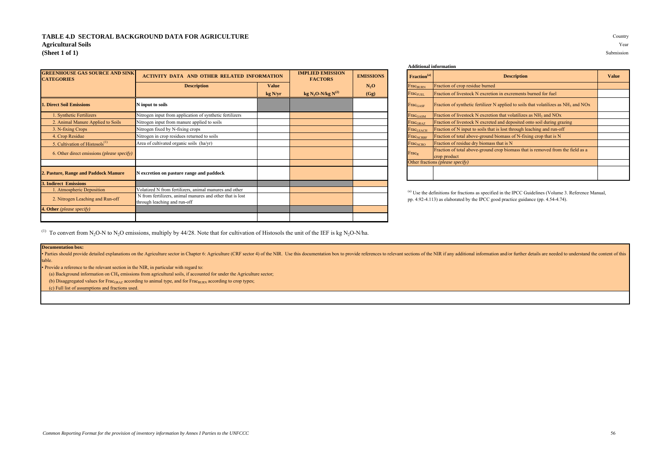## **TABLE 4.D SECTORAL BACKGROUND DATA FOR AGRICULTURE** Country **Agricultural Soils** Year **(Sheet 1 of 1)** Submission

| <b>GREENHOUSE GAS SOURCE AND SINK</b><br><b>CATEGORIES</b> | <b>ACTIVITY DATA AND OTHER RELATED INFORMATION</b>                                        |              | <b>IMPLIED EMISSION</b><br><b>FACTORS</b> | <b>EMISSIONS</b> | Fraction <sup>(a)</sup>     | <b>Description</b>                                                                                |
|------------------------------------------------------------|-------------------------------------------------------------------------------------------|--------------|-------------------------------------------|------------------|-----------------------------|---------------------------------------------------------------------------------------------------|
|                                                            | <b>Description</b>                                                                        | <b>Value</b> |                                           | N <sub>2</sub> O | Frac <sub>BURN</sub>        | Fraction of crop residue burned                                                                   |
|                                                            |                                                                                           | kg N/yr      | kg N <sub>2</sub> O-N/kg N <sup>(2)</sup> | (Gg)             | $Frac_{FUEL}$               | Fraction of livestock N excretion in excrements burned for fuel                                   |
| <b>1. Direct Soil Emissions</b>                            | N input to soils                                                                          |              |                                           |                  | $Frac_{GASF}$               | Fraction of synthetic fertilizer N applied to soils that volatilizes as $NH3$                     |
| 1. Synthetic Fertilizers                                   | Nitrogen input from application of synthetic fertilizers                                  |              |                                           |                  | $Frac_{\text{GASM}}$        | Fraction of livestock N excretion that volatilizes as $NH_3$ and $NOx$                            |
| 2. Animal Manure Applied to Soils                          | Nitrogen input from manure applied to soils                                               |              |                                           |                  | $Frac_{\text{GRAZ}}$        | Fraction of livestock N excreted and deposited onto soil during grazing                           |
| 3. N-fixing Crops                                          | Nitrogen fixed by N-fixing crops                                                          |              |                                           |                  | Frac <sub>LEACH</sub>       | Fraction of N input to soils that is lost through leaching and run-off                            |
| 4. Crop Residue                                            | Nitrogen in crop residues returned to soils                                               |              |                                           |                  | <b>Frac<sub>NCRBF</sub></b> | Fraction of total above-ground biomass of N-fixing crop that is N                                 |
| 5. Cultivation of Histosols <sup>(1)</sup>                 | Area of cultivated organic soils (ha/yr)                                                  |              |                                           |                  | $Frac_{NCRO}$               | Fraction of residue dry biomass that is N                                                         |
| 6. Other direct emissions (please specify)                 |                                                                                           |              |                                           |                  | $Frac_{R}$                  | Fraction of total above-ground crop biomass that is removed from the f<br>crop product            |
|                                                            |                                                                                           |              |                                           |                  |                             | Other fractions (please specify)                                                                  |
| 2. Pasture, Range and Paddock Manure                       | N excretion on pasture range and paddock                                                  |              |                                           |                  |                             |                                                                                                   |
| <b>3. Indirect Emissions</b>                               |                                                                                           |              |                                           |                  |                             |                                                                                                   |
| 1. Atmospheric Deposition                                  | Volatized N from fertilizers, animal manures and other                                    |              |                                           |                  |                             | <sup>(a)</sup> Use the definitions for fractions as specified in the IPCC Guidelines (Volume 3. R |
| 2. Nitrogen Leaching and Run-off                           | N from fertilizers, animal manures and other that is lost<br>through leaching and run-off |              |                                           |                  |                             | pp. 4.92-4.113) as elaborated by the IPCC good practice guidance (pp. 4.54-4.74).                 |
| 4. Other (please specify)                                  |                                                                                           |              |                                           |                  |                             |                                                                                                   |
|                                                            |                                                                                           |              |                                           |                  |                             |                                                                                                   |

#### **Additional information**

| <b>IATION</b> | <b>IMPLIED EMISSION</b><br><b>FACTORS</b> | <b>EMISSIONS</b> | Fraction <sup>(a)</sup>      | <b>Description</b>                                                                                          | <b>Value</b> |
|---------------|-------------------------------------------|------------------|------------------------------|-------------------------------------------------------------------------------------------------------------|--------------|
| <b>Value</b>  |                                           | $N_2O$           | <b>FracBURN</b>              | Fraction of crop residue burned                                                                             |              |
| kg N/yr       | kg N <sub>2</sub> O-N/kg N <sup>(2)</sup> | (Gg)             | <b>Frac<sub>FUEL</sub></b>   | Fraction of livestock N excretion in excrements burned for fuel                                             |              |
|               |                                           |                  | FracGASF                     | Fraction of synthetic fertilizer N applied to soils that volatilizes as NH <sub>3</sub> and NO <sub>x</sub> |              |
|               |                                           |                  | Frac <sub>GASM</sub>         | Fraction of livestock N excretion that volatilizes as NH <sub>3</sub> and NO <sub>x</sub>                   |              |
|               |                                           |                  | Frac <sub>GRAZ</sub>         | Fraction of livestock N excreted and deposited onto soil during grazing                                     |              |
|               |                                           |                  | <b>Frac</b> <sub>LEACH</sub> | Fraction of N input to soils that is lost through leaching and run-off                                      |              |
|               |                                           |                  | <b>FraCNCRBF</b>             | Fraction of total above-ground biomass of N-fixing crop that is N                                           |              |
|               |                                           |                  | Frac <sub>NCRO</sub>         | Fraction of residue dry biomass that is N                                                                   |              |
|               |                                           |                  | $Frac_{R}$                   | Fraction of total above-ground crop biomass that is removed from the field as a<br>crop product             |              |
|               |                                           |                  |                              | Other fractions (please specify)                                                                            |              |
|               |                                           |                  |                              |                                                                                                             |              |

 $^{(a)}$  Use the definitions for fractions as specified in the IPCC Guidelines (Volume 3. Reference Manual, pp. 4.92-4.113) as elaborated by the IPCC good practice guidance (pp. 4.54-4.74).

<sup>(1)</sup> To convert from N<sub>2</sub>O-N to N<sub>2</sub>O emissions, multiply by 44/28. Note that for cultivation of Histosols the unit of the IEF is kg N<sub>2</sub>O-N/ha.

#### **Documentation box:**

• Parties should provide detailed explanations on the Agriculture sector in Chapter 6: Agriculture (CRF sector 1) of the NIR. Use this documentation box to provide references to relevant sections of the NIR if any addition table.

• Provide a reference to the relevant section in the NIR, in particular with regard to:

(a) Background information on CH<sup>4</sup> emissions from agricultural soils, if accounted for under the Agriculture sector;

(b) Disaggregated values for Frac<sub>GRAZ</sub> according to animal type, and for Frac<sub>BURN</sub> according to crop types;

(c) Full list of assumptions and fractions used.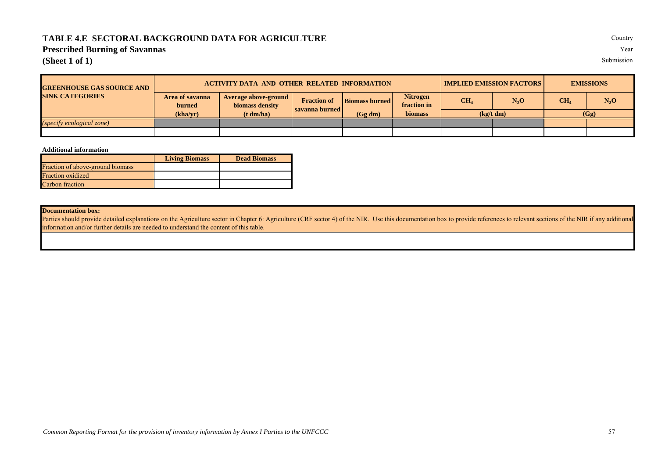## **TABLE 4.E SECTORAL BACKGROUND DATA FOR AGRICULTURE** Country

## **Prescribed Burning of Savannas** Year

**(Sheet 1 of 1)** Submission

| <b>GREENHOUSE GAS SOURCE AND</b> |                           | <b>ACTIVITY DATA AND OTHER RELATED INFORMATION</b> |                  |                       |                                |                 | <b>IMPLIED EMISSION FACTORS</b> | <b>EMISSIONS</b> |        |  |
|----------------------------------|---------------------------|----------------------------------------------------|------------------|-----------------------|--------------------------------|-----------------|---------------------------------|------------------|--------|--|
| <b>SINK CATEGORIES</b>           | Area of savanna<br>burned | Average above-ground<br>biomass density            |                  | <b>Biomass burned</b> | <b>Nitrogen</b><br>fraction in | CH <sub>4</sub> | $N_2O$                          | CH <sub>4</sub>  | $N_2O$ |  |
|                                  | (kha/vr)                  | (t dm/ha)                                          | savanna burned l | (Gg dm)               | <b>biomass</b>                 |                 | (kg/t dm)                       | (Gg)             |        |  |
| <i>(specify ecological zone)</i> |                           |                                                    |                  |                       |                                |                 |                                 |                  |        |  |
|                                  |                           |                                                    |                  |                       |                                |                 |                                 |                  |        |  |

## **Additional information**

|                                  | <b>Living Biomass</b> | <b>Dead Biomass</b> |
|----------------------------------|-----------------------|---------------------|
| Fraction of above-ground biomass |                       |                     |
| <b>Fraction</b> oxidized         |                       |                     |
| Carbon fraction                  |                       |                     |

## **Documentation box:**

Parties should provide detailed explanations on the Agriculture sector in Chapter 6: Agriculture (CRF sector 4) of the NIR. Use this documentation box to provide references to relevant sections of the NIR if any additional information and/or further details are needed to understand the content of this table.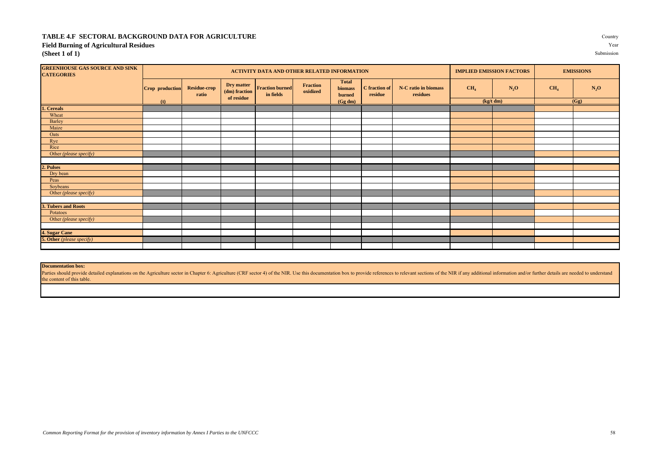## **TABLE 4.F SECTORAL BACKGROUND DATA FOR AGRICULTURE** Country **Field Burning of Agricultural Residues** Year **(Sheet 1 of 1)** Submission

| <b>GREENHOUSE GAS SOURCE AND SINK</b><br><b>CATEGORIES</b> |                 |                              |                                           | ACTIVITY DATA AND OTHER RELATED INFORMATION |                             |                                          |                          |                                  |                 | <b>IMPLIED EMISSION FACTORS</b> |                 | <b>EMISSIONS</b> |
|------------------------------------------------------------|-----------------|------------------------------|-------------------------------------------|---------------------------------------------|-----------------------------|------------------------------------------|--------------------------|----------------------------------|-----------------|---------------------------------|-----------------|------------------|
|                                                            | Crop production | <b>Residue-crop</b><br>ratio | Dry matter<br>(dm) fraction<br>of residue | <b>Fraction burned</b><br>in fields         | <b>Fraction</b><br>oxidized | <b>Total</b><br><b>biomass</b><br>burned | C fraction of<br>residue | N-C ratio in biomass<br>residues | CH <sub>4</sub> | $N_2O$                          | CH <sub>4</sub> | $N_2O$           |
|                                                            | (t)             |                              |                                           |                                             |                             | (Gg dm)                                  |                          |                                  | (kg/t dm)       |                                 |                 | (Gg)             |
| . Cereals                                                  |                 |                              |                                           |                                             |                             |                                          |                          |                                  |                 |                                 |                 |                  |
| Wheat                                                      |                 |                              |                                           |                                             |                             |                                          |                          |                                  |                 |                                 |                 |                  |
| Barley                                                     |                 |                              |                                           |                                             |                             |                                          |                          |                                  |                 |                                 |                 |                  |
| Maize                                                      |                 |                              |                                           |                                             |                             |                                          |                          |                                  |                 |                                 |                 |                  |
| Oats                                                       |                 |                              |                                           |                                             |                             |                                          |                          |                                  |                 |                                 |                 |                  |
| Rye                                                        |                 |                              |                                           |                                             |                             |                                          |                          |                                  |                 |                                 |                 |                  |
| Rice                                                       |                 |                              |                                           |                                             |                             |                                          |                          |                                  |                 |                                 |                 |                  |
| Other (please specify)                                     |                 |                              |                                           |                                             |                             |                                          |                          |                                  |                 |                                 |                 |                  |
|                                                            |                 |                              |                                           |                                             |                             |                                          |                          |                                  |                 |                                 |                 |                  |
| 2. Pulses                                                  |                 |                              |                                           |                                             |                             |                                          |                          |                                  |                 |                                 |                 |                  |
| Dry bean                                                   |                 |                              |                                           |                                             |                             |                                          |                          |                                  |                 |                                 |                 |                  |
| Peas                                                       |                 |                              |                                           |                                             |                             |                                          |                          |                                  |                 |                                 |                 |                  |
| Soybeans                                                   |                 |                              |                                           |                                             |                             |                                          |                          |                                  |                 |                                 |                 |                  |
| Other (please specify)                                     |                 |                              |                                           |                                             |                             |                                          |                          |                                  |                 |                                 |                 |                  |
|                                                            |                 |                              |                                           |                                             |                             |                                          |                          |                                  |                 |                                 |                 |                  |
| 3. Tubers and Roots                                        |                 |                              |                                           |                                             |                             |                                          |                          |                                  |                 |                                 |                 |                  |
| Potatoes                                                   |                 |                              |                                           |                                             |                             |                                          |                          |                                  |                 |                                 |                 |                  |
| Other (please specify)                                     |                 |                              |                                           |                                             |                             |                                          |                          |                                  |                 |                                 |                 |                  |
|                                                            |                 |                              |                                           |                                             |                             |                                          |                          |                                  |                 |                                 |                 |                  |
| 4. Sugar Cane                                              |                 |                              |                                           |                                             |                             |                                          |                          |                                  |                 |                                 |                 |                  |
| <b>5. Other</b> (please specify)                           |                 |                              |                                           |                                             |                             |                                          |                          |                                  |                 |                                 |                 |                  |
|                                                            |                 |                              |                                           |                                             |                             |                                          |                          |                                  |                 |                                 |                 |                  |

## **Documentation box:**

Parties should provide detailed explanations on the Agriculture sector in Chapter 6: Agriculture (CRF sector 4) of the NIR. Use this documentation box to provide references to relevant sections of the NIR if any additional the content of this table.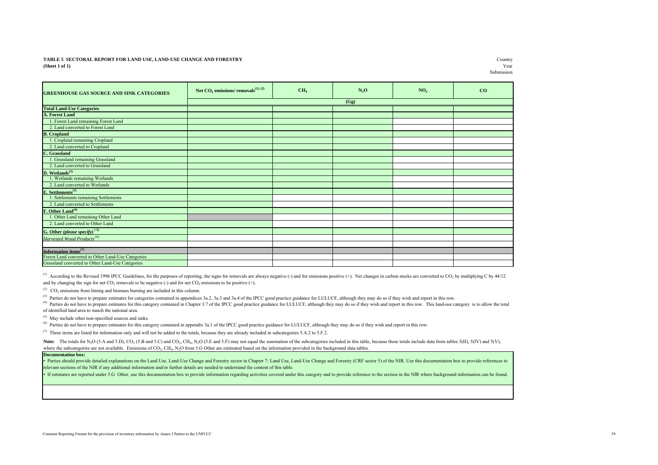#### **(Sheet 1 of 1)** Year **TABLE 5 SECTORAL REPORT FOR LAND USE, LAND-USE CHANGE AND FORESTRY**

| <b>GREENHOUSE GAS SOURCE AND SINK CATEGORIES</b>   | Net $CO_2$ emissions/ removals <sup>(1), (2)</sup> | CH <sub>4</sub> | $N_2O$ | NO <sub>x</sub> | CO |
|----------------------------------------------------|----------------------------------------------------|-----------------|--------|-----------------|----|
|                                                    |                                                    |                 | (Gg)   |                 |    |
| <b>Total Land-Use Categories</b>                   |                                                    |                 |        |                 |    |
| <b>A. Forest Land</b>                              |                                                    |                 |        |                 |    |
| 1. Forest Land remaining Forest Land               |                                                    |                 |        |                 |    |
| 2. Land converted to Forest Land                   |                                                    |                 |        |                 |    |
| <b>B.</b> Cropland                                 |                                                    |                 |        |                 |    |
| 1. Cropland remaining Cropland                     |                                                    |                 |        |                 |    |
| 2. Land converted to Cropland                      |                                                    |                 |        |                 |    |
| C. Grassland                                       |                                                    |                 |        |                 |    |
| 1. Grassland remaining Grassland                   |                                                    |                 |        |                 |    |
| 2. Land converted to Grassland                     |                                                    |                 |        |                 |    |
| D. We flands <sup>(3)</sup>                        |                                                    |                 |        |                 |    |
| 1. Wetlands remaining Wetlands                     |                                                    |                 |        |                 |    |
| 2. Land converted to Wetlands                      |                                                    |                 |        |                 |    |
| E. Settlements <sup>(3)</sup>                      |                                                    |                 |        |                 |    |
| 1. Settlements remaining Settlements               |                                                    |                 |        |                 |    |
| 2. Land converted to Settlements                   |                                                    |                 |        |                 |    |
| F. Other Land <sup>(4)</sup>                       |                                                    |                 |        |                 |    |
| 1. Other Land remaining Other Land                 |                                                    |                 |        |                 |    |
| 2. Land converted to Other Land                    |                                                    |                 |        |                 |    |
| G. Other (please specify) <sup>(5)</sup>           |                                                    |                 |        |                 |    |
| Harvested Wood Products <sup>(6)</sup>             |                                                    |                 |        |                 |    |
|                                                    |                                                    |                 |        |                 |    |
| Information items <sup>(7)</sup>                   |                                                    |                 |        |                 |    |
| Forest Land converted to Other Land-Use Categories |                                                    |                 |        |                 |    |
| Grassland converted to Other Land-Use Categories   |                                                    |                 |        |                 |    |

(1) According to the Revised 1996 IPCC Guidelines, for the purposes of reporting, the signs for removals are always negative (-) and for emissions positive (+). Net changes in carbon stocks are converted to CO<sub>2</sub> by multi and by changing the sign for net  $CO_2$  removals to be negative (-) and for net  $CO_2$  emissions to be positive (+).

 $^{(2)}$  CO<sub>2</sub> emissions from liming and biomass burning are included in this column.

 $^{(3)}$  Parties do not have to prepare estimates for categories contained in appendices 3a.2, 3a.3 and 3a.4 of the IPCC good practice guidance for LULUCF, although they may do so if they wish and report in this row.

<sup>(4)</sup> Parties do not have to prepare estimates for this category contained in Chapter 3.7 of the IPCC good practice guidance for LULUCF, although they may do so if they wish and report in this row. This land-use category i of identified land area to match the national area.

 $(5)$  May include other non-specified sources and sinks.

<sup>(6)</sup> Parties do not have to prepare estimates for this category contained in appendix 3a.1 of the IPCC good practice guidance for LULUCF, although they may do so if they wish and report in this row.

 $^{(7)}$  These items are listed for information only and will not be added to the totals, because they are already included in subcategories 5.A.2 to 5.F.2.

Note: The totals for N<sub>2</sub>O (5.A and 5.D), CO<sub>2</sub> (5.B and 5.C) and CO<sub>2</sub>, CH<sub>4</sub>, N<sub>2</sub>O (5.E and 5.F) may not equal the summation of the subcategories included in this table, because these totals include data from tables 5(I where the subcategories are not available. Emissions of  $CO<sub>2</sub>$ ,  $CH<sub>4</sub>$ , N<sub>2</sub>O from 5.G Other are estimated based on the information provided in the background data tables.

#### **Documentation box:**

Parties should provide detailed explanations on the Land Use, Land-Use Change and Forestry sector in Chapter 7: Land Use, Land-Use Change and Forestry (CRF sector 5) of the NIR. Use this documentation box to provide refere relevant sections of the NIR if any additional information and/or further details are needed to understand the content of this table.

If estimates are reported under 5.G Other, use this documentation box to provide information regarding activities covered under this category and to provide reference to the section in the NIR where background information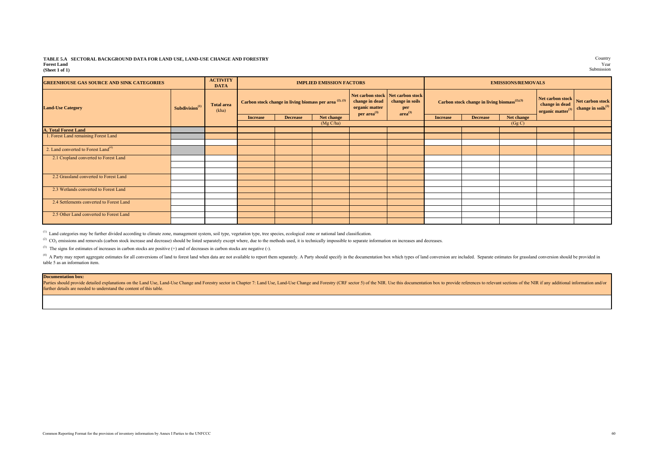#### **TABLE 5.A SECTORAL BACKGROUND DATA FOR LAND USE, LAND-USE CHANGE AND FORESTRY** Country **Forest Land** Year **(Sheet 1 of 1)** Submission

| <b>GREENHOUSE GAS SOURCE AND SINK CATEGORIES</b> |                            | <b>ACTIVITY</b><br><b>DATA</b> |                 |                                                              | <b>IMPLIED EMISSION FACTORS</b> |                                                      |                                                                                    |                 | <b>EMISSIONS/REMOVALS</b>                                |            |                                                               |                                                   |  |
|--------------------------------------------------|----------------------------|--------------------------------|-----------------|--------------------------------------------------------------|---------------------------------|------------------------------------------------------|------------------------------------------------------------------------------------|-----------------|----------------------------------------------------------|------------|---------------------------------------------------------------|---------------------------------------------------|--|
| <b>Land-Use Category</b>                         | Subdivision <sup>(1)</sup> | <b>Total area</b><br>(kha)     |                 | Carbon stock change in living biomass per area $(2)$ , $(3)$ |                                 | change in dead<br>organic matter<br>per $area^{(3)}$ | Net carbon stock Net carbon stock<br>change in soils<br>per<br>area <sup>(3)</sup> |                 | Carbon stock change in living biomass <sup>(2),(3)</sup> |            | Net carbon stock<br>change in dead<br>organic matter $^{(3)}$ | Net carbon stock<br>change in ${\rm soils}^{(3)}$ |  |
|                                                  |                            |                                | <b>Increase</b> | <b>Decrease</b>                                              | Net change                      |                                                      |                                                                                    | <b>Increase</b> | <b>Decrease</b>                                          | Net change |                                                               |                                                   |  |
|                                                  |                            |                                |                 |                                                              | (Mg C/ha)                       |                                                      |                                                                                    |                 |                                                          | (Gg C)     |                                                               |                                                   |  |
| <b>A. Total Forest Land</b>                      |                            |                                |                 |                                                              |                                 |                                                      |                                                                                    |                 |                                                          |            |                                                               |                                                   |  |
| 1. Forest Land remaining Forest Land             |                            |                                |                 |                                                              |                                 |                                                      |                                                                                    |                 |                                                          |            |                                                               |                                                   |  |
|                                                  |                            |                                |                 |                                                              |                                 |                                                      |                                                                                    |                 |                                                          |            |                                                               |                                                   |  |
| 2. Land converted to Forest Land <sup>(4)</sup>  |                            |                                |                 |                                                              |                                 |                                                      |                                                                                    |                 |                                                          |            |                                                               |                                                   |  |
| 2.1 Cropland converted to Forest Land            |                            |                                |                 |                                                              |                                 |                                                      |                                                                                    |                 |                                                          |            |                                                               |                                                   |  |
|                                                  |                            |                                |                 |                                                              |                                 |                                                      |                                                                                    |                 |                                                          |            |                                                               |                                                   |  |
|                                                  |                            |                                |                 |                                                              |                                 |                                                      |                                                                                    |                 |                                                          |            |                                                               |                                                   |  |
| 2.2 Grassland converted to Forest Land           |                            |                                |                 |                                                              |                                 |                                                      |                                                                                    |                 |                                                          |            |                                                               |                                                   |  |
|                                                  |                            |                                |                 |                                                              |                                 |                                                      |                                                                                    |                 |                                                          |            |                                                               |                                                   |  |
| 2.3 Wetlands converted to Forest Land            |                            |                                |                 |                                                              |                                 |                                                      |                                                                                    |                 |                                                          |            |                                                               |                                                   |  |
|                                                  |                            |                                |                 |                                                              |                                 |                                                      |                                                                                    |                 |                                                          |            |                                                               |                                                   |  |
| 2.4 Settlements converted to Forest Land         |                            |                                |                 |                                                              |                                 |                                                      |                                                                                    |                 |                                                          |            |                                                               |                                                   |  |
|                                                  |                            |                                |                 |                                                              |                                 |                                                      |                                                                                    |                 |                                                          |            |                                                               |                                                   |  |
| 2.5 Other Land converted to Forest Land          |                            |                                |                 |                                                              |                                 |                                                      |                                                                                    |                 |                                                          |            |                                                               |                                                   |  |
|                                                  |                            |                                |                 |                                                              |                                 |                                                      |                                                                                    |                 |                                                          |            |                                                               |                                                   |  |

<sup>(1)</sup> Land categories may be further divided according to climate zone, management system, soil type, vegetation type, tree species, ecological zone or national land classification.

 $^{(2)}$  CO<sub>2</sub> emissions and removals (carbon stock increase and decrease) should be listed separately except where, due to the methods used, it is technically impossible to separate information on increases and decreases.

(3) The signs for estimates of increases in carbon stocks are positive (+) and of decreases in carbon stocks are negative (-).

<sup>(4)</sup> A Party may report aggregate estimates for all conversions of land to forest land when data are not available to report them separately. A Party should specify in the documentation box which types of land conversion table 5 as an information item.

#### **Documentation box:**

Parties should provide detailed explanations on the Land Use, Land-Use Change and Forestry sector in Chapter 7: Land Use, Land-Use Change and Forestry (CRF sector 5) of the NIR. Use this documentation box to provide refere further details are needed to understand the content of this table.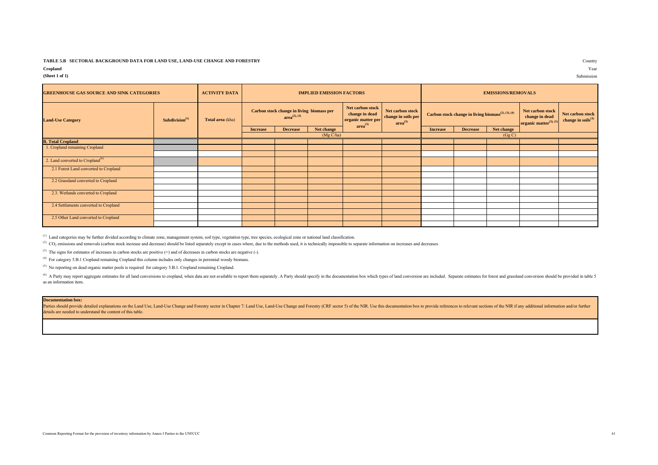#### **TABLE 5.B SECTORAL BACKGROUND DATA FOR LAND USE, LAND-USE CHANGE AND FORESTRY** Country

## **Cropland** Year

#### **(Sheet 1 of 1)** Submission

| <b>GREENHOUSE GAS SOURCE AND SINK CATEGORIES</b> |                            | <b>ACTIVITY DATA</b> |                                                                |                 | <b>IMPLIED EMISSION FACTORS</b> |                                                                                                                                                   |  | <b>EMISSIONS/REMOVALS</b> |                                                                |                                                                          |                                              |  |
|--------------------------------------------------|----------------------------|----------------------|----------------------------------------------------------------|-----------------|---------------------------------|---------------------------------------------------------------------------------------------------------------------------------------------------|--|---------------------------|----------------------------------------------------------------|--------------------------------------------------------------------------|----------------------------------------------|--|
| <b>Land-Use Category</b>                         | Subdivision <sup>(1)</sup> | Total area (kha)     | Carbon stock change in living biomass per<br>$area^{(2), (3)}$ |                 |                                 | Net carbon stock<br>Net carbon stock<br>change in dead<br>change in soils per<br>organic matter per<br>area <sup>(3)</sup><br>area <sup>(3)</sup> |  |                           | Carbon stock change in living biomass <sup>(2), (3), (4)</sup> | Net carbon stock<br>change in dead<br>organic matter <sup>(3), (5)</sup> | Net carbon stock<br>change in soils $^{(3)}$ |  |
|                                                  |                            |                      | <b>Increase</b>                                                | <b>Decrease</b> | Net change                      |                                                                                                                                                   |  | <b>Increase</b>           | <b>Decrease</b>                                                | Net change                                                               |                                              |  |
|                                                  |                            |                      |                                                                |                 | (Mg C/ha)                       |                                                                                                                                                   |  |                           |                                                                | (Gg C)                                                                   |                                              |  |
| <b>B.</b> Total Cropland                         |                            |                      |                                                                |                 |                                 |                                                                                                                                                   |  |                           |                                                                |                                                                          |                                              |  |
| 1. Cropland remaining Cropland                   |                            |                      |                                                                |                 |                                 |                                                                                                                                                   |  |                           |                                                                |                                                                          |                                              |  |
|                                                  |                            |                      |                                                                |                 |                                 |                                                                                                                                                   |  |                           |                                                                |                                                                          |                                              |  |
| 2. Land converted to Cropland <sup>(6)</sup>     |                            |                      |                                                                |                 |                                 |                                                                                                                                                   |  |                           |                                                                |                                                                          |                                              |  |
| 2.1 Forest Land converted to Cropland            |                            |                      |                                                                |                 |                                 |                                                                                                                                                   |  |                           |                                                                |                                                                          |                                              |  |
|                                                  |                            |                      |                                                                |                 |                                 |                                                                                                                                                   |  |                           |                                                                |                                                                          |                                              |  |
| 2.2 Grassland converted to Cropland              |                            |                      |                                                                |                 |                                 |                                                                                                                                                   |  |                           |                                                                |                                                                          |                                              |  |
|                                                  |                            |                      |                                                                |                 |                                 |                                                                                                                                                   |  |                           |                                                                |                                                                          |                                              |  |
| 2.3. Wetlands converted to Cropland              |                            |                      |                                                                |                 |                                 |                                                                                                                                                   |  |                           |                                                                |                                                                          |                                              |  |
|                                                  |                            |                      |                                                                |                 |                                 |                                                                                                                                                   |  |                           |                                                                |                                                                          |                                              |  |
| 2.4 Settlements converted to Cropland            |                            |                      |                                                                |                 |                                 |                                                                                                                                                   |  |                           |                                                                |                                                                          |                                              |  |
|                                                  |                            |                      |                                                                |                 |                                 |                                                                                                                                                   |  |                           |                                                                |                                                                          |                                              |  |
| 2.5 Other Land converted to Cropland             |                            |                      |                                                                |                 |                                 |                                                                                                                                                   |  |                           |                                                                |                                                                          |                                              |  |
|                                                  |                            |                      |                                                                |                 |                                 |                                                                                                                                                   |  |                           |                                                                |                                                                          |                                              |  |

<sup>(1)</sup> Land categories may be further divided according to climate zone, management system, soil type, vegetation type, tree species, ecological zone or national land classification.

 $^{(2)}$  CO<sub>2</sub> emissions and removals (carbon stock increase and decrease) should be listed separately except in cases where, due to the methods used, it is technically impossible to separate information on increases and de

(3) The signs for estimates of increases in carbon stocks are positive  $(+)$  and of decreases in carbon stocks are negative  $(-)$ .

(4) For category 5.B.1 Cropland remaining Cropland this column includes only changes in perennial woody biomass.

<sup>(5)</sup> No reporting on dead organic matter pools is required for category 5.B.1. Cropland remaining Cropland.

<sup>(6)</sup> A Party may report aggregate estimates for all land conversions to cropland, when data are not available to report them separately. A Party should specify in the documentation box which types of land conversion are i as an information item.

## **Documentation box:**

Parties should provide detailed explanations on the Land Use, Land-Use Change and Forestry sector in Chapter 7: Land-Use Change and Forestry celor in Chapter 7: Land-Use Change and Forestry (CRF sector 5) of the NIR. Use t details are needed to understand the content of this table.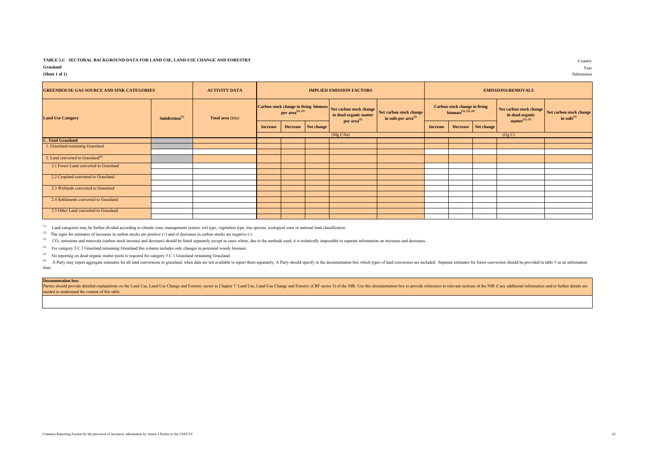## **TABLE 5.C SECTORAL BACKGROUND DATA FOR LAND USE, LAND-USE CHANGE AND FORESTRY**

Country<br>Year **(Sheet 1 of 1)** Submission

## **Grassland** Year

| <b>GREENHOUSE GAS SOURCE AND SINK CATEGORIES</b> |                            | <b>ACTIVITY DATA</b> |                 |                                     |                                       | <b>IMPLIED EMISSION FACTORS</b>                                                                                                        |  | <b>EMISSIONS/REMOVALS</b>                                                       |                     |  |                                                                  |                                              |  |
|--------------------------------------------------|----------------------------|----------------------|-----------------|-------------------------------------|---------------------------------------|----------------------------------------------------------------------------------------------------------------------------------------|--|---------------------------------------------------------------------------------|---------------------|--|------------------------------------------------------------------|----------------------------------------------|--|
| <b>Land-Use Category</b>                         | Subdivision <sup>(1)</sup> | Total area (kha)     |                 | <b>per area</b> <sup>(2), (3)</sup> | Carbon stock change in living biomass | Net carbon stock change<br>Net carbon stock change<br>in dead organic matter<br>in soils per $area^{(2)}$<br>$per area$ <sup>(2)</sup> |  | <b>Carbon stock change in living</b><br><b>biomass</b> <sup>(2), (3), (4)</sup> |                     |  | Net carbon stock change<br>in dead organic<br>$matter^{(2),(5)}$ | Net carbon stock change<br>in soils $^{(2)}$ |  |
|                                                  |                            |                      | <b>Increase</b> |                                     | Decrease Net change                   |                                                                                                                                        |  | <b>Increase</b>                                                                 | Decrease Net change |  |                                                                  |                                              |  |
|                                                  |                            |                      |                 |                                     |                                       | (Mg C/ha)                                                                                                                              |  |                                                                                 |                     |  | (Gg C)                                                           |                                              |  |
| <b>C. Total Grassland</b>                        |                            |                      |                 |                                     |                                       |                                                                                                                                        |  |                                                                                 |                     |  |                                                                  |                                              |  |
| 1. Grassland remaining Grassland                 |                            |                      |                 |                                     |                                       |                                                                                                                                        |  |                                                                                 |                     |  |                                                                  |                                              |  |
|                                                  |                            |                      |                 |                                     |                                       |                                                                                                                                        |  |                                                                                 |                     |  |                                                                  |                                              |  |
| 2. Land converted to Grassland <sup>(6)</sup>    |                            |                      |                 |                                     |                                       |                                                                                                                                        |  |                                                                                 |                     |  |                                                                  |                                              |  |
| 2.1 Forest Land converted to Grassland           |                            |                      |                 |                                     |                                       |                                                                                                                                        |  |                                                                                 |                     |  |                                                                  |                                              |  |
|                                                  |                            |                      |                 |                                     |                                       |                                                                                                                                        |  |                                                                                 |                     |  |                                                                  |                                              |  |
| 2.2 Cropland converted to Grassland              |                            |                      |                 |                                     |                                       |                                                                                                                                        |  |                                                                                 |                     |  |                                                                  |                                              |  |
|                                                  |                            |                      |                 |                                     |                                       |                                                                                                                                        |  |                                                                                 |                     |  |                                                                  |                                              |  |
| 2.3 Wetlands converted to Grassland              |                            |                      |                 |                                     |                                       |                                                                                                                                        |  |                                                                                 |                     |  |                                                                  |                                              |  |
|                                                  |                            |                      |                 |                                     |                                       |                                                                                                                                        |  |                                                                                 |                     |  |                                                                  |                                              |  |
| 2.4 Settlements converted to Grassland           |                            |                      |                 |                                     |                                       |                                                                                                                                        |  |                                                                                 |                     |  |                                                                  |                                              |  |
|                                                  |                            |                      |                 |                                     |                                       |                                                                                                                                        |  |                                                                                 |                     |  |                                                                  |                                              |  |
| 2.5 Other Land converted to Grassland            |                            |                      |                 |                                     |                                       |                                                                                                                                        |  |                                                                                 |                     |  |                                                                  |                                              |  |
|                                                  |                            |                      |                 |                                     |                                       |                                                                                                                                        |  |                                                                                 |                     |  |                                                                  |                                              |  |

<sup>(1)</sup> Land categories may be further divided according to climate zone, management system, soil type, vegetation type, tree species, ecological zone or national land classification.

(2) The signs for estimates of increases in carbon stocks are positive (+) and of decreases in carbon stocks are negative (-).

(3) CO<sub>2</sub> emissions and removals (carbon stock increase and decrease) should be listed separately except in cases where, due to the methods used, it is technically impossible to separate information on increases and decrea

(4) For category 5.C.1 Grassland remaining Grassland this column includes only changes in perennial woody biomass.

(5) No reporting on dead organic matter pools is required for category 5.C.1 Grassland remaining Grassland.

<sup>(6)</sup> A Party may report aggregate estimates for all land conversions to grassland, when data are not available to report them separately. A Party should specify in the documentation box which types of land conversion are item.

#### **Documentation box:**

Parties should provide detailed explanations on the Land Use, Land-Use Change and Forestry sector in Chapter 7: Land Use, Land-Use Change and Forestry (CRF sector 5) of the NIR. Use this documentation box to provide refere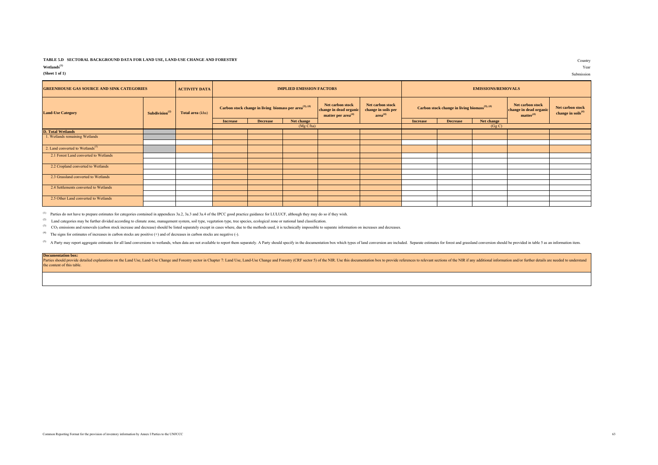#### **TABLE 5.D SECTORAL BACKGROUND DATA FOR LAND USE, LAND-USE CHANGE AND FORESTRY**

**Wetlands(1)** Year

| <b>GREENHOUSE GAS SOURCE AND SINK CATEGORIES</b> |                                         | <b>ACTIVITY DATA</b> |                 |                                                                    | <b>IMPLIED EMISSION FACTORS</b> |                                                                              |                                                                | <b>EMISSIONS/REMOVALS</b> |                                                                                                                                  |            |                                                    |  |
|--------------------------------------------------|-----------------------------------------|----------------------|-----------------|--------------------------------------------------------------------|---------------------------------|------------------------------------------------------------------------------|----------------------------------------------------------------|---------------------------|----------------------------------------------------------------------------------------------------------------------------------|------------|----------------------------------------------------|--|
| <b>Land-Use Category</b>                         | Subdivision <sup><math>(2)</math></sup> | Total area (kha)     |                 | Carbon stock change in living biomass per area <sup>(3), (4)</sup> |                                 | Net carbon stock<br>change in dead organic<br>matter per area <sup>(4)</sup> | Net carbon stock<br>change in soils per<br>area <sup>(4)</sup> |                           | Net carbon stock<br>Carbon stock change in living biomass <sup>(3), (4)</sup><br>change in dead organic<br>matter <sup>(4)</sup> |            | Net carbon stock<br>change in soils <sup>(4)</sup> |  |
|                                                  |                                         |                      | <b>Increase</b> | <b>Decrease</b>                                                    | Net change                      |                                                                              |                                                                | <b>Increase</b>           | <b>Decrease</b>                                                                                                                  | Net change |                                                    |  |
|                                                  |                                         |                      |                 |                                                                    | (Mg C/ha)                       |                                                                              |                                                                |                           |                                                                                                                                  | (Gg C)     |                                                    |  |
| <b>D. Total Wetlands</b>                         |                                         |                      |                 |                                                                    |                                 |                                                                              |                                                                |                           |                                                                                                                                  |            |                                                    |  |
| 1. Wetlands remaining Wetlands                   |                                         |                      |                 |                                                                    |                                 |                                                                              |                                                                |                           |                                                                                                                                  |            |                                                    |  |
|                                                  |                                         |                      |                 |                                                                    |                                 |                                                                              |                                                                |                           |                                                                                                                                  |            |                                                    |  |
| 2. Land converted to Wetlands <sup>(5)</sup>     |                                         |                      |                 |                                                                    |                                 |                                                                              |                                                                |                           |                                                                                                                                  |            |                                                    |  |
| 2.1 Forest Land converted to Wetlands            |                                         |                      |                 |                                                                    |                                 |                                                                              |                                                                |                           |                                                                                                                                  |            |                                                    |  |
|                                                  |                                         |                      |                 |                                                                    |                                 |                                                                              |                                                                |                           |                                                                                                                                  |            |                                                    |  |
| 2.2 Cropland converted to Wetlands               |                                         |                      |                 |                                                                    |                                 |                                                                              |                                                                |                           |                                                                                                                                  |            |                                                    |  |
|                                                  |                                         |                      |                 |                                                                    |                                 |                                                                              |                                                                |                           |                                                                                                                                  |            |                                                    |  |
| 2.3 Grassland converted to Wetlands              |                                         |                      |                 |                                                                    |                                 |                                                                              |                                                                |                           |                                                                                                                                  |            |                                                    |  |
|                                                  |                                         |                      |                 |                                                                    |                                 |                                                                              |                                                                |                           |                                                                                                                                  |            |                                                    |  |
| 2.4 Settlements converted to Wetlands            |                                         |                      |                 |                                                                    |                                 |                                                                              |                                                                |                           |                                                                                                                                  |            |                                                    |  |
|                                                  |                                         |                      |                 |                                                                    |                                 |                                                                              |                                                                |                           |                                                                                                                                  |            |                                                    |  |
| 2.5 Other Land converted to Wetlands             |                                         |                      |                 |                                                                    |                                 |                                                                              |                                                                |                           |                                                                                                                                  |            |                                                    |  |
|                                                  |                                         |                      |                 |                                                                    |                                 |                                                                              |                                                                |                           |                                                                                                                                  |            |                                                    |  |

<sup>(1)</sup> Parties do not have to prepare estimates for categories contained in appendices 3a.2, 3a.3 and 3a.4 of the IPCC good practice guidance for LULUCF, although they may do so if they wish.

<sup>(2)</sup> Land categories may be further divided according to climate zone, management system, soil type, vegetation type, tree species, ecological zone or national land classification.

<sup>(3)</sup> CO<sub>2</sub> emissions and removals (carbon stock increase and decrease) should be listed separately except in cases where, due to the methods used, it is technically impossible to separate information on increases and decr

(4) The signs for estimates of increases in carbon stocks are positive  $(+)$  and of decreases in carbon stocks are negative  $(-)$ .

(5) A Party may report aggregate estimates for all land conversions to wetlands, when data are not available to report them separately. A Party should specify in the documentation box which types of land conversion are inc

**Documentation box:**

Security and the School of provide detailed explanations on the Land Use, Land-Use Change and Forestry sector in Chapter 7: Land Use, Land-Use Change and Forestry sector in Chapter 7: Land Use, Land-Use Change and Forestry the content of this table.

Country

**(Sheet 1 of 1)** Submission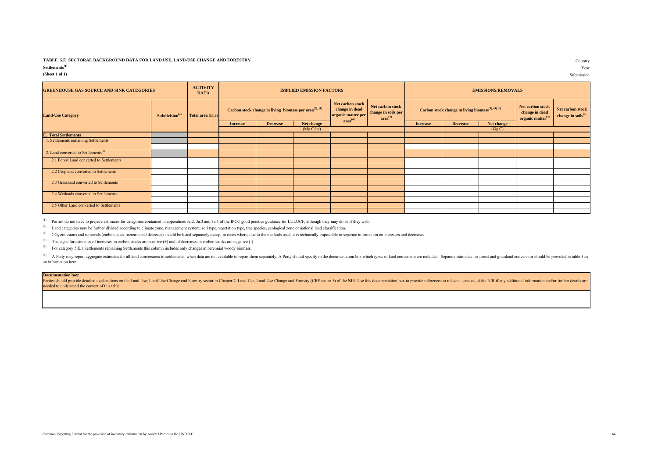## **TABLE 5.E SECTORAL BACKGROUND DATA FOR LAND USE, LAND-USE CHANGE AND FORESTRY**

| Settlements <sup>(1)</sup> |  | Year |
|----------------------------|--|------|
|                            |  |      |

| <b>GREENHOUSE GAS SOURCE AND SINK CATEGORIES</b> |                                         | <b>ACTIVITY</b><br><b>DATA</b> | <b>IMPLIED EMISSION FACTORS</b> |                                                            |            |                                                                                 |                                                                | <b>EMISSIONS/REMOVALS</b>                                     |                 |            |                                                                     |                                                    |
|--------------------------------------------------|-----------------------------------------|--------------------------------|---------------------------------|------------------------------------------------------------|------------|---------------------------------------------------------------------------------|----------------------------------------------------------------|---------------------------------------------------------------|-----------------|------------|---------------------------------------------------------------------|----------------------------------------------------|
| <b>Land-Use Category</b>                         | Subdivision <sup><math>(2)</math></sup> | Total area (kha)               |                                 | Carbon stock change in living biomass per $area^{(3),(4)}$ |            | Net carbon stock<br>change in dead<br>organic matter per<br>area <sup>(4)</sup> | Net carbon stock<br>change in soils per<br>area <sup>(4)</sup> | Carbon stock change in living biomass <sup>(3), (4) (5)</sup> |                 |            | Net carbon stock<br>change in dead<br>organic matter <sup>(4)</sup> | Net carbon stock<br>change in soils <sup>(4)</sup> |
|                                                  |                                         |                                | <b>Increase</b>                 | <b>Decrease</b>                                            | Net change |                                                                                 |                                                                | <b>Increase</b>                                               | <b>Decrease</b> | Net change |                                                                     |                                                    |
|                                                  |                                         |                                | (Mg C/ha)                       |                                                            |            |                                                                                 |                                                                | (Gg C)                                                        |                 |            |                                                                     |                                                    |
| <b>E.</b> Total Settlements                      |                                         |                                |                                 |                                                            |            |                                                                                 |                                                                |                                                               |                 |            |                                                                     |                                                    |
| 1. Settlements remaining Settlements             |                                         |                                |                                 |                                                            |            |                                                                                 |                                                                |                                                               |                 |            |                                                                     |                                                    |
|                                                  |                                         |                                |                                 |                                                            |            |                                                                                 |                                                                |                                                               |                 |            |                                                                     |                                                    |
| 2. Land converted to Settlements <sup>(6)</sup>  |                                         |                                |                                 |                                                            |            |                                                                                 |                                                                |                                                               |                 |            |                                                                     |                                                    |
| 2.1 Forest Land converted to Settlements         |                                         |                                |                                 |                                                            |            |                                                                                 |                                                                |                                                               |                 |            |                                                                     |                                                    |
|                                                  |                                         |                                |                                 |                                                            |            |                                                                                 |                                                                |                                                               |                 |            |                                                                     |                                                    |
| 2.2 Cropland converted to Settlements            |                                         |                                |                                 |                                                            |            |                                                                                 |                                                                |                                                               |                 |            |                                                                     |                                                    |
|                                                  |                                         |                                |                                 |                                                            |            |                                                                                 |                                                                |                                                               |                 |            |                                                                     |                                                    |
| 2.3 Grassland converted to Settlements           |                                         |                                |                                 |                                                            |            |                                                                                 |                                                                |                                                               |                 |            |                                                                     |                                                    |
|                                                  |                                         |                                |                                 |                                                            |            |                                                                                 |                                                                |                                                               |                 |            |                                                                     |                                                    |
| 2.4 Wetlands converted to Settlements            |                                         |                                |                                 |                                                            |            |                                                                                 |                                                                |                                                               |                 |            |                                                                     |                                                    |
|                                                  |                                         |                                |                                 |                                                            |            |                                                                                 |                                                                |                                                               |                 |            |                                                                     |                                                    |
| 2.5 Other Land converted to Settlements          |                                         |                                |                                 |                                                            |            |                                                                                 |                                                                |                                                               |                 |            |                                                                     |                                                    |
|                                                  |                                         |                                |                                 |                                                            |            |                                                                                 |                                                                |                                                               |                 |            |                                                                     |                                                    |

<sup>(1)</sup> Parties do not have to prepare estimates for categories contained in appendices 3a.2, 3a.3 and 3a.4 of the IPCC good practice guidance for LULUCF, although they may do so if they wish.

<sup>(2)</sup> Land categories may be further divided according to climate zone, management system, soil type, vegetation type, tree species, ecological zone or national land classification.

(3) CO<sub>2</sub> emissions and removals (carbon stock increase and decrease) should be listed separately except in cases where, due to the methods used, it is technically impossible to separate information on increases and decrea

(4) The signs for estimates of increases in carbon stocks are positive (+) and of decreases in carbon stocks are negative (-).

(5) For category 5.E.1 Settlements remaining Settlements this column includes only changes in perennial woody biomass.

<sup>(6)</sup> A Party may report aggregate estimates for all land conversions to settlements, when data are not available to report them separately. A Party should specify in the documentation box which types of land conversion ar an information item.

#### **Documentation box:**

Parties should provide detailed explanations on the Land Use, Land-Use Change and Forestry sector in Chapter 7: Land Use, Land-Use Change and Forestry sector in Chapter 7: Land Use, Land-Use Change and Forestry (CRF sector needed to understand the content of this table.

Country

**(Sheet 1 of 1)** Submission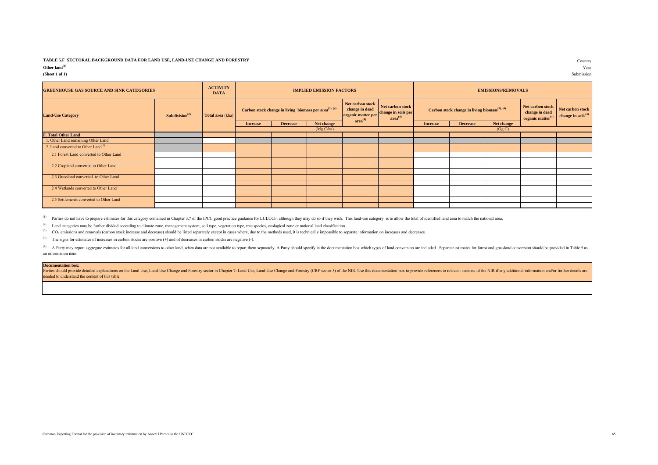## **TABLE 5.F SECTORAL BACKGROUND DATA FOR LAND USE, LAND-USE CHANGE AND FORESTRY** Country

| Other $land(1)$ | Year |
|-----------------|------|
|-----------------|------|

| <b>GREENHOUSE GAS SOURCE AND SINK CATEGORIES</b> |                            | <b>ACTIVITY</b><br><b>DATA</b> | <b>IMPLIED EMISSION FACTORS</b>                            |                 |            |                                                                                 |                                                                |                                                           | <b>EMISSIONS/REMOVALS</b> |            |                                                            |                                                    |
|--------------------------------------------------|----------------------------|--------------------------------|------------------------------------------------------------|-----------------|------------|---------------------------------------------------------------------------------|----------------------------------------------------------------|-----------------------------------------------------------|---------------------------|------------|------------------------------------------------------------|----------------------------------------------------|
| <b>Land-Use Category</b>                         | Subdivision <sup>(2)</sup> | Total area (kha)               | Carbon stock change in living biomass per $area^{(3),(4)}$ |                 |            | Net carbon stock<br>change in dead<br>organic matter per<br>area <sup>(4)</sup> | Net carbon stock<br>change in soils per<br>area <sup>(4)</sup> | Carbon stock change in living biomass <sup>(3), (4)</sup> |                           |            | Net carbon stock<br>change in dead<br>organic matter $(4)$ | Net carbon stock<br>change in soils <sup>(4)</sup> |
|                                                  |                            |                                | <b>Increase</b>                                            | <b>Decrease</b> | Net change |                                                                                 |                                                                | <b>Increase</b>                                           | <b>Decrease</b>           | Net change |                                                            |                                                    |
|                                                  |                            |                                |                                                            |                 | (Mg C/ha)  |                                                                                 |                                                                | (Gg C)                                                    |                           |            |                                                            |                                                    |
| <b>F. Total Other Land</b>                       |                            |                                |                                                            |                 |            |                                                                                 |                                                                |                                                           |                           |            |                                                            |                                                    |
| 1. Other Land remaining Other Land               |                            |                                |                                                            |                 |            |                                                                                 |                                                                |                                                           |                           |            |                                                            |                                                    |
| 2. Land converted to Other Land <sup>(5)</sup>   |                            |                                |                                                            |                 |            |                                                                                 |                                                                |                                                           |                           |            |                                                            |                                                    |
| 2.1 Forest Land converted to Other Land          |                            |                                |                                                            |                 |            |                                                                                 |                                                                |                                                           |                           |            |                                                            |                                                    |
|                                                  |                            |                                |                                                            |                 |            |                                                                                 |                                                                |                                                           |                           |            |                                                            |                                                    |
| 2.2 Cropland converted to Other Land             |                            |                                |                                                            |                 |            |                                                                                 |                                                                |                                                           |                           |            |                                                            |                                                    |
|                                                  |                            |                                |                                                            |                 |            |                                                                                 |                                                                |                                                           |                           |            |                                                            |                                                    |
| 2.3 Grassland converted to Other Land            |                            |                                |                                                            |                 |            |                                                                                 |                                                                |                                                           |                           |            |                                                            |                                                    |
|                                                  |                            |                                |                                                            |                 |            |                                                                                 |                                                                |                                                           |                           |            |                                                            |                                                    |
| 2.4 Wetlands converted to Other Land             |                            |                                |                                                            |                 |            |                                                                                 |                                                                |                                                           |                           |            |                                                            |                                                    |
|                                                  |                            |                                |                                                            |                 |            |                                                                                 |                                                                |                                                           |                           |            |                                                            |                                                    |
| 2.5 Settlements converted to Other Land          |                            |                                |                                                            |                 |            |                                                                                 |                                                                |                                                           |                           |            |                                                            |                                                    |
|                                                  |                            |                                |                                                            |                 |            |                                                                                 |                                                                |                                                           |                           |            |                                                            |                                                    |

<sup>(1)</sup> Parties do not have to prepare estimates for this category contained in Chapter 3.7 of the IPCC good practice guidance for LULUCF, although they may do so if they wish. This land-use category is to allow the total of

<sup>(2)</sup> Land categories may be further divided according to climate zone, management system, soil type, vegetation type, tree species, ecological zone or national land classification.

(3) CO<sub>2</sub> emissions and removals (carbon stock increase and decrease) should be listed separately except in cases where, due to the methods used, it is technically impossible to separate information on increases and decrea

(4) The signs for estimates of increases in carbon stocks are positive (+) and of decreases in carbon stocks are negative (-).

(5) A Party may report aggregate estimates for all land conversions to other land, when data are not available to report them separately. A Party should specify in the documentation box which types of land conversion are i an information item.

#### **Documentation box:**

Parties should provide detailed explanations on the Land Use, Land-Use Change and Forestry sector in Chapter 7: Land Use, Land-Use Change and Forestry sector in Chapter 7: Land Use, Land-Use Change and Forestry (CRF sector needed to understand the content of this table.

**(Sheet 1 of 1)** Submission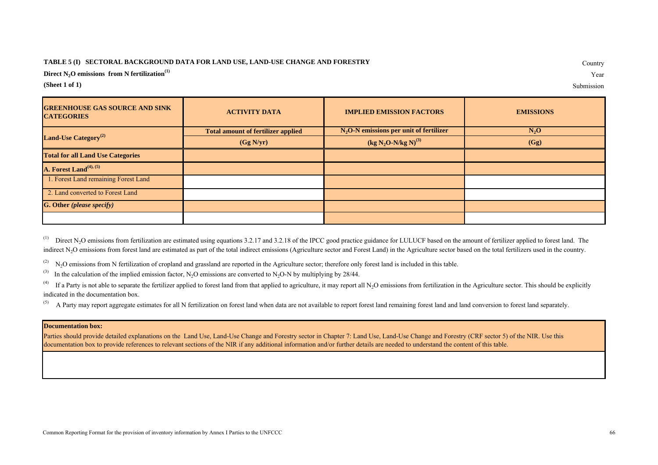## **TABLE 5 (I) SECTORAL BACKGROUND DATA FOR LAND USE, LAND-USE CHANGE AND FORESTRY**

**Direct N2O emissions from N fertilization(1)** Year

**(Sheet 1 of 1)** Submission

Country

| <b>GREENHOUSE GAS SOURCE AND SINK</b><br><b>CATEGORIES</b> | <b>ACTIVITY DATA</b>                      | <b>IMPLIED EMISSION FACTORS</b>             | <b>EMISSIONS</b> |  |  |
|------------------------------------------------------------|-------------------------------------------|---------------------------------------------|------------------|--|--|
| Land-Use Category <sup>(2)</sup>                           | <b>Total amount of fertilizer applied</b> | $N_2O-N$ emissions per unit of fertilizer   | $N_2O$           |  |  |
|                                                            | (Gg N/yr)                                 | (kg N <sub>2</sub> O-N/kg N) <sup>(3)</sup> | (Gg)             |  |  |
| <b>Total for all Land Use Categories</b>                   |                                           |                                             |                  |  |  |
| A. Forest Land <sup>(4), (5)</sup>                         |                                           |                                             |                  |  |  |
| 1. Forest Land remaining Forest Land                       |                                           |                                             |                  |  |  |
| 2. Land converted to Forest Land                           |                                           |                                             |                  |  |  |
| <b>G. Other (please specify)</b>                           |                                           |                                             |                  |  |  |
|                                                            |                                           |                                             |                  |  |  |

<sup>(1)</sup> Direct N<sub>2</sub>O emissions from fertilization are estimated using equations 3.2.17 and 3.2.18 of the IPCC good practice guidance for LULUCF based on the amount of fertilizer applied to forest land. The indirect N<sub>2</sub>O emissions from forest land are estimated as part of the total indirect emissions (Agriculture sector and Forest Land) in the Agriculture sector based on the total fertilizers used in the country.

 $(2)$  N<sub>2</sub>O emissions from N fertilization of cropland and grassland are reported in the Agriculture sector; therefore only forest land is included in this table.

(3) In the calculation of the implied emission factor, N<sub>2</sub>O emissions are converted to N<sub>2</sub>O-N by multiplying by 28/44.

<sup>(4)</sup> If a Party is not able to separate the fertilizer applied to forest land from that applied to agriculture, it may report all N<sub>2</sub>O emissions from fertilization in the Agriculture sector. This should be explicitly indicated in the documentation box.

<sup>(5)</sup> A Party may report aggregate estimates for all N fertilization on forest land when data are not available to report forest land remaining forest land and land conversion to forest land separately.

## **Documentation box:**

Parties should provide detailed explanations on the Land Use, Land-Use Change and Forestry sector in Chapter 7: Land Use, Land-Use Change and Forestry (CRF sector 5) of the NIR. Use this documentation box to provide references to relevant sections of the NIR if any additional information and/or further details are needed to understand the content of this table.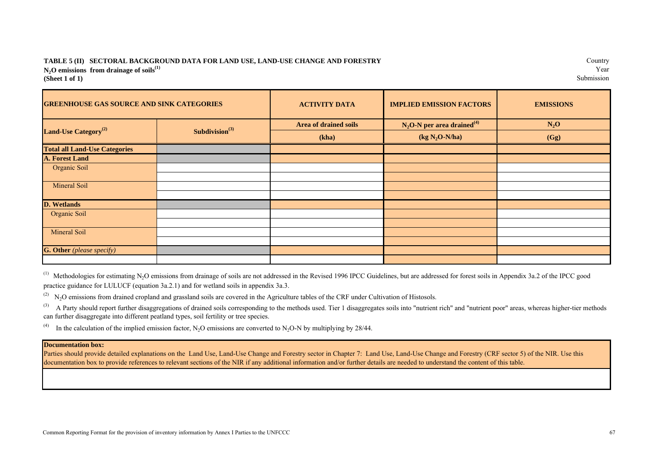## **N<sub>2</sub>O emissions from drainage of soils**<sup>(1)</sup> Year Submission **(Sheet 1 of 1)** Submission **TABLE 5 (II) SECTORAL BACKGROUND DATA FOR LAND USE, LAND-USE CHANGE AND FORESTRY**

| <b>GREENHOUSE GAS SOURCE AND SINK CATEGORIES</b> |                            | <b>ACTIVITY DATA</b>  | <b>IMPLIED EMISSION FACTORS</b>          | <b>EMISSIONS</b> |  |
|--------------------------------------------------|----------------------------|-----------------------|------------------------------------------|------------------|--|
|                                                  | Subdivision <sup>(3)</sup> | Area of drained soils | $N_2O-N$ per area drained <sup>(4)</sup> | $N_2O$           |  |
| Land-Use Category <sup>(2)</sup>                 |                            | (kha)                 | $(kg N2O-N/ha)$                          | (Gg)             |  |
| <b>Total all Land-Use Categories</b>             |                            |                       |                                          |                  |  |
| <b>A. Forest Land</b>                            |                            |                       |                                          |                  |  |
| Organic Soil                                     |                            |                       |                                          |                  |  |
|                                                  |                            |                       |                                          |                  |  |
| Mineral Soil                                     |                            |                       |                                          |                  |  |
|                                                  |                            |                       |                                          |                  |  |
| <b>D.</b> Wetlands                               |                            |                       |                                          |                  |  |
| Organic Soil                                     |                            |                       |                                          |                  |  |
|                                                  |                            |                       |                                          |                  |  |
| Mineral Soil                                     |                            |                       |                                          |                  |  |
|                                                  |                            |                       |                                          |                  |  |
| <b>G. Other</b> (please specify)                 |                            |                       |                                          |                  |  |
|                                                  |                            |                       |                                          |                  |  |

<sup>(1)</sup> Methodologies for estimating N<sub>2</sub>O emissions from drainage of soils are not addressed in the Revised 1996 IPCC Guidelines, but are addressed for forest soils in Appendix 3a.2 of the IPCC good practice guidance for LULUCF (equation 3a.2.1) and for wetland soils in appendix 3a.3.

 $(2)$  N<sub>2</sub>O emissions from drained cropland and grassland soils are covered in the Agriculture tables of the CRF under Cultivation of Histosols.

<sup>(3)</sup> A Party should report further disaggregations of drained soils corresponding to the methods used. Tier 1 disaggregates soils into "nutrient rich" and "nutrient poor" areas, whereas higher-tier methods can further disaggregate into different peatland types, soil fertility or tree species.

<sup>(4)</sup> In the calculation of the implied emission factor, N<sub>2</sub>O emissions are converted to N<sub>2</sub>O-N by multiplying by 28/44.

## **Documentation box:**

Parties should provide detailed explanations on the Land Use, Land-Use Change and Borestry and Explorestry (CRF sector 5) of the NIR. Use this documentation box to provide references to relevant sections of the NIR if any additional information and/or further details are needed to understand the content of this table.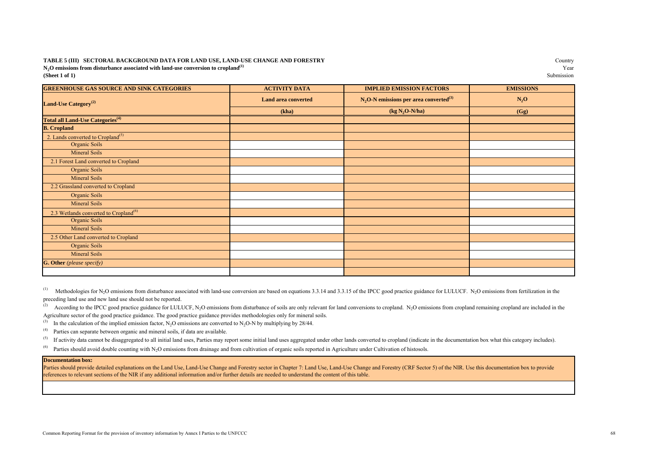## **(Sheet 1 of 1)** Submission **TABLE 5 (III) SECTORAL BACKGROUND DATA FOR LAND USE, LAND-USE CHANGE AND FORESTRY**  $N_2$ **O** emissions from disturbance associated with land-use conversion to cropland<sup>(1)</sup> (Sheet 1 of 1)

| <b>GREENHOUSE GAS SOURCE AND SINK CATEGORIES</b>    | <b>ACTIVITY DATA</b>       | <b>IMPLIED EMISSION FACTORS</b>                       | <b>EMISSIONS</b> |
|-----------------------------------------------------|----------------------------|-------------------------------------------------------|------------------|
| Land-Use Category <sup>(2)</sup>                    | <b>Land area converted</b> | $N_2$ O-N emissions per area converted <sup>(3)</sup> | $N_2O$           |
|                                                     | (kha)                      | $(kg N2O-N/ha)$                                       | (Gg)             |
| <b>Total all Land-Use Categories</b> <sup>(4)</sup> |                            |                                                       |                  |
| <b>B.</b> Cropland                                  |                            |                                                       |                  |
| 2. Lands converted to Cropland <sup>(5)</sup>       |                            |                                                       |                  |
| Organic Soils                                       |                            |                                                       |                  |
| <b>Mineral Soils</b>                                |                            |                                                       |                  |
| 2.1 Forest Land converted to Cropland               |                            |                                                       |                  |
| Organic Soils                                       |                            |                                                       |                  |
| <b>Mineral Soils</b>                                |                            |                                                       |                  |
| 2.2 Grassland converted to Cropland                 |                            |                                                       |                  |
| Organic Soils                                       |                            |                                                       |                  |
| Mineral Soils                                       |                            |                                                       |                  |
| 2.3 Wetlands converted to Cropland <sup>(6)</sup>   |                            |                                                       |                  |
| Organic Soils                                       |                            |                                                       |                  |
| Mineral Soils                                       |                            |                                                       |                  |
| 2.5 Other Land converted to Cropland                |                            |                                                       |                  |
| Organic Soils                                       |                            |                                                       |                  |
| Mineral Soils                                       |                            |                                                       |                  |
| <b>G. Other</b> (please specify)                    |                            |                                                       |                  |
|                                                     |                            |                                                       |                  |

(1) Methodologies for N<sub>2</sub>O emissions from disturbance associated with land-use conversion are based on equations 3.3.14 and 3.3.15 of the IPCC good practice guidance for LULUCF. N<sub>2</sub>O emissions from fertilization in the preceding land use and new land use should not be reported.

(2) According to the IPCC good practice guidance for LULUCF, N<sub>2</sub>O emissions from disturbance of soils are only relevant for land conversions to cropland. N<sub>2</sub>O emissions from cropland remaining cropland are included in t Agriculture sector of the good practice guidance. The good practice guidance provides methodologies only for mineral soils.

(3) In the calculation of the implied emission factor, N<sub>2</sub>O emissions are converted to N<sub>2</sub>O-N by multiplying by 28/44.<br><sup>(4)</sup> Parties can senarate between organic and mineral soils, if data are available.

(4) Parties can separate between organic and mineral soils, if data are available.<br>(5) If activity data cannot be disaggregated to all initial land uses. Parties may re

If activity data cannot be disaggregated to all initial land uses. Parties may report some initial land uses aggregated under other lands converted to cropland (indicate in the documentation box what this category includes

 $^{(6)}$  Parties should avoid double counting with N<sub>2</sub>O emissions from drainage and from cultivation of organic soils reported in Agriculture under Cultivation of histosols.

### **Documentation box:**

Parties should provide detailed explanations on the Land Use, Land-Use Change and Forestry sector in Chapter 7: Land Use, Land-Use Change and Forestry (CRF Sector 5) of the NIR. Use this documentation box to provide references to relevant sections of the NIR if any additional information and/or further details are needed to understand the content of this table.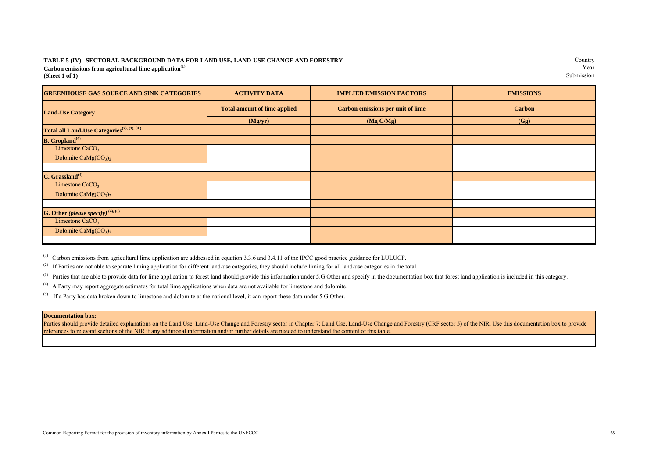## **Carbon emissions from agricultural lime application**<sup>(1)</sup> Year<br> **Carbon emissions** from agricultural lime application<sup>(1)</sup> Submission **(Sheet 1 of 1)** Submission **TABLE 5 (IV) SECTORAL BACKGROUND DATA FOR LAND USE, LAND-USE CHANGE AND FORESTRY**

Country<br>Year

| <b>GREENHOUSE GAS SOURCE AND SINK CATEGORIES</b>       | <b>ACTIVITY DATA</b>                | <b>IMPLIED EMISSION FACTORS</b>          | <b>EMISSIONS</b> |  |  |
|--------------------------------------------------------|-------------------------------------|------------------------------------------|------------------|--|--|
| <b>Land-Use Category</b>                               | <b>Total amount of lime applied</b> | <b>Carbon emissions per unit of lime</b> | <b>Carbon</b>    |  |  |
|                                                        | (Mg/yr)                             | (Mg C/Mg)                                | (Gg)             |  |  |
| Total all Land-Use Categories <sup>(2), (3), (4)</sup> |                                     |                                          |                  |  |  |
| <b>B.</b> Cropland <sup>(4)</sup>                      |                                     |                                          |                  |  |  |
| Limestone CaCO <sub>3</sub>                            |                                     |                                          |                  |  |  |
| Dolomite CaMg $(CO3)2$                                 |                                     |                                          |                  |  |  |
|                                                        |                                     |                                          |                  |  |  |
| C. Grassland <sup>(4)</sup>                            |                                     |                                          |                  |  |  |
| Limestone CaCO <sub>3</sub>                            |                                     |                                          |                  |  |  |
| Dolomite CaMg $(CO_3)_2$                               |                                     |                                          |                  |  |  |
|                                                        |                                     |                                          |                  |  |  |
| G. Other (please specify) $(4)$ , $(5)$                |                                     |                                          |                  |  |  |
| Limestone $CaCO3$                                      |                                     |                                          |                  |  |  |
| Dolomite CaMg $(CO3)2$                                 |                                     |                                          |                  |  |  |
|                                                        |                                     |                                          |                  |  |  |

 $<sup>(1)</sup>$  Carbon emissions from agricultural lime application are addressed in equation 3.3.6 and 3.4.11 of the IPCC good practice guidance for LULUCF.</sup>

<sup>(2)</sup> If Parties are not able to separate liming application for different land-use categories, they should include liming for all land-use categories in the total.

(3) Parties that are able to provide data for lime application to forest land should provide this information under 5.G Other and specify in the documentation box that forest land application is included in this category.

(4) A Party may report aggregate estimates for total lime applications when data are not available for limestone and dolomite.

 $(5)$  If a Party has data broken down to limestone and dolomite at the national level, it can report these data under 5.G Other.

#### **Documentation box:**

Parties should provide detailed explanations on the Land Use, Land-Use Change and Forestry sector in Chapter 7: Land Use, Land-Use Change and Forestry (CRF sector 5) of the NIR. Use this documentation box to provide references to relevant sections of the NIR if any additional information and/or further details are needed to understand the content of this table.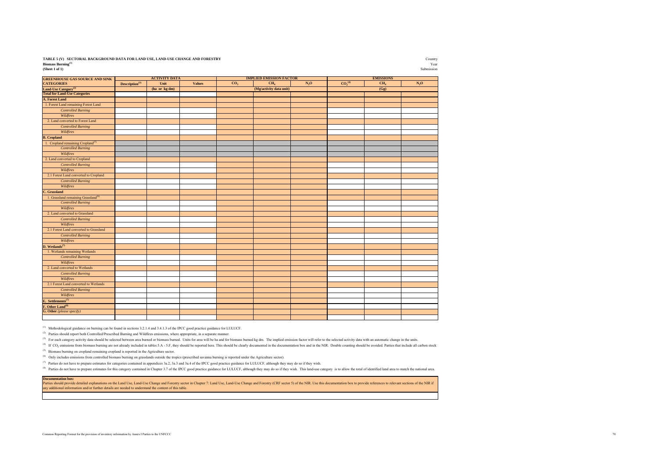| TABLE 5 (V) SECTORAL BACKGROUND DATA FOR LAND USE, LAND-USE CHANGE AND FORESTRY | Country    |
|---------------------------------------------------------------------------------|------------|
| <b>Biomass Burning</b> <sup>(1)</sup>                                           | Year       |
| (Sheet 1 of 1)                                                                  | Submission |

Country<br>Year

| <b>GREENHOUSE GAS SOURCE AND SINK</b>                                                                      |                      | <b>ACTIVITY DATA</b> |               |                 | <b>IMPLIED EMISSION FACTOR</b> |                          | <b>EMISSIONS</b>               |                 |        |
|------------------------------------------------------------------------------------------------------------|----------------------|----------------------|---------------|-----------------|--------------------------------|--------------------------|--------------------------------|-----------------|--------|
| <b>CATEGORIES</b>                                                                                          | Description $^{(3)}$ | Unit                 | <b>Values</b> | CO <sub>2</sub> | CH <sub>4</sub>                | $\mathbf{N}_2\mathbf{O}$ | CO <sub>2</sub> <sup>(4)</sup> | CH <sub>4</sub> | $N_2O$ |
| <b>Land-Use Category<sup>(2)</sup></b><br>Total for Land-Use Categories                                    |                      | (ha or kg dm)        |               |                 | (Mg/activity data unit)        |                          |                                | (Gg)            |        |
|                                                                                                            |                      |                      |               |                 |                                |                          |                                |                 |        |
| A. Forest Land                                                                                             |                      |                      |               |                 |                                |                          |                                |                 |        |
| 1. Forest Land remaining Forest Land                                                                       |                      |                      |               |                 |                                |                          |                                |                 |        |
| <b>Controlled Burning</b>                                                                                  |                      |                      |               |                 |                                |                          |                                |                 |        |
| Wildfires                                                                                                  |                      |                      |               |                 |                                |                          |                                |                 |        |
| 2. Land converted to Forest Land                                                                           |                      |                      |               |                 |                                |                          |                                |                 |        |
| <b>Controlled Burning</b>                                                                                  |                      |                      |               |                 |                                |                          |                                |                 |        |
| Wildfires                                                                                                  |                      |                      |               |                 |                                |                          |                                |                 |        |
| <b>B.</b> Cropland                                                                                         |                      |                      |               |                 |                                |                          |                                |                 |        |
| 1. Cropland remaining Cropland <sup>(5)</sup>                                                              |                      |                      |               |                 |                                |                          |                                |                 |        |
| <b>Controlled Burning</b>                                                                                  |                      |                      |               |                 |                                |                          |                                |                 |        |
| Wildfires                                                                                                  |                      |                      |               |                 |                                |                          |                                |                 |        |
| 2. Land converted to Cropland                                                                              |                      |                      |               |                 |                                |                          |                                |                 |        |
| <b>Controlled Burning</b>                                                                                  |                      |                      |               |                 |                                |                          |                                |                 |        |
| <b>Wildfires</b>                                                                                           |                      |                      |               |                 |                                |                          |                                |                 |        |
| 2.1 Forest Land converted to Cropland                                                                      |                      |                      |               |                 |                                |                          |                                |                 |        |
| <b>Controlled Burning</b>                                                                                  |                      |                      |               |                 |                                |                          |                                |                 |        |
| Wildfires                                                                                                  |                      |                      |               |                 |                                |                          |                                |                 |        |
| C. Grassland                                                                                               |                      |                      |               |                 |                                |                          |                                |                 |        |
| 1. Grassland remaining Grassland <sup>(6)</sup>                                                            |                      |                      |               |                 |                                |                          |                                |                 |        |
| <b>Controlled Burning</b>                                                                                  |                      |                      |               |                 |                                |                          |                                |                 |        |
| Wildfires                                                                                                  |                      |                      |               |                 |                                |                          |                                |                 |        |
| 2. Land converted to Grassland                                                                             |                      |                      |               |                 |                                |                          |                                |                 |        |
| <b>Controlled Burning</b>                                                                                  |                      |                      |               |                 |                                |                          |                                |                 |        |
| Wildfires                                                                                                  |                      |                      |               |                 |                                |                          |                                |                 |        |
| 2.1 Forest Land converted to Grassland                                                                     |                      |                      |               |                 |                                |                          |                                |                 |        |
| <b>Controlled Burning</b>                                                                                  |                      |                      |               |                 |                                |                          |                                |                 |        |
| Wildfires                                                                                                  |                      |                      |               |                 |                                |                          |                                |                 |        |
| D. Wetlands $(7)$                                                                                          |                      |                      |               |                 |                                |                          |                                |                 |        |
| 1. Wetlands remaining Wetlands                                                                             |                      |                      |               |                 |                                |                          |                                |                 |        |
| <b>Controlled Burning</b>                                                                                  |                      |                      |               |                 |                                |                          |                                |                 |        |
| Wildfires                                                                                                  |                      |                      |               |                 |                                |                          |                                |                 |        |
| 2. Land converted to Wetlands                                                                              |                      |                      |               |                 |                                |                          |                                |                 |        |
| <b>Controlled Burning</b>                                                                                  |                      |                      |               |                 |                                |                          |                                |                 |        |
| Wildfires                                                                                                  |                      |                      |               |                 |                                |                          |                                |                 |        |
| 2.1 Forest Land converted to Wetlands                                                                      |                      |                      |               |                 |                                |                          |                                |                 |        |
| <b>Controlled Burning</b>                                                                                  |                      |                      |               |                 |                                |                          |                                |                 |        |
| Wildfires                                                                                                  |                      |                      |               |                 |                                |                          |                                |                 |        |
| <b>E.</b> Settlements <sup>(7)</sup><br>F. Other Land <sup>(8)</sup><br>G. Other ( <i>please specify</i> ) |                      |                      |               |                 |                                |                          |                                |                 |        |
|                                                                                                            |                      |                      |               |                 |                                |                          |                                |                 |        |
|                                                                                                            |                      |                      |               |                 |                                |                          |                                |                 |        |
|                                                                                                            |                      |                      |               |                 |                                |                          |                                |                 |        |

(1) Methodological guidance on burning can be found in sections 3.2.1.4 and 3.4.1.3 of the IPCC good practice guidance for LULUCF.

(2) Parties should report both Controlled/Prescribed Burning and Wildfires emissions, where appropriate, in a separate manner.

<sup>(3)</sup> For each category activity data should be selected between area burned or biomass burned. Units for area will be ha and for biomass burned kg dm. The implied emission factor will refer to the selected activity data w

<sup>(4)</sup> If CO<sub>2</sub> emissions from biomass burning are not already included in tables 5.A - 5.F, they should be reported here. This should be clearly documented in the documented in the documentation box and in the NIR. Double

(5) Biomass burning on cropland remaining cropland is reported in the Agriculture sector.

(6) Only includes emissions from controlled biomass burning on grasslands outside the tropics (prescribed savanna burning is reported under the Agriculture sector).

<sup>(7)</sup> Parties do not have to prepare estimates for categories contained in appendices 3a.2, 3a.3 and 3a.4 of the IPCC good practice guidance for LULUCF, although they may do so if they wish.

Parties do not have to prepare estimates for this category contained in Chapter 3.7 of the IPCC good practice guidance for LULUCF, although they may do so if they wish. This land-use category is to allow the total of ident

#### **Documentation box:**

Parties should provide detailed explanations on the Land Use, Land-Use Change and Forstry sector in Chapter 7: Land Use, Land-Use Change and Forestry (CRF sector 5) of the NIR. Use this documentation box to provide referen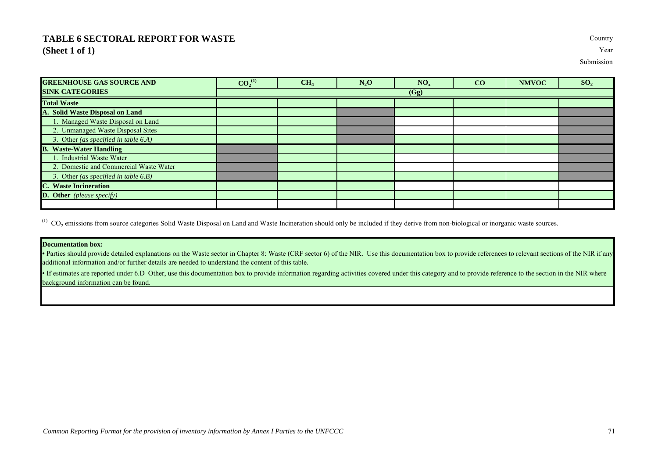## **TABLE 6 SECTORAL REPORT FOR WASTE** Country **(Sheet 1 of 1)** Year

Submission

| <b>GREENHOUSE GAS SOURCE AND</b>        | $CO_2^{(1)}$ | CH <sub>4</sub> | $N_2O$ | NO <sub>x</sub> | CO | <b>NMVOC</b> | SO <sub>2</sub> |
|-----------------------------------------|--------------|-----------------|--------|-----------------|----|--------------|-----------------|
| <b>SINK CATEGORIES</b>                  | (Gg)         |                 |        |                 |    |              |                 |
| <b>Total Waste</b>                      |              |                 |        |                 |    |              |                 |
| A. Solid Waste Disposal on Land         |              |                 |        |                 |    |              |                 |
| 1. Managed Waste Disposal on Land       |              |                 |        |                 |    |              |                 |
| 2. Unmanaged Waste Disposal Sites       |              |                 |        |                 |    |              |                 |
| 3. Other (as specified in table 6.A)    |              |                 |        |                 |    |              |                 |
| <b>B.</b> Waste-Water Handling          |              |                 |        |                 |    |              |                 |
| <b>Industrial Waste Water</b>           |              |                 |        |                 |    |              |                 |
| 2. Domestic and Commercial Waste Water  |              |                 |        |                 |    |              |                 |
| 3. Other (as specified in table $6.B$ ) |              |                 |        |                 |    |              |                 |
| <b>C.</b> Waste Incineration            |              |                 |        |                 |    |              |                 |
| <b>D.</b> Other (please specify)        |              |                 |        |                 |    |              |                 |
|                                         |              |                 |        |                 |    |              |                 |

 $^{(1)}$  CO<sub>2</sub> emissions from source categories Solid Waste Disposal on Land and Waste Incineration should only be included if they derive from non-biological or inorganic waste sources.

## **Documentation box:**

• Parties should provide detailed explanations on the Waste sector in Chapter 8: Waste (CRF sector 6) of the NIR. Use this documentation box to provide references to relevant sections of the NIR if any additional information and/or further details are needed to understand the content of this table.

• If estimates are reported under 6.D Other, use this documentation box to provide information regarding activities covered under this category and to provide reference to the section in the NIR where background information can be found.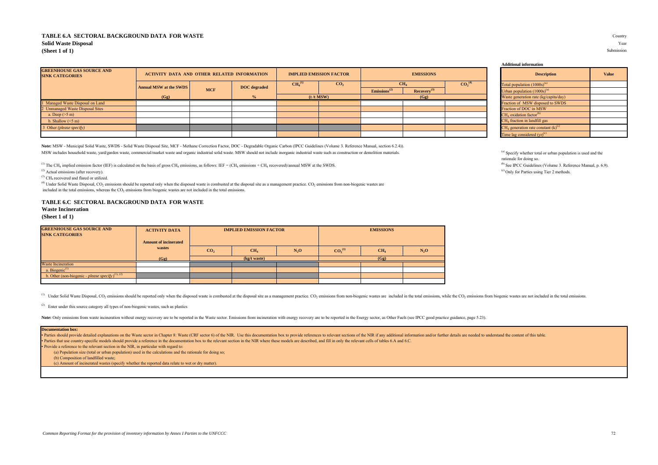## **TABLE 6.A SECTORAL BACKGROUND DATA FOR WASTE** Country **Solid Waste Disposal** Year **(Sheet 1 of 1)** Submission

| <b>GREENHOUSE GAS SOURCE AND</b><br><b>SINK CATEGORIES</b> | <b>ACTIVITY DATA AND OTHER RELATED INFORMATION</b> |            |                     | <b>IMPLIED EMISSION FACTOR</b> |                 | <b>EMISSIONS</b>         |                         |                                       |  | <b>Description</b>                                |
|------------------------------------------------------------|----------------------------------------------------|------------|---------------------|--------------------------------|-----------------|--------------------------|-------------------------|---------------------------------------|--|---------------------------------------------------|
|                                                            | <b>Annual MSW at the SWDS</b>                      | <b>MCF</b> | <b>DOC</b> degraded | CH <sub>4</sub> <sup>(1)</sup> | CO <sub>2</sub> | CH <sub>4</sub>          |                         | CO <sub>2</sub> <sup>(4)</sup>        |  | Total population $(1000s)^{(a)}$                  |
|                                                            |                                                    |            |                     |                                |                 | Emissions <sup>(2)</sup> | Recovery <sup>(3)</sup> |                                       |  | Urban population $(1000s)^{6}$                    |
|                                                            | (Gg)                                               |            |                     | (t/t MSW)                      |                 | (Gg)                     |                         | Waste generation rate (kg/capita/day) |  |                                                   |
| 1 Managed Waste Disposal on Land                           |                                                    |            |                     |                                |                 |                          |                         |                                       |  | Fraction of MSW disposed to SWDS                  |
| 2 Unmanaged Waste Disposal Sites                           |                                                    |            |                     |                                |                 |                          |                         |                                       |  | Fraction of DOC in MSW                            |
| a. Deep $(>5 \text{ m})$                                   |                                                    |            |                     |                                |                 |                          |                         |                                       |  | $CH4$ oxidation factor <sup>(b)</sup>             |
| b. Shallow $(<5 m)$                                        |                                                    |            |                     |                                |                 |                          |                         |                                       |  | $CH4$ fraction in landfill gas                    |
| 3 Other (please specify)                                   |                                                    |            |                     |                                |                 |                          |                         |                                       |  | $CH4$ generation rate constant (k) <sup>(c)</sup> |
|                                                            |                                                    |            |                     |                                |                 |                          |                         |                                       |  | Time lag considered $(vr)^{c}$                    |

**Note:** MSW - Municipal Solid Waste, SWDS - Solid Waste Disposal Site, MCF - Methane Correction Factor, DOC - Degradable Organic Carbon (IPCC Guidelines (Volume 3. Reference Manual, section 6.2.4)). MSW includes household waste, yard/garden waste, commercial/market waste and organic industrial solid waste. MSW should not include inorganic industrial waste uch as construction or demolition materials. (a) Specify whethe

<sup>(1)</sup> The CH<sub>4</sub> implied emission factor (IEF) is calculated on the basis of gross CH<sub>4</sub> emissions, as follows: IEF = (CH<sub>4</sub> emissions + CH<sub>4</sub> recovered)/annual MSW at the SWDS.<br><sup>(2)</sup> Actual emissions (after recovery). <sup>(6</sup>

 $^{(3)}$  CH<sub>4</sub> recovered and flared or utilized.

 $(4)$  Under Solid Waste Disposal, CO<sub>2</sub> emissions should be reported only when the disposed waste is combusted at the disposal site as a management practice. CO<sub>2</sub> emissions from non-biogenic wastes are included in the total emissions, whereas the CO<sub>2</sub> emissions from biogenic wastes are not included in the total emissions.

## **TABLE 6.C SECTORAL BACKGROUND DATA FOR WASTE**

## **Waste Incineration**

**(Sheet 1 of 1)**

| <b>GREENHOUSE GAS SOURCE AND</b><br><b>SINK CATEGORIES</b>   | <b>ACTIVITY DATA</b>         |                 | <b>IMPLIED EMISSION FACTOR</b> |        | <b>EMISSIONS</b>               |                 |        |  |
|--------------------------------------------------------------|------------------------------|-----------------|--------------------------------|--------|--------------------------------|-----------------|--------|--|
|                                                              | <b>Amount of incinerated</b> |                 |                                |        |                                |                 |        |  |
|                                                              | wastes                       | CO <sub>2</sub> | CH <sub>4</sub>                | $N_2O$ | CO <sub>2</sub> <sup>(1)</sup> | CH <sub>4</sub> | $N_2O$ |  |
|                                                              | (Gg)                         | (kg/t waste)    |                                |        | (Gg)                           |                 |        |  |
| <b>Waste Incineration</b>                                    |                              |                 |                                |        |                                |                 |        |  |
| a. Biogenic $(1)$                                            |                              |                 |                                |        |                                |                 |        |  |
| b. Other (non-biogenic - please specify) <sup>(1), (2)</sup> |                              |                 |                                |        |                                |                 |        |  |
|                                                              |                              |                 |                                |        |                                |                 |        |  |

<sup>(1)</sup> Under Solid Waste Disposal, CO<sub>2</sub> emissions should be reported only when the disposed waste is combusted at the disposed waste is combusted at the disposal site as a management practice. CO<sub>2</sub> emissions from non-biog

<sup>(2)</sup> Enter under this source category all types of non-biogenic wastes, such as plastics

Note: Only emissions from waste incineration without energy recovery are to be reported in the Waste sector. Emissions from incineration with energy recovery are to be reported in the Energy sector, as Other Fuels (see IPC

#### **Documentation box:**

Parties should provide detailed explanations on the Waste sector in Chapter 8: Waste (CRF sector 6) of the NIR. Use this documentation box to provide references to relevant sections of the NIR if any additional information

• Parties that use country-specific models should provide a reference in the documentation box to the relevant section in the NIR where these models are described, and fill in only the relevant cells of tables 6.A and 6.C.

• Provide a reference to the relevant section in the NIR, in particular with regard to:

(a) Population size (total or urban population) used in the calculations and the rationale for doing so;

(b) Composition of landfilled waste;

(c) Amount of incinerated wastes (specify whether the reported data relate to wet or dry matter).

|  | Total population $(1000s)^{(a)}$        |
|--|-----------------------------------------|
|  | Urban population (1000s) <sup>(a)</sup> |
|  | Waste generation rate (kg/capita/day)   |
|  | Fraction of MSW disposed to SWDS        |
|  | Fraction of DOC in MSW                  |

**Additional information**

rationale for doing so.<br><sup>(b)</sup> See IPCC Guidelines (Volume 3. Reference Manual, p. 6.9).

**Description Value**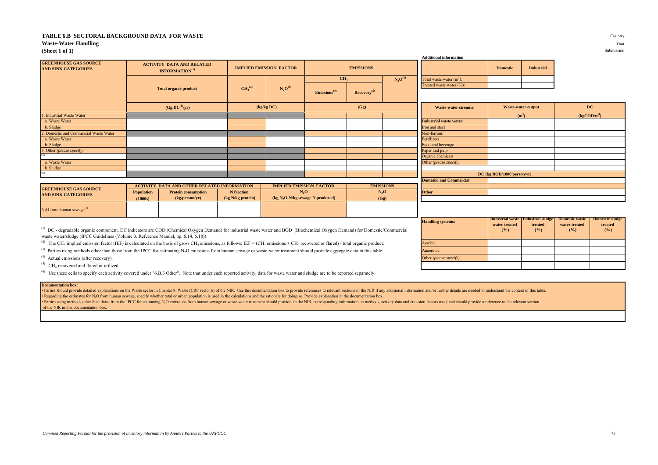#### **TABLE 6.B SECTORAL BACKGROUND DATA FOR WASTE** Country **Waste-Water Handling** Year

#### **(Sheet 1 of 1)** Submission

|                                                            |                   |                                                                |                                |                                |                                   |                         |                  | <b>Additional information</b>  |                            |                                                                         |                      |  |
|------------------------------------------------------------|-------------------|----------------------------------------------------------------|--------------------------------|--------------------------------|-----------------------------------|-------------------------|------------------|--------------------------------|----------------------------|-------------------------------------------------------------------------|----------------------|--|
| <b>GREENHOUSE GAS SOURCE</b><br><b>AND SINK CATEGORIES</b> |                   | <b>ACTIVITY DATA AND RELATED</b><br>INFORMATION <sup>(1)</sup> |                                | <b>IMPLIED EMISSION FACTOR</b> |                                   | <b>EMISSIONS</b>        |                  |                                | <b>Domestic</b>            | <b>Industrial</b>                                                       |                      |  |
|                                                            |                   |                                                                |                                |                                | CH <sub>4</sub>                   |                         | $N_2O^{(3)}$     | Total waste water $(m3)$ :     |                            |                                                                         |                      |  |
|                                                            |                   |                                                                | CH <sub>4</sub> <sup>(2)</sup> | $N_2O^{(3)}$                   |                                   |                         |                  | Treated waste water (%):       |                            |                                                                         |                      |  |
|                                                            |                   | <b>Total organic product</b>                                   |                                |                                | Emissions <sup>(4)</sup>          | Recovery <sup>(5)</sup> |                  |                                |                            |                                                                         |                      |  |
|                                                            |                   | (Gg DC <sup>(1)</sup> /yr)                                     |                                | (kg/kg DC)                     |                                   | (Gg)                    |                  | <b>Waste-water streams:</b>    |                            | Waste-water output                                                      | DC                   |  |
| 1. Industrial Waste Water                                  |                   |                                                                |                                |                                |                                   |                         |                  |                                | (m <sup>3</sup> )          |                                                                         | $(kg\text{COD/m}^3)$ |  |
| a. Waste Water                                             |                   |                                                                |                                |                                |                                   |                         |                  | <b>Industrial waste water</b>  |                            |                                                                         |                      |  |
| b. Sludge                                                  |                   |                                                                |                                |                                |                                   |                         |                  | Iron and steel                 |                            |                                                                         |                      |  |
| 2. Domestic and Commercial Waste Water                     |                   |                                                                |                                |                                |                                   |                         |                  | Non-ferrous                    |                            |                                                                         |                      |  |
| a. Waste Water                                             |                   |                                                                |                                |                                |                                   |                         |                  | Fertilizers                    |                            |                                                                         |                      |  |
| b. Sludge                                                  |                   |                                                                |                                |                                |                                   |                         |                  | Food and beverage              |                            |                                                                         |                      |  |
| 3. Other (please specify)                                  |                   |                                                                |                                |                                |                                   |                         |                  | Paper and pulp                 |                            |                                                                         |                      |  |
|                                                            |                   |                                                                |                                |                                |                                   |                         |                  | Organic chemicals              |                            |                                                                         |                      |  |
| a. Waste Water                                             |                   |                                                                |                                |                                |                                   |                         |                  | Other (please specify)         |                            |                                                                         |                      |  |
| b. Sludge                                                  |                   |                                                                |                                |                                |                                   |                         |                  |                                |                            |                                                                         |                      |  |
| (6)                                                        |                   |                                                                |                                |                                |                                   |                         |                  |                                | DC (kg BOD/1000 person/yr) |                                                                         |                      |  |
|                                                            |                   |                                                                |                                |                                |                                   |                         |                  | <b>Domestic and Commercial</b> |                            |                                                                         |                      |  |
| <b>GREENHOUSE GAS SOURCE</b>                               |                   | <b>ACTIVITY DATA AND OTHER RELATED INFORMATION</b>             |                                | <b>IMPLIED EMISSION FACTOR</b> |                                   |                         | <b>EMISSIONS</b> |                                |                            |                                                                         |                      |  |
| <b>AND SINK CATEGORIES</b>                                 | <b>Population</b> | <b>Protein consumption</b>                                     | <b>N</b> fraction              | $N_2O$                         |                                   |                         | $N_2O$           | Other                          |                            |                                                                         |                      |  |
|                                                            | (1000s)           | (kg/person/yr)                                                 | (kg N/kg protein)              |                                | $(kg N2O-N/kg$ sewage N produced) |                         | (Gg)             |                                |                            |                                                                         |                      |  |
| $N2O$ from human sewage <sup>(3)</sup>                     |                   |                                                                |                                |                                |                                   |                         |                  |                                |                            |                                                                         |                      |  |
|                                                            |                   |                                                                |                                |                                |                                   |                         |                  |                                |                            | Industrial waste   Industrial sludge   Domestic waste   Domestic sludge |                      |  |

<sup>(1)</sup> DC - degradable organic component. DC indicators are COD (Chemical Oxygen Demand) for industrial waste water and BOD (Biochemical Oxygen Demand) for Domestic/Commercial waste water/sludge (IPCC Guidelines (Volume 3. Reference Manual, pp. 6.14, 6.18)).

<sup>(2)</sup> The CH<sub>4</sub> implied emission factor (IEF) is calculated on the basis of gross CH<sub>4</sub> emissions, as follows: IEF = (CH<sub>4</sub> emissions + CH<sub>4</sub> recovered or flared) / total organic product. Aerobic

<sup>(3)</sup> Parties using methods other than those from the IPCC for estimating N<sub>2</sub>O emissions from human sewage or waste-water treatment should provide aggregate data in this table.

<sup>(4)</sup> Actual emissions (after recovery).

 $\rm CH_4$  recovered and flared or utilized.

<sup>(6)</sup> Use these cells to specify each activity covered under "6.B.3 Other". Note that under each reported activity, data for waste water and sludge are to be reported separately.

#### **Documentation box:**

· Parties should provide detailed explanations on the Waste sector in Chapter 8: Waste (CRF sector 6) of the NIR. Use this documentation box to provide references to relevant sections of the NIR if any additional informati Regarding the estimates for N.O from human sewage, specify whether total or urban population is used in the calculations and the rationale for doing so. Provide explanation in the documentation box.

Parties using methods other than those from the IPCC for estimating NO emissions from human sewage or waste-water treatment should provide, in the NIR, corresponding information on methods, activity data and emission facto of the NIR in this documentation box.

| <b>Handling systems:</b> | water treated<br>$($ %) | Industrial waste   Industrial sludge  <br>treated<br>$($ %) | <b>Domestic waste</b><br>water treated<br>(%) | <b>Domestic sludge</b><br>treated<br>(%) |
|--------------------------|-------------------------|-------------------------------------------------------------|-----------------------------------------------|------------------------------------------|
| Aerobic                  |                         |                                                             |                                               |                                          |
| Anaerobic                |                         |                                                             |                                               |                                          |
| Other (please specify)   |                         |                                                             |                                               |                                          |
|                          |                         |                                                             |                                               |                                          |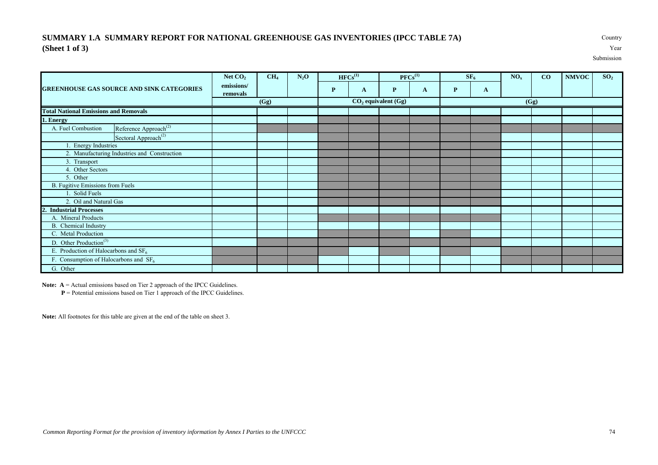### **SUMMARY 1.A SUMMARY REPORT FOR NATIONAL GREENHOUSE GAS INVENTORIES (IPCC TABLE 7A)** Country **(Sheet 1 of 3)** Year

Submission

|                                                         | Net $CO2$              | CH <sub>4</sub> | $N_2O$ |   | $HFCs^{(1)}$ |                         | $PFCs^{(1)}$ |              | SF <sub>6</sub> | NO <sub>x</sub> | CO   | <b>NMVOC</b> | SO <sub>2</sub> |
|---------------------------------------------------------|------------------------|-----------------|--------|---|--------------|-------------------------|--------------|--------------|-----------------|-----------------|------|--------------|-----------------|
| <b>GREENHOUSE GAS SOURCE AND SINK CATEGORIES</b>        | emissions/<br>removals |                 |        | P | A            | $\mathbf{P}$            | $\mathbf{A}$ | $\mathbf{P}$ | A               |                 |      |              |                 |
|                                                         |                        | (Gg)            |        |   |              | $CO2$ equivalent $(Gg)$ |              |              |                 |                 | (Gg) |              |                 |
| <b>Total National Emissions and Removals</b>            |                        |                 |        |   |              |                         |              |              |                 |                 |      |              |                 |
| 1. Energy                                               |                        |                 |        |   |              |                         |              |              |                 |                 |      |              |                 |
| Reference Approach <sup>(2)</sup><br>A. Fuel Combustion |                        |                 |        |   |              |                         |              |              |                 |                 |      |              |                 |
| Sectoral Approach <sup>(2)</sup>                        |                        |                 |        |   |              |                         |              |              |                 |                 |      |              |                 |
| 1. Energy Industries                                    |                        |                 |        |   |              |                         |              |              |                 |                 |      |              |                 |
| 2. Manufacturing Industries and Construction            |                        |                 |        |   |              |                         |              |              |                 |                 |      |              |                 |
| 3. Transport                                            |                        |                 |        |   |              |                         |              |              |                 |                 |      |              |                 |
| 4. Other Sectors                                        |                        |                 |        |   |              |                         |              |              |                 |                 |      |              |                 |
| 5. Other                                                |                        |                 |        |   |              |                         |              |              |                 |                 |      |              |                 |
| <b>B.</b> Fugitive Emissions from Fuels                 |                        |                 |        |   |              |                         |              |              |                 |                 |      |              |                 |
| . Solid Fuels                                           |                        |                 |        |   |              |                         |              |              |                 |                 |      |              |                 |
| 2. Oil and Natural Gas                                  |                        |                 |        |   |              |                         |              |              |                 |                 |      |              |                 |
| 2. Industrial Processes                                 |                        |                 |        |   |              |                         |              |              |                 |                 |      |              |                 |
| A. Mineral Products                                     |                        |                 |        |   |              |                         |              |              |                 |                 |      |              |                 |
| B. Chemical Industry                                    |                        |                 |        |   |              |                         |              |              |                 |                 |      |              |                 |
| C. Metal Production                                     |                        |                 |        |   |              |                         |              |              |                 |                 |      |              |                 |
| D. Other Production <sup>(3)</sup>                      |                        |                 |        |   |              |                         |              |              |                 |                 |      |              |                 |
| E. Production of Halocarbons and $SF6$                  |                        |                 |        |   |              |                         |              |              |                 |                 |      |              |                 |
| F. Consumption of Halocarbons and $SF6$                 |                        |                 |        |   |              |                         |              |              |                 |                 |      |              |                 |
| G. Other                                                |                        |                 |        |   |              |                         |              |              |                 |                 |      |              |                 |

**Note:** A = Actual emissions based on Tier 2 approach of the IPCC Guidelines.

**P** = Potential emissions based on Tier 1 approach of the IPCC Guidelines.

**Note:** All footnotes for this table are given at the end of the table on sheet 3.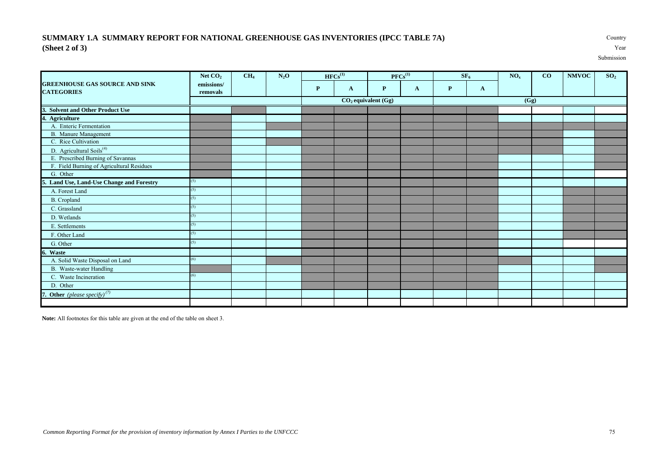### **SUMMARY 1.A SUMMARY REPORT FOR NATIONAL GREENHOUSE GAS INVENTORIES (IPCC TABLE 7A)** Country **(Sheet 2 of 3)** Year

Submission

|                                                            | Net $CO2$              | CH <sub>4</sub> | $N_2O$ |              | $HFCs^{(1)}$ |                         | $PFCs^{(1)}$ |   | SF <sub>6</sub> | NO <sub>x</sub> | CO | <b>NMVOC</b> | SO <sub>2</sub> |
|------------------------------------------------------------|------------------------|-----------------|--------|--------------|--------------|-------------------------|--------------|---|-----------------|-----------------|----|--------------|-----------------|
| <b>GREENHOUSE GAS SOURCE AND SINK</b><br><b>CATEGORIES</b> | emissions/<br>removals |                 |        | $\mathbf{P}$ | $\mathbf{A}$ | P                       | $\mathbf{A}$ | P | $\mathbf{A}$    |                 |    |              |                 |
|                                                            |                        |                 |        |              |              | $CO2$ equivalent $(Gg)$ |              |   |                 | (Gg)            |    |              |                 |
| 3. Solvent and Other Product Use                           |                        |                 |        |              |              |                         |              |   |                 |                 |    |              |                 |
| 4. Agriculture                                             |                        |                 |        |              |              |                         |              |   |                 |                 |    |              |                 |
| A. Enteric Fermentation                                    |                        |                 |        |              |              |                         |              |   |                 |                 |    |              |                 |
| <b>B.</b> Manure Management                                |                        |                 |        |              |              |                         |              |   |                 |                 |    |              |                 |
| C. Rice Cultivation                                        |                        |                 |        |              |              |                         |              |   |                 |                 |    |              |                 |
| D. Agricultural Soils <sup>(4)</sup>                       |                        |                 |        |              |              |                         |              |   |                 |                 |    |              |                 |
| E. Prescribed Burning of Savannas                          |                        |                 |        |              |              |                         |              |   |                 |                 |    |              |                 |
| F. Field Burning of Agricultural Residues                  |                        |                 |        |              |              |                         |              |   |                 |                 |    |              |                 |
| G. Other                                                   |                        |                 |        |              |              |                         |              |   |                 |                 |    |              |                 |
| 5. Land Use, Land-Use Change and Forestry                  | (5)                    |                 |        |              |              |                         |              |   |                 |                 |    |              |                 |
| A. Forest Land                                             | (5)                    |                 |        |              |              |                         |              |   |                 |                 |    |              |                 |
| <b>B.</b> Cropland                                         | (5)                    |                 |        |              |              |                         |              |   |                 |                 |    |              |                 |
| C. Grassland                                               | (5)                    |                 |        |              |              |                         |              |   |                 |                 |    |              |                 |
| D. Wetlands                                                | (5)                    |                 |        |              |              |                         |              |   |                 |                 |    |              |                 |
| E. Settlements                                             | (5)                    |                 |        |              |              |                         |              |   |                 |                 |    |              |                 |
| F. Other Land                                              | (5)                    |                 |        |              |              |                         |              |   |                 |                 |    |              |                 |
| G. Other                                                   | (5)                    |                 |        |              |              |                         |              |   |                 |                 |    |              |                 |
| 6. Waste                                                   |                        |                 |        |              |              |                         |              |   |                 |                 |    |              |                 |
| A. Solid Waste Disposal on Land                            | (6)                    |                 |        |              |              |                         |              |   |                 |                 |    |              |                 |
| <b>B.</b> Waste-water Handling                             |                        |                 |        |              |              |                         |              |   |                 |                 |    |              |                 |
| C. Waste Incineration                                      | (6)                    |                 |        |              |              |                         |              |   |                 |                 |    |              |                 |
| D. Other                                                   |                        |                 |        |              |              |                         |              |   |                 |                 |    |              |                 |
| 7. Other (please specify) $(7)$                            |                        |                 |        |              |              |                         |              |   |                 |                 |    |              |                 |
|                                                            |                        |                 |        |              |              |                         |              |   |                 |                 |    |              |                 |

**Note:** All footnotes for this table are given at the end of the table on sheet 3.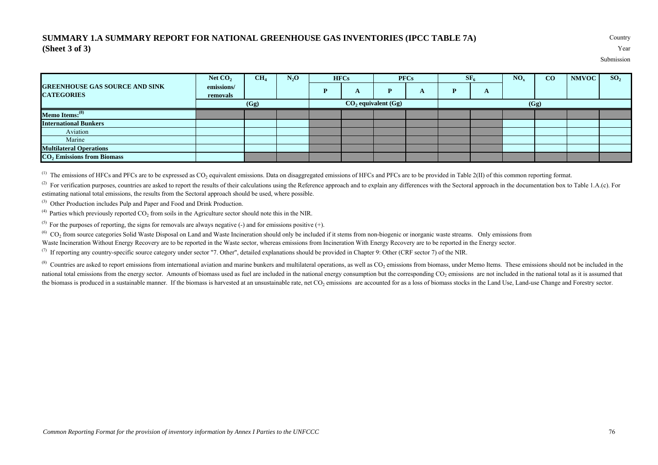### **SUMMARY 1.A SUMMARY REPORT FOR NATIONAL GREENHOUSE GAS INVENTORIES (IPCC TABLE 7A)** Country **(Sheet 3 of 3)** Year

Submission

|                                                            | Net $CO2$              | CH <sub>4</sub> | $N_2O$ | <b>HFCs</b> |                       | <b>PFCs</b> | $SF_6$ |   | $NO_{v}$ | CO   | <b>NMVOC</b> | SO <sub>2</sub> |
|------------------------------------------------------------|------------------------|-----------------|--------|-------------|-----------------------|-------------|--------|---|----------|------|--------------|-----------------|
| <b>GREENHOUSE GAS SOURCE AND SINK</b><br><b>CATEGORIES</b> | emissions/<br>removals |                 |        | A           | P                     | A           | D      | A |          |      |              |                 |
|                                                            |                        | (Gg)            |        |             | $CO2$ equivalent (Gg) |             |        |   |          | (Gg) |              |                 |
| Memo Items: <sup>(8)</sup>                                 |                        |                 |        |             |                       |             |        |   |          |      |              |                 |
| <b>International Bunkers</b>                               |                        |                 |        |             |                       |             |        |   |          |      |              |                 |
| Aviation                                                   |                        |                 |        |             |                       |             |        |   |          |      |              |                 |
| Marine                                                     |                        |                 |        |             |                       |             |        |   |          |      |              |                 |
| <b>Multilateral Operations</b>                             |                        |                 |        |             |                       |             |        |   |          |      |              |                 |
| $CO2$ Emissions from Biomass                               |                        |                 |        |             |                       |             |        |   |          |      |              |                 |

 $^{(1)}$  The emissions of HFCs and PFCs are to be expressed as CO<sub>2</sub> equivalent emissions. Data on disaggregated emissions of HFCs and PFCs are to be provided in Table 2(II) of this common reporting format.

<sup>(2)</sup> For verification purposes, countries are asked to report the results of their calculations using the Reference approach and to explain any differences with the Sectoral approach in the documentation box to Table 1.A. estimating national total emissions, the results from the Sectoral approach should be used, where possible.

(3) Other Production includes Pulp and Paper and Food and Drink Production.

 $^{(4)}$  Parties which previously reported CO<sub>2</sub> from soils in the Agriculture sector should note this in the NIR.

<sup>(5)</sup> For the purposes of reporting, the signs for removals are always negative (-) and for emissions positive (+).

 $^{(6)}$  CO<sub>2</sub> from source categories Solid Waste Disposal on Land and Waste Incineration should only be included if it stems from non-biogenic or inorganic waste streams. Only emissions from

Waste Incineration Without Energy Recovery are to be reported in the Waste sector, whereas emissions from Incineration With Energy Recovery are to be reported in the Energy sector.

 $^{(7)}$  If reporting any country-specific source category under sector "7. Other", detailed explanations should be provided in Chapter 9: Other (CRF sector 7) of the NIR.

 $^{(8)}$  Countries are asked to report emissions from international aviation and marine bunkers and multilateral operations, as well as  $CO<sub>2</sub>$  emissions from biomass, under Memo Items. These emissions should not be incl national total emissions from the energy sector. Amounts of biomass used as fuel are included in the national energy consumption but the corresponding CO<sub>2</sub> emissions are not included in the national total as it is assumed the biomass is produced in a sustainable manner. If the biomass is harvested at an unsustainable rate, net  $CO<sub>2</sub>$  emissions are accounted for as a loss of biomass stocks in the Land Use, Land-use Change and Forestry s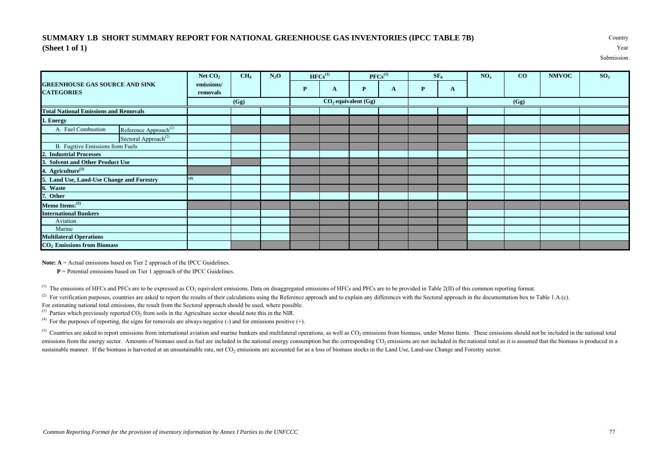### **SUMMARY 1.B SHORT SUMMARY REPORT FOR NATIONAL GREENHOUSE GAS INVENTORIES (IPCC TABLE 7B)** Country **(Sheet 1 of 1)** Year

Submission

|                                                            | Net $CO2$              | CH <sub>4</sub> | $N_2O$ |   | $HFCs^{(1)}$ |                         | $PFCs^{(1)}$ |   | SF <sub>6</sub> | NO <sub>x</sub> | $\bf{CO}$ | <b>NMVOC</b> | SO <sub>2</sub> |
|------------------------------------------------------------|------------------------|-----------------|--------|---|--------------|-------------------------|--------------|---|-----------------|-----------------|-----------|--------------|-----------------|
| <b>GREENHOUSE GAS SOURCE AND SINK</b><br><b>CATEGORIES</b> | emissions/<br>removals |                 |        | P | A            | P                       | A            | P | $\mathbf{A}$    |                 |           |              |                 |
|                                                            |                        | (Gg)            |        |   |              | $CO2$ equivalent $(Gg)$ |              |   |                 |                 | (Gg)      |              |                 |
| <b>Total National Emissions and Removals</b>               |                        |                 |        |   |              |                         |              |   |                 |                 |           |              |                 |
| 1. Energy                                                  |                        |                 |        |   |              |                         |              |   |                 |                 |           |              |                 |
| Reference Approach <sup>(2)</sup><br>A. Fuel Combustion    |                        |                 |        |   |              |                         |              |   |                 |                 |           |              |                 |
| Sectoral Approach <sup>(2)</sup>                           |                        |                 |        |   |              |                         |              |   |                 |                 |           |              |                 |
| B. Fugitive Emissions from Fuels                           |                        |                 |        |   |              |                         |              |   |                 |                 |           |              |                 |
| 2. Industrial Processes                                    |                        |                 |        |   |              |                         |              |   |                 |                 |           |              |                 |
| 3. Solvent and Other Product Use                           |                        |                 |        |   |              |                         |              |   |                 |                 |           |              |                 |
| 4. Agriculture <sup>(3)</sup>                              |                        |                 |        |   |              |                         |              |   |                 |                 |           |              |                 |
| 5. Land Use, Land-Use Change and Forestry                  | (4)                    |                 |        |   |              |                         |              |   |                 |                 |           |              |                 |
| 6. Waste                                                   |                        |                 |        |   |              |                         |              |   |                 |                 |           |              |                 |
| 7. Other                                                   |                        |                 |        |   |              |                         |              |   |                 |                 |           |              |                 |
| Memo Items: (5)                                            |                        |                 |        |   |              |                         |              |   |                 |                 |           |              |                 |
| <b>International Bunkers</b>                               |                        |                 |        |   |              |                         |              |   |                 |                 |           |              |                 |
| Aviation                                                   |                        |                 |        |   |              |                         |              |   |                 |                 |           |              |                 |
| Marine                                                     |                        |                 |        |   |              |                         |              |   |                 |                 |           |              |                 |
| <b>Multilateral Operations</b>                             |                        |                 |        |   |              |                         |              |   |                 |                 |           |              |                 |
| CO <sub>2</sub> Emissions from Biomass                     |                        |                 |        |   |              |                         |              |   |                 |                 |           |              |                 |

**Note: A** = Actual emissions based on Tier 2 approach of the IPCC Guidelines.

**P** = Potential emissions based on Tier 1 approach of the IPCC Guidelines.

 $^{(1)}$  The emissions of HFCs and PFCs are to be expressed as CO<sub>2</sub> equivalent emissions. Data on disaggregated emissions of HFCs and PFCs are to be provided in Table 2(II) of this common reporting format.

<sup>(2)</sup> For verification purposes, countries are asked to report the results of their calculations using the Reference approach and to explain any differences with the Sectoral approach in the documentation box to Table 1.A For estimating national total emissions, the result from the Sectoral approach should be used, where possible.

 $^{(3)}$  Parties which previously reported CO<sub>2</sub> from soils in the Agriculture sector should note this in the NIR.

<sup>(4)</sup> For the purposes of reporting, the signs for removals are always negative (-) and for emissions positive (+).

 $^{(5)}$  Countries are asked to report emissions from international aviation and marine bunkers and multilateral operations, as well as  $CO_2$  emissions from biomass, under Memo Items. These emissions should not be included emissions from the energy sector. Amounts of biomass used as fuel are included in the national energy consumption but the corresponding CO<sub>2</sub> emissions are not included in the national total as it is assumed that the bioma sustainable manner. If the biomass is harvested at an unsustainable rate, net  $CO<sub>2</sub>$  emissions are accounted for as a loss of biomass stocks in the Land Use, Land-use Change and Forestry sector.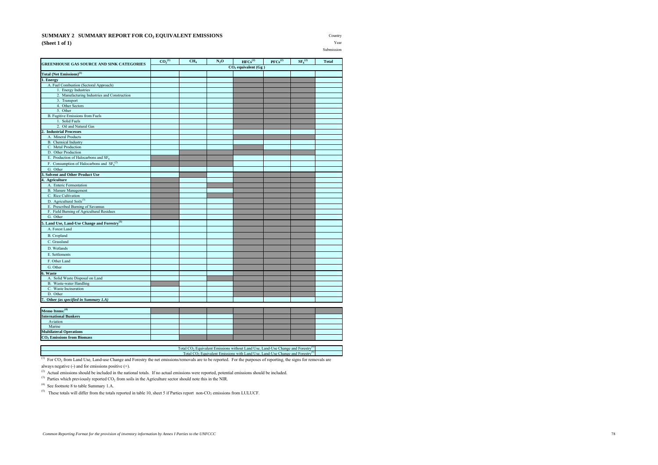#### **SUMMARY 2 SUMMARY REPORT FOR CO<sub>2</sub> EQUIVALENT EMISSIONS** Country **(Sheet 1 of 1)** Year

Submission

| <b>GREENHOUSE GAS SOURCE AND SINK CATEGORIES</b>          | $CO_2^{(1)}$ | CH <sub>4</sub> | $N_2O$ | $HFCs^{(2)}$            | $PFCs^{(2)}$ | SF <sub>6</sub> <sup>(2)</sup> | <b>Total</b> |
|-----------------------------------------------------------|--------------|-----------------|--------|-------------------------|--------------|--------------------------------|--------------|
|                                                           |              |                 |        | $CO2$ equivalent $(Gg)$ |              |                                |              |
| Total (Net Emissions) <sup>(1)</sup>                      |              |                 |        |                         |              |                                |              |
| 1. Energy                                                 |              |                 |        |                         |              |                                |              |
| A. Fuel Combustion (Sectoral Approach)                    |              |                 |        |                         |              |                                |              |
| 1. Energy Industries                                      |              |                 |        |                         |              |                                |              |
| 2. Manufacturing Industries and Construction              |              |                 |        |                         |              |                                |              |
| 3. Transport                                              |              |                 |        |                         |              |                                |              |
| 4. Other Sectors                                          |              |                 |        |                         |              |                                |              |
| 5. Other                                                  |              |                 |        |                         |              |                                |              |
| <b>B.</b> Fugitive Emissions from Fuels<br>1. Solid Fuels |              |                 |        |                         |              |                                |              |
| 2. Oil and Natural Gas                                    |              |                 |        |                         |              |                                |              |
| <b>Industrial Processes</b>                               |              |                 |        |                         |              |                                |              |
| A. Mineral Products                                       |              |                 |        |                         |              |                                |              |
| <b>B.</b> Chemical Industry                               |              |                 |        |                         |              |                                |              |
| C. Metal Production                                       |              |                 |        |                         |              |                                |              |
| D. Other Production                                       |              |                 |        |                         |              |                                |              |
| E. Production of Halocarbons and SF <sub>6</sub>          |              |                 |        |                         |              |                                |              |
| F. Consumption of Halocarbons and $SF6(2)$                |              |                 |        |                         |              |                                |              |
| G. Other                                                  |              |                 |        |                         |              |                                |              |
| <b>Solvent and Other Product Use</b>                      |              |                 |        |                         |              |                                |              |
| Agriculture                                               |              |                 |        |                         |              |                                |              |
| A. Enteric Fermentation                                   |              |                 |        |                         |              |                                |              |
| <b>B.</b> Manure Management                               |              |                 |        |                         |              |                                |              |
| C. Rice Cultivation                                       |              |                 |        |                         |              |                                |              |
| D. Agricultural Soils <sup>(3)</sup>                      |              |                 |        |                         |              |                                |              |
| E. Prescribed Burning of Savannas                         |              |                 |        |                         |              |                                |              |
| F. Field Burning of Agricultural Residues                 |              |                 |        |                         |              |                                |              |
| G. Other                                                  |              |                 |        |                         |              |                                |              |
| 5. Land Use, Land-Use Change and Forestry <sup>(1)</sup>  |              |                 |        |                         |              |                                |              |
| A. Forest Land                                            |              |                 |        |                         |              |                                |              |
| <b>B.</b> Cropland                                        |              |                 |        |                         |              |                                |              |
| C. Grassland                                              |              |                 |        |                         |              |                                |              |
| D. Wetlands                                               |              |                 |        |                         |              |                                |              |
| E. Settlements                                            |              |                 |        |                         |              |                                |              |
| F. Other Land                                             |              |                 |        |                         |              |                                |              |
| G. Other                                                  |              |                 |        |                         |              |                                |              |
| 6. Waste                                                  |              |                 |        |                         |              |                                |              |
| A. Solid Waste Disposal on Land                           |              |                 |        |                         |              |                                |              |
| <b>B.</b> Waste-water Handling                            |              |                 |        |                         |              |                                |              |
| C. Waste Incineration                                     |              |                 |        |                         |              |                                |              |
| D. Other                                                  |              |                 |        |                         |              |                                |              |
| 7.<br>Other (as specified in Summary 1.A)                 |              |                 |        |                         |              |                                |              |
|                                                           |              |                 |        |                         |              |                                |              |
| Memo Items: <sup>(4)</sup>                                |              |                 |        |                         |              |                                |              |
| <b>International Bunkers</b>                              |              |                 |        |                         |              |                                |              |
| Aviation                                                  |              |                 |        |                         |              |                                |              |
| Marine                                                    |              |                 |        |                         |              |                                |              |
| <b>Multilateral Operations</b>                            |              |                 |        |                         |              |                                |              |
| <b>CO<sub>2</sub></b> Emissions from Biomass              |              |                 |        |                         |              |                                |              |

Total CO<sub>2</sub> Equivalent Emissions without Land Use, Land-Use Change and Forestry<sup>(5)</sup> Total CO<sub>2</sub> Equivalent Emissions with Land Use, Land-Use Change and Forestry<sup>(5)</sup>

 $^{(1)}$  For CO<sub>2</sub> from Land Use, Land-use Change and Forestry the net emissions/removals are to be reported. For the purposes of reporting, the signs for removals are always negative (-) and for emissions positive (+).

<sup>(2)</sup> Actual emissions should be included in the national totals. If no actual emissions were reported, potential emissions should be included.

 $(3)$  Parties which previously reported CO<sub>2</sub> from soils in the Agriculture sector should note this in the NIR.

(4) See footnote 8 to table Summary 1.A.

 $(5)$  These totals will differ from the totals reported in table 10, sheet 5 if Parties report non-CO<sub>2</sub> emissions from LULUCF.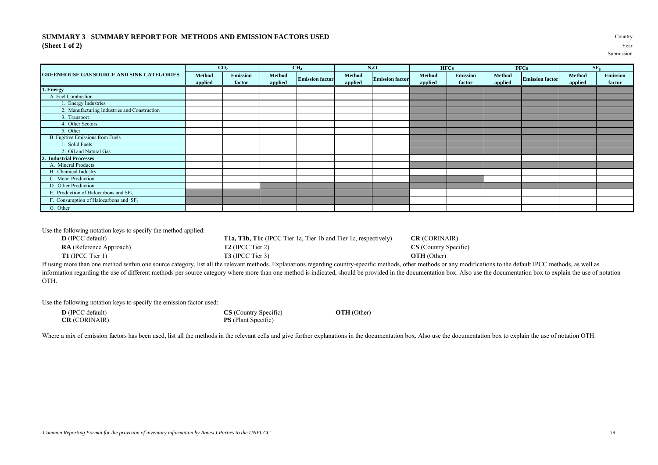### **SUMMARY 3 SUMMARY REPORT FOR METHODS AND EMISSION FACTORS USED** Country **(Sheet 1 of 2)** Year

|                                                  |                   | CO <sub>2</sub>    |                   | CH <sub>4</sub>        |                          | $N_2O$                 |                   | <b>HFCs</b>               |                   | <b>PFCs</b>            |                   | SF <sub>6</sub>           |
|--------------------------------------------------|-------------------|--------------------|-------------------|------------------------|--------------------------|------------------------|-------------------|---------------------------|-------------------|------------------------|-------------------|---------------------------|
| <b>GREENHOUSE GAS SOURCE AND SINK CATEGORIES</b> | Method<br>applied | Emission<br>factor | Method<br>applied | <b>Emission factor</b> | <b>Method</b><br>applied | <b>Emission factor</b> | Method<br>applied | <b>Emission</b><br>factor | Method<br>applied | <b>Emission factor</b> | Method<br>applied | <b>Emission</b><br>factor |
| 1. Energy                                        |                   |                    |                   |                        |                          |                        |                   |                           |                   |                        |                   |                           |
| A. Fuel Combustion                               |                   |                    |                   |                        |                          |                        |                   |                           |                   |                        |                   |                           |
| <b>Energy Industries</b>                         |                   |                    |                   |                        |                          |                        |                   |                           |                   |                        |                   |                           |
| 2. Manufacturing Industries and Construction     |                   |                    |                   |                        |                          |                        |                   |                           |                   |                        |                   |                           |
| 3. Transport                                     |                   |                    |                   |                        |                          |                        |                   |                           |                   |                        |                   |                           |
| 4. Other Sectors                                 |                   |                    |                   |                        |                          |                        |                   |                           |                   |                        |                   |                           |
| 5. Other                                         |                   |                    |                   |                        |                          |                        |                   |                           |                   |                        |                   |                           |
| <b>B.</b> Fugitive Emissions from Fuels          |                   |                    |                   |                        |                          |                        |                   |                           |                   |                        |                   |                           |
| . Solid Fuels                                    |                   |                    |                   |                        |                          |                        |                   |                           |                   |                        |                   |                           |
| 2. Oil and Natural Gas                           |                   |                    |                   |                        |                          |                        |                   |                           |                   |                        |                   |                           |
| 2. Industrial Processes                          |                   |                    |                   |                        |                          |                        |                   |                           |                   |                        |                   |                           |
| A. Mineral Products                              |                   |                    |                   |                        |                          |                        |                   |                           |                   |                        |                   |                           |
| <b>B.</b> Chemical Industry                      |                   |                    |                   |                        |                          |                        |                   |                           |                   |                        |                   |                           |
| C. Metal Production                              |                   |                    |                   |                        |                          |                        |                   |                           |                   |                        |                   |                           |
| D. Other Production                              |                   |                    |                   |                        |                          |                        |                   |                           |                   |                        |                   |                           |
| E. Production of Halocarbons and $SF6$           |                   |                    |                   |                        |                          |                        |                   |                           |                   |                        |                   |                           |
| F. Consumption of Halocarbons and $SF6$          |                   |                    |                   |                        |                          |                        |                   |                           |                   |                        |                   |                           |

Use the following notation keys to specify the method applied:

**D** (IPCC default) **T1a, T1b, T1c** (IPCC Tier 1a, Tier 1b and Tier 1c, respectively) **CR** (CORINAIR) **RA** (Reference Approach) **T2** (IPCC Tier 2) **CS** (Country Specific) **T1** (IPCC Tier 1) **T3** (IPCC Tier 3) **OTH** (Other)

If using more than one method within one source category, list all the relevant methods. Explanations regarding country-specific methods, other methods or any modifications to the default IPCC methods, as well as information regarding the use of different methods per source category where more than one method is indicated, should be provided in the documentation box. Also use the documentation box to explain the use of notation OTH.

Use the following notation keys to specify the emission factor used:

| <b>D</b> (IPCC default) |  |
|-------------------------|--|
| <b>CR</b> (CORINAIR)    |  |

G. Other

**PS** (Plant Specific)

**CS** (Country Specific) **OTH** (Other)

Where a mix of emission factors has been used, list all the methods in the relevant cells and give further explanations in the documentation box. Also use the documentation box to explain the use of notation OTH.

Submission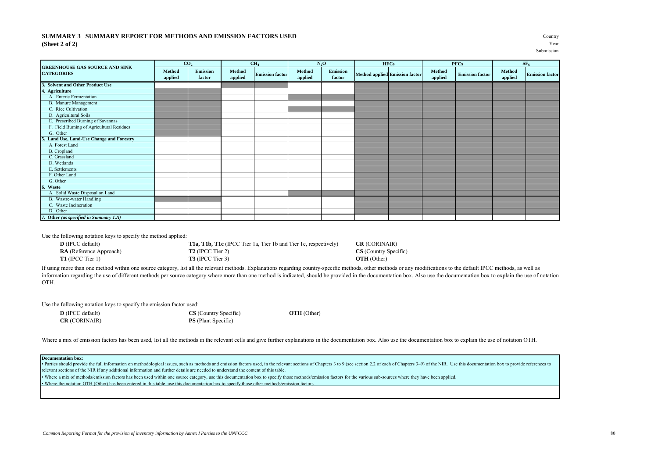#### **SUMMARY 3 SUMMARY REPORT FOR METHODS AND EMISSION FACTORS USED** Country **(Sheet 2 of 2)** Year

Submission and the submission of the submission

|                                                            |                   | CO <sub>2</sub>           |                   | CH <sub>4</sub>        |                   | $N_2O$                    | <b>HFCs</b>                           |                   | <b>PFCs</b>            |                   | SF <sub>6</sub>        |
|------------------------------------------------------------|-------------------|---------------------------|-------------------|------------------------|-------------------|---------------------------|---------------------------------------|-------------------|------------------------|-------------------|------------------------|
| <b>GREENHOUSE GAS SOURCE AND SINK</b><br><b>CATEGORIES</b> | Method<br>applied | <b>Emission</b><br>factor | Method<br>applied | <b>Emission factor</b> | Method<br>applied | <b>Emission</b><br>factor | <b>Method applied Emission factor</b> | Method<br>applied | <b>Emission factor</b> | Method<br>applied | <b>Emission</b> factor |
| 3. Solvent and Other Product Use                           |                   |                           |                   |                        |                   |                           |                                       |                   |                        |                   |                        |
| 4. Agriculture                                             |                   |                           |                   |                        |                   |                           |                                       |                   |                        |                   |                        |
| A. Enteric Fermentation                                    |                   |                           |                   |                        |                   |                           |                                       |                   |                        |                   |                        |
| B. Manure Management                                       |                   |                           |                   |                        |                   |                           |                                       |                   |                        |                   |                        |
| C. Rice Cultivation                                        |                   |                           |                   |                        |                   |                           |                                       |                   |                        |                   |                        |
| D. Agricultural Soils                                      |                   |                           |                   |                        |                   |                           |                                       |                   |                        |                   |                        |
| E. Prescribed Burning of Savannas                          |                   |                           |                   |                        |                   |                           |                                       |                   |                        |                   |                        |
| F. Field Burning of Agricultural Residues                  |                   |                           |                   |                        |                   |                           |                                       |                   |                        |                   |                        |
| G. Other                                                   |                   |                           |                   |                        |                   |                           |                                       |                   |                        |                   |                        |
| Land Use, Land-Use Change and Forestry                     |                   |                           |                   |                        |                   |                           |                                       |                   |                        |                   |                        |
| A. Forest Land                                             |                   |                           |                   |                        |                   |                           |                                       |                   |                        |                   |                        |
| B. Cropland                                                |                   |                           |                   |                        |                   |                           |                                       |                   |                        |                   |                        |
| C. Grassland                                               |                   |                           |                   |                        |                   |                           |                                       |                   |                        |                   |                        |
| D. Wetlands                                                |                   |                           |                   |                        |                   |                           |                                       |                   |                        |                   |                        |
| E. Settlements                                             |                   |                           |                   |                        |                   |                           |                                       |                   |                        |                   |                        |
| F. Other Land                                              |                   |                           |                   |                        |                   |                           |                                       |                   |                        |                   |                        |
| G. Other                                                   |                   |                           |                   |                        |                   |                           |                                       |                   |                        |                   |                        |
| Waste<br>6.                                                |                   |                           |                   |                        |                   |                           |                                       |                   |                        |                   |                        |
| A. Solid Waste Disposal on Land                            |                   |                           |                   |                        |                   |                           |                                       |                   |                        |                   |                        |
| B. Wastre-water Handling                                   |                   |                           |                   |                        |                   |                           |                                       |                   |                        |                   |                        |
| C. Waste Incineration                                      |                   |                           |                   |                        |                   |                           |                                       |                   |                        |                   |                        |
| D. Other                                                   |                   |                           |                   |                        |                   |                           |                                       |                   |                        |                   |                        |
| 7. Other (as specified in Summary 1.A)                     |                   |                           |                   |                        |                   |                           |                                       |                   |                        |                   |                        |

Use the following notation keys to specify the method applied:

**D** (IPCC default) **T1a, T1b, T1c** (IPCC Tier 1a, Tier 1b and Tier 1c, respectively) **CR** (CORINAIR) **RA** (Reference Approach) **T2** (IPCC Tier 2) **CS** (Country Spec **RA** (Reference Approach) **T2** (IPCC Tier 2) **CS** (Country Specific) **T1** (IPCC Tier 1) **T3** (IPCC Tier 3) **OTH** (Other)

If using more than one method within one source category, list all the relevant methods. Explanations regarding country-specific methods, other methods or any modifications to the default IPCC methods, as well as information regarding the use of different methods per source category where more than one method is indicated, should be provided in the documentation box. Also use the documentation box to explain the use of notation OTH.

Use the following notation keys to specify the emission factor used:

| <b>D</b> (IPCC default) | <b>CS</b> (Country Specific |
|-------------------------|-----------------------------|
| <b>CR</b> (CORINAIR)    | <b>PS</b> (Plant Specific)  |

 $OTH$  (Other)

Where a mix of emission factors has been used, list all the methods in the relevant cells and give further explanations in the documentation box. Also use the documentation box to explain the use of notation OTH.

#### **Documentation box:**

• Parties should provide the full information on methodological issues, such as methods and emission factors used, in the relevant sections of Chapters 3 to 9 (see section 2.2 of each of Chapters 3-9) of the NIR. Use this relevant sections of the NIR if any additional information and further details are needed to understand the content of this table.

• Where the notation OTH (Other) has been entered in this table, use this documentation box to specify those other methods/emission factors. • Where a mix of methods/emission factors has been used within one source category, use this documentation box to specify those methods/emission factors for the various sub-sources where they have been applied.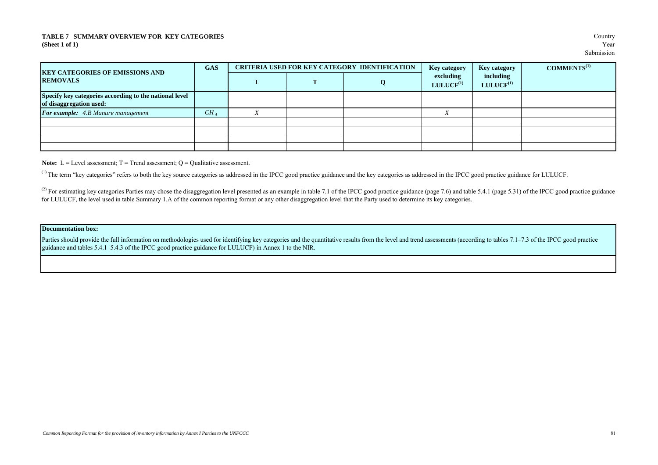#### **TABLE 7 SUMMARY OVERVIEW FOR KEY CATEGORIES** Country **(Sheet 1 of 1)** Year

| <b>KEY CATEGORIES OF EMISSIONS AND</b>                                            | <b>GAS</b>      |   | <b>CRITERIA USED FOR KEY CATEGORY IDENTIFICATION</b> | <b>Key category</b>         | <b>Key category</b>         | $COMMENTS^{(1)}$ |
|-----------------------------------------------------------------------------------|-----------------|---|------------------------------------------------------|-----------------------------|-----------------------------|------------------|
| <b>REMOVALS</b>                                                                   |                 | ≖ | O                                                    | excluding<br>$LULUCH^{(1)}$ | including<br>$LULUCH^{(1)}$ |                  |
| Specify key categories according to the national level<br>of disaggregation used: |                 |   |                                                      |                             |                             |                  |
| For example: 4.B Manure management                                                | CH <sub>A</sub> |   |                                                      |                             |                             |                  |
|                                                                                   |                 |   |                                                      |                             |                             |                  |
|                                                                                   |                 |   |                                                      |                             |                             |                  |
|                                                                                   |                 |   |                                                      |                             |                             |                  |
|                                                                                   |                 |   |                                                      |                             |                             |                  |

**Note:**  $L = \text{Level assessment}$ ;  $T = \text{Trend assessment}$ ;  $Q = \text{Qualitative assessment}$ .

<sup>(1)</sup> The term "key categories" refers to both the key source categories as addressed in the IPCC good practice guidance and the key categories as addressed in the IPCC good practice guidance for LULUCF.

<sup>(2)</sup> For estimating key categories Parties may chose the disaggregation level presented as an example in table 7.1 of the IPCC good practice guidance (page 7.6) and table 5.4.1 (page 5.31) of the IPCC good practice guida for LULUCF, the level used in table Summary 1.A of the common reporting format or any other disaggregation level that the Party used to determine its key categories.

#### **Documentation box:**

Parties should provide the full information on methodologies used for identifying key categories and the quantitative results from the level and trend assessments (according to tables 7.1–7.3 of the IPCC good practice guidance and tables 5.4.1–5.4.3 of the IPCC good practice guidance for LULUCF) in Annex 1 to the NIR.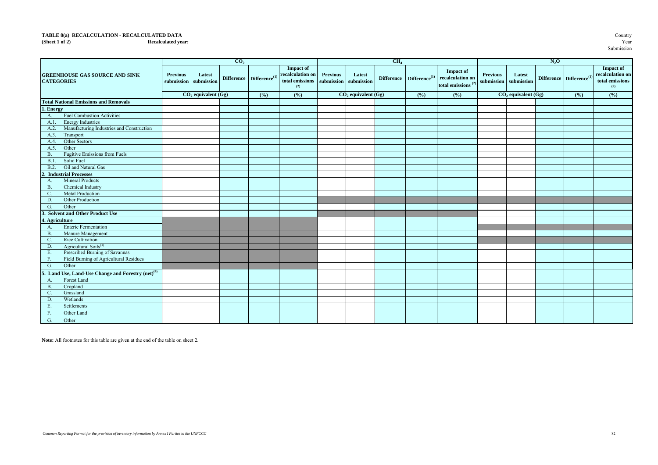# **TABLE 8(a) RECALCULATION - RECALCULATED DATA** Country Country Country Country Country Country Country Country Country Country Country Country Recalculated year:

#### **(Sheet 1 of 2) Recalculated year:** Year

|                                                                |                               |                                                  | CO <sub>2</sub> |                                             |                                                                                             |                 |                                    | CH <sub>4</sub> |                                             |                                                                                                              |                 |                                                             | $N_2$ O |                                            |                                                                       |
|----------------------------------------------------------------|-------------------------------|--------------------------------------------------|-----------------|---------------------------------------------|---------------------------------------------------------------------------------------------|-----------------|------------------------------------|-----------------|---------------------------------------------|--------------------------------------------------------------------------------------------------------------|-----------------|-------------------------------------------------------------|---------|--------------------------------------------|-----------------------------------------------------------------------|
| <b>GREENHOUSE GAS SOURCE AND SINK</b><br><b>CATEGORIES</b>     | <b>Previous</b><br>submission | Latest<br>submission<br>$CO$ , equivalent $(Gg)$ |                 | Difference Difference <sup>(1)</sup><br>(%) | <b>Impact of</b><br>recalculation on<br>total emissions submission submission<br>(2)<br>(%) | <b>Previous</b> | Latest<br>$CO$ , equivalent $(Gg)$ |                 | Difference Difference <sup>(1)</sup><br>(%) | <b>Impact of</b><br>$\operatorname{\mathbf{recalculation}}$ on<br>total emissions $^{\left(2\right)}$<br>(%) | <b>Previous</b> | Latest<br>submission submission<br>$CO$ , equivalent $(Gg)$ |         | Difference Difference <sup>(1</sup><br>(%) | <b>Impact of</b><br>recalculation on<br>total emissions<br>(2)<br>(%) |
| <b>Total National Emissions and Removals</b>                   |                               |                                                  |                 |                                             |                                                                                             |                 |                                    |                 |                                             |                                                                                                              |                 |                                                             |         |                                            |                                                                       |
| 1. Energy                                                      |                               |                                                  |                 |                                             |                                                                                             |                 |                                    |                 |                                             |                                                                                                              |                 |                                                             |         |                                            |                                                                       |
| <b>Fuel Combustion Activities</b><br>A.                        |                               |                                                  |                 |                                             |                                                                                             |                 |                                    |                 |                                             |                                                                                                              |                 |                                                             |         |                                            |                                                                       |
| <b>Energy Industries</b><br>A.1                                |                               |                                                  |                 |                                             |                                                                                             |                 |                                    |                 |                                             |                                                                                                              |                 |                                                             |         |                                            |                                                                       |
| Manufacturing Industries and Construction<br>A.2.              |                               |                                                  |                 |                                             |                                                                                             |                 |                                    |                 |                                             |                                                                                                              |                 |                                                             |         |                                            |                                                                       |
| A.3.<br>Transport                                              |                               |                                                  |                 |                                             |                                                                                             |                 |                                    |                 |                                             |                                                                                                              |                 |                                                             |         |                                            |                                                                       |
| Other Sectors<br>A.4                                           |                               |                                                  |                 |                                             |                                                                                             |                 |                                    |                 |                                             |                                                                                                              |                 |                                                             |         |                                            |                                                                       |
| Other<br>A.5.                                                  |                               |                                                  |                 |                                             |                                                                                             |                 |                                    |                 |                                             |                                                                                                              |                 |                                                             |         |                                            |                                                                       |
| Fugitive Emissions from Fuels<br><b>B.</b>                     |                               |                                                  |                 |                                             |                                                                                             |                 |                                    |                 |                                             |                                                                                                              |                 |                                                             |         |                                            |                                                                       |
| B.1<br>Solid Fuel                                              |                               |                                                  |                 |                                             |                                                                                             |                 |                                    |                 |                                             |                                                                                                              |                 |                                                             |         |                                            |                                                                       |
| Oil and Natural Gas<br>B.2.                                    |                               |                                                  |                 |                                             |                                                                                             |                 |                                    |                 |                                             |                                                                                                              |                 |                                                             |         |                                            |                                                                       |
| <b>Industrial Processes</b>                                    |                               |                                                  |                 |                                             |                                                                                             |                 |                                    |                 |                                             |                                                                                                              |                 |                                                             |         |                                            |                                                                       |
| <b>Mineral Products</b><br>A.                                  |                               |                                                  |                 |                                             |                                                                                             |                 |                                    |                 |                                             |                                                                                                              |                 |                                                             |         |                                            |                                                                       |
| Chemical Industry<br><b>B</b> .                                |                               |                                                  |                 |                                             |                                                                                             |                 |                                    |                 |                                             |                                                                                                              |                 |                                                             |         |                                            |                                                                       |
| C.<br><b>Metal Production</b>                                  |                               |                                                  |                 |                                             |                                                                                             |                 |                                    |                 |                                             |                                                                                                              |                 |                                                             |         |                                            |                                                                       |
| Other Production<br>D.                                         |                               |                                                  |                 |                                             |                                                                                             |                 |                                    |                 |                                             |                                                                                                              |                 |                                                             |         |                                            |                                                                       |
| Other<br>G.                                                    |                               |                                                  |                 |                                             |                                                                                             |                 |                                    |                 |                                             |                                                                                                              |                 |                                                             |         |                                            |                                                                       |
| 3. Solvent and Other Product Use                               |                               |                                                  |                 |                                             |                                                                                             |                 |                                    |                 |                                             |                                                                                                              |                 |                                                             |         |                                            |                                                                       |
| 4. Agriculture                                                 |                               |                                                  |                 |                                             |                                                                                             |                 |                                    |                 |                                             |                                                                                                              |                 |                                                             |         |                                            |                                                                       |
| <b>Enteric Fermentation</b><br>A.                              |                               |                                                  |                 |                                             |                                                                                             |                 |                                    |                 |                                             |                                                                                                              |                 |                                                             |         |                                            |                                                                       |
| <b>B</b> .<br>Manure Management                                |                               |                                                  |                 |                                             |                                                                                             |                 |                                    |                 |                                             |                                                                                                              |                 |                                                             |         |                                            |                                                                       |
| C.<br>Rice Cultivation                                         |                               |                                                  |                 |                                             |                                                                                             |                 |                                    |                 |                                             |                                                                                                              |                 |                                                             |         |                                            |                                                                       |
| Agricultural Soils $^{(3)}$<br>D.                              |                               |                                                  |                 |                                             |                                                                                             |                 |                                    |                 |                                             |                                                                                                              |                 |                                                             |         |                                            |                                                                       |
| Prescribed Burning of Savannas<br>${\bf E}.$                   |                               |                                                  |                 |                                             |                                                                                             |                 |                                    |                 |                                             |                                                                                                              |                 |                                                             |         |                                            |                                                                       |
| Field Burning of Agricultural Residues<br>F.                   |                               |                                                  |                 |                                             |                                                                                             |                 |                                    |                 |                                             |                                                                                                              |                 |                                                             |         |                                            |                                                                       |
| G.<br>Other                                                    |                               |                                                  |                 |                                             |                                                                                             |                 |                                    |                 |                                             |                                                                                                              |                 |                                                             |         |                                            |                                                                       |
| 5. Land Use, Land-Use Change and Forestry (net) <sup>(4)</sup> |                               |                                                  |                 |                                             |                                                                                             |                 |                                    |                 |                                             |                                                                                                              |                 |                                                             |         |                                            |                                                                       |
| Forest Land<br>A.                                              |                               |                                                  |                 |                                             |                                                                                             |                 |                                    |                 |                                             |                                                                                                              |                 |                                                             |         |                                            |                                                                       |
| $B$ .<br>Cropland                                              |                               |                                                  |                 |                                             |                                                                                             |                 |                                    |                 |                                             |                                                                                                              |                 |                                                             |         |                                            |                                                                       |
| C.<br>Grassland                                                |                               |                                                  |                 |                                             |                                                                                             |                 |                                    |                 |                                             |                                                                                                              |                 |                                                             |         |                                            |                                                                       |
| D.<br>Wetlands                                                 |                               |                                                  |                 |                                             |                                                                                             |                 |                                    |                 |                                             |                                                                                                              |                 |                                                             |         |                                            |                                                                       |
| Settlements<br>Ε.                                              |                               |                                                  |                 |                                             |                                                                                             |                 |                                    |                 |                                             |                                                                                                              |                 |                                                             |         |                                            |                                                                       |
| $F_{\rm{c}}$<br>Other Land                                     |                               |                                                  |                 |                                             |                                                                                             |                 |                                    |                 |                                             |                                                                                                              |                 |                                                             |         |                                            |                                                                       |
| G.<br>Other                                                    |                               |                                                  |                 |                                             |                                                                                             |                 |                                    |                 |                                             |                                                                                                              |                 |                                                             |         |                                            |                                                                       |

**Note:** All footnotes for this table are given at the end of the table on sheet 2.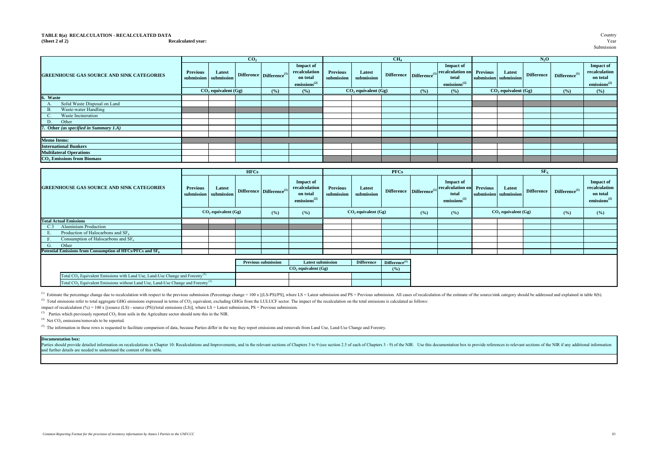#### **TABLE 8(a) RECALCULATION - RECALCULATED DATA** Country Country Country Country Country Country Country Country Country Country Country Country Country Recalculated year: Year **(Sheet 2 of 2) Recalculated year:** Year

Submission

|                                                  |                                          |                       | CO <sub>2</sub> |                                        |                                                                           |                               |                          | CH <sub>4</sub> |                                      |                                                                           |                                          |                         | $N_2O$            |                    |                                                                    |
|--------------------------------------------------|------------------------------------------|-----------------------|-----------------|----------------------------------------|---------------------------------------------------------------------------|-------------------------------|--------------------------|-----------------|--------------------------------------|---------------------------------------------------------------------------|------------------------------------------|-------------------------|-------------------|--------------------|--------------------------------------------------------------------|
| <b>GREENHOUSE GAS SOURCE AND SINK CATEGORIES</b> | <b>Previous</b><br>submission submission | Latest                |                 | Difference $\mathbf{Difference}^{(1)}$ | <b>Impact of</b><br>recalculation<br>on total<br>emissions <sup>(2)</sup> | <b>Previous</b><br>submission | Latest<br>submission     |                 | Difference Difference <sup>(1)</sup> | <b>Impact of</b><br>recalculation on<br>total<br>emissions <sup>(2)</sup> | <b>Previous</b><br>submission submission | Latest                  | <b>Difference</b> | $Difference^{(1)}$ | Impact of<br>recalculation<br>on total<br>emissions <sup>(2)</sup> |
|                                                  |                                          | $CO2$ equivalent (Gg) |                 | (%)                                    | (%)                                                                       |                               | $CO$ , equivalent $(Gg)$ |                 | (° <sub>0</sub> )                    | $($ %)                                                                    |                                          | $CO2$ equivalent $(Gg)$ |                   | (%)                | (%)                                                                |
| 6. Waste                                         |                                          |                       |                 |                                        |                                                                           |                               |                          |                 |                                      |                                                                           |                                          |                         |                   |                    |                                                                    |
| Solid Waste Disposal on Land                     |                                          |                       |                 |                                        |                                                                           |                               |                          |                 |                                      |                                                                           |                                          |                         |                   |                    |                                                                    |
| Waste-water Handling<br><b>B.</b>                |                                          |                       |                 |                                        |                                                                           |                               |                          |                 |                                      |                                                                           |                                          |                         |                   |                    |                                                                    |
| Waste Incineration                               |                                          |                       |                 |                                        |                                                                           |                               |                          |                 |                                      |                                                                           |                                          |                         |                   |                    |                                                                    |
| Other<br>D.                                      |                                          |                       |                 |                                        |                                                                           |                               |                          |                 |                                      |                                                                           |                                          |                         |                   |                    |                                                                    |
| 7. Other (as specified in Summary 1.A)           |                                          |                       |                 |                                        |                                                                           |                               |                          |                 |                                      |                                                                           |                                          |                         |                   |                    |                                                                    |
|                                                  |                                          |                       |                 |                                        |                                                                           |                               |                          |                 |                                      |                                                                           |                                          |                         |                   |                    |                                                                    |
| <b>Memo Items:</b>                               |                                          |                       |                 |                                        |                                                                           |                               |                          |                 |                                      |                                                                           |                                          |                         |                   |                    |                                                                    |
| <b>International Bunkers</b>                     |                                          |                       |                 |                                        |                                                                           |                               |                          |                 |                                      |                                                                           |                                          |                         |                   |                    |                                                                    |
| <b>Multilateral Operations</b>                   |                                          |                       |                 |                                        |                                                                           |                               |                          |                 |                                      |                                                                           |                                          |                         |                   |                    |                                                                    |
| $CO2$ Emissions from Biomass                     |                                          |                       |                 |                                        |                                                                           |                               |                          |                 |                                      |                                                                           |                                          |                         |                   |                    |                                                                    |

|                                                                                                          |                 |                                 | <b>HFCs</b> |                                      |                                                                           |                               |                         | <b>PFCs</b>               |                                      |                                                                           |                                          |                         | SF <sub>6</sub>   |                           |                                                                           |
|----------------------------------------------------------------------------------------------------------|-----------------|---------------------------------|-------------|--------------------------------------|---------------------------------------------------------------------------|-------------------------------|-------------------------|---------------------------|--------------------------------------|---------------------------------------------------------------------------|------------------------------------------|-------------------------|-------------------|---------------------------|---------------------------------------------------------------------------|
| <b>GREENHOUSE GAS SOURCE AND SINK CATEGORIES</b>                                                         | <b>Previous</b> | Latest<br>submission submission |             | Difference Difference <sup>(1)</sup> | <b>Impact of</b><br>recalculation<br>on total<br>emissions <sup>(2)</sup> | <b>Previous</b><br>submission | Latest<br>submission    |                           | Difference Difference <sup>(1)</sup> | <b>Impact of</b><br>recalculation on<br>total<br>emissions <sup>(2)</sup> | <b>Previous</b><br>submission submission | Latest                  | <b>Difference</b> | Difference <sup>(1)</sup> | <b>Impact of</b><br>recalculation<br>on total<br>emissions <sup>(2)</sup> |
|                                                                                                          |                 | $CO2$ equivalent $(Gg)$         |             | (%)                                  | $($ %)                                                                    |                               | $CO2$ equivalent $(Gg)$ |                           | (%)                                  | (%)                                                                       |                                          | $CO2$ equivalent $(Gg)$ |                   | (%)                       | (%)                                                                       |
| <b>Total Actual Emissions</b>                                                                            |                 |                                 |             |                                      |                                                                           |                               |                         |                           |                                      |                                                                           |                                          |                         |                   |                           |                                                                           |
| <b>Aluminium Production</b><br>C.3                                                                       |                 |                                 |             |                                      |                                                                           |                               |                         |                           |                                      |                                                                           |                                          |                         |                   |                           |                                                                           |
| Production of Halocarbons and SF <sub>6</sub>                                                            |                 |                                 |             |                                      |                                                                           |                               |                         |                           |                                      |                                                                           |                                          |                         |                   |                           |                                                                           |
| Consumption of Halocarbons and $SF6$                                                                     |                 |                                 |             |                                      |                                                                           |                               |                         |                           |                                      |                                                                           |                                          |                         |                   |                           |                                                                           |
| Other<br>G.                                                                                              |                 |                                 |             |                                      |                                                                           |                               |                         |                           |                                      |                                                                           |                                          |                         |                   |                           |                                                                           |
| Potential Emissions from Consumption of HFCs/PFCs and SF <sub>6</sub>                                    |                 |                                 |             |                                      |                                                                           |                               |                         |                           |                                      |                                                                           |                                          |                         |                   |                           |                                                                           |
|                                                                                                          |                 |                                 |             |                                      |                                                                           |                               |                         |                           |                                      |                                                                           |                                          |                         |                   |                           |                                                                           |
|                                                                                                          |                 |                                 |             | <b>Previous submission</b>           | <b>Latest submission</b>                                                  |                               | <b>Difference</b>       | Difference <sup>(1)</sup> |                                      |                                                                           |                                          |                         |                   |                           |                                                                           |
|                                                                                                          |                 |                                 |             |                                      | $CO2$ equivalent $(Gg)$                                                   |                               |                         | (%)                       |                                      |                                                                           |                                          |                         |                   |                           |                                                                           |
| Total CO <sub>2</sub> Equivalent Emissions with Land Use, Land-Use Change and Forestry <sup>(5)</sup>    |                 |                                 |             |                                      |                                                                           |                               |                         |                           |                                      |                                                                           |                                          |                         |                   |                           |                                                                           |
| Total CO <sub>2</sub> Equivalent Emissions without Land Use, Land-Use Change and Forestry <sup>(5)</sup> |                 |                                 |             |                                      |                                                                           |                               |                         |                           |                                      |                                                                           |                                          |                         |                   |                           |                                                                           |

<sup>(1)</sup> Estimate the percentage change due to recalculation with respect to the previous submission (Percentage change = 100 x [(LS-PS)/PS], where LS = Latest submission and PS = Previous submission. All cases of recalculati <sup>(2)</sup> Total emissions refer to total aggregate GHG emissions expressed in terms of CO<sub>2</sub> equivalent, excluding GHGs from the LULUCF sector. The impact of the recalculation on the total emissions is calculated as follows:

impact of recalculation (%) = 100 x [(source (LS) - source (PS))/total emissions (LS)], where LS = Latest submission, PS = Previous submission.

 $^{(3)}$  Parties which previously reported CO<sub>2</sub> from soils in the Agriculture sector should note this in the NIR.

 $^{(4)}$  Net CO<sub>2</sub> emissions/removals to be reported.

<sup>(5)</sup> The information in these rows is requested to facilitate comparison of data, because Parties differ in the way they report emissions and removals from Land Use, Land-Use Change and Forestry.

#### **Documentation box:**

Parties should provide detailed information on recalculations in Chapter 10: Recalculations and Improvements, and im the relevant sections of Chapters 3 to 9 (see section 2.5 of each of Chapters 3 - 9) of the NIR. Use this and further details are needed to understand the content of this table.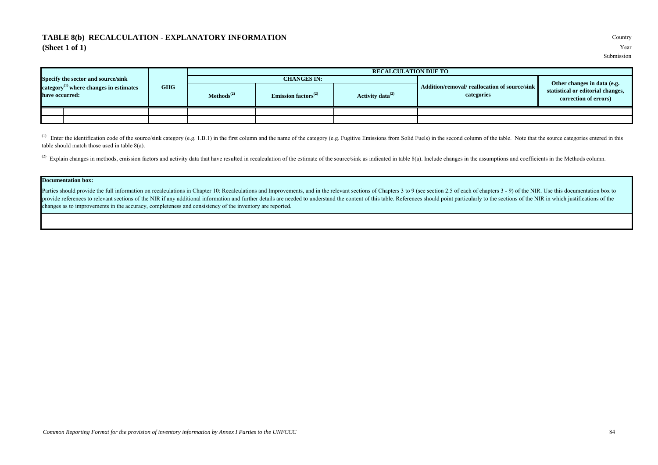### **TABLE 8(b) RECALCULATION - EXPLANATORY INFORMATION** Country **(Sheet 1 of 1)** Year

|                                                                |            |                 |                                              | <b>RECALCULATION DUE TO</b> |                                                             |                                                            |
|----------------------------------------------------------------|------------|-----------------|----------------------------------------------|-----------------------------|-------------------------------------------------------------|------------------------------------------------------------|
| Specify the sector and source/sink                             |            |                 | <b>CHANGES IN:</b>                           |                             |                                                             | Other changes in data (e.g.                                |
| category $^{(1)}$ where changes in estimates<br>have occurred: | <b>GHG</b> | $Methods^{(2)}$ | Emission factors <sup><math>(2)</math></sup> | Activity data $^{(2)}$      | Addition/removal/ reallocation of source/sink<br>categories | statistical or editorial changes,<br>correction of errors) |
|                                                                |            |                 |                                              |                             |                                                             |                                                            |
|                                                                |            |                 |                                              |                             |                                                             |                                                            |

<sup>(1)</sup> Enter the identification code of the source/sink category (e.g. 1.B.1) in the first column and the name of the category (e.g. Fugitive Emissions from Solid Fuels) in the second column of the table. Note that the sour table should match those used in table 8(a).

<sup>(2)</sup> Explain changes in methods, emission factors and activity data that have resulted in recalculation of the estimate of the source/sink as indicated in table 8(a). Include changes in the assumptions and coefficients in

#### **Documentation box:**

Parties should provide the full information on recalculations in Chapter 10: Recalculations and Improvements, and in the relevant sections of Chapters 3 to 9 (see section 2.5 of each of chapters 3 - 9) of the NIR. Use this provide references to relevant sections of the NIR if any additional information and further details are needed to understand the content of this table. References should point particularly to the sections of the NIR in wh changes as to improvements in the accuracy, completeness and consistency of the inventory are reported.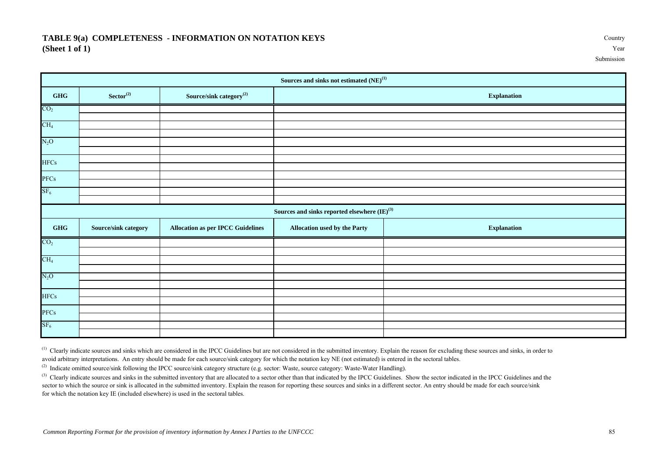### **TABLE 9(a) COMPLETENESS - INFORMATION ON NOTATION KEYS** Country **(Sheet 1 of 1)** Year

|                                  |                         |                                          | Sources and sinks not estimated ${\rm (NE)}^{(1)}$        |                    |
|----------------------------------|-------------------------|------------------------------------------|-----------------------------------------------------------|--------------------|
| $\mathbf{G}\mathbf{H}\mathbf{G}$ | $\mathbf{Sector}^{(2)}$ | Source/sink category $^{(2)}$            |                                                           | <b>Explanation</b> |
| CO <sub>2</sub>                  |                         |                                          |                                                           |                    |
| CH <sub>4</sub>                  |                         |                                          |                                                           |                    |
|                                  |                         |                                          |                                                           |                    |
| $N_2O$                           |                         |                                          |                                                           |                    |
|                                  |                         |                                          |                                                           |                    |
| <b>HFCs</b>                      |                         |                                          |                                                           |                    |
| PFCs                             |                         |                                          |                                                           |                    |
|                                  |                         |                                          |                                                           |                    |
| $SF_6$                           |                         |                                          |                                                           |                    |
|                                  |                         |                                          | Sources and sinks reported elsewhere ${(\rm I\!E)}^{(3)}$ |                    |
| GHG                              | Source/sink category    | <b>Allocation as per IPCC Guidelines</b> | <b>Allocation used by the Party</b>                       | <b>Explanation</b> |
| CO <sub>2</sub>                  |                         |                                          |                                                           |                    |
|                                  |                         |                                          |                                                           |                    |
| CH <sub>4</sub>                  |                         |                                          |                                                           |                    |
| $N_2O$                           |                         |                                          |                                                           |                    |
|                                  |                         |                                          |                                                           |                    |
| <b>HFCs</b>                      |                         |                                          |                                                           |                    |
|                                  |                         |                                          |                                                           |                    |
| PFCs                             |                         |                                          |                                                           |                    |
| SF <sub>6</sub>                  |                         |                                          |                                                           |                    |
|                                  |                         |                                          |                                                           |                    |

<sup>(1)</sup> Clearly indicate sources and sinks which are considered in the IPCC Guidelines but are not considered in the submitted inventory. Explain the reason for excluding these sources and sinks, in order to avoid arbitrary interpretations. An entry should be made for each source/sink category for which the notation key NE (not estimated) is entered in the sectoral tables.

(2) Indicate omitted source/sink following the IPCC source/sink category structure (e.g. sector: Waste, source category: Waste-Water Handling).

<sup>(3)</sup> Clearly indicate sources and sinks in the submitted inventory that are allocated to a sector other than that indicated by the IPCC Guidelines. Show the sector indicated in the IPCC Guidelines and the sector to which the source or sink is allocated in the submitted inventory. Explain the reason for reporting these sources and sinks in a different sector. An entry should be made for each source/sink for which the notation key IE (included elsewhere) is used in the sectoral tables.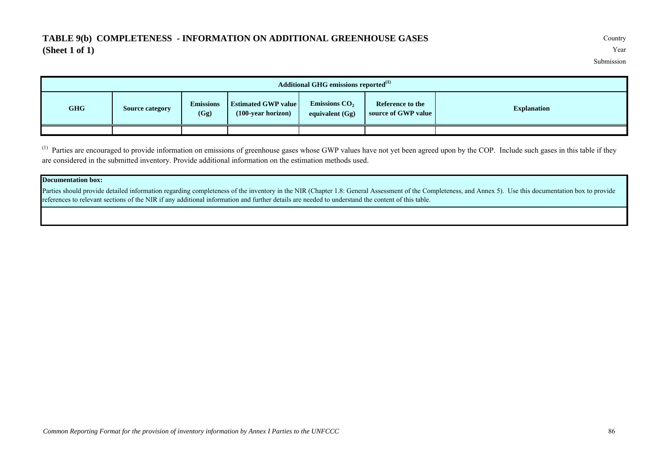## **TABLE 9(b) COMPLETENESS - INFORMATION ON ADDITIONAL GREENHOUSE GASES** Country **(Sheet 1 of 1)** Year

Submission

|            |                        |                                           | <b>Additional GHG emissions reported</b> <sup>(1)</sup> |  |  |
|------------|------------------------|-------------------------------------------|---------------------------------------------------------|--|--|
| <b>GHG</b> | <b>Source category</b> | <b>Explanation</b><br>source of GWP value |                                                         |  |  |
|            |                        |                                           |                                                         |  |  |

<sup>(1)</sup> Parties are encouraged to provide information on emissions of greenhouse gases whose GWP values have not yet been agreed upon by the COP. Include such gases in this table if they are considered in the submitted inventory. Provide additional information on the estimation methods used.

### **Documentation box:**

Parties should provide detailed information regarding completeness of the inventory in the NIR (Chapter 1.8: General Assessment of the Completeness, and Annex 5). Use this documentation box to provide references to relevant sections of the NIR if any additional information and further details are needed to understand the content of this table.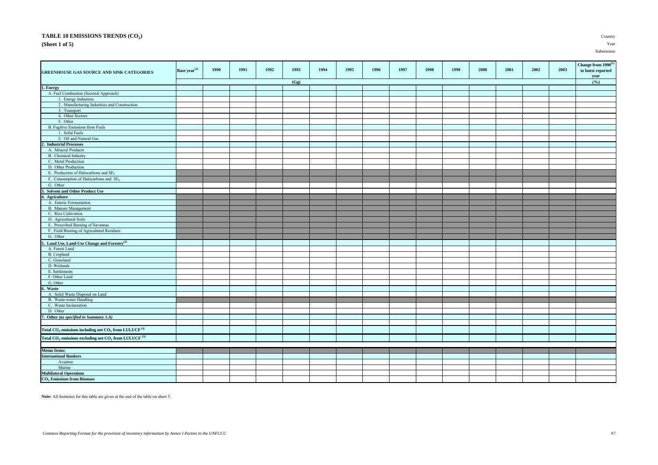### **TABLE 10 EMISSIONS TRENDS (CO<sup>2</sup>**

**(Sheet 1 of 5)** Year

| GREENHOUSE GAS SOURCE AND SINK CATEGORIES                              | Base year $\overset{(1)}{ }$ | 1990 | 1991 | 1992 | 1993 | 1994 | 1995 | 1996 | 1997 | 1998 | 1999 | 2000 | 2001 | 2002 | 2003 | Change from $1990^{(1)}$<br>to latest reported<br>year |
|------------------------------------------------------------------------|------------------------------|------|------|------|------|------|------|------|------|------|------|------|------|------|------|--------------------------------------------------------|
|                                                                        |                              |      |      |      | (Gg) |      |      |      |      |      |      |      |      |      |      | (%)                                                    |
| 1. Energy                                                              |                              |      |      |      |      |      |      |      |      |      |      |      |      |      |      |                                                        |
| A. Fuel Combustion (Sectoral Approach)                                 |                              |      |      |      |      |      |      |      |      |      |      |      |      |      |      |                                                        |
| 1. Energy Industries                                                   |                              |      |      |      |      |      |      |      |      |      |      |      |      |      |      |                                                        |
| 2. Manufacturing Industries and Construction                           |                              |      |      |      |      |      |      |      |      |      |      |      |      |      |      |                                                        |
| 3. Transport                                                           |                              |      |      |      |      |      |      |      |      |      |      |      |      |      |      |                                                        |
| 4. Other Sectors                                                       |                              |      |      |      |      |      |      |      |      |      |      |      |      |      |      |                                                        |
| 5. Other                                                               |                              |      |      |      |      |      |      |      |      |      |      |      |      |      |      |                                                        |
| B. Fugitive Emissions from Fuels                                       |                              |      |      |      |      |      |      |      |      |      |      |      |      |      |      |                                                        |
| 1. Solid Fuels                                                         |                              |      |      |      |      |      |      |      |      |      |      |      |      |      |      |                                                        |
| 2. Oil and Natural Gas                                                 |                              |      |      |      |      |      |      |      |      |      |      |      |      |      |      |                                                        |
| 2. Industrial Processes                                                |                              |      |      |      |      |      |      |      |      |      |      |      |      |      |      |                                                        |
| A. Mineral Products                                                    |                              |      |      |      |      |      |      |      |      |      |      |      |      |      |      |                                                        |
| <b>B.</b> Chemical Industry                                            |                              |      |      |      |      |      |      |      |      |      |      |      |      |      |      |                                                        |
| C. Metal Production                                                    |                              |      |      |      |      |      |      |      |      |      |      |      |      |      |      |                                                        |
| D. Other Production                                                    |                              |      |      |      |      |      |      |      |      |      |      |      |      |      |      |                                                        |
| E. Production of Halocarbons and $SF6$                                 |                              |      |      |      |      |      |      |      |      |      |      |      |      |      |      |                                                        |
| F. Consumption of Halocarbons and $SF6$                                |                              |      |      |      |      |      |      |      |      |      |      |      |      |      |      |                                                        |
| G. Other                                                               |                              |      |      |      |      |      |      |      |      |      |      |      |      |      |      |                                                        |
| 3. Solvent and Other Product Use                                       |                              |      |      |      |      |      |      |      |      |      |      |      |      |      |      |                                                        |
| 4. Agriculture                                                         |                              |      |      |      |      |      |      |      |      |      |      |      |      |      |      |                                                        |
| A. Enteric Fermentation                                                |                              |      |      |      |      |      |      |      |      |      |      |      |      |      |      |                                                        |
| <b>B.</b> Manure Management                                            |                              |      |      |      |      |      |      |      |      |      |      |      |      |      |      |                                                        |
| C. Rice Cultivation                                                    |                              |      |      |      |      |      |      |      |      |      |      |      |      |      |      |                                                        |
| D. Agricultural Soils                                                  |                              |      |      |      |      |      |      |      |      |      |      |      |      |      |      |                                                        |
| E. Prescribed Burning of Savannas                                      |                              |      |      |      |      |      |      |      |      |      |      |      |      |      |      |                                                        |
| F. Field Burning of Agricultural Residues                              |                              |      |      |      |      |      |      |      |      |      |      |      |      |      |      |                                                        |
| G. Other                                                               |                              |      |      |      |      |      |      |      |      |      |      |      |      |      |      |                                                        |
| 5. Land Use, Land-Use Change and Forestry <sup>(2)</sup>               |                              |      |      |      |      |      |      |      |      |      |      |      |      |      |      |                                                        |
| A. Forest Land                                                         |                              |      |      |      |      |      |      |      |      |      |      |      |      |      |      |                                                        |
| B. Cropland                                                            |                              |      |      |      |      |      |      |      |      |      |      |      |      |      |      |                                                        |
| C. Grassland                                                           |                              |      |      |      |      |      |      |      |      |      |      |      |      |      |      |                                                        |
| D. Wetlands                                                            |                              |      |      |      |      |      |      |      |      |      |      |      |      |      |      |                                                        |
| E. Settlements                                                         |                              |      |      |      |      |      |      |      |      |      |      |      |      |      |      |                                                        |
| F. Other Land                                                          |                              |      |      |      |      |      |      |      |      |      |      |      |      |      |      |                                                        |
| G. Other                                                               |                              |      |      |      |      |      |      |      |      |      |      |      |      |      |      |                                                        |
| 6. Waste                                                               |                              |      |      |      |      |      |      |      |      |      |      |      |      |      |      |                                                        |
| A. Solid Waste Disposal on Land                                        |                              |      |      |      |      |      |      |      |      |      |      |      |      |      |      |                                                        |
| B. Waste-water Handling                                                |                              |      |      |      |      |      |      |      |      |      |      |      |      |      |      |                                                        |
| C. Waste Incineration                                                  |                              |      |      |      |      |      |      |      |      |      |      |      |      |      |      |                                                        |
| D. Other                                                               |                              |      |      |      |      |      |      |      |      |      |      |      |      |      |      |                                                        |
| 7. Other (as specified in Summary 1.A)                                 |                              |      |      |      |      |      |      |      |      |      |      |      |      |      |      |                                                        |
|                                                                        |                              |      |      |      |      |      |      |      |      |      |      |      |      |      |      |                                                        |
| Total $CO_2$ emissions including net $CO_2$ from LULUCF <sup>(3)</sup> |                              |      |      |      |      |      |      |      |      |      |      |      |      |      |      |                                                        |
| Total $CO_2$ emissions excluding net $CO_2$ from LULUCF $^{(3)}$       |                              |      |      |      |      |      |      |      |      |      |      |      |      |      |      |                                                        |
|                                                                        |                              |      |      |      |      |      |      |      |      |      |      |      |      |      |      |                                                        |
| <b>Memo Items:</b>                                                     |                              |      |      |      |      |      |      |      |      |      |      |      |      |      |      |                                                        |
| <b>International Bunkers</b>                                           |                              |      |      |      |      |      |      |      |      |      |      |      |      |      |      |                                                        |
| Aviation                                                               |                              |      |      |      |      |      |      |      |      |      |      |      |      |      |      |                                                        |
| Marine                                                                 |                              |      |      |      |      |      |      |      |      |      |      |      |      |      |      |                                                        |
| <b>Multilateral Operations</b>                                         |                              |      |      |      |      |      |      |      |      |      |      |      |      |      |      |                                                        |
| CO <sub>2</sub> Emissions from Biomass                                 |                              |      |      |      |      |      |      |      |      |      |      |      |      |      |      |                                                        |

**Note:** All footnotes for this table are given at the end of the table on sheet 5.

**)** Country

Submission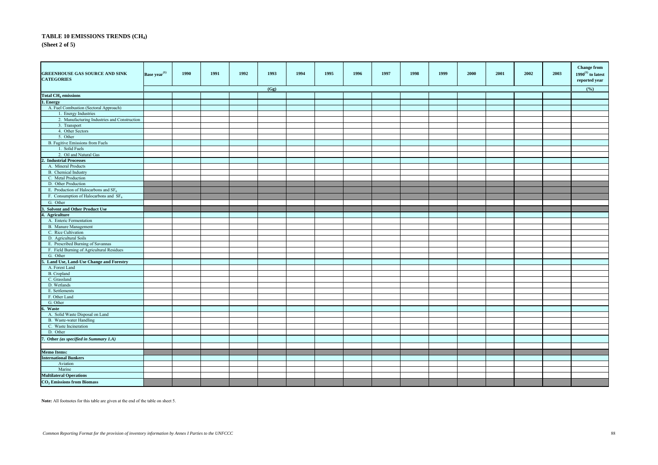#### **TABLE 10 EMISSIONS TRENDS (CH<sup>4</sup> ) (Sheet 2 of 5)**

| <b>GREENHOUSE GAS SOURCE AND SINK</b><br><b>CATEGORIES</b> | Base year <sup>(1)</sup> | 1990 | 1991 | 1992 | 1993 | 1994 | 1995 | 1996 | 1997 | 1998 | 1999 | 2000 | 2001 | 2002 | 2003 | <b>Change from</b><br>$1990^{\left(1\right)}$ to latest<br>reported year |
|------------------------------------------------------------|--------------------------|------|------|------|------|------|------|------|------|------|------|------|------|------|------|--------------------------------------------------------------------------|
|                                                            |                          |      |      |      | (Gg) |      |      |      |      |      |      |      |      |      |      | (%)                                                                      |
| <b>Total CH<sub>4</sub></b> emissions                      |                          |      |      |      |      |      |      |      |      |      |      |      |      |      |      |                                                                          |
| 1. Energy                                                  |                          |      |      |      |      |      |      |      |      |      |      |      |      |      |      |                                                                          |
| A. Fuel Combustion (Sectoral Approach)                     |                          |      |      |      |      |      |      |      |      |      |      |      |      |      |      |                                                                          |
| 1. Energy Industries                                       |                          |      |      |      |      |      |      |      |      |      |      |      |      |      |      |                                                                          |
| 2. Manufacturing Industries and Construction               |                          |      |      |      |      |      |      |      |      |      |      |      |      |      |      |                                                                          |
| 3. Transport                                               |                          |      |      |      |      |      |      |      |      |      |      |      |      |      |      |                                                                          |
| 4. Other Sectors                                           |                          |      |      |      |      |      |      |      |      |      |      |      |      |      |      |                                                                          |
| 5. Other                                                   |                          |      |      |      |      |      |      |      |      |      |      |      |      |      |      |                                                                          |
| B. Fugitive Emissions from Fuels                           |                          |      |      |      |      |      |      |      |      |      |      |      |      |      |      |                                                                          |
| 1. Solid Fuels                                             |                          |      |      |      |      |      |      |      |      |      |      |      |      |      |      |                                                                          |
| 2. Oil and Natural Gas                                     |                          |      |      |      |      |      |      |      |      |      |      |      |      |      |      |                                                                          |
| $\overline{\mathbf{c}}$<br><b>Industrial Processes</b>     |                          |      |      |      |      |      |      |      |      |      |      |      |      |      |      |                                                                          |
| A. Mineral Products                                        |                          |      |      |      |      |      |      |      |      |      |      |      |      |      |      |                                                                          |
| B. Chemical Industry                                       |                          |      |      |      |      |      |      |      |      |      |      |      |      |      |      |                                                                          |
| C. Metal Production                                        |                          |      |      |      |      |      |      |      |      |      |      |      |      |      |      |                                                                          |
| D. Other Production                                        |                          |      |      |      |      |      |      |      |      |      |      |      |      |      |      |                                                                          |
| E. Production of Halocarbons and $SF6$                     |                          |      |      |      |      |      |      |      |      |      |      |      |      |      |      |                                                                          |
| F. Consumption of Halocarbons and $SF6$                    |                          |      |      |      |      |      |      |      |      |      |      |      |      |      |      |                                                                          |
|                                                            |                          |      |      |      |      |      |      |      |      |      |      |      |      |      |      |                                                                          |
| G. Other                                                   |                          |      |      |      |      |      |      |      |      |      |      |      |      |      |      |                                                                          |
| 3. Solvent and Other Product Use                           |                          |      |      |      |      |      |      |      |      |      |      |      |      |      |      |                                                                          |
| 4. Agriculture                                             |                          |      |      |      |      |      |      |      |      |      |      |      |      |      |      |                                                                          |
| A. Enteric Fermentation                                    |                          |      |      |      |      |      |      |      |      |      |      |      |      |      |      |                                                                          |
| <b>B.</b> Manure Management                                |                          |      |      |      |      |      |      |      |      |      |      |      |      |      |      |                                                                          |
| C. Rice Cultivation                                        |                          |      |      |      |      |      |      |      |      |      |      |      |      |      |      |                                                                          |
| D. Agricultural Soils                                      |                          |      |      |      |      |      |      |      |      |      |      |      |      |      |      |                                                                          |
| E. Prescribed Burning of Savannas                          |                          |      |      |      |      |      |      |      |      |      |      |      |      |      |      |                                                                          |
| F. Field Burning of Agricultural Residues                  |                          |      |      |      |      |      |      |      |      |      |      |      |      |      |      |                                                                          |
| G. Other                                                   |                          |      |      |      |      |      |      |      |      |      |      |      |      |      |      |                                                                          |
| Land Use, Land-Use Change and Forestry                     |                          |      |      |      |      |      |      |      |      |      |      |      |      |      |      |                                                                          |
| A. Forest Land                                             |                          |      |      |      |      |      |      |      |      |      |      |      |      |      |      |                                                                          |
| B. Cropland                                                |                          |      |      |      |      |      |      |      |      |      |      |      |      |      |      |                                                                          |
| C. Grassland                                               |                          |      |      |      |      |      |      |      |      |      |      |      |      |      |      |                                                                          |
| D. Wetlands                                                |                          |      |      |      |      |      |      |      |      |      |      |      |      |      |      |                                                                          |
| E. Settlements                                             |                          |      |      |      |      |      |      |      |      |      |      |      |      |      |      |                                                                          |
| F. Other Land                                              |                          |      |      |      |      |      |      |      |      |      |      |      |      |      |      |                                                                          |
| G. Other                                                   |                          |      |      |      |      |      |      |      |      |      |      |      |      |      |      |                                                                          |
| . Waste                                                    |                          |      |      |      |      |      |      |      |      |      |      |      |      |      |      |                                                                          |
| A. Solid Waste Disposal on Land                            |                          |      |      |      |      |      |      |      |      |      |      |      |      |      |      |                                                                          |
| B. Waste-water Handling                                    |                          |      |      |      |      |      |      |      |      |      |      |      |      |      |      |                                                                          |
| C. Waste Incineration                                      |                          |      |      |      |      |      |      |      |      |      |      |      |      |      |      |                                                                          |
| D. Other                                                   |                          |      |      |      |      |      |      |      |      |      |      |      |      |      |      |                                                                          |
| 7. Other (as specified in Summary 1.A)                     |                          |      |      |      |      |      |      |      |      |      |      |      |      |      |      |                                                                          |
| <b>Memo Items:</b>                                         |                          |      |      |      |      |      |      |      |      |      |      |      |      |      |      |                                                                          |
| <b>International Bunkers</b>                               |                          |      |      |      |      |      |      |      |      |      |      |      |      |      |      |                                                                          |
| Aviation                                                   |                          |      |      |      |      |      |      |      |      |      |      |      |      |      |      |                                                                          |
| Marine                                                     |                          |      |      |      |      |      |      |      |      |      |      |      |      |      |      |                                                                          |
| <b>Multilateral Operations</b>                             |                          |      |      |      |      |      |      |      |      |      |      |      |      |      |      |                                                                          |
| $CO2$ Emissions from Biomass                               |                          |      |      |      |      |      |      |      |      |      |      |      |      |      |      |                                                                          |
|                                                            |                          |      |      |      |      |      |      |      |      |      |      |      |      |      |      |                                                                          |

**Note:** All footnotes for this table are given at the end of the table on sheet 5.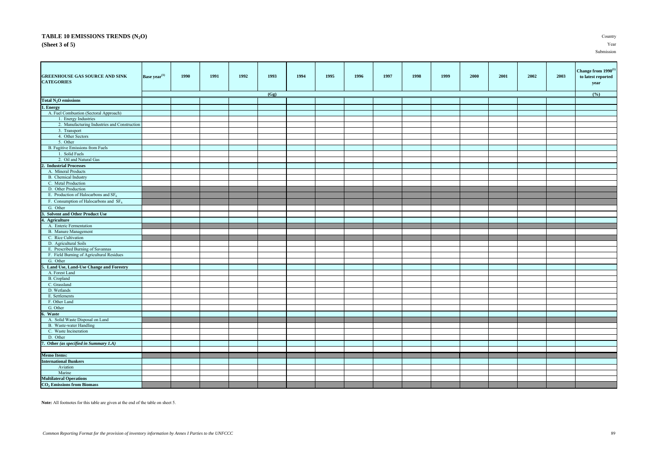#### **TABLE 10 EMISSIONS TRENDS (N2O)** Country **(Sheet 3 of 5)** Year

Submission

| <b>GREENHOUSE GAS SOURCE AND SINK</b><br><b>CATEGORIES</b> | Base year <sup>(1)</sup> | 1990 | 1991 | 1992 | 1993 | 1994 | 1995 | 1996 | 1997 | 1998 | 1999 | 2000 | 2001 | 2002 | 2003 | Change from 1990 <sup>(1)</sup><br>to latest reported<br>year |
|------------------------------------------------------------|--------------------------|------|------|------|------|------|------|------|------|------|------|------|------|------|------|---------------------------------------------------------------|
|                                                            |                          |      |      |      | (Gg) |      |      |      |      |      |      |      |      |      |      | (%)                                                           |
| Total N <sub>2</sub> O emissions                           |                          |      |      |      |      |      |      |      |      |      |      |      |      |      |      |                                                               |
| 1. Energy                                                  |                          |      |      |      |      |      |      |      |      |      |      |      |      |      |      |                                                               |
| A. Fuel Combustion (Sectoral Approach)                     |                          |      |      |      |      |      |      |      |      |      |      |      |      |      |      |                                                               |
| 1. Energy Industries                                       |                          |      |      |      |      |      |      |      |      |      |      |      |      |      |      |                                                               |
| 2. Manufacturing Industries and Construction               |                          |      |      |      |      |      |      |      |      |      |      |      |      |      |      |                                                               |
| 3. Transport                                               |                          |      |      |      |      |      |      |      |      |      |      |      |      |      |      |                                                               |
| 4. Other Sectors<br>5. Other                               |                          |      |      |      |      |      |      |      |      |      |      |      |      |      |      |                                                               |
| B. Fugitive Emissions from Fuels                           |                          |      |      |      |      |      |      |      |      |      |      |      |      |      |      |                                                               |
| 1. Solid Fuels                                             |                          |      |      |      |      |      |      |      |      |      |      |      |      |      |      |                                                               |
| 2. Oil and Natural Gas                                     |                          |      |      |      |      |      |      |      |      |      |      |      |      |      |      |                                                               |
| 2. Industrial Processes                                    |                          |      |      |      |      |      |      |      |      |      |      |      |      |      |      |                                                               |
| A. Mineral Products                                        |                          |      |      |      |      |      |      |      |      |      |      |      |      |      |      |                                                               |
| B. Chemical Industry                                       |                          |      |      |      |      |      |      |      |      |      |      |      |      |      |      |                                                               |
| C. Metal Production                                        |                          |      |      |      |      |      |      |      |      |      |      |      |      |      |      |                                                               |
| D. Other Production                                        |                          |      |      |      |      |      |      |      |      |      |      |      |      |      |      |                                                               |
| E. Production of Halocarbons and $SF6$                     |                          |      |      |      |      |      |      |      |      |      |      |      |      |      |      |                                                               |
|                                                            |                          |      |      |      |      |      |      |      |      |      |      |      |      |      |      |                                                               |
| F. Consumption of Halocarbons and $SF6$                    |                          |      |      |      |      |      |      |      |      |      |      |      |      |      |      |                                                               |
| G. Other                                                   |                          |      |      |      |      |      |      |      |      |      |      |      |      |      |      |                                                               |
| 3. Solvent and Other Product Use                           |                          |      |      |      |      |      |      |      |      |      |      |      |      |      |      |                                                               |
| 1. Agriculture                                             |                          |      |      |      |      |      |      |      |      |      |      |      |      |      |      |                                                               |
| A. Enteric Fermentation                                    |                          |      |      |      |      |      |      |      |      |      |      |      |      |      |      |                                                               |
| B. Manure Management                                       |                          |      |      |      |      |      |      |      |      |      |      |      |      |      |      |                                                               |
| C. Rice Cultivation                                        |                          |      |      |      |      |      |      |      |      |      |      |      |      |      |      |                                                               |
| D. Agricultural Soils                                      |                          |      |      |      |      |      |      |      |      |      |      |      |      |      |      |                                                               |
| E. Prescribed Burning of Savannas                          |                          |      |      |      |      |      |      |      |      |      |      |      |      |      |      |                                                               |
| F. Field Burning of Agricultural Residues                  |                          |      |      |      |      |      |      |      |      |      |      |      |      |      |      |                                                               |
| G. Other                                                   |                          |      |      |      |      |      |      |      |      |      |      |      |      |      |      |                                                               |
| . Land Use, Land-Use Change and Forestry                   |                          |      |      |      |      |      |      |      |      |      |      |      |      |      |      |                                                               |
| A. Forest Land                                             |                          |      |      |      |      |      |      |      |      |      |      |      |      |      |      |                                                               |
| B. Cropland                                                |                          |      |      |      |      |      |      |      |      |      |      |      |      |      |      |                                                               |
| C. Grassland<br>D. Wetlands                                |                          |      |      |      |      |      |      |      |      |      |      |      |      |      |      |                                                               |
| E. Settlements                                             |                          |      |      |      |      |      |      |      |      |      |      |      |      |      |      |                                                               |
| F. Other Land                                              |                          |      |      |      |      |      |      |      |      |      |      |      |      |      |      |                                                               |
|                                                            |                          |      |      |      |      |      |      |      |      |      |      |      |      |      |      |                                                               |
| G. Other<br>Waste                                          |                          |      |      |      |      |      |      |      |      |      |      |      |      |      |      |                                                               |
|                                                            |                          |      |      |      |      |      |      |      |      |      |      |      |      |      |      |                                                               |
| A. Solid Waste Disposal on Land<br>B. Waste-water Handling |                          |      |      |      |      |      |      |      |      |      |      |      |      |      |      |                                                               |
| C. Waste Incineration                                      |                          |      |      |      |      |      |      |      |      |      |      |      |      |      |      |                                                               |
| D. Other                                                   |                          |      |      |      |      |      |      |      |      |      |      |      |      |      |      |                                                               |
|                                                            |                          |      |      |      |      |      |      |      |      |      |      |      |      |      |      |                                                               |
| 7. Other (as specified in Summary 1.A)                     |                          |      |      |      |      |      |      |      |      |      |      |      |      |      |      |                                                               |
| <b>Memo Items:</b>                                         |                          |      |      |      |      |      |      |      |      |      |      |      |      |      |      |                                                               |
| <b>International Bunkers</b>                               |                          |      |      |      |      |      |      |      |      |      |      |      |      |      |      |                                                               |
| Aviation                                                   |                          |      |      |      |      |      |      |      |      |      |      |      |      |      |      |                                                               |
| Marine                                                     |                          |      |      |      |      |      |      |      |      |      |      |      |      |      |      |                                                               |
| <b>Multilateral Operations</b>                             |                          |      |      |      |      |      |      |      |      |      |      |      |      |      |      |                                                               |
| <b>CO<sub>2</sub></b> Emissions from Biomass               |                          |      |      |      |      |      |      |      |      |      |      |      |      |      |      |                                                               |

**Note:** All footnotes for this table are given at the end of the table on sheet 5.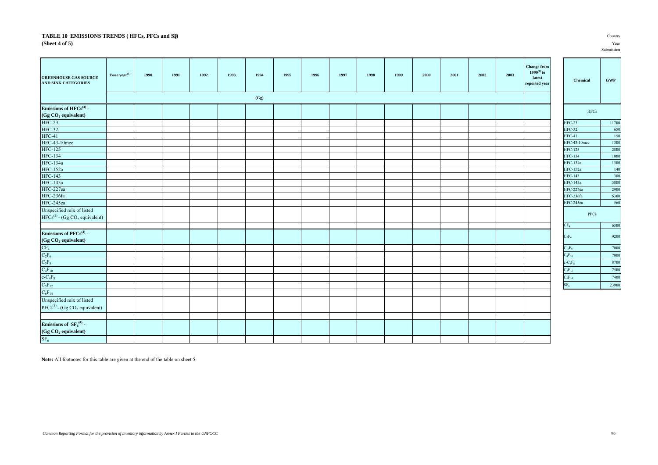#### **TABLE 10 EMISSIONS TRENDS ( HFCs, PFCs and SF<sup>6</sup> (Sheet 4 of 5)** Year

| <b>GREENHOUSE GAS SOURCE</b><br>AND SINK CATEGORIES                                               | Base year <sup>(1)</sup> | 1990 | 1991 | 1992 | 1993 | 1994<br>(Gg) | 1995 | 1996 | 1997 | 1998 | 1999 | 2000 | 2001 | 2002 | 2003 | <b>Change from</b><br>$1990^{(1)}$ to<br>latest<br>reported year | Chemical        |            | $\ensuremath{\mathbf{GWP}}$ |
|---------------------------------------------------------------------------------------------------|--------------------------|------|------|------|------|--------------|------|------|------|------|------|------|------|------|------|------------------------------------------------------------------|-----------------|------------|-----------------------------|
| Emissions of $HFCs^{(4)}$ -<br>(Gg CO <sub>2</sub> equivalent)                                    |                          |      |      |      |      |              |      |      |      |      |      |      |      |      |      |                                                                  |                 | $\rm HFCs$ |                             |
| <b>HFC-23</b>                                                                                     |                          |      |      |      |      |              |      |      |      |      |      |      |      |      |      |                                                                  | $HFC-23$        |            | 11700                       |
| <b>HFC-32</b>                                                                                     |                          |      |      |      |      |              |      |      |      |      |      |      |      |      |      |                                                                  | <b>HFC-32</b>   |            | 650                         |
| HFC-41                                                                                            |                          |      |      |      |      |              |      |      |      |      |      |      |      |      |      |                                                                  | $HFC-41$        |            | 150                         |
| HFC-43-10mee                                                                                      |                          |      |      |      |      |              |      |      |      |      |      |      |      |      |      |                                                                  | HFC-43-10mee    |            | 1300                        |
| <b>HFC-125</b>                                                                                    |                          |      |      |      |      |              |      |      |      |      |      |      |      |      |      |                                                                  | <b>HFC-125</b>  |            | 2800                        |
|                                                                                                   |                          |      |      |      |      |              |      |      |      |      |      |      |      |      |      |                                                                  | <b>HFC-134</b>  |            | 1000                        |
| HFC-134<br>HFC-134a                                                                               |                          |      |      |      |      |              |      |      |      |      |      |      |      |      |      |                                                                  | HFC-134a        |            | 1300                        |
| <b>HFC-152a</b>                                                                                   |                          |      |      |      |      |              |      |      |      |      |      |      |      |      |      |                                                                  | <b>HFC-152a</b> |            | 140                         |
| <b>HFC-143</b>                                                                                    |                          |      |      |      |      |              |      |      |      |      |      |      |      |      |      |                                                                  | <b>HFC-143</b>  |            | 300                         |
| HFC-143a<br>HFC-227ea                                                                             |                          |      |      |      |      |              |      |      |      |      |      |      |      |      |      |                                                                  | <b>HFC-143a</b> |            | 3800                        |
|                                                                                                   |                          |      |      |      |      |              |      |      |      |      |      |      |      |      |      |                                                                  | HFC-227ea       |            | 2900                        |
| HFC-236fa                                                                                         |                          |      |      |      |      |              |      |      |      |      |      |      |      |      |      |                                                                  | HFC-236fa       |            | 6300                        |
| HFC-245ca                                                                                         |                          |      |      |      |      |              |      |      |      |      |      |      |      |      |      |                                                                  | HFC-245ca       |            | 560                         |
| Unspecified mix of listed<br>$HFCs^{(5)}$ - (Gg $CO2$ equivalent)                                 |                          |      |      |      |      |              |      |      |      |      |      |      |      |      |      |                                                                  | CF <sub>4</sub> | PFCs       | 6500                        |
| Emissions of $PFCs^{(4)}$ -<br>(Gg CO <sub>2</sub> equivalent)                                    |                          |      |      |      |      |              |      |      |      |      |      |      |      |      |      |                                                                  | $C_2F_6$        |            | 9200                        |
|                                                                                                   |                          |      |      |      |      |              |      |      |      |      |      |      |      |      |      |                                                                  | $C_3F_8$        |            | 7000                        |
| $\frac{\text{CF}_4}{\text{C}_2\text{F}_6}$<br>$\frac{\text{C}_3\text{F}_8}{\text{C}_3\text{F}_8}$ |                          |      |      |      |      |              |      |      |      |      |      |      |      |      |      |                                                                  | $C_4F_{10}$     |            | 7000                        |
|                                                                                                   |                          |      |      |      |      |              |      |      |      |      |      |      |      |      |      |                                                                  | $c$ - $C_4F_8$  |            | 8700                        |
| $C_4F_{10}$                                                                                       |                          |      |      |      |      |              |      |      |      |      |      |      |      |      |      |                                                                  | $C_5F_{12}$     |            | 7500                        |
| $c$ - $C_4F_8$                                                                                    |                          |      |      |      |      |              |      |      |      |      |      |      |      |      |      |                                                                  | $C_6F_{14}$     |            | 7400                        |
|                                                                                                   |                          |      |      |      |      |              |      |      |      |      |      |      |      |      |      |                                                                  | SF <sub>6</sub> |            | 23900                       |
| $\frac{C_5F_{12}}{C_6F_{14}}$                                                                     |                          |      |      |      |      |              |      |      |      |      |      |      |      |      |      |                                                                  |                 |            |                             |
|                                                                                                   |                          |      |      |      |      |              |      |      |      |      |      |      |      |      |      |                                                                  |                 |            |                             |
| Unspecified mix of listed<br>$PFCs^{(5)}$ - (Gg $CO2$ equivalent)                                 |                          |      |      |      |      |              |      |      |      |      |      |      |      |      |      |                                                                  |                 |            |                             |
| Emissions of $SF6(4)$ -<br>(Gg CO <sub>2</sub> equivalent)                                        |                          |      |      |      |      |              |      |      |      |      |      |      |      |      |      |                                                                  |                 |            |                             |
| SF <sub>6</sub>                                                                                   |                          |      |      |      |      |              |      |      |      |      |      |      |      |      |      |                                                                  |                 |            |                             |

**Note:** All footnotes for this table are given at the end of the table on sheet 5.

### **)** Country Submission